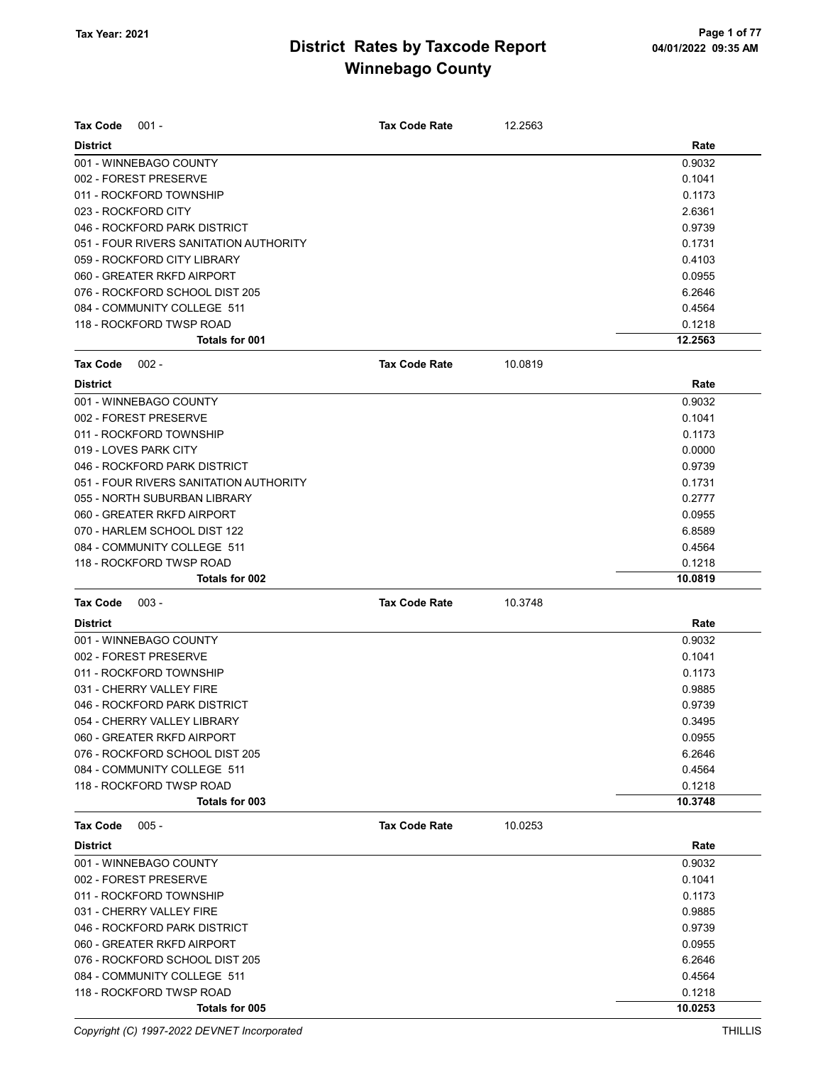| <b>Tax Code</b><br>$001 -$             | <b>Tax Code Rate</b> | 12.2563 |         |
|----------------------------------------|----------------------|---------|---------|
| <b>District</b>                        |                      |         | Rate    |
| 001 - WINNEBAGO COUNTY                 |                      |         | 0.9032  |
| 002 - FOREST PRESERVE                  |                      |         | 0.1041  |
| 011 - ROCKFORD TOWNSHIP                |                      |         | 0.1173  |
| 023 - ROCKFORD CITY                    |                      |         | 2.6361  |
| 046 - ROCKFORD PARK DISTRICT           |                      |         | 0.9739  |
| 051 - FOUR RIVERS SANITATION AUTHORITY |                      |         | 0.1731  |
| 059 - ROCKFORD CITY LIBRARY            |                      |         | 0.4103  |
| 060 - GREATER RKFD AIRPORT             |                      |         | 0.0955  |
| 076 - ROCKFORD SCHOOL DIST 205         |                      |         | 6.2646  |
| 084 - COMMUNITY COLLEGE 511            |                      |         | 0.4564  |
| 118 - ROCKFORD TWSP ROAD               |                      |         | 0.1218  |
| Totals for 001                         |                      |         | 12.2563 |
| <b>Tax Code</b><br>$002 -$             | <b>Tax Code Rate</b> | 10.0819 |         |
| <b>District</b>                        |                      |         | Rate    |
| 001 - WINNEBAGO COUNTY                 |                      |         | 0.9032  |
| 002 - FOREST PRESERVE                  |                      |         | 0.1041  |
| 011 - ROCKFORD TOWNSHIP                |                      |         | 0.1173  |
| 019 - LOVES PARK CITY                  |                      |         | 0.0000  |
| 046 - ROCKFORD PARK DISTRICT           |                      |         | 0.9739  |
| 051 - FOUR RIVERS SANITATION AUTHORITY |                      |         | 0.1731  |
| 055 - NORTH SUBURBAN LIBRARY           |                      |         | 0.2777  |
| 060 - GREATER RKFD AIRPORT             |                      |         | 0.0955  |
| 070 - HARLEM SCHOOL DIST 122           |                      |         | 6.8589  |
| 084 - COMMUNITY COLLEGE 511            |                      |         | 0.4564  |
| 118 - ROCKFORD TWSP ROAD               |                      |         | 0.1218  |
| Totals for 002                         |                      |         | 10.0819 |
| <b>Tax Code</b><br>$003 -$             | <b>Tax Code Rate</b> | 10.3748 |         |
| <b>District</b>                        |                      |         | Rate    |
| 001 - WINNEBAGO COUNTY                 |                      |         | 0.9032  |
| 002 - FOREST PRESERVE                  |                      |         | 0.1041  |
| 011 - ROCKFORD TOWNSHIP                |                      |         | 0.1173  |
| 031 - CHERRY VALLEY FIRE               |                      |         | 0.9885  |
| 046 - ROCKFORD PARK DISTRICT           |                      |         | 0.9739  |
| 054 - CHERRY VALLEY LIBRARY            |                      |         | 0.3495  |
| 060 - GREATER RKFD AIRPORT             |                      |         | 0.0955  |
| 076 - ROCKFORD SCHOOL DIST 205         |                      |         | 6.2646  |
| 084 - COMMUNITY COLLEGE 511            |                      |         | 0.4564  |
| 118 - ROCKFORD TWSP ROAD               |                      |         | 0.1218  |
| Totals for 003                         |                      |         | 10.3748 |
| $005 -$<br>Tax Code                    | <b>Tax Code Rate</b> | 10.0253 |         |
| <b>District</b>                        |                      |         | Rate    |
| 001 - WINNEBAGO COUNTY                 |                      |         | 0.9032  |
| 002 - FOREST PRESERVE                  |                      |         | 0.1041  |
| 011 - ROCKFORD TOWNSHIP                |                      |         | 0.1173  |
| 031 - CHERRY VALLEY FIRE               |                      |         | 0.9885  |
| 046 - ROCKFORD PARK DISTRICT           |                      |         | 0.9739  |
| 060 - GREATER RKFD AIRPORT             |                      |         | 0.0955  |
| 076 - ROCKFORD SCHOOL DIST 205         |                      |         | 6.2646  |
| 084 - COMMUNITY COLLEGE 511            |                      |         | 0.4564  |
| 118 - ROCKFORD TWSP ROAD               |                      |         | 0.1218  |
| Totals for 005                         |                      |         | 10.0253 |

Copyright (C) 1997-2022 DEVNET Incorporated THILLIS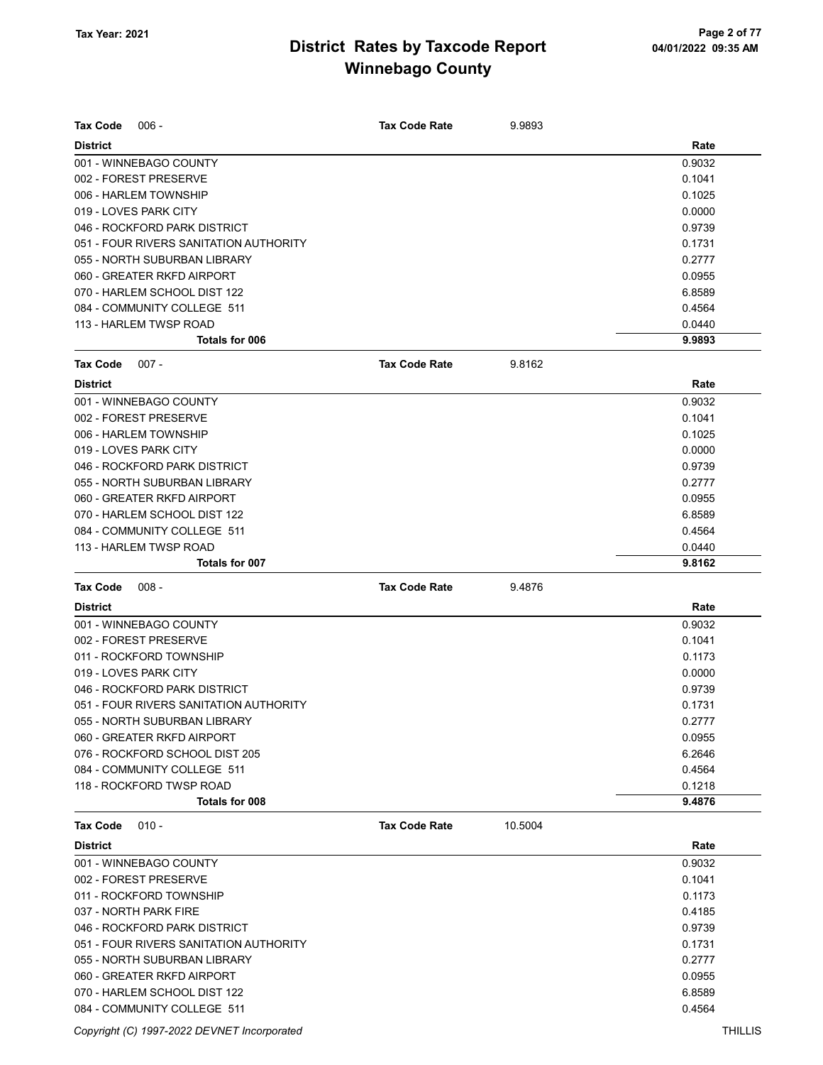| <b>Tax Code</b><br>$006 -$                                  | <b>Tax Code Rate</b> | 9.9893  |                  |
|-------------------------------------------------------------|----------------------|---------|------------------|
|                                                             |                      |         |                  |
| <b>District</b><br>001 - WINNEBAGO COUNTY                   |                      |         | Rate<br>0.9032   |
| 002 - FOREST PRESERVE                                       |                      |         | 0.1041           |
| 006 - HARLEM TOWNSHIP                                       |                      |         | 0.1025           |
| 019 - LOVES PARK CITY                                       |                      |         | 0.0000           |
| 046 - ROCKFORD PARK DISTRICT                                |                      |         | 0.9739           |
| 051 - FOUR RIVERS SANITATION AUTHORITY                      |                      |         | 0.1731           |
| 055 - NORTH SUBURBAN LIBRARY                                |                      |         | 0.2777           |
| 060 - GREATER RKFD AIRPORT                                  |                      |         | 0.0955           |
| 070 - HARLEM SCHOOL DIST 122                                |                      |         | 6.8589           |
| 084 - COMMUNITY COLLEGE 511                                 |                      |         | 0.4564           |
| 113 - HARLEM TWSP ROAD                                      |                      |         | 0.0440           |
| Totals for 006                                              |                      |         | 9.9893           |
| <b>Tax Code</b><br>$007 -$                                  | <b>Tax Code Rate</b> | 9.8162  |                  |
|                                                             |                      |         |                  |
| <b>District</b>                                             |                      |         | Rate             |
| 001 - WINNEBAGO COUNTY                                      |                      |         | 0.9032           |
| 002 - FOREST PRESERVE                                       |                      |         | 0.1041           |
| 006 - HARLEM TOWNSHIP                                       |                      |         | 0.1025           |
| 019 - LOVES PARK CITY                                       |                      |         | 0.0000           |
| 046 - ROCKFORD PARK DISTRICT                                |                      |         | 0.9739           |
| 055 - NORTH SUBURBAN LIBRARY                                |                      |         | 0.2777           |
| 060 - GREATER RKFD AIRPORT                                  |                      |         | 0.0955           |
| 070 - HARLEM SCHOOL DIST 122                                |                      |         | 6.8589           |
| 084 - COMMUNITY COLLEGE 511                                 |                      |         | 0.4564           |
| 113 - HARLEM TWSP ROAD<br>Totals for 007                    |                      |         | 0.0440<br>9.8162 |
|                                                             |                      |         |                  |
| <b>Tax Code</b><br>$008 -$                                  | <b>Tax Code Rate</b> | 9.4876  |                  |
| <b>District</b>                                             |                      |         | Rate             |
| 001 - WINNEBAGO COUNTY                                      |                      |         | 0.9032           |
| 002 - FOREST PRESERVE                                       |                      |         | 0.1041           |
| 011 - ROCKFORD TOWNSHIP                                     |                      |         | 0.1173           |
|                                                             |                      |         |                  |
| 019 - LOVES PARK CITY                                       |                      |         | 0.0000           |
| 046 - ROCKFORD PARK DISTRICT                                |                      |         | 0.9739           |
| 051 - FOUR RIVERS SANITATION AUTHORITY                      |                      |         | 0.1731           |
| 055 - NORTH SUBURBAN LIBRARY                                |                      |         | 0.2777           |
| 060 - GREATER RKFD AIRPORT                                  |                      |         | 0.0955           |
| 076 - ROCKFORD SCHOOL DIST 205                              |                      |         | 6.2646           |
| 084 - COMMUNITY COLLEGE 511                                 |                      |         | 0.4564           |
| 118 - ROCKFORD TWSP ROAD                                    |                      |         | 0.1218           |
| Totals for 008                                              |                      |         | 9.4876           |
| $010 -$<br><b>Tax Code</b>                                  | <b>Tax Code Rate</b> | 10.5004 |                  |
| <b>District</b>                                             |                      |         | Rate             |
| 001 - WINNEBAGO COUNTY                                      |                      |         | 0.9032           |
| 002 - FOREST PRESERVE                                       |                      |         | 0.1041           |
| 011 - ROCKFORD TOWNSHIP                                     |                      |         | 0.1173           |
| 037 - NORTH PARK FIRE                                       |                      |         | 0.4185           |
| 046 - ROCKFORD PARK DISTRICT                                |                      |         | 0.9739           |
| 051 - FOUR RIVERS SANITATION AUTHORITY                      |                      |         | 0.1731           |
| 055 - NORTH SUBURBAN LIBRARY                                |                      |         | 0.2777           |
| 060 - GREATER RKFD AIRPORT                                  |                      |         | 0.0955           |
| 070 - HARLEM SCHOOL DIST 122<br>084 - COMMUNITY COLLEGE 511 |                      |         | 6.8589<br>0.4564 |

Copyright (C) 1997-2022 DEVNET Incorporated THILLIS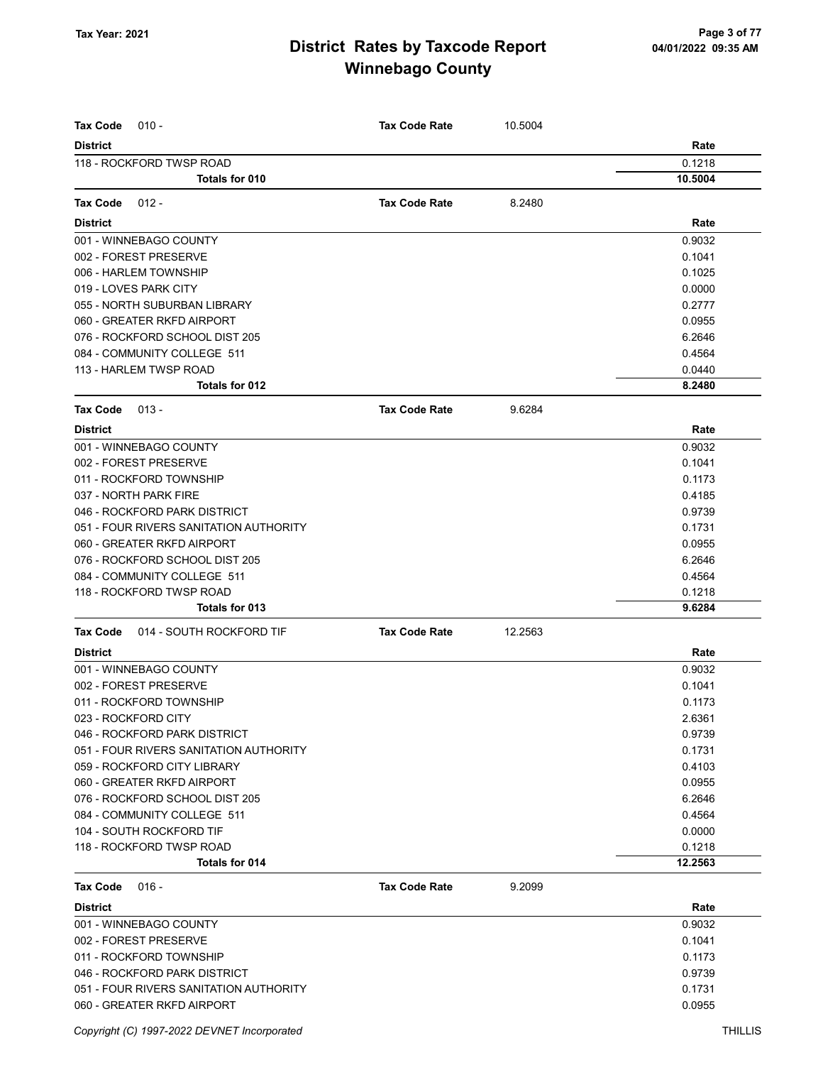| <b>Tax Code</b><br>$010 -$                        | <b>Tax Code Rate</b> | 10.5004 |                   |
|---------------------------------------------------|----------------------|---------|-------------------|
|                                                   |                      |         |                   |
| <b>District</b>                                   |                      |         | Rate              |
| 118 - ROCKFORD TWSP ROAD<br><b>Totals for 010</b> |                      |         | 0.1218<br>10.5004 |
|                                                   |                      |         |                   |
| <b>Tax Code</b><br>$012 -$                        | <b>Tax Code Rate</b> | 8.2480  |                   |
| <b>District</b>                                   |                      |         | Rate              |
| 001 - WINNEBAGO COUNTY                            |                      |         | 0.9032            |
| 002 - FOREST PRESERVE                             |                      |         | 0.1041            |
| 006 - HARLEM TOWNSHIP                             |                      |         | 0.1025            |
| 019 - LOVES PARK CITY                             |                      |         | 0.0000            |
| 055 - NORTH SUBURBAN LIBRARY                      |                      |         | 0.2777            |
| 060 - GREATER RKFD AIRPORT                        |                      |         | 0.0955            |
| 076 - ROCKFORD SCHOOL DIST 205                    |                      |         | 6.2646            |
| 084 - COMMUNITY COLLEGE 511                       |                      |         | 0.4564            |
| 113 - HARLEM TWSP ROAD                            |                      |         | 0.0440            |
| Totals for 012                                    |                      |         | 8.2480            |
| <b>Tax Code</b><br>$013 -$                        | <b>Tax Code Rate</b> | 9.6284  |                   |
| <b>District</b>                                   |                      |         | Rate              |
| 001 - WINNEBAGO COUNTY                            |                      |         | 0.9032            |
| 002 - FOREST PRESERVE                             |                      |         | 0.1041            |
| 011 - ROCKFORD TOWNSHIP                           |                      |         | 0.1173            |
| 037 - NORTH PARK FIRE                             |                      |         | 0.4185            |
| 046 - ROCKFORD PARK DISTRICT                      |                      |         | 0.9739            |
| 051 - FOUR RIVERS SANITATION AUTHORITY            |                      |         | 0.1731            |
| 060 - GREATER RKFD AIRPORT                        |                      |         | 0.0955            |
| 076 - ROCKFORD SCHOOL DIST 205                    |                      |         | 6.2646            |
| 084 - COMMUNITY COLLEGE 511                       |                      |         | 0.4564            |
| 118 - ROCKFORD TWSP ROAD                          |                      |         | 0.1218            |
| Totals for 013                                    |                      |         | 9.6284            |
| 014 - SOUTH ROCKFORD TIF<br><b>Tax Code</b>       | <b>Tax Code Rate</b> | 12.2563 |                   |
| <b>District</b>                                   |                      |         | Rate              |
| 001 - WINNEBAGO COUNTY                            |                      |         | 0.9032            |
| 002 - FOREST PRESERVE                             |                      |         | 0.1041            |
| 011 - ROCKFORD TOWNSHIP                           |                      |         | 0.1173            |
| 023 - ROCKFORD CITY                               |                      |         | 2.6361            |
| 046 - ROCKFORD PARK DISTRICT                      |                      |         | 0.9739            |
| 051 - FOUR RIVERS SANITATION AUTHORITY            |                      |         | 0.1731            |
| 059 - ROCKFORD CITY LIBRARY                       |                      |         | 0.4103            |
| 060 - GREATER RKFD AIRPORT                        |                      |         | 0.0955            |
| 076 - ROCKFORD SCHOOL DIST 205                    |                      |         | 6.2646            |
| 084 - COMMUNITY COLLEGE 511                       |                      |         | 0.4564            |
| 104 - SOUTH ROCKFORD TIF                          |                      |         | 0.0000            |
| 118 - ROCKFORD TWSP ROAD                          |                      |         | 0.1218            |
| Totals for 014                                    |                      |         | 12.2563           |
| Tax Code<br>$016 -$                               | <b>Tax Code Rate</b> | 9.2099  |                   |
| <b>District</b>                                   |                      |         | Rate              |
| 001 - WINNEBAGO COUNTY                            |                      |         | 0.9032            |
| 002 - FOREST PRESERVE                             |                      |         | 0.1041            |
| 011 - ROCKFORD TOWNSHIP                           |                      |         | 0.1173            |
| 046 - ROCKFORD PARK DISTRICT                      |                      |         | 0.9739            |
| 051 - FOUR RIVERS SANITATION AUTHORITY            |                      |         | 0.1731            |
| 060 - GREATER RKFD AIRPORT                        |                      |         | 0.0955            |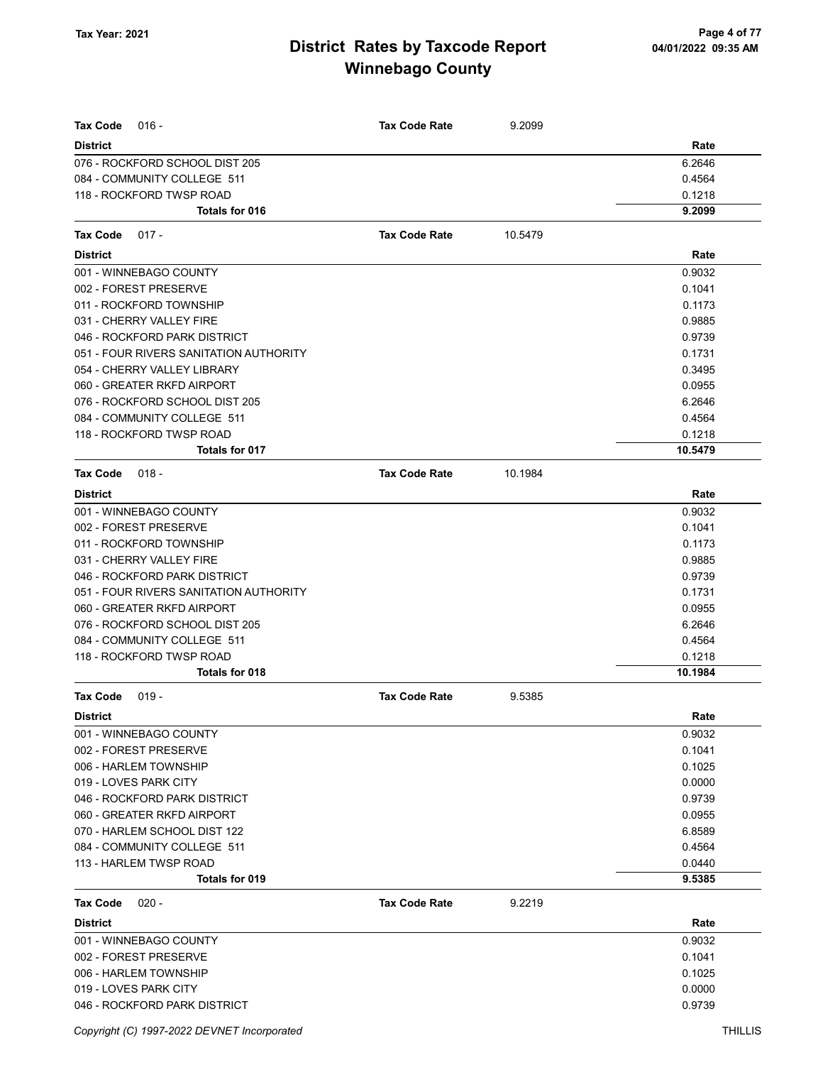| <b>Tax Code</b><br>$016 -$<br><b>District</b>  | <b>Tax Code Rate</b> | 9.2099  | Rate             |
|------------------------------------------------|----------------------|---------|------------------|
| 076 - ROCKFORD SCHOOL DIST 205                 |                      |         | 6.2646           |
| 084 - COMMUNITY COLLEGE 511                    |                      |         | 0.4564           |
| 118 - ROCKFORD TWSP ROAD                       |                      |         | 0.1218           |
| Totals for 016                                 |                      |         | 9.2099           |
| <b>Tax Code</b><br>$017 -$                     | <b>Tax Code Rate</b> | 10.5479 |                  |
| <b>District</b>                                |                      |         | Rate             |
| 001 - WINNEBAGO COUNTY                         |                      |         | 0.9032           |
| 002 - FOREST PRESERVE                          |                      |         | 0.1041           |
| 011 - ROCKFORD TOWNSHIP                        |                      |         | 0.1173           |
| 031 - CHERRY VALLEY FIRE                       |                      |         | 0.9885           |
| 046 - ROCKFORD PARK DISTRICT                   |                      |         | 0.9739           |
| 051 - FOUR RIVERS SANITATION AUTHORITY         |                      |         | 0.1731           |
| 054 - CHERRY VALLEY LIBRARY                    |                      |         | 0.3495           |
| 060 - GREATER RKFD AIRPORT                     |                      |         | 0.0955           |
| 076 - ROCKFORD SCHOOL DIST 205                 |                      |         | 6.2646           |
| 084 - COMMUNITY COLLEGE 511                    |                      |         | 0.4564           |
| 118 - ROCKFORD TWSP ROAD                       |                      |         | 0.1218           |
| Totals for 017                                 |                      |         | 10.5479          |
| <b>Tax Code</b><br>$018 -$                     | <b>Tax Code Rate</b> | 10.1984 |                  |
| <b>District</b>                                |                      |         | Rate             |
| 001 - WINNEBAGO COUNTY                         |                      |         | 0.9032           |
| 002 - FOREST PRESERVE                          |                      |         | 0.1041           |
| 011 - ROCKFORD TOWNSHIP                        |                      |         | 0.1173           |
| 031 - CHERRY VALLEY FIRE                       |                      |         | 0.9885           |
| 046 - ROCKFORD PARK DISTRICT                   |                      |         | 0.9739           |
| 051 - FOUR RIVERS SANITATION AUTHORITY         |                      |         | 0.1731           |
| 060 - GREATER RKFD AIRPORT                     |                      |         | 0.0955           |
| 076 - ROCKFORD SCHOOL DIST 205                 |                      |         | 6.2646           |
| 084 - COMMUNITY COLLEGE 511                    |                      |         | 0.4564           |
| 118 - ROCKFORD TWSP ROAD                       |                      |         | 0.1218           |
| Totals for 018                                 |                      |         | 10.1984          |
| Tax Code<br>$019 -$                            | <b>Tax Code Rate</b> | 9.5385  |                  |
| District                                       |                      |         | Rate             |
| 001 - WINNEBAGO COUNTY                         |                      |         | 0.9032           |
| 002 - FOREST PRESERVE                          |                      |         | 0.1041           |
| 006 - HARLEM TOWNSHIP                          |                      |         | 0.1025           |
| 019 - LOVES PARK CITY                          |                      |         | 0.0000           |
| 046 - ROCKFORD PARK DISTRICT                   |                      |         | 0.9739           |
| 060 - GREATER RKFD AIRPORT                     |                      |         | 0.0955           |
| 070 - HARLEM SCHOOL DIST 122                   |                      |         | 6.8589           |
| 084 - COMMUNITY COLLEGE 511                    |                      |         | 0.4564           |
| 113 - HARLEM TWSP ROAD<br>Totals for 019       |                      |         | 0.0440<br>9.5385 |
|                                                |                      |         |                  |
| <b>Tax Code</b><br>$020 -$                     | <b>Tax Code Rate</b> | 9.2219  |                  |
| <b>District</b>                                |                      |         | Rate             |
| 001 - WINNEBAGO COUNTY                         |                      |         | 0.9032           |
| 002 - FOREST PRESERVE                          |                      |         | 0.1041           |
| 006 - HARLEM TOWNSHIP<br>019 - LOVES PARK CITY |                      |         | 0.1025<br>0.0000 |
| 046 - ROCKFORD PARK DISTRICT                   |                      |         | 0.9739           |
|                                                |                      |         |                  |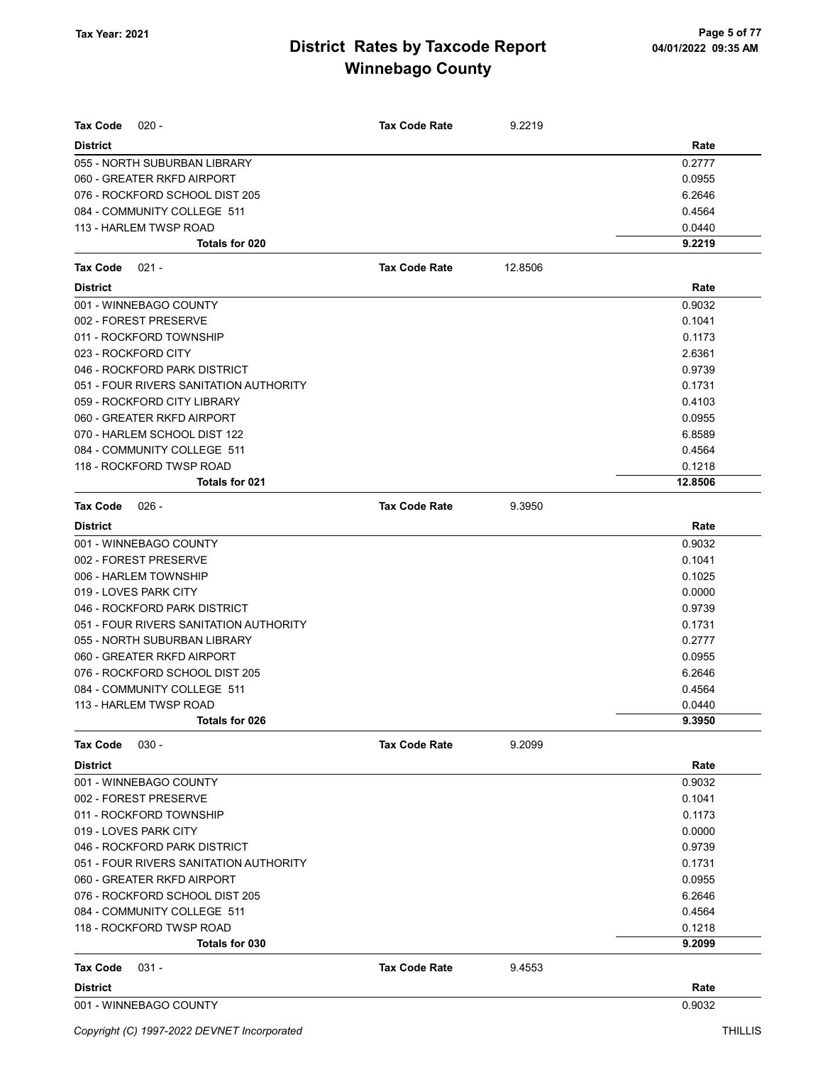| <b>Tax Code</b><br>$020 -$             | <b>Tax Code Rate</b> | 9.2219  |         |
|----------------------------------------|----------------------|---------|---------|
| <b>District</b>                        |                      |         | Rate    |
| 055 - NORTH SUBURBAN LIBRARY           |                      |         | 0.2777  |
| 060 - GREATER RKFD AIRPORT             |                      |         | 0.0955  |
| 076 - ROCKFORD SCHOOL DIST 205         |                      |         | 6.2646  |
| 084 - COMMUNITY COLLEGE 511            |                      |         | 0.4564  |
| 113 - HARLEM TWSP ROAD                 |                      |         | 0.0440  |
| Totals for 020                         |                      |         | 9.2219  |
| <b>Tax Code</b><br>021 -               | <b>Tax Code Rate</b> | 12.8506 |         |
| <b>District</b>                        |                      |         | Rate    |
| 001 - WINNEBAGO COUNTY                 |                      |         | 0.9032  |
| 002 - FOREST PRESERVE                  |                      |         | 0.1041  |
| 011 - ROCKFORD TOWNSHIP                |                      |         | 0.1173  |
| 023 - ROCKFORD CITY                    |                      |         | 2.6361  |
| 046 - ROCKFORD PARK DISTRICT           |                      |         | 0.9739  |
| 051 - FOUR RIVERS SANITATION AUTHORITY |                      |         | 0.1731  |
| 059 - ROCKFORD CITY LIBRARY            |                      |         | 0.4103  |
| 060 - GREATER RKFD AIRPORT             |                      |         | 0.0955  |
| 070 - HARLEM SCHOOL DIST 122           |                      |         | 6.8589  |
| 084 - COMMUNITY COLLEGE 511            |                      |         | 0.4564  |
| 118 - ROCKFORD TWSP ROAD               |                      |         | 0.1218  |
| <b>Totals for 021</b>                  |                      |         | 12.8506 |
| <b>Tax Code</b><br>$026 -$             | <b>Tax Code Rate</b> | 9.3950  |         |
| <b>District</b>                        |                      |         | Rate    |
| 001 - WINNEBAGO COUNTY                 |                      |         | 0.9032  |
| 002 - FOREST PRESERVE                  |                      |         | 0.1041  |
| 006 - HARLEM TOWNSHIP                  |                      |         | 0.1025  |
| 019 - LOVES PARK CITY                  |                      |         | 0.0000  |
| 046 - ROCKFORD PARK DISTRICT           |                      |         | 0.9739  |
| 051 - FOUR RIVERS SANITATION AUTHORITY |                      |         | 0.1731  |
| 055 - NORTH SUBURBAN LIBRARY           |                      |         | 0.2777  |
| 060 - GREATER RKFD AIRPORT             |                      |         | 0.0955  |
| 076 - ROCKFORD SCHOOL DIST 205         |                      |         | 6.2646  |
| 084 - COMMUNITY COLLEGE 511            |                      |         | 0.4564  |
| 113 - HARLEM TWSP ROAD                 |                      |         | 0.0440  |
| Totals for 026                         |                      |         | 9.3950  |
| <b>Tax Code</b><br>$030 -$             | <b>Tax Code Rate</b> | 9.2099  |         |
| <b>District</b>                        |                      |         | Rate    |
| 001 - WINNEBAGO COUNTY                 |                      |         | 0.9032  |
| 002 - FOREST PRESERVE                  |                      |         | 0.1041  |
| 011 - ROCKFORD TOWNSHIP                |                      |         | 0.1173  |
| 019 - LOVES PARK CITY                  |                      |         | 0.0000  |
| 046 - ROCKFORD PARK DISTRICT           |                      |         | 0.9739  |
| 051 - FOUR RIVERS SANITATION AUTHORITY |                      |         | 0.1731  |
| 060 - GREATER RKFD AIRPORT             |                      |         | 0.0955  |
| 076 - ROCKFORD SCHOOL DIST 205         |                      |         | 6.2646  |
| 084 - COMMUNITY COLLEGE 511            |                      |         | 0.4564  |
| 118 - ROCKFORD TWSP ROAD               |                      |         | 0.1218  |
| Totals for 030                         |                      |         | 9.2099  |
| $031 -$<br>Tax Code                    | <b>Tax Code Rate</b> | 9.4553  |         |
| <b>District</b>                        |                      |         | Rate    |
| 001 - WINNEBAGO COUNTY                 |                      |         | 0.9032  |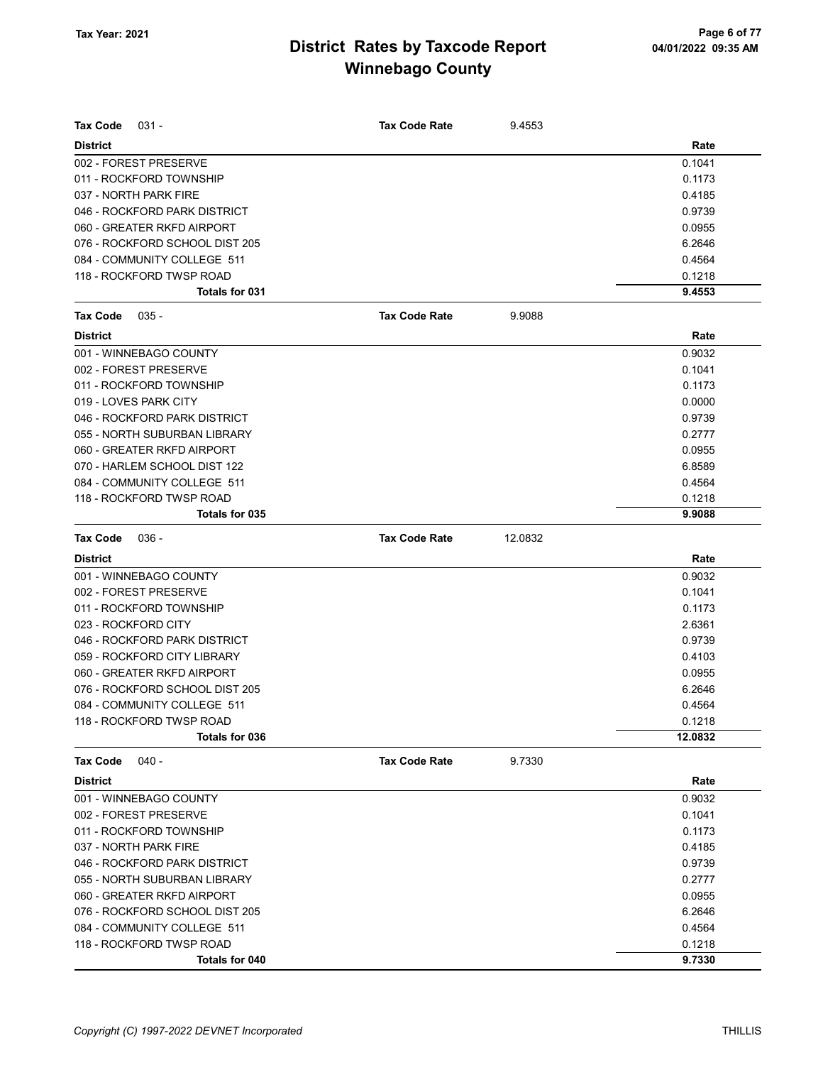| <b>Tax Code</b><br>$031 -$     | <b>Tax Code Rate</b> | 9.4553  |         |
|--------------------------------|----------------------|---------|---------|
| <b>District</b>                |                      |         | Rate    |
| 002 - FOREST PRESERVE          |                      |         | 0.1041  |
| 011 - ROCKFORD TOWNSHIP        |                      |         | 0.1173  |
| 037 - NORTH PARK FIRE          |                      |         | 0.4185  |
| 046 - ROCKFORD PARK DISTRICT   |                      |         | 0.9739  |
| 060 - GREATER RKFD AIRPORT     |                      |         | 0.0955  |
| 076 - ROCKFORD SCHOOL DIST 205 |                      |         | 6.2646  |
| 084 - COMMUNITY COLLEGE 511    |                      |         | 0.4564  |
| 118 - ROCKFORD TWSP ROAD       |                      |         | 0.1218  |
| Totals for 031                 |                      |         | 9.4553  |
| <b>Tax Code</b><br>$035 -$     | <b>Tax Code Rate</b> | 9.9088  |         |
| <b>District</b>                |                      |         | Rate    |
| 001 - WINNEBAGO COUNTY         |                      |         | 0.9032  |
| 002 - FOREST PRESERVE          |                      |         | 0.1041  |
| 011 - ROCKFORD TOWNSHIP        |                      |         | 0.1173  |
| 019 - LOVES PARK CITY          |                      |         | 0.0000  |
| 046 - ROCKFORD PARK DISTRICT   |                      |         | 0.9739  |
| 055 - NORTH SUBURBAN LIBRARY   |                      |         | 0.2777  |
| 060 - GREATER RKFD AIRPORT     |                      |         | 0.0955  |
| 070 - HARLEM SCHOOL DIST 122   |                      |         | 6.8589  |
| 084 - COMMUNITY COLLEGE 511    |                      |         | 0.4564  |
| 118 - ROCKFORD TWSP ROAD       |                      |         | 0.1218  |
| Totals for 035                 |                      |         | 9.9088  |
| <b>Tax Code</b><br>036 -       | <b>Tax Code Rate</b> | 12.0832 |         |
| <b>District</b>                |                      |         | Rate    |
| 001 - WINNEBAGO COUNTY         |                      |         | 0.9032  |
| 002 - FOREST PRESERVE          |                      |         | 0.1041  |
| 011 - ROCKFORD TOWNSHIP        |                      |         | 0.1173  |
| 023 - ROCKFORD CITY            |                      |         | 2.6361  |
| 046 - ROCKFORD PARK DISTRICT   |                      |         | 0.9739  |
| 059 - ROCKFORD CITY LIBRARY    |                      |         | 0.4103  |
| 060 - GREATER RKFD AIRPORT     |                      |         | 0.0955  |
| 076 - ROCKFORD SCHOOL DIST 205 |                      |         | 6.2646  |
| 084 - COMMUNITY COLLEGE 511    |                      |         | 0.4564  |
| 118 - ROCKFORD TWSP ROAD       |                      |         | 0.1218  |
| Totals for 036                 |                      |         | 12.0832 |
| $040 -$<br><b>Tax Code</b>     | <b>Tax Code Rate</b> | 9.7330  |         |
| <b>District</b>                |                      |         | Rate    |
| 001 - WINNEBAGO COUNTY         |                      |         | 0.9032  |
| 002 - FOREST PRESERVE          |                      |         | 0.1041  |
| 011 - ROCKFORD TOWNSHIP        |                      |         | 0.1173  |
| 037 - NORTH PARK FIRE          |                      |         | 0.4185  |
| 046 - ROCKFORD PARK DISTRICT   |                      |         | 0.9739  |
| 055 - NORTH SUBURBAN LIBRARY   |                      |         | 0.2777  |
| 060 - GREATER RKFD AIRPORT     |                      |         | 0.0955  |
| 076 - ROCKFORD SCHOOL DIST 205 |                      |         | 6.2646  |
| 084 - COMMUNITY COLLEGE 511    |                      |         | 0.4564  |
| 118 - ROCKFORD TWSP ROAD       |                      |         | 0.1218  |
| Totals for 040                 |                      |         | 9.7330  |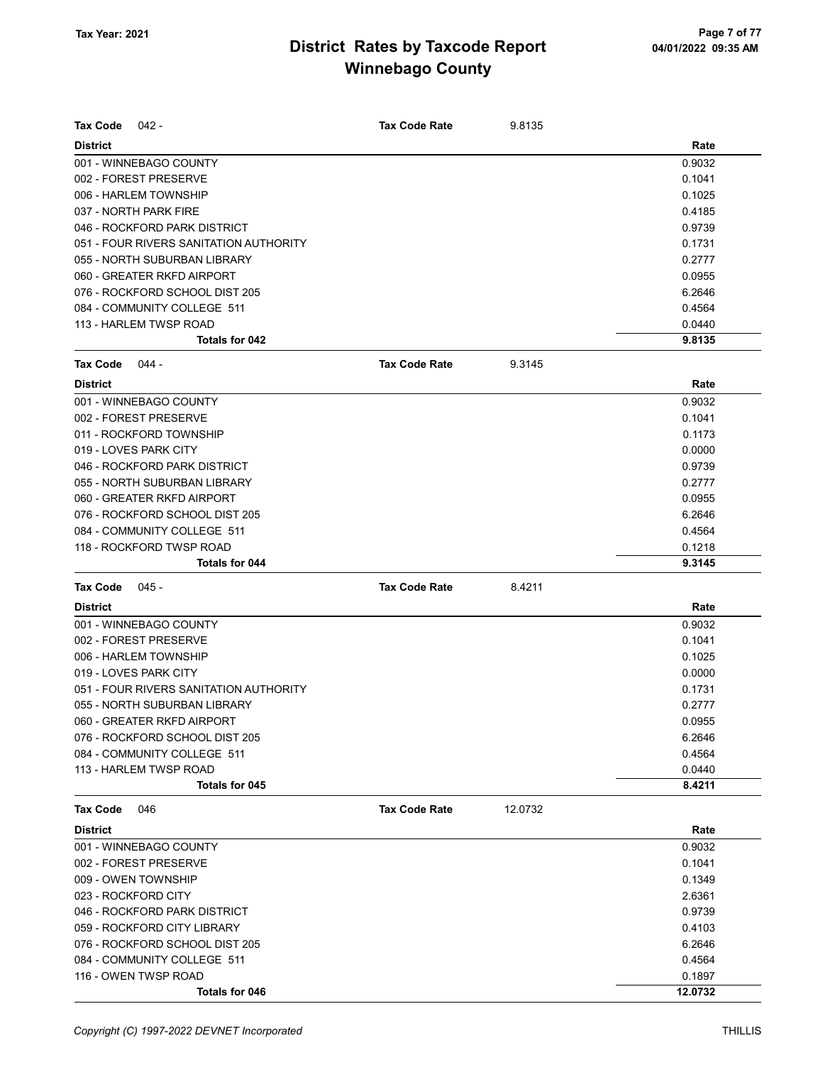| <b>Tax Code</b><br>$042 -$             | <b>Tax Code Rate</b> | 9.8135  |         |
|----------------------------------------|----------------------|---------|---------|
| <b>District</b>                        |                      |         | Rate    |
| 001 - WINNEBAGO COUNTY                 |                      |         | 0.9032  |
| 002 - FOREST PRESERVE                  |                      |         | 0.1041  |
| 006 - HARLEM TOWNSHIP                  |                      |         | 0.1025  |
| 037 - NORTH PARK FIRE                  |                      |         | 0.4185  |
| 046 - ROCKFORD PARK DISTRICT           |                      |         | 0.9739  |
| 051 - FOUR RIVERS SANITATION AUTHORITY |                      |         | 0.1731  |
| 055 - NORTH SUBURBAN LIBRARY           |                      |         | 0.2777  |
| 060 - GREATER RKFD AIRPORT             |                      |         | 0.0955  |
| 076 - ROCKFORD SCHOOL DIST 205         |                      |         | 6.2646  |
| 084 - COMMUNITY COLLEGE 511            |                      |         | 0.4564  |
| 113 - HARLEM TWSP ROAD                 |                      |         | 0.0440  |
| <b>Totals for 042</b>                  |                      |         | 9.8135  |
| Tax Code<br>044 -                      | <b>Tax Code Rate</b> | 9.3145  |         |
| <b>District</b>                        |                      |         | Rate    |
| 001 - WINNEBAGO COUNTY                 |                      |         | 0.9032  |
| 002 - FOREST PRESERVE                  |                      |         | 0.1041  |
| 011 - ROCKFORD TOWNSHIP                |                      |         | 0.1173  |
| 019 - LOVES PARK CITY                  |                      |         | 0.0000  |
| 046 - ROCKFORD PARK DISTRICT           |                      |         | 0.9739  |
| 055 - NORTH SUBURBAN LIBRARY           |                      |         | 0.2777  |
| 060 - GREATER RKFD AIRPORT             |                      |         | 0.0955  |
| 076 - ROCKFORD SCHOOL DIST 205         |                      |         | 6.2646  |
| 084 - COMMUNITY COLLEGE 511            |                      |         | 0.4564  |
| 118 - ROCKFORD TWSP ROAD               |                      |         | 0.1218  |
| <b>Totals for 044</b>                  |                      |         | 9.3145  |
| Tax Code<br>$045 -$                    | <b>Tax Code Rate</b> | 8.4211  |         |
| <b>District</b>                        |                      |         | Rate    |
| 001 - WINNEBAGO COUNTY                 |                      |         | 0.9032  |
| 002 - FOREST PRESERVE                  |                      |         | 0.1041  |
| 006 - HARLEM TOWNSHIP                  |                      |         | 0.1025  |
| 019 - LOVES PARK CITY                  |                      |         | 0.0000  |
| 051 - FOUR RIVERS SANITATION AUTHORITY |                      |         | 0.1731  |
| 055 - NORTH SUBURBAN LIBRARY           |                      |         | 0.2777  |
| 060 - GREATER RKFD AIRPORT             |                      |         | 0.0955  |
| 076 - ROCKFORD SCHOOL DIST 205         |                      |         | 6.2646  |
| 084 - COMMUNITY COLLEGE 511            |                      |         | 0.4564  |
| 113 - HARLEM TWSP ROAD                 |                      |         | 0.0440  |
| Totals for 045                         |                      |         | 8.4211  |
| <b>Tax Code</b><br>046                 | <b>Tax Code Rate</b> | 12.0732 |         |
| <b>District</b>                        |                      |         | Rate    |
| 001 - WINNEBAGO COUNTY                 |                      |         | 0.9032  |
| 002 - FOREST PRESERVE                  |                      |         | 0.1041  |
| 009 - OWEN TOWNSHIP                    |                      |         | 0.1349  |
| 023 - ROCKFORD CITY                    |                      |         | 2.6361  |
| 046 - ROCKFORD PARK DISTRICT           |                      |         | 0.9739  |
| 059 - ROCKFORD CITY LIBRARY            |                      |         | 0.4103  |
| 076 - ROCKFORD SCHOOL DIST 205         |                      |         | 6.2646  |
| 084 - COMMUNITY COLLEGE 511            |                      |         | 0.4564  |
| 116 - OWEN TWSP ROAD                   |                      |         | 0.1897  |
| Totals for 046                         |                      |         | 12.0732 |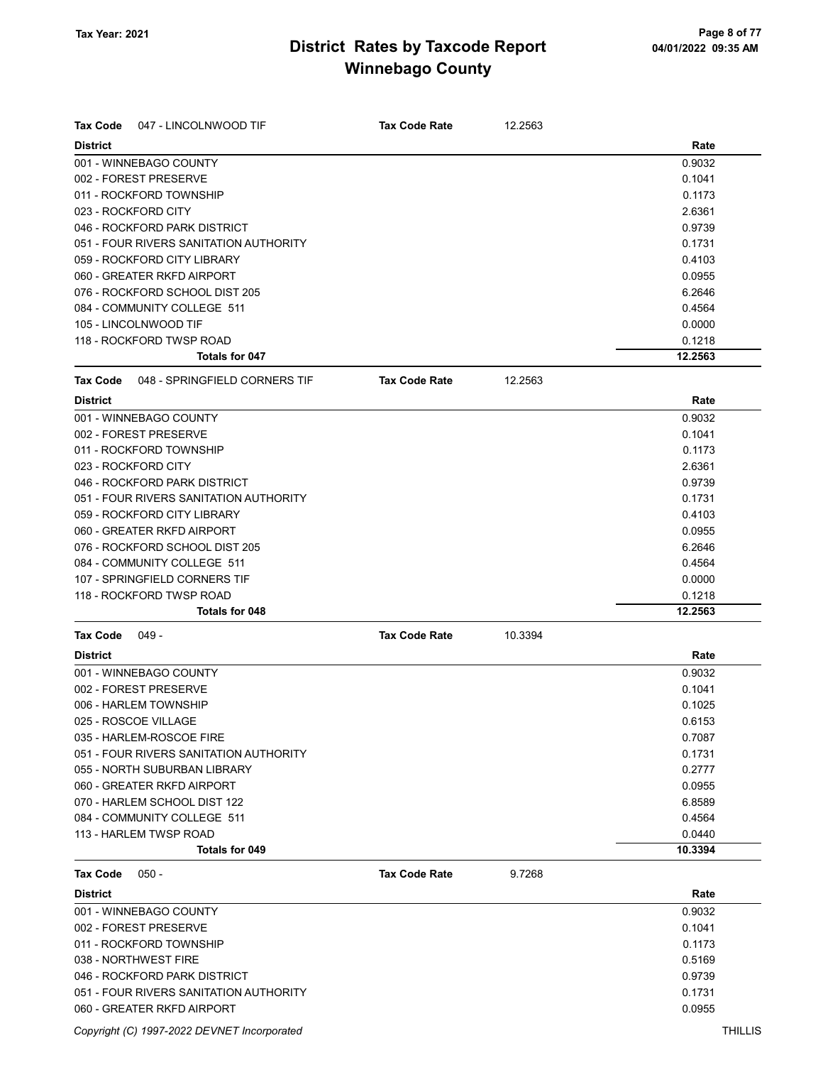| <b>Tax Code</b><br>047 - LINCOLNWOOD TIF         | <b>Tax Code Rate</b> | 12.2563 |         |
|--------------------------------------------------|----------------------|---------|---------|
| <b>District</b>                                  |                      |         | Rate    |
| 001 - WINNEBAGO COUNTY                           |                      |         | 0.9032  |
| 002 - FOREST PRESERVE                            |                      |         | 0.1041  |
| 011 - ROCKFORD TOWNSHIP                          |                      |         | 0.1173  |
| 023 - ROCKFORD CITY                              |                      |         | 2.6361  |
| 046 - ROCKFORD PARK DISTRICT                     |                      |         | 0.9739  |
| 051 - FOUR RIVERS SANITATION AUTHORITY           |                      |         | 0.1731  |
| 059 - ROCKFORD CITY LIBRARY                      |                      |         | 0.4103  |
| 060 - GREATER RKFD AIRPORT                       |                      |         | 0.0955  |
| 076 - ROCKFORD SCHOOL DIST 205                   |                      |         | 6.2646  |
| 084 - COMMUNITY COLLEGE 511                      |                      |         | 0.4564  |
| 105 - LINCOLNWOOD TIF                            |                      |         | 0.0000  |
| 118 - ROCKFORD TWSP ROAD                         |                      |         | 0.1218  |
| <b>Totals for 047</b>                            |                      |         | 12.2563 |
| 048 - SPRINGFIELD CORNERS TIF<br><b>Tax Code</b> | <b>Tax Code Rate</b> | 12.2563 |         |
| <b>District</b>                                  |                      |         | Rate    |
| 001 - WINNEBAGO COUNTY                           |                      |         | 0.9032  |
| 002 - FOREST PRESERVE                            |                      |         | 0.1041  |
| 011 - ROCKFORD TOWNSHIP                          |                      |         | 0.1173  |
| 023 - ROCKFORD CITY                              |                      |         | 2.6361  |
| 046 - ROCKFORD PARK DISTRICT                     |                      |         | 0.9739  |
| 051 - FOUR RIVERS SANITATION AUTHORITY           |                      |         | 0.1731  |
| 059 - ROCKFORD CITY LIBRARY                      |                      |         | 0.4103  |
| 060 - GREATER RKFD AIRPORT                       |                      |         | 0.0955  |
| 076 - ROCKFORD SCHOOL DIST 205                   |                      |         | 6.2646  |
| 084 - COMMUNITY COLLEGE 511                      |                      |         | 0.4564  |
| 107 - SPRINGFIELD CORNERS TIF                    |                      |         | 0.0000  |
| 118 - ROCKFORD TWSP ROAD                         |                      |         | 0.1218  |
| <b>Totals for 048</b>                            |                      |         | 12.2563 |
| <b>Tax Code</b><br>049 -                         | <b>Tax Code Rate</b> | 10.3394 |         |
| <b>District</b>                                  |                      |         | Rate    |
| 001 - WINNEBAGO COUNTY                           |                      |         | 0.9032  |
| 002 - FOREST PRESERVE                            |                      |         | 0.1041  |
| 006 - HARLEM TOWNSHIP                            |                      |         | 0.1025  |
| 025 - ROSCOE VILLAGE                             |                      |         | 0.6153  |
| 035 - HARLEM-ROSCOE FIRE                         |                      |         | 0.7087  |
| 051 - FOUR RIVERS SANITATION AUTHORITY           |                      |         | 0.1731  |
| 055 - NORTH SUBURBAN LIBRARY                     |                      |         | 0.2777  |
| 060 - GREATER RKFD AIRPORT                       |                      |         | 0.0955  |
| 070 - HARLEM SCHOOL DIST 122                     |                      |         | 6.8589  |
| 084 - COMMUNITY COLLEGE 511                      |                      |         | 0.4564  |
| 113 - HARLEM TWSP ROAD                           |                      |         | 0.0440  |
| <b>Totals for 049</b>                            |                      |         | 10.3394 |
| <b>Tax Code</b><br>$050 -$                       | <b>Tax Code Rate</b> | 9.7268  |         |
| <b>District</b>                                  |                      |         | Rate    |
| 001 - WINNEBAGO COUNTY                           |                      |         | 0.9032  |
| 002 - FOREST PRESERVE                            |                      |         | 0.1041  |
| 011 - ROCKFORD TOWNSHIP                          |                      |         | 0.1173  |
| 038 - NORTHWEST FIRE                             |                      |         | 0.5169  |
| 046 - ROCKFORD PARK DISTRICT                     |                      |         | 0.9739  |
| 051 - FOUR RIVERS SANITATION AUTHORITY           |                      |         | 0.1731  |
| 060 - GREATER RKFD AIRPORT                       |                      |         | 0.0955  |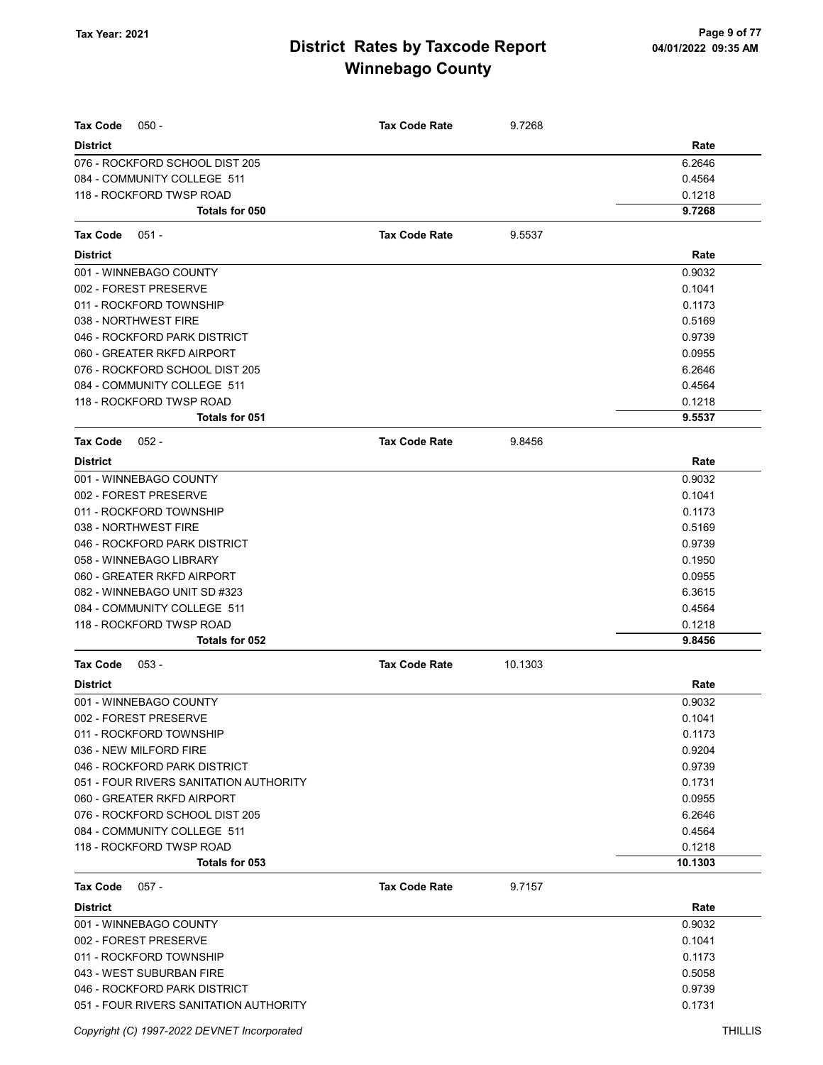| <b>Tax Code</b>                                               | <b>Tax Code Rate</b> |         |                  |
|---------------------------------------------------------------|----------------------|---------|------------------|
| $050 -$                                                       |                      | 9.7268  |                  |
| <b>District</b>                                               |                      |         | Rate<br>6.2646   |
| 076 - ROCKFORD SCHOOL DIST 205<br>084 - COMMUNITY COLLEGE 511 |                      |         | 0.4564           |
| 118 - ROCKFORD TWSP ROAD                                      |                      |         | 0.1218           |
| <b>Totals for 050</b>                                         |                      |         | 9.7268           |
|                                                               |                      |         |                  |
| Tax Code<br>$051 -$                                           | <b>Tax Code Rate</b> | 9.5537  |                  |
| <b>District</b>                                               |                      |         | Rate             |
| 001 - WINNEBAGO COUNTY                                        |                      |         | 0.9032           |
| 002 - FOREST PRESERVE                                         |                      |         | 0.1041           |
| 011 - ROCKFORD TOWNSHIP                                       |                      |         | 0.1173           |
| 038 - NORTHWEST FIRE                                          |                      |         | 0.5169           |
| 046 - ROCKFORD PARK DISTRICT                                  |                      |         | 0.9739           |
| 060 - GREATER RKFD AIRPORT                                    |                      |         | 0.0955           |
| 076 - ROCKFORD SCHOOL DIST 205                                |                      |         | 6.2646           |
| 084 - COMMUNITY COLLEGE 511<br>118 - ROCKFORD TWSP ROAD       |                      |         | 0.4564<br>0.1218 |
| Totals for 051                                                |                      |         | 9.5537           |
|                                                               |                      |         |                  |
| Tax Code<br>$052 -$                                           | <b>Tax Code Rate</b> | 9.8456  |                  |
| <b>District</b><br>001 - WINNEBAGO COUNTY                     |                      |         | Rate<br>0.9032   |
| 002 - FOREST PRESERVE                                         |                      |         | 0.1041           |
| 011 - ROCKFORD TOWNSHIP                                       |                      |         | 0.1173           |
| 038 - NORTHWEST FIRE                                          |                      |         | 0.5169           |
| 046 - ROCKFORD PARK DISTRICT                                  |                      |         | 0.9739           |
| 058 - WINNEBAGO LIBRARY                                       |                      |         | 0.1950           |
| 060 - GREATER RKFD AIRPORT                                    |                      |         | 0.0955           |
| 082 - WINNEBAGO UNIT SD #323                                  |                      |         | 6.3615           |
| 084 - COMMUNITY COLLEGE 511                                   |                      |         | 0.4564           |
| 118 - ROCKFORD TWSP ROAD                                      |                      |         | 0.1218           |
| Totals for 052                                                |                      |         | 9.8456           |
| <b>Tax Code</b><br>$053 -$                                    | <b>Tax Code Rate</b> | 10.1303 |                  |
| <b>District</b>                                               |                      |         | Rate             |
| 001 - WINNEBAGO COUNTY                                        |                      |         | 0.9032           |
| 002 - FOREST PRESERVE                                         |                      |         | 0.1041           |
| 011 - ROCKFORD TOWNSHIP                                       |                      |         | 0.1173           |
| 036 - NEW MILFORD FIRE                                        |                      |         | 0.9204           |
| 046 - ROCKFORD PARK DISTRICT                                  |                      |         | 0.9739           |
| 051 - FOUR RIVERS SANITATION AUTHORITY                        |                      |         | 0.1731           |
| 060 - GREATER RKFD AIRPORT                                    |                      |         | 0.0955           |
| 076 - ROCKFORD SCHOOL DIST 205                                |                      |         | 6.2646           |
| 084 - COMMUNITY COLLEGE 511                                   |                      |         | 0.4564           |
| 118 - ROCKFORD TWSP ROAD                                      |                      |         | 0.1218           |
| Totals for 053                                                |                      |         | 10.1303          |
| Tax Code<br>$057 -$                                           | <b>Tax Code Rate</b> | 9.7157  |                  |
| <b>District</b>                                               |                      |         | Rate             |
| 001 - WINNEBAGO COUNTY                                        |                      |         | 0.9032           |
| 002 - FOREST PRESERVE                                         |                      |         | 0.1041           |
| 011 - ROCKFORD TOWNSHIP                                       |                      |         | 0.1173           |
| 043 - WEST SUBURBAN FIRE                                      |                      |         | 0.5058           |
| 046 - ROCKFORD PARK DISTRICT                                  |                      |         | 0.9739           |
| 051 - FOUR RIVERS SANITATION AUTHORITY                        |                      |         | 0.1731           |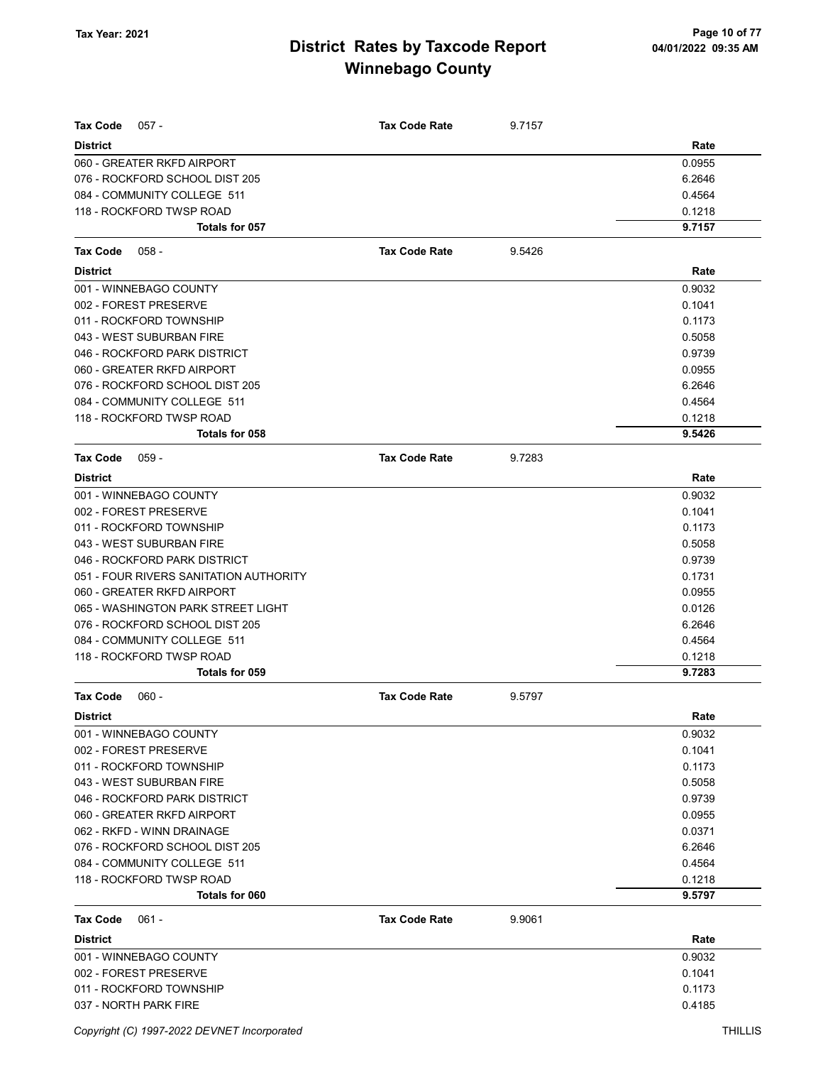| <b>Tax Code</b><br>$057 -$             | <b>Tax Code Rate</b> | 9.7157 |        |
|----------------------------------------|----------------------|--------|--------|
| <b>District</b>                        |                      |        | Rate   |
| 060 - GREATER RKFD AIRPORT             |                      |        | 0.0955 |
| 076 - ROCKFORD SCHOOL DIST 205         |                      |        | 6.2646 |
| 084 - COMMUNITY COLLEGE 511            |                      |        | 0.4564 |
| 118 - ROCKFORD TWSP ROAD               |                      |        | 0.1218 |
| Totals for 057                         |                      |        | 9.7157 |
| <b>Tax Code</b><br>$058 -$             | <b>Tax Code Rate</b> | 9.5426 |        |
| <b>District</b>                        |                      |        | Rate   |
| 001 - WINNEBAGO COUNTY                 |                      |        | 0.9032 |
| 002 - FOREST PRESERVE                  |                      |        | 0.1041 |
| 011 - ROCKFORD TOWNSHIP                |                      |        | 0.1173 |
| 043 - WEST SUBURBAN FIRE               |                      |        | 0.5058 |
| 046 - ROCKFORD PARK DISTRICT           |                      |        | 0.9739 |
| 060 - GREATER RKFD AIRPORT             |                      |        | 0.0955 |
| 076 - ROCKFORD SCHOOL DIST 205         |                      |        | 6.2646 |
| 084 - COMMUNITY COLLEGE 511            |                      |        | 0.4564 |
| 118 - ROCKFORD TWSP ROAD               |                      |        | 0.1218 |
| Totals for 058                         |                      |        | 9.5426 |
| <b>Tax Code</b><br>$059 -$             | <b>Tax Code Rate</b> | 9.7283 |        |
| <b>District</b>                        |                      |        | Rate   |
| 001 - WINNEBAGO COUNTY                 |                      |        | 0.9032 |
| 002 - FOREST PRESERVE                  |                      |        | 0.1041 |
| 011 - ROCKFORD TOWNSHIP                |                      |        | 0.1173 |
| 043 - WEST SUBURBAN FIRE               |                      |        | 0.5058 |
| 046 - ROCKFORD PARK DISTRICT           |                      |        | 0.9739 |
| 051 - FOUR RIVERS SANITATION AUTHORITY |                      |        | 0.1731 |
| 060 - GREATER RKFD AIRPORT             |                      |        | 0.0955 |
| 065 - WASHINGTON PARK STREET LIGHT     |                      |        | 0.0126 |
| 076 - ROCKFORD SCHOOL DIST 205         |                      |        | 6.2646 |
| 084 - COMMUNITY COLLEGE 511            |                      |        | 0.4564 |
| 118 - ROCKFORD TWSP ROAD               |                      |        | 0.1218 |
| Totals for 059                         |                      |        | 9.7283 |
| <b>Tax Code</b><br>$060 -$             | <b>Tax Code Rate</b> | 9.5797 |        |
| <b>District</b>                        |                      |        | Rate   |
| 001 - WINNEBAGO COUNTY                 |                      |        | 0.9032 |
| 002 - FOREST PRESERVE                  |                      |        | 0.1041 |
| 011 - ROCKFORD TOWNSHIP                |                      |        | 0.1173 |
| 043 - WEST SUBURBAN FIRE               |                      |        | 0.5058 |
| 046 - ROCKFORD PARK DISTRICT           |                      |        | 0.9739 |
| 060 - GREATER RKFD AIRPORT             |                      |        | 0.0955 |
| 062 - RKFD - WINN DRAINAGE             |                      |        | 0.0371 |
| 076 - ROCKFORD SCHOOL DIST 205         |                      |        | 6.2646 |
| 084 - COMMUNITY COLLEGE 511            |                      |        | 0.4564 |
| 118 - ROCKFORD TWSP ROAD               |                      |        | 0.1218 |
| Totals for 060                         |                      |        | 9.5797 |
| <b>Tax Code</b><br>$061 -$             | <b>Tax Code Rate</b> | 9.9061 |        |
| <b>District</b>                        |                      |        | Rate   |
| 001 - WINNEBAGO COUNTY                 |                      |        | 0.9032 |
| 002 - FOREST PRESERVE                  |                      |        | 0.1041 |
| 011 - ROCKFORD TOWNSHIP                |                      |        | 0.1173 |
| 037 - NORTH PARK FIRE                  |                      |        | 0.4185 |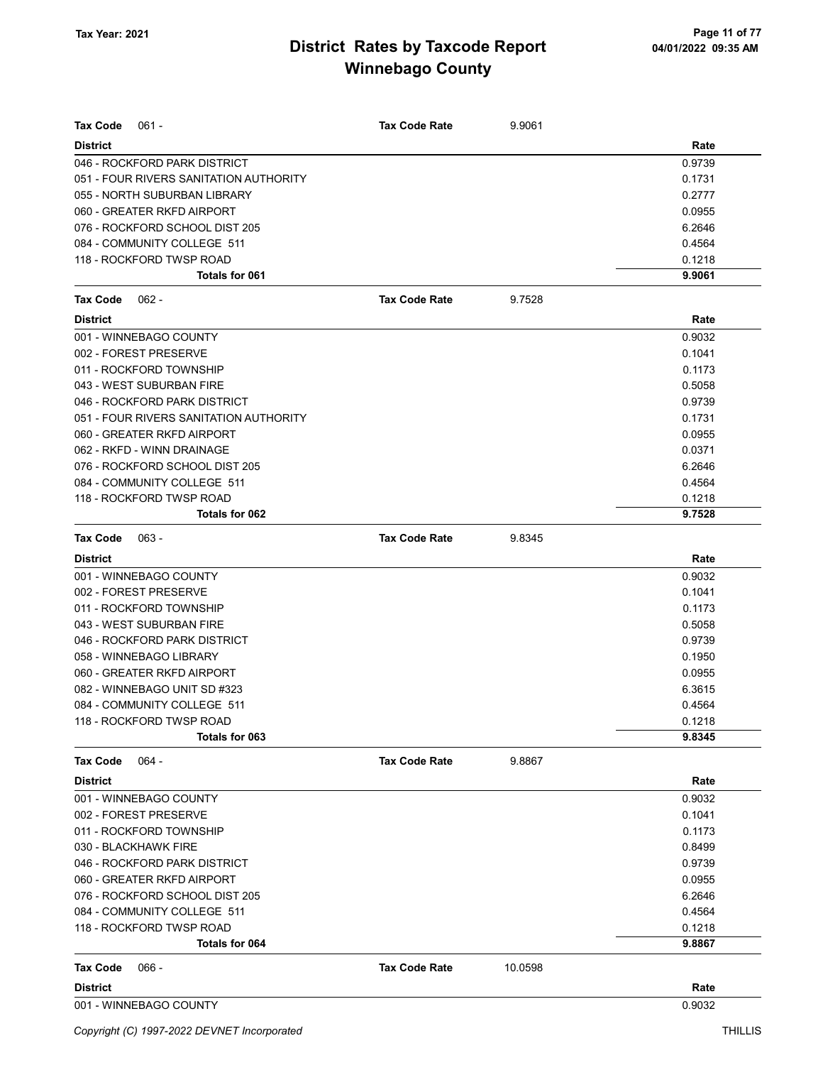| <b>Tax Code</b><br>$061 -$             | <b>Tax Code Rate</b> | 9.9061  |        |
|----------------------------------------|----------------------|---------|--------|
| <b>District</b>                        |                      |         | Rate   |
| 046 - ROCKFORD PARK DISTRICT           |                      |         | 0.9739 |
| 051 - FOUR RIVERS SANITATION AUTHORITY |                      |         | 0.1731 |
| 055 - NORTH SUBURBAN LIBRARY           |                      |         | 0.2777 |
| 060 - GREATER RKFD AIRPORT             |                      |         | 0.0955 |
| 076 - ROCKFORD SCHOOL DIST 205         |                      |         | 6.2646 |
| 084 - COMMUNITY COLLEGE 511            |                      |         | 0.4564 |
| 118 - ROCKFORD TWSP ROAD               |                      |         | 0.1218 |
| Totals for 061                         |                      |         | 9.9061 |
| Tax Code<br>062 -                      | <b>Tax Code Rate</b> | 9.7528  |        |
| <b>District</b>                        |                      |         | Rate   |
| 001 - WINNEBAGO COUNTY                 |                      |         | 0.9032 |
| 002 - FOREST PRESERVE                  |                      |         | 0.1041 |
| 011 - ROCKFORD TOWNSHIP                |                      |         | 0.1173 |
| 043 - WEST SUBURBAN FIRE               |                      |         | 0.5058 |
| 046 - ROCKFORD PARK DISTRICT           |                      |         | 0.9739 |
| 051 - FOUR RIVERS SANITATION AUTHORITY |                      |         | 0.1731 |
| 060 - GREATER RKFD AIRPORT             |                      |         | 0.0955 |
| 062 - RKFD - WINN DRAINAGE             |                      |         | 0.0371 |
| 076 - ROCKFORD SCHOOL DIST 205         |                      |         | 6.2646 |
| 084 - COMMUNITY COLLEGE 511            |                      |         | 0.4564 |
| 118 - ROCKFORD TWSP ROAD               |                      |         | 0.1218 |
| Totals for 062                         |                      |         | 9.7528 |
| Tax Code<br>$063 -$                    | <b>Tax Code Rate</b> | 9.8345  |        |
| <b>District</b>                        |                      |         | Rate   |
| 001 - WINNEBAGO COUNTY                 |                      |         | 0.9032 |
| 002 - FOREST PRESERVE                  |                      |         | 0.1041 |
| 011 - ROCKFORD TOWNSHIP                |                      |         | 0.1173 |
| 043 - WEST SUBURBAN FIRE               |                      |         | 0.5058 |
| 046 - ROCKFORD PARK DISTRICT           |                      |         | 0.9739 |
| 058 - WINNEBAGO LIBRARY                |                      |         | 0.1950 |
| 060 - GREATER RKFD AIRPORT             |                      |         | 0.0955 |
| 082 - WINNEBAGO UNIT SD #323           |                      |         | 6.3615 |
| 084 - COMMUNITY COLLEGE 511            |                      |         | 0.4564 |
| 118 - ROCKFORD TWSP ROAD               |                      |         | 0.1218 |
| Totals for 063                         |                      |         | 9.8345 |
| <b>Tax Code</b><br>064 -               | <b>Tax Code Rate</b> | 9.8867  |        |
| <b>District</b>                        |                      |         | Rate   |
| 001 - WINNEBAGO COUNTY                 |                      |         | 0.9032 |
| 002 - FOREST PRESERVE                  |                      |         | 0.1041 |
| 011 - ROCKFORD TOWNSHIP                |                      |         | 0.1173 |
| 030 - BLACKHAWK FIRE                   |                      |         | 0.8499 |
| 046 - ROCKFORD PARK DISTRICT           |                      |         | 0.9739 |
| 060 - GREATER RKFD AIRPORT             |                      |         | 0.0955 |
| 076 - ROCKFORD SCHOOL DIST 205         |                      |         | 6.2646 |
| 084 - COMMUNITY COLLEGE 511            |                      |         | 0.4564 |
| 118 - ROCKFORD TWSP ROAD               |                      |         | 0.1218 |
| Totals for 064                         |                      |         | 9.8867 |
| <b>Tax Code</b><br>$066 -$             | <b>Tax Code Rate</b> | 10.0598 |        |
| <b>District</b>                        |                      |         | Rate   |
| 001 - WINNEBAGO COUNTY                 |                      |         | 0.9032 |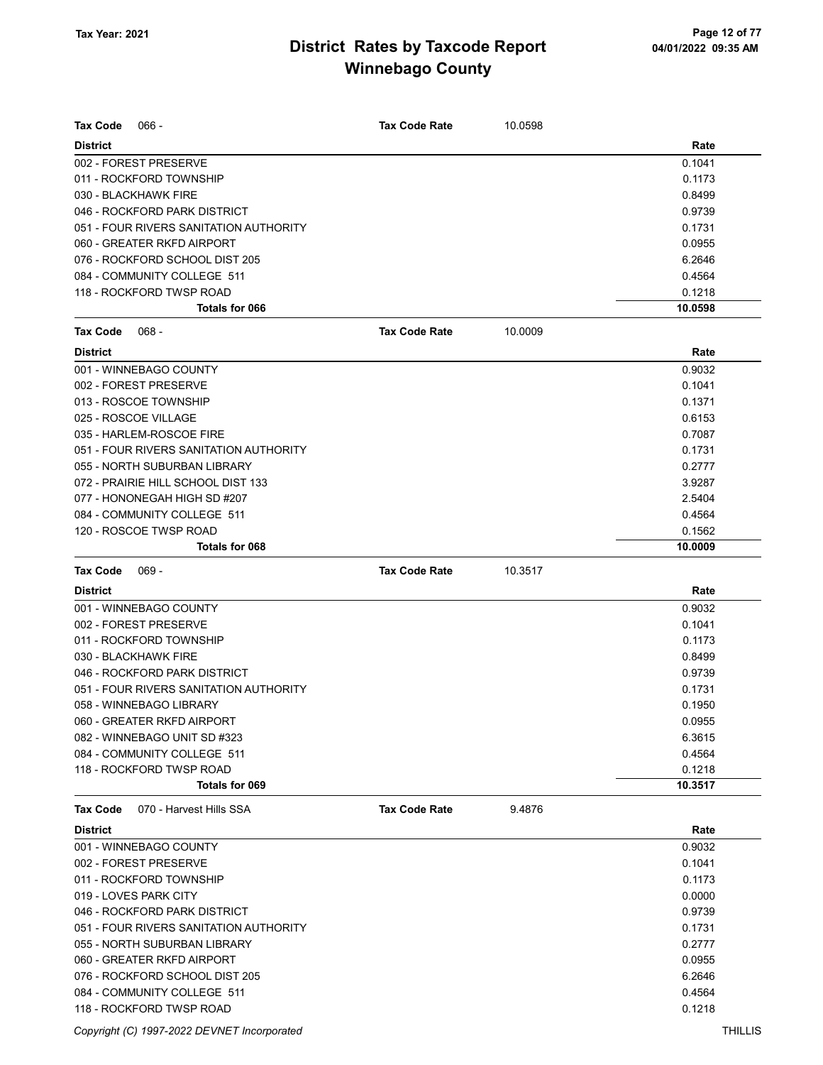| <b>Tax Code</b><br>$066 -$                 | <b>Tax Code Rate</b> | 10.0598 |         |
|--------------------------------------------|----------------------|---------|---------|
| <b>District</b>                            |                      |         | Rate    |
| 002 - FOREST PRESERVE                      |                      |         | 0.1041  |
| 011 - ROCKFORD TOWNSHIP                    |                      |         | 0.1173  |
| 030 - BLACKHAWK FIRE                       |                      |         | 0.8499  |
| 046 - ROCKFORD PARK DISTRICT               |                      |         | 0.9739  |
| 051 - FOUR RIVERS SANITATION AUTHORITY     |                      |         | 0.1731  |
| 060 - GREATER RKFD AIRPORT                 |                      |         | 0.0955  |
| 076 - ROCKFORD SCHOOL DIST 205             |                      |         | 6.2646  |
| 084 - COMMUNITY COLLEGE 511                |                      |         | 0.4564  |
| 118 - ROCKFORD TWSP ROAD                   |                      |         | 0.1218  |
| Totals for 066                             |                      |         | 10.0598 |
| <b>Tax Code</b><br>$068 -$                 | <b>Tax Code Rate</b> | 10.0009 |         |
| <b>District</b>                            |                      |         | Rate    |
| 001 - WINNEBAGO COUNTY                     |                      |         | 0.9032  |
| 002 - FOREST PRESERVE                      |                      |         | 0.1041  |
| 013 - ROSCOE TOWNSHIP                      |                      |         | 0.1371  |
| 025 - ROSCOE VILLAGE                       |                      |         | 0.6153  |
| 035 - HARLEM-ROSCOE FIRE                   |                      |         | 0.7087  |
| 051 - FOUR RIVERS SANITATION AUTHORITY     |                      |         | 0.1731  |
| 055 - NORTH SUBURBAN LIBRARY               |                      |         | 0.2777  |
| 072 - PRAIRIE HILL SCHOOL DIST 133         |                      |         | 3.9287  |
| 077 - HONONEGAH HIGH SD #207               |                      |         | 2.5404  |
| 084 - COMMUNITY COLLEGE 511                |                      |         | 0.4564  |
| 120 - ROSCOE TWSP ROAD                     |                      |         | 0.1562  |
| Totals for 068                             |                      |         | 10.0009 |
| <b>Tax Code</b><br>$069 -$                 | <b>Tax Code Rate</b> | 10.3517 |         |
| <b>District</b>                            |                      |         | Rate    |
| 001 - WINNEBAGO COUNTY                     |                      |         | 0.9032  |
| 002 - FOREST PRESERVE                      |                      |         | 0.1041  |
| 011 - ROCKFORD TOWNSHIP                    |                      |         | 0.1173  |
| 030 - BLACKHAWK FIRE                       |                      |         | 0.8499  |
| 046 - ROCKFORD PARK DISTRICT               |                      |         | 0.9739  |
| 051 - FOUR RIVERS SANITATION AUTHORITY     |                      |         | 0.1731  |
| 058 - WINNEBAGO LIBRARY                    |                      |         | 0.1950  |
| 060 - GREATER RKFD AIRPORT                 |                      |         | 0.0955  |
| 082 - WINNEBAGO UNIT SD #323               |                      |         | 6.3615  |
| 084 - COMMUNITY COLLEGE 511                |                      |         | 0.4564  |
| 118 - ROCKFORD TWSP ROAD                   |                      |         | 0.1218  |
| Totals for 069                             |                      |         | 10.3517 |
| <b>Tax Code</b><br>070 - Harvest Hills SSA | <b>Tax Code Rate</b> | 9.4876  |         |
| <b>District</b>                            |                      |         | Rate    |
| 001 - WINNEBAGO COUNTY                     |                      |         | 0.9032  |
| 002 - FOREST PRESERVE                      |                      |         | 0.1041  |
| 011 - ROCKFORD TOWNSHIP                    |                      |         | 0.1173  |
| 019 - LOVES PARK CITY                      |                      |         | 0.0000  |
| 046 - ROCKFORD PARK DISTRICT               |                      |         | 0.9739  |
| 051 - FOUR RIVERS SANITATION AUTHORITY     |                      |         | 0.1731  |
| 055 - NORTH SUBURBAN LIBRARY               |                      |         | 0.2777  |
| 060 - GREATER RKFD AIRPORT                 |                      |         | 0.0955  |
| 076 - ROCKFORD SCHOOL DIST 205             |                      |         | 6.2646  |
|                                            |                      |         |         |
| 084 - COMMUNITY COLLEGE 511                |                      |         | 0.4564  |

Copyright (C) 1997-2022 DEVNET Incorporated THILLIS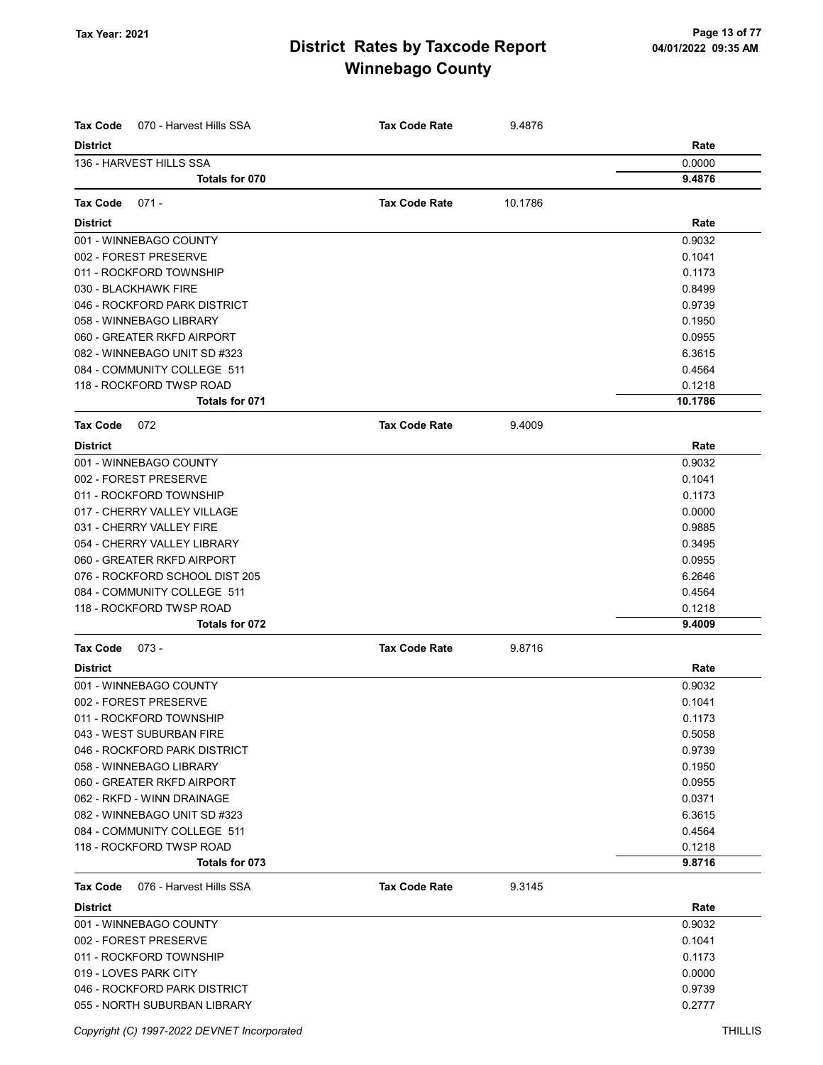| Tax Code<br>070 - Harvest Hills SSA                     | <b>Tax Code Rate</b> | 9.4876  |                  |
|---------------------------------------------------------|----------------------|---------|------------------|
| <b>District</b>                                         |                      |         | Rate             |
| 136 - HARVEST HILLS SSA                                 |                      |         | 0.0000           |
| Totals for 070                                          |                      |         | 9.4876           |
| <b>Tax Code</b><br>$071 -$                              | <b>Tax Code Rate</b> | 10.1786 |                  |
|                                                         |                      |         |                  |
| <b>District</b>                                         |                      |         | Rate             |
| 001 - WINNEBAGO COUNTY<br>002 - FOREST PRESERVE         |                      |         | 0.9032<br>0.1041 |
| 011 - ROCKFORD TOWNSHIP                                 |                      |         | 0.1173           |
| 030 - BLACKHAWK FIRE                                    |                      |         | 0.8499           |
| 046 - ROCKFORD PARK DISTRICT                            |                      |         | 0.9739           |
| 058 - WINNEBAGO LIBRARY                                 |                      |         | 0.1950           |
| 060 - GREATER RKFD AIRPORT                              |                      |         | 0.0955           |
| 082 - WINNEBAGO UNIT SD #323                            |                      |         | 6.3615           |
| 084 - COMMUNITY COLLEGE 511                             |                      |         | 0.4564           |
| 118 - ROCKFORD TWSP ROAD                                |                      |         | 0.1218           |
| Totals for 071                                          |                      |         | 10.1786          |
| <b>Tax Code</b>                                         | <b>Tax Code Rate</b> |         |                  |
| 072                                                     |                      | 9.4009  |                  |
| <b>District</b>                                         |                      |         | Rate             |
| 001 - WINNEBAGO COUNTY                                  |                      |         | 0.9032           |
| 002 - FOREST PRESERVE                                   |                      |         | 0.1041           |
| 011 - ROCKFORD TOWNSHIP                                 |                      |         | 0.1173           |
| 017 - CHERRY VALLEY VILLAGE<br>031 - CHERRY VALLEY FIRE |                      |         | 0.0000<br>0.9885 |
| 054 - CHERRY VALLEY LIBRARY                             |                      |         | 0.3495           |
| 060 - GREATER RKFD AIRPORT                              |                      |         | 0.0955           |
| 076 - ROCKFORD SCHOOL DIST 205                          |                      |         | 6.2646           |
| 084 - COMMUNITY COLLEGE 511                             |                      |         | 0.4564           |
| 118 - ROCKFORD TWSP ROAD                                |                      |         | 0.1218           |
| Totals for 072                                          |                      |         | 9.4009           |
| <b>Tax Code</b><br>$073 -$                              | <b>Tax Code Rate</b> | 9.8716  |                  |
| <b>District</b>                                         |                      |         | Rate             |
| 001 - WINNEBAGO COUNTY                                  |                      |         | 0.9032           |
| 002 - FOREST PRESERVE                                   |                      |         | 0.1041           |
| 011 - ROCKFORD TOWNSHIP                                 |                      |         | 0.1173           |
| 043 - WEST SUBURBAN FIRE                                |                      |         | 0.5058           |
| 046 - ROCKFORD PARK DISTRICT                            |                      |         | 0.9739           |
| 058 - WINNEBAGO LIBRARY                                 |                      |         | 0.1950           |
| 060 - GREATER RKFD AIRPORT                              |                      |         | 0.0955           |
| 062 - RKFD - WINN DRAINAGE                              |                      |         | 0.0371           |
| 082 - WINNEBAGO UNIT SD #323                            |                      |         | 6.3615           |
| 084 - COMMUNITY COLLEGE 511                             |                      |         | 0.4564           |
| 118 - ROCKFORD TWSP ROAD                                |                      |         | 0.1218           |
| Totals for 073                                          |                      |         | 9.8716           |
| 076 - Harvest Hills SSA<br><b>Tax Code</b>              | <b>Tax Code Rate</b> | 9.3145  |                  |
| <b>District</b>                                         |                      |         | Rate             |
| 001 - WINNEBAGO COUNTY                                  |                      |         | 0.9032           |
| 002 - FOREST PRESERVE                                   |                      |         | 0.1041           |
| 011 - ROCKFORD TOWNSHIP                                 |                      |         | 0.1173           |
| 019 - LOVES PARK CITY                                   |                      |         | 0.0000           |
| 046 - ROCKFORD PARK DISTRICT                            |                      |         | 0.9739           |
| 055 - NORTH SUBURBAN LIBRARY                            |                      |         | 0.2777           |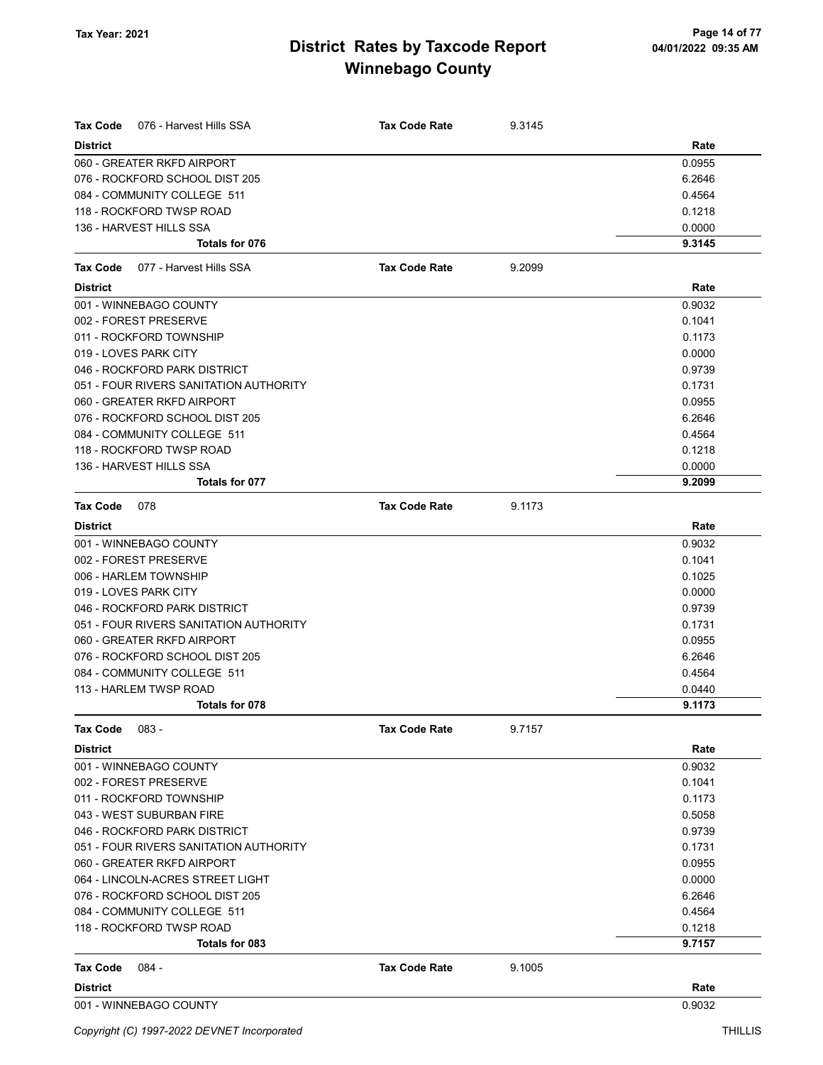| <b>Tax Code</b><br>076 - Harvest Hills SSA | <b>Tax Code Rate</b> | 9.3145 |        |
|--------------------------------------------|----------------------|--------|--------|
| <b>District</b>                            |                      |        | Rate   |
| 060 - GREATER RKFD AIRPORT                 |                      |        | 0.0955 |
| 076 - ROCKFORD SCHOOL DIST 205             |                      |        | 6.2646 |
| 084 - COMMUNITY COLLEGE 511                |                      |        | 0.4564 |
| 118 - ROCKFORD TWSP ROAD                   |                      |        | 0.1218 |
| 136 - HARVEST HILLS SSA                    |                      |        | 0.0000 |
| Totals for 076                             |                      |        | 9.3145 |
| 077 - Harvest Hills SSA<br><b>Tax Code</b> | <b>Tax Code Rate</b> | 9.2099 |        |
| <b>District</b>                            |                      |        | Rate   |
| 001 - WINNEBAGO COUNTY                     |                      |        | 0.9032 |
| 002 - FOREST PRESERVE                      |                      |        | 0.1041 |
| 011 - ROCKFORD TOWNSHIP                    |                      |        | 0.1173 |
| 019 - LOVES PARK CITY                      |                      |        | 0.0000 |
| 046 - ROCKFORD PARK DISTRICT               |                      |        | 0.9739 |
| 051 - FOUR RIVERS SANITATION AUTHORITY     |                      |        | 0.1731 |
| 060 - GREATER RKFD AIRPORT                 |                      |        | 0.0955 |
| 076 - ROCKFORD SCHOOL DIST 205             |                      |        | 6.2646 |
| 084 - COMMUNITY COLLEGE 511                |                      |        | 0.4564 |
| 118 - ROCKFORD TWSP ROAD                   |                      |        | 0.1218 |
| 136 - HARVEST HILLS SSA                    |                      |        | 0.0000 |
| Totals for 077                             |                      |        | 9.2099 |
| <b>Tax Code</b><br>078                     | <b>Tax Code Rate</b> | 9.1173 |        |
| <b>District</b>                            |                      |        | Rate   |
| 001 - WINNEBAGO COUNTY                     |                      |        | 0.9032 |
| 002 - FOREST PRESERVE                      |                      |        | 0.1041 |
| 006 - HARLEM TOWNSHIP                      |                      |        | 0.1025 |
| 019 - LOVES PARK CITY                      |                      |        | 0.0000 |
| 046 - ROCKFORD PARK DISTRICT               |                      |        | 0.9739 |
| 051 - FOUR RIVERS SANITATION AUTHORITY     |                      |        | 0.1731 |
| 060 - GREATER RKFD AIRPORT                 |                      |        | 0.0955 |
| 076 - ROCKFORD SCHOOL DIST 205             |                      |        | 6.2646 |
| 084 - COMMUNITY COLLEGE 511                |                      |        | 0.4564 |
| 113 - HARLEM TWSP ROAD                     |                      |        | 0.0440 |
| Totals for 078                             |                      |        | 9.1173 |
| <b>Tax Code</b><br>083 -                   | <b>Tax Code Rate</b> | 9.7157 |        |
| <b>District</b>                            |                      |        | Rate   |
| 001 - WINNEBAGO COUNTY                     |                      |        | 0.9032 |
| 002 - FOREST PRESERVE                      |                      |        | 0.1041 |
| 011 - ROCKFORD TOWNSHIP                    |                      |        | 0.1173 |
| 043 - WEST SUBURBAN FIRE                   |                      |        | 0.5058 |
| 046 - ROCKFORD PARK DISTRICT               |                      |        | 0.9739 |
| 051 - FOUR RIVERS SANITATION AUTHORITY     |                      |        | 0.1731 |
| 060 - GREATER RKFD AIRPORT                 |                      |        | 0.0955 |
| 064 - LINCOLN-ACRES STREET LIGHT           |                      |        | 0.0000 |
| 076 - ROCKFORD SCHOOL DIST 205             |                      |        | 6.2646 |
| 084 - COMMUNITY COLLEGE 511                |                      |        | 0.4564 |
| 118 - ROCKFORD TWSP ROAD                   |                      |        | 0.1218 |
| Totals for 083                             |                      |        | 9.7157 |
| Tax Code<br>084 -                          | <b>Tax Code Rate</b> | 9.1005 |        |
| <b>District</b>                            |                      |        | Rate   |
| 001 - WINNEBAGO COUNTY                     |                      |        | 0.9032 |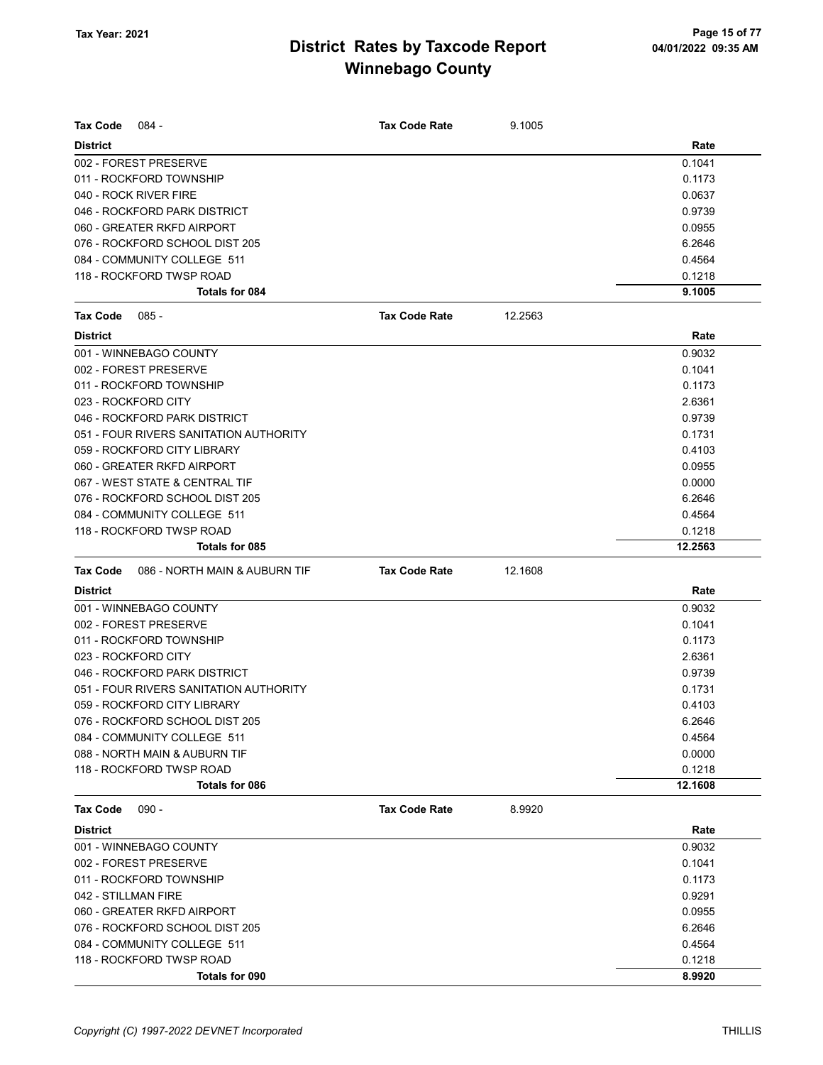| Tax Code            | 084 -                                  | <b>Tax Code Rate</b> | 9.1005  |         |
|---------------------|----------------------------------------|----------------------|---------|---------|
| <b>District</b>     |                                        |                      |         | Rate    |
|                     | 002 - FOREST PRESERVE                  |                      |         | 0.1041  |
|                     | 011 - ROCKFORD TOWNSHIP                |                      |         | 0.1173  |
|                     | 040 - ROCK RIVER FIRE                  |                      |         | 0.0637  |
|                     | 046 - ROCKFORD PARK DISTRICT           |                      |         | 0.9739  |
|                     | 060 - GREATER RKFD AIRPORT             |                      |         | 0.0955  |
|                     | 076 - ROCKFORD SCHOOL DIST 205         |                      |         | 6.2646  |
|                     | 084 - COMMUNITY COLLEGE 511            |                      |         | 0.4564  |
|                     | 118 - ROCKFORD TWSP ROAD               |                      |         | 0.1218  |
|                     | <b>Totals for 084</b>                  |                      |         | 9.1005  |
| Tax Code            | $085 -$                                | <b>Tax Code Rate</b> | 12.2563 |         |
| <b>District</b>     |                                        |                      |         | Rate    |
|                     | 001 - WINNEBAGO COUNTY                 |                      |         | 0.9032  |
|                     | 002 - FOREST PRESERVE                  |                      |         | 0.1041  |
|                     | 011 - ROCKFORD TOWNSHIP                |                      |         | 0.1173  |
|                     | 023 - ROCKFORD CITY                    |                      |         | 2.6361  |
|                     | 046 - ROCKFORD PARK DISTRICT           |                      |         | 0.9739  |
|                     | 051 - FOUR RIVERS SANITATION AUTHORITY |                      |         | 0.1731  |
|                     | 059 - ROCKFORD CITY LIBRARY            |                      |         | 0.4103  |
|                     | 060 - GREATER RKFD AIRPORT             |                      |         | 0.0955  |
|                     | 067 - WEST STATE & CENTRAL TIF         |                      |         | 0.0000  |
|                     | 076 - ROCKFORD SCHOOL DIST 205         |                      |         | 6.2646  |
|                     | 084 - COMMUNITY COLLEGE 511            |                      |         | 0.4564  |
|                     | 118 - ROCKFORD TWSP ROAD               |                      |         | 0.1218  |
|                     | Totals for 085                         |                      |         | 12.2563 |
| <b>Tax Code</b>     | 086 - NORTH MAIN & AUBURN TIF          | <b>Tax Code Rate</b> | 12.1608 |         |
| <b>District</b>     |                                        |                      |         | Rate    |
|                     | 001 - WINNEBAGO COUNTY                 |                      |         | 0.9032  |
|                     | 002 - FOREST PRESERVE                  |                      |         | 0.1041  |
|                     | 011 - ROCKFORD TOWNSHIP                |                      |         | 0.1173  |
|                     | 023 - ROCKFORD CITY                    |                      |         | 2.6361  |
|                     | 046 - ROCKFORD PARK DISTRICT           |                      |         | 0.9739  |
|                     | 051 - FOUR RIVERS SANITATION AUTHORITY |                      |         | 0.1731  |
|                     | 059 - ROCKFORD CITY LIBRARY            |                      |         | 0.4103  |
|                     | 076 - ROCKFORD SCHOOL DIST 205         |                      |         | 6.2646  |
|                     | 084 - COMMUNITY COLLEGE 511            |                      |         | 0.4564  |
|                     | 088 - NORTH MAIN & AUBURN TIF          |                      |         | 0.0000  |
|                     | 118 - ROCKFORD TWSP ROAD               |                      |         | 0.1218  |
|                     | Totals for 086                         |                      |         | 12.1608 |
| <b>Tax Code</b>     | $090 -$                                | <b>Tax Code Rate</b> | 8.9920  |         |
| <b>District</b>     |                                        |                      |         | Rate    |
|                     | 001 - WINNEBAGO COUNTY                 |                      |         | 0.9032  |
|                     | 002 - FOREST PRESERVE                  |                      |         | 0.1041  |
|                     | 011 - ROCKFORD TOWNSHIP                |                      |         | 0.1173  |
| 042 - STILLMAN FIRE |                                        |                      |         | 0.9291  |
|                     | 060 - GREATER RKFD AIRPORT             |                      |         | 0.0955  |
|                     | 076 - ROCKFORD SCHOOL DIST 205         |                      |         | 6.2646  |
|                     | 084 - COMMUNITY COLLEGE 511            |                      |         | 0.4564  |
|                     | 118 - ROCKFORD TWSP ROAD               |                      |         | 0.1218  |
|                     | Totals for 090                         |                      |         | 8.9920  |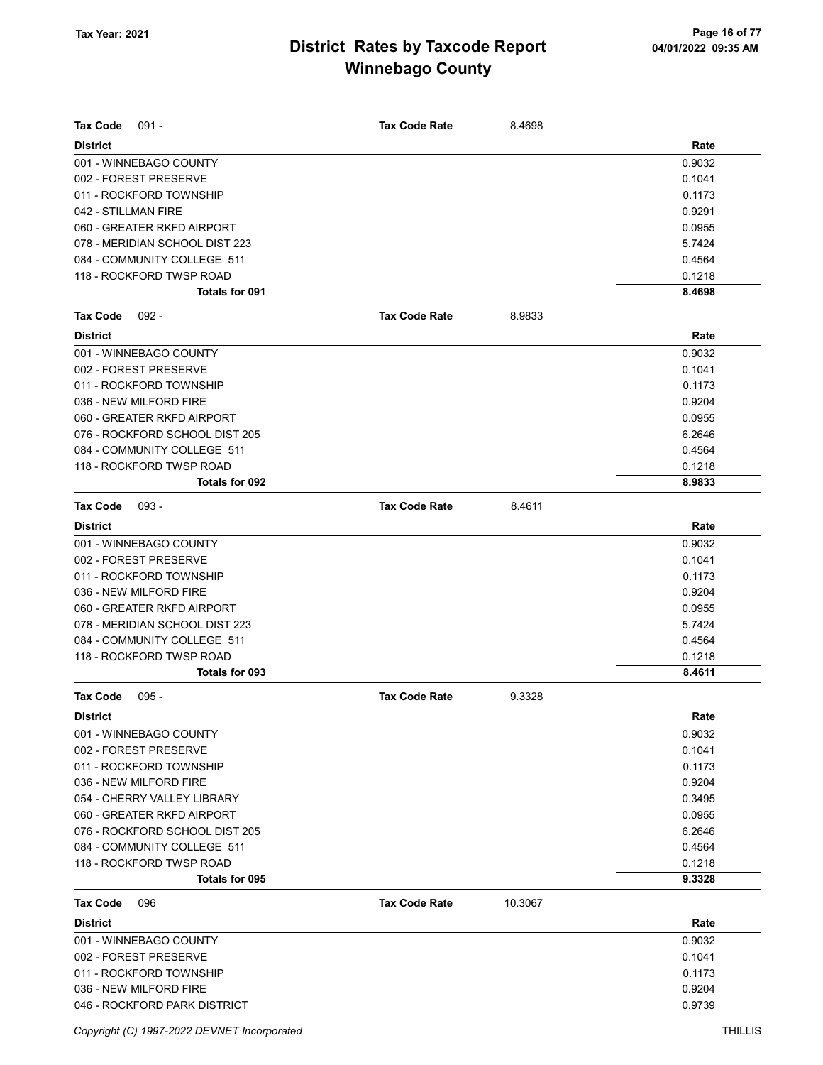| <b>Tax Code</b><br>$091 -$                      | <b>Tax Code Rate</b> | 8.4698  |                  |
|-------------------------------------------------|----------------------|---------|------------------|
| <b>District</b>                                 |                      |         |                  |
|                                                 |                      |         | Rate             |
| 001 - WINNEBAGO COUNTY<br>002 - FOREST PRESERVE |                      |         | 0.9032<br>0.1041 |
| 011 - ROCKFORD TOWNSHIP                         |                      |         | 0.1173           |
| 042 - STILLMAN FIRE                             |                      |         | 0.9291           |
| 060 - GREATER RKFD AIRPORT                      |                      |         | 0.0955           |
| 078 - MERIDIAN SCHOOL DIST 223                  |                      |         | 5.7424           |
| 084 - COMMUNITY COLLEGE 511                     |                      |         | 0.4564           |
| 118 - ROCKFORD TWSP ROAD                        |                      |         | 0.1218           |
| <b>Totals for 091</b>                           |                      |         | 8.4698           |
|                                                 |                      |         |                  |
| <b>Tax Code</b><br>$092 -$                      | <b>Tax Code Rate</b> | 8.9833  |                  |
| <b>District</b>                                 |                      |         | Rate             |
| 001 - WINNEBAGO COUNTY                          |                      |         | 0.9032           |
| 002 - FOREST PRESERVE                           |                      |         | 0.1041           |
| 011 - ROCKFORD TOWNSHIP                         |                      |         | 0.1173           |
| 036 - NEW MILFORD FIRE                          |                      |         | 0.9204           |
| 060 - GREATER RKFD AIRPORT                      |                      |         | 0.0955           |
| 076 - ROCKFORD SCHOOL DIST 205                  |                      |         | 6.2646           |
| 084 - COMMUNITY COLLEGE 511                     |                      |         | 0.4564           |
| 118 - ROCKFORD TWSP ROAD                        |                      |         | 0.1218           |
| <b>Totals for 092</b>                           |                      |         | 8.9833           |
| <b>Tax Code</b><br>$093 -$                      | <b>Tax Code Rate</b> | 8.4611  |                  |
| <b>District</b>                                 |                      |         | Rate             |
| 001 - WINNEBAGO COUNTY                          |                      |         | 0.9032           |
| 002 - FOREST PRESERVE                           |                      |         | 0.1041           |
| 011 - ROCKFORD TOWNSHIP                         |                      |         | 0.1173           |
| 036 - NEW MILFORD FIRE                          |                      |         | 0.9204           |
| 060 - GREATER RKFD AIRPORT                      |                      |         | 0.0955           |
| 078 - MERIDIAN SCHOOL DIST 223                  |                      |         | 5.7424           |
| 084 - COMMUNITY COLLEGE 511                     |                      |         | 0.4564           |
| 118 - ROCKFORD TWSP ROAD                        |                      |         | 0.1218           |
| Totals for 093                                  |                      |         | 8.4611           |
| <b>Tax Code</b><br>$095 -$                      | <b>Tax Code Rate</b> | 9.3328  |                  |
| <b>District</b>                                 |                      |         | Rate             |
| 001 - WINNEBAGO COUNTY                          |                      |         | 0.9032           |
| 002 - FOREST PRESERVE                           |                      |         | 0.1041           |
| 011 - ROCKFORD TOWNSHIP                         |                      |         | 0.1173           |
| 036 - NEW MILFORD FIRE                          |                      |         | 0.9204           |
| 054 - CHERRY VALLEY LIBRARY                     |                      |         | 0.3495           |
| 060 - GREATER RKFD AIRPORT                      |                      |         | 0.0955           |
| 076 - ROCKFORD SCHOOL DIST 205                  |                      |         | 6.2646           |
| 084 - COMMUNITY COLLEGE 511                     |                      |         | 0.4564           |
| 118 - ROCKFORD TWSP ROAD                        |                      |         | 0.1218           |
| Totals for 095                                  |                      |         | 9.3328           |
| <b>Tax Code</b><br>096                          | <b>Tax Code Rate</b> | 10.3067 |                  |
| <b>District</b>                                 |                      |         | Rate             |
| 001 - WINNEBAGO COUNTY                          |                      |         | 0.9032           |
| 002 - FOREST PRESERVE                           |                      |         | 0.1041           |
| 011 - ROCKFORD TOWNSHIP                         |                      |         | 0.1173           |
| 036 - NEW MILFORD FIRE                          |                      |         | 0.9204           |
| 046 - ROCKFORD PARK DISTRICT                    |                      |         | 0.9739           |
|                                                 |                      |         |                  |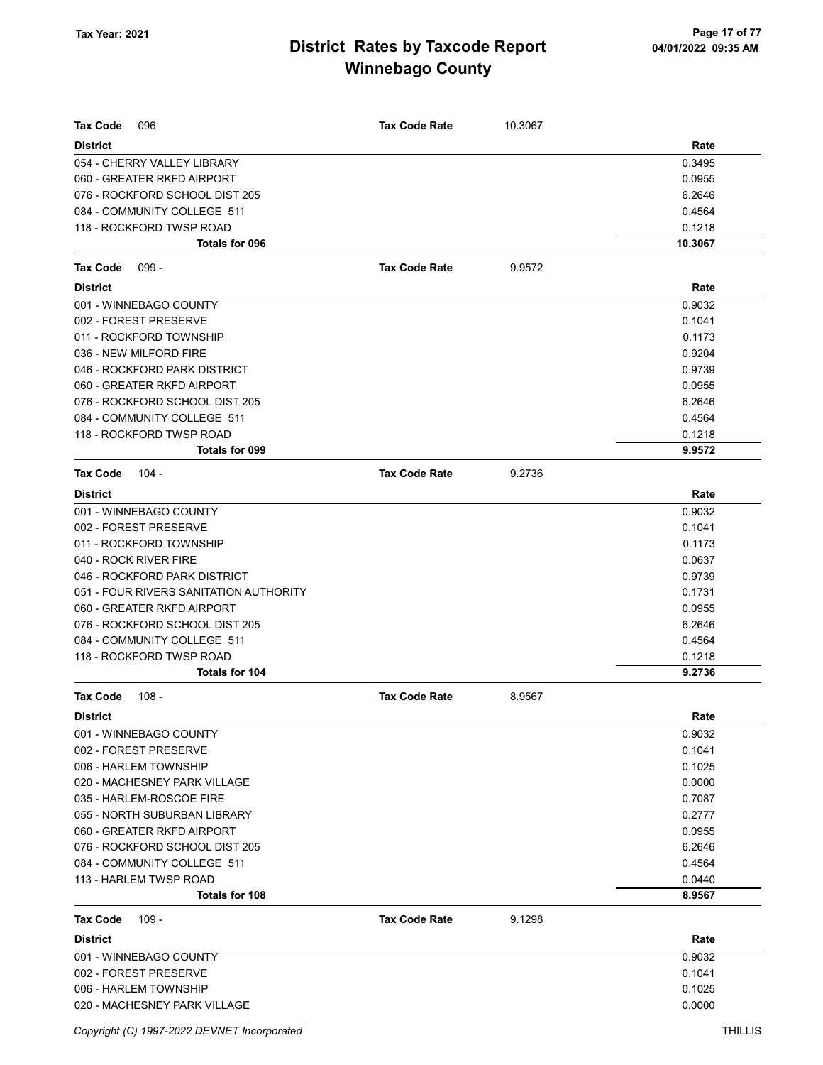| <b>Tax Code</b><br>096                 | <b>Tax Code Rate</b> | 10.3067 |         |
|----------------------------------------|----------------------|---------|---------|
| <b>District</b>                        |                      |         | Rate    |
| 054 - CHERRY VALLEY LIBRARY            |                      |         | 0.3495  |
| 060 - GREATER RKFD AIRPORT             |                      |         | 0.0955  |
| 076 - ROCKFORD SCHOOL DIST 205         |                      |         | 6.2646  |
| 084 - COMMUNITY COLLEGE 511            |                      |         | 0.4564  |
| 118 - ROCKFORD TWSP ROAD               |                      |         | 0.1218  |
| Totals for 096                         |                      |         | 10.3067 |
| <b>Tax Code</b><br>$099 -$             | <b>Tax Code Rate</b> | 9.9572  |         |
| <b>District</b>                        |                      |         | Rate    |
| 001 - WINNEBAGO COUNTY                 |                      |         | 0.9032  |
| 002 - FOREST PRESERVE                  |                      |         | 0.1041  |
| 011 - ROCKFORD TOWNSHIP                |                      |         | 0.1173  |
| 036 - NEW MILFORD FIRE                 |                      |         | 0.9204  |
| 046 - ROCKFORD PARK DISTRICT           |                      |         | 0.9739  |
| 060 - GREATER RKFD AIRPORT             |                      |         | 0.0955  |
| 076 - ROCKFORD SCHOOL DIST 205         |                      |         | 6.2646  |
| 084 - COMMUNITY COLLEGE 511            |                      |         | 0.4564  |
| 118 - ROCKFORD TWSP ROAD               |                      |         | 0.1218  |
| Totals for 099                         |                      |         | 9.9572  |
| <b>Tax Code</b><br>$104 -$             | <b>Tax Code Rate</b> | 9.2736  |         |
| <b>District</b>                        |                      |         | Rate    |
| 001 - WINNEBAGO COUNTY                 |                      |         | 0.9032  |
| 002 - FOREST PRESERVE                  |                      |         | 0.1041  |
| 011 - ROCKFORD TOWNSHIP                |                      |         | 0.1173  |
| 040 - ROCK RIVER FIRE                  |                      |         | 0.0637  |
| 046 - ROCKFORD PARK DISTRICT           |                      |         | 0.9739  |
| 051 - FOUR RIVERS SANITATION AUTHORITY |                      |         | 0.1731  |
| 060 - GREATER RKFD AIRPORT             |                      |         | 0.0955  |
| 076 - ROCKFORD SCHOOL DIST 205         |                      |         | 6.2646  |
| 084 - COMMUNITY COLLEGE 511            |                      |         | 0.4564  |
| 118 - ROCKFORD TWSP ROAD               |                      |         | 0.1218  |
| Totals for 104                         |                      |         | 9.2736  |
| <b>Tax Code</b><br>$108 -$             | <b>Tax Code Rate</b> | 8.9567  |         |
| District                               |                      |         | Rate    |
| 001 - WINNEBAGO COUNTY                 |                      |         | 0.9032  |
| 002 - FOREST PRESERVE                  |                      |         | 0.1041  |
| 006 - HARLEM TOWNSHIP                  |                      |         | 0.1025  |
| 020 - MACHESNEY PARK VILLAGE           |                      |         | 0.0000  |
| 035 - HARLEM-ROSCOE FIRE               |                      |         | 0.7087  |
| 055 - NORTH SUBURBAN LIBRARY           |                      |         | 0.2777  |
| 060 - GREATER RKFD AIRPORT             |                      |         | 0.0955  |
| 076 - ROCKFORD SCHOOL DIST 205         |                      |         | 6.2646  |
| 084 - COMMUNITY COLLEGE 511            |                      |         | 0.4564  |
| 113 - HARLEM TWSP ROAD                 |                      |         | 0.0440  |
| <b>Totals for 108</b>                  |                      |         | 8.9567  |
| Tax Code<br>109 -                      | <b>Tax Code Rate</b> | 9.1298  |         |
| <b>District</b>                        |                      |         | Rate    |
| 001 - WINNEBAGO COUNTY                 |                      |         | 0.9032  |
| 002 - FOREST PRESERVE                  |                      |         | 0.1041  |
| 006 - HARLEM TOWNSHIP                  |                      |         | 0.1025  |
| 020 - MACHESNEY PARK VILLAGE           |                      |         | 0.0000  |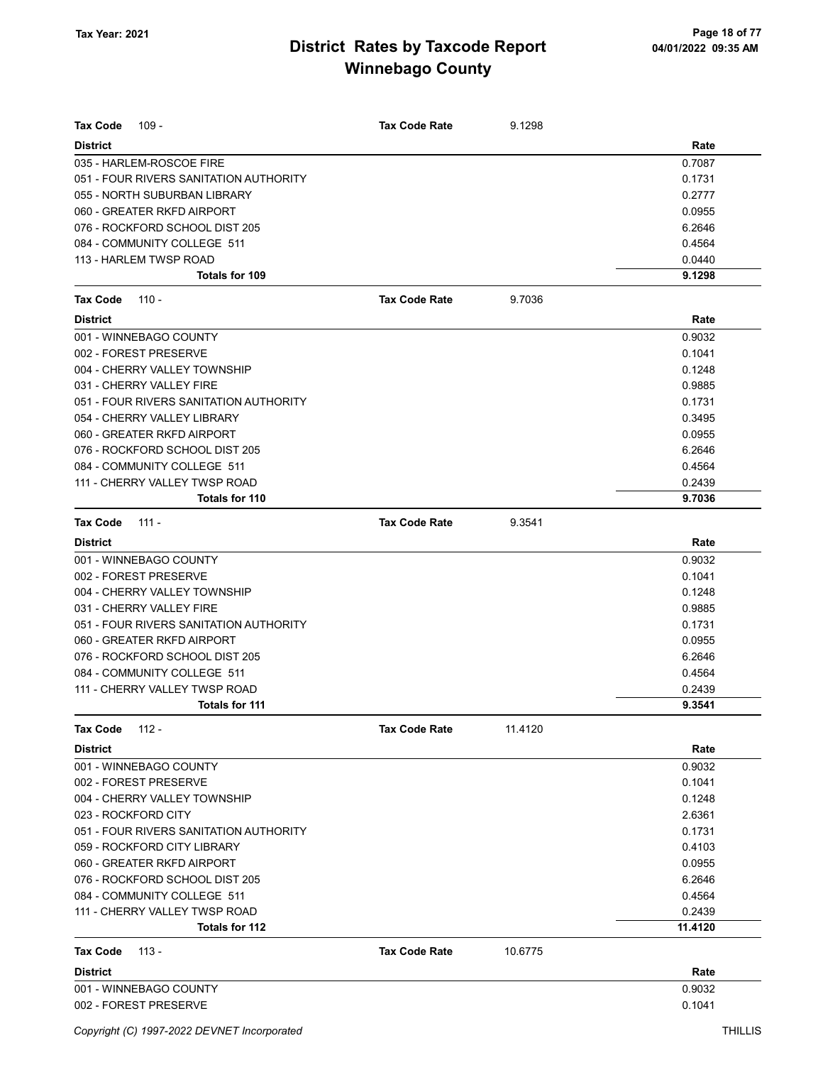| <b>Tax Code</b><br>$109 -$             | <b>Tax Code Rate</b> | 9.1298  |         |
|----------------------------------------|----------------------|---------|---------|
| <b>District</b>                        |                      |         | Rate    |
| 035 - HARLEM-ROSCOE FIRE               |                      |         | 0.7087  |
| 051 - FOUR RIVERS SANITATION AUTHORITY |                      |         | 0.1731  |
| 055 - NORTH SUBURBAN LIBRARY           |                      |         | 0.2777  |
| 060 - GREATER RKFD AIRPORT             |                      |         | 0.0955  |
| 076 - ROCKFORD SCHOOL DIST 205         |                      |         | 6.2646  |
| 084 - COMMUNITY COLLEGE 511            |                      |         | 0.4564  |
| 113 - HARLEM TWSP ROAD                 |                      |         | 0.0440  |
| <b>Totals for 109</b>                  |                      |         | 9.1298  |
| <b>Tax Code</b><br>$110 -$             | <b>Tax Code Rate</b> | 9.7036  |         |
| <b>District</b>                        |                      |         | Rate    |
| 001 - WINNEBAGO COUNTY                 |                      |         | 0.9032  |
| 002 - FOREST PRESERVE                  |                      |         | 0.1041  |
| 004 - CHERRY VALLEY TOWNSHIP           |                      |         | 0.1248  |
| 031 - CHERRY VALLEY FIRE               |                      |         | 0.9885  |
| 051 - FOUR RIVERS SANITATION AUTHORITY |                      |         | 0.1731  |
| 054 - CHERRY VALLEY LIBRARY            |                      |         | 0.3495  |
| 060 - GREATER RKFD AIRPORT             |                      |         | 0.0955  |
| 076 - ROCKFORD SCHOOL DIST 205         |                      |         | 6.2646  |
| 084 - COMMUNITY COLLEGE 511            |                      |         | 0.4564  |
| 111 - CHERRY VALLEY TWSP ROAD          |                      |         | 0.2439  |
| Totals for 110                         |                      |         | 9.7036  |
| <b>Tax Code</b><br>111 -               | <b>Tax Code Rate</b> | 9.3541  |         |
| <b>District</b>                        |                      |         | Rate    |
| 001 - WINNEBAGO COUNTY                 |                      |         | 0.9032  |
| 002 - FOREST PRESERVE                  |                      |         | 0.1041  |
| 004 - CHERRY VALLEY TOWNSHIP           |                      |         | 0.1248  |
| 031 - CHERRY VALLEY FIRE               |                      |         | 0.9885  |
| 051 - FOUR RIVERS SANITATION AUTHORITY |                      |         | 0.1731  |
| 060 - GREATER RKFD AIRPORT             |                      |         | 0.0955  |
| 076 - ROCKFORD SCHOOL DIST 205         |                      |         | 6.2646  |
| 084 - COMMUNITY COLLEGE 511            |                      |         | 0.4564  |
| 111 - CHERRY VALLEY TWSP ROAD          |                      |         | 0.2439  |
| Totals for 111                         |                      |         | 9.3541  |
| <b>Tax Code</b><br>112 -               | <b>Tax Code Rate</b> | 11.4120 |         |
| <b>District</b>                        |                      |         | Rate    |
| 001 - WINNEBAGO COUNTY                 |                      |         | 0.9032  |
| 002 - FOREST PRESERVE                  |                      |         | 0.1041  |
| 004 - CHERRY VALLEY TOWNSHIP           |                      |         | 0.1248  |
| 023 - ROCKFORD CITY                    |                      |         | 2.6361  |
| 051 - FOUR RIVERS SANITATION AUTHORITY |                      |         | 0.1731  |
| 059 - ROCKFORD CITY LIBRARY            |                      |         | 0.4103  |
| 060 - GREATER RKFD AIRPORT             |                      |         | 0.0955  |
| 076 - ROCKFORD SCHOOL DIST 205         |                      |         | 6.2646  |
| 084 - COMMUNITY COLLEGE 511            |                      |         | 0.4564  |
| 111 - CHERRY VALLEY TWSP ROAD          |                      |         | 0.2439  |
| Totals for 112                         |                      |         | 11.4120 |
| $113 -$<br><b>Tax Code</b>             | <b>Tax Code Rate</b> | 10.6775 |         |
| <b>District</b>                        |                      |         | Rate    |
| 001 - WINNEBAGO COUNTY                 |                      |         | 0.9032  |
| 002 - FOREST PRESERVE                  |                      |         | 0.1041  |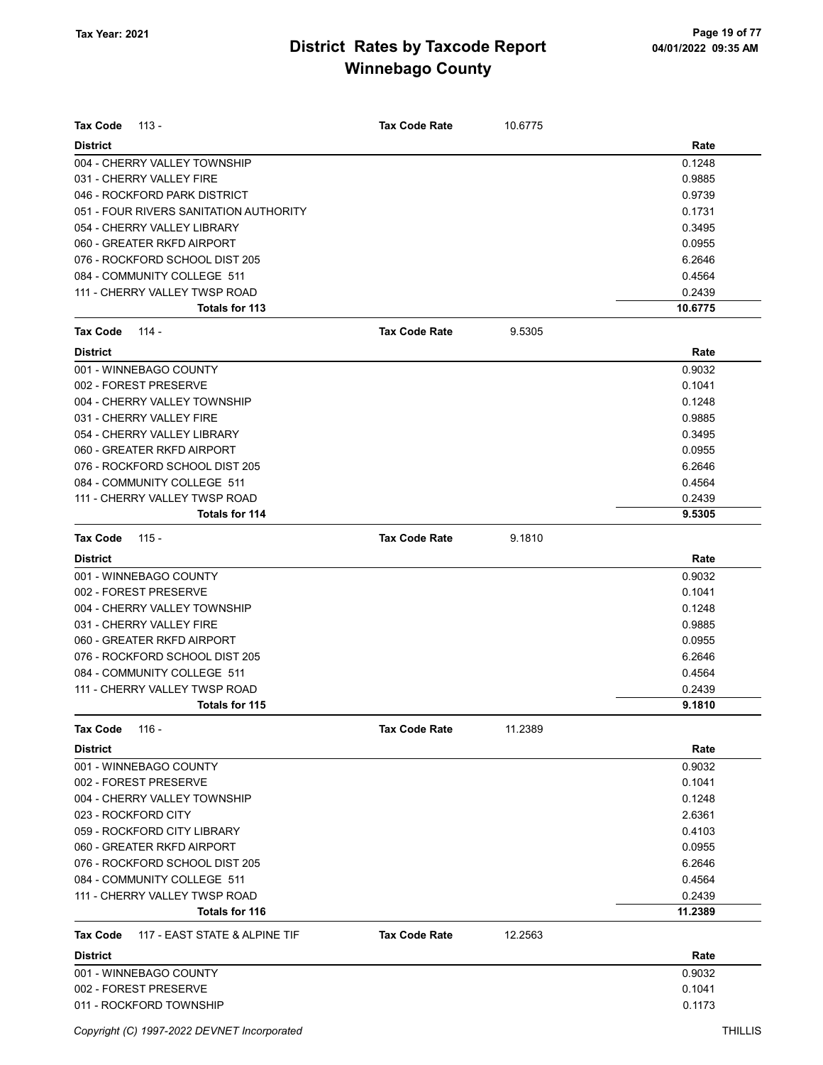| <b>Tax Code</b><br>$113 -$                | <b>Tax Code Rate</b> | 10.6775 |         |
|-------------------------------------------|----------------------|---------|---------|
| <b>District</b>                           |                      |         | Rate    |
| 004 - CHERRY VALLEY TOWNSHIP              |                      |         | 0.1248  |
| 031 - CHERRY VALLEY FIRE                  |                      |         | 0.9885  |
| 046 - ROCKFORD PARK DISTRICT              |                      |         | 0.9739  |
| 051 - FOUR RIVERS SANITATION AUTHORITY    |                      |         | 0.1731  |
| 054 - CHERRY VALLEY LIBRARY               |                      |         | 0.3495  |
| 060 - GREATER RKFD AIRPORT                |                      |         | 0.0955  |
| 076 - ROCKFORD SCHOOL DIST 205            |                      |         | 6.2646  |
| 084 - COMMUNITY COLLEGE 511               |                      |         | 0.4564  |
| 111 - CHERRY VALLEY TWSP ROAD             |                      |         | 0.2439  |
| Totals for 113                            |                      |         | 10.6775 |
| <b>Tax Code</b><br>114 -                  | <b>Tax Code Rate</b> | 9.5305  |         |
| <b>District</b>                           |                      |         | Rate    |
| 001 - WINNEBAGO COUNTY                    |                      |         | 0.9032  |
| 002 - FOREST PRESERVE                     |                      |         | 0.1041  |
| 004 - CHERRY VALLEY TOWNSHIP              |                      |         | 0.1248  |
| 031 - CHERRY VALLEY FIRE                  |                      |         | 0.9885  |
| 054 - CHERRY VALLEY LIBRARY               |                      |         | 0.3495  |
| 060 - GREATER RKFD AIRPORT                |                      |         | 0.0955  |
| 076 - ROCKFORD SCHOOL DIST 205            |                      |         | 6.2646  |
| 084 - COMMUNITY COLLEGE 511               |                      |         | 0.4564  |
| 111 - CHERRY VALLEY TWSP ROAD             |                      |         | 0.2439  |
| Totals for 114                            |                      |         | 9.5305  |
| <b>Tax Code</b><br>$115 -$                | <b>Tax Code Rate</b> | 9.1810  |         |
| <b>District</b>                           |                      |         | Rate    |
| 001 - WINNEBAGO COUNTY                    |                      |         | 0.9032  |
| 002 - FOREST PRESERVE                     |                      |         | 0.1041  |
| 004 - CHERRY VALLEY TOWNSHIP              |                      |         | 0.1248  |
| 031 - CHERRY VALLEY FIRE                  |                      |         | 0.9885  |
| 060 - GREATER RKFD AIRPORT                |                      |         | 0.0955  |
| 076 - ROCKFORD SCHOOL DIST 205            |                      |         | 6.2646  |
| 084 - COMMUNITY COLLEGE 511               |                      |         | 0.4564  |
| 111 - CHERRY VALLEY TWSP ROAD             |                      |         | 0.2439  |
| Totals for 115                            |                      |         | 9.1810  |
| Tax Code<br>116 -                         | <b>Tax Code Rate</b> | 11.2389 |         |
| <b>District</b>                           |                      |         | Rate    |
| 001 - WINNEBAGO COUNTY                    |                      |         | 0.9032  |
| 002 - FOREST PRESERVE                     |                      |         | 0.1041  |
| 004 - CHERRY VALLEY TOWNSHIP              |                      |         | 0.1248  |
| 023 - ROCKFORD CITY                       |                      |         | 2.6361  |
| 059 - ROCKFORD CITY LIBRARY               |                      |         | 0.4103  |
| 060 - GREATER RKFD AIRPORT                |                      |         | 0.0955  |
| 076 - ROCKFORD SCHOOL DIST 205            |                      |         | 6.2646  |
| 084 - COMMUNITY COLLEGE 511               |                      |         | 0.4564  |
| 111 - CHERRY VALLEY TWSP ROAD             |                      |         | 0.2439  |
| Totals for 116                            |                      |         | 11.2389 |
| 117 - EAST STATE & ALPINE TIF<br>Tax Code | <b>Tax Code Rate</b> | 12.2563 |         |
| <b>District</b>                           |                      |         | Rate    |
| 001 - WINNEBAGO COUNTY                    |                      |         | 0.9032  |
| 002 - FOREST PRESERVE                     |                      |         | 0.1041  |
| 011 - ROCKFORD TOWNSHIP                   |                      |         | 0.1173  |
|                                           |                      |         |         |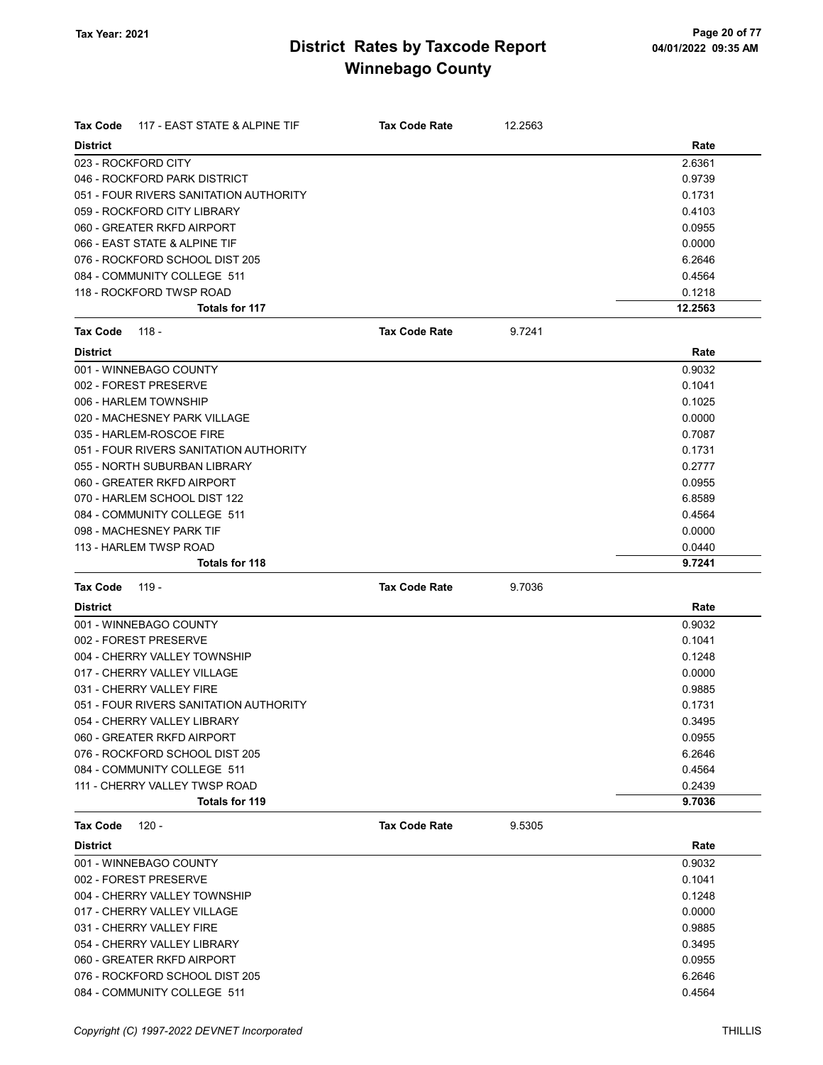| 117 - EAST STATE & ALPINE TIF<br><b>Tax Code</b> | <b>Tax Code Rate</b> | 12.2563 |         |
|--------------------------------------------------|----------------------|---------|---------|
| <b>District</b>                                  |                      |         | Rate    |
| 023 - ROCKFORD CITY                              |                      |         | 2.6361  |
| 046 - ROCKFORD PARK DISTRICT                     |                      |         | 0.9739  |
| 051 - FOUR RIVERS SANITATION AUTHORITY           |                      |         | 0.1731  |
| 059 - ROCKFORD CITY LIBRARY                      |                      |         | 0.4103  |
| 060 - GREATER RKFD AIRPORT                       |                      |         | 0.0955  |
| 066 - EAST STATE & ALPINE TIF                    |                      |         | 0.0000  |
| 076 - ROCKFORD SCHOOL DIST 205                   |                      |         | 6.2646  |
| 084 - COMMUNITY COLLEGE 511                      |                      |         | 0.4564  |
| 118 - ROCKFORD TWSP ROAD                         |                      |         | 0.1218  |
| Totals for 117                                   |                      |         | 12.2563 |
| <b>Tax Code</b><br>118 -                         | <b>Tax Code Rate</b> | 9.7241  |         |
| <b>District</b>                                  |                      |         | Rate    |
| 001 - WINNEBAGO COUNTY                           |                      |         | 0.9032  |
| 002 - FOREST PRESERVE                            |                      |         | 0.1041  |
| 006 - HARLEM TOWNSHIP                            |                      |         | 0.1025  |
| 020 - MACHESNEY PARK VILLAGE                     |                      |         | 0.0000  |
| 035 - HARLEM-ROSCOE FIRE                         |                      |         | 0.7087  |
| 051 - FOUR RIVERS SANITATION AUTHORITY           |                      |         | 0.1731  |
| 055 - NORTH SUBURBAN LIBRARY                     |                      |         | 0.2777  |
| 060 - GREATER RKFD AIRPORT                       |                      |         | 0.0955  |
| 070 - HARLEM SCHOOL DIST 122                     |                      |         | 6.8589  |
| 084 - COMMUNITY COLLEGE 511                      |                      |         | 0.4564  |
| 098 - MACHESNEY PARK TIF                         |                      |         | 0.0000  |
| 113 - HARLEM TWSP ROAD                           |                      |         | 0.0440  |
| <b>Totals for 118</b>                            |                      |         | 9.7241  |
| <b>Tax Code</b><br>119 -                         | <b>Tax Code Rate</b> | 9.7036  |         |
| <b>District</b>                                  |                      |         | Rate    |
| 001 - WINNEBAGO COUNTY                           |                      |         | 0.9032  |
| 002 - FOREST PRESERVE                            |                      |         | 0.1041  |
| 004 - CHERRY VALLEY TOWNSHIP                     |                      |         | 0.1248  |
| 017 - CHERRY VALLEY VILLAGE                      |                      |         | 0.0000  |
| 031 - CHERRY VALLEY FIRE                         |                      |         | 0.9885  |
| 051 - FOUR RIVERS SANITATION AUTHORITY           |                      |         | 0.1731  |
| 054 - CHERRY VALLEY LIBRARY                      |                      |         | 0.3495  |
| 060 - GREATER RKFD AIRPORT                       |                      |         | 0.0955  |
| 076 - ROCKFORD SCHOOL DIST 205                   |                      |         | 6.2646  |
| 084 - COMMUNITY COLLEGE 511                      |                      |         | 0.4564  |
| 111 - CHERRY VALLEY TWSP ROAD                    |                      |         | 0.2439  |
| Totals for 119                                   |                      |         | 9.7036  |
| <b>Tax Code</b><br>$120 -$                       | <b>Tax Code Rate</b> | 9.5305  |         |
| <b>District</b>                                  |                      |         | Rate    |
| 001 - WINNEBAGO COUNTY                           |                      |         | 0.9032  |
| 002 - FOREST PRESERVE                            |                      |         | 0.1041  |
| 004 - CHERRY VALLEY TOWNSHIP                     |                      |         | 0.1248  |
| 017 - CHERRY VALLEY VILLAGE                      |                      |         | 0.0000  |
| 031 - CHERRY VALLEY FIRE                         |                      |         | 0.9885  |
| 054 - CHERRY VALLEY LIBRARY                      |                      |         | 0.3495  |
| 060 - GREATER RKFD AIRPORT                       |                      |         | 0.0955  |
| 076 - ROCKFORD SCHOOL DIST 205                   |                      |         | 6.2646  |

084 - COMMUNITY COLLEGE 511 0.4564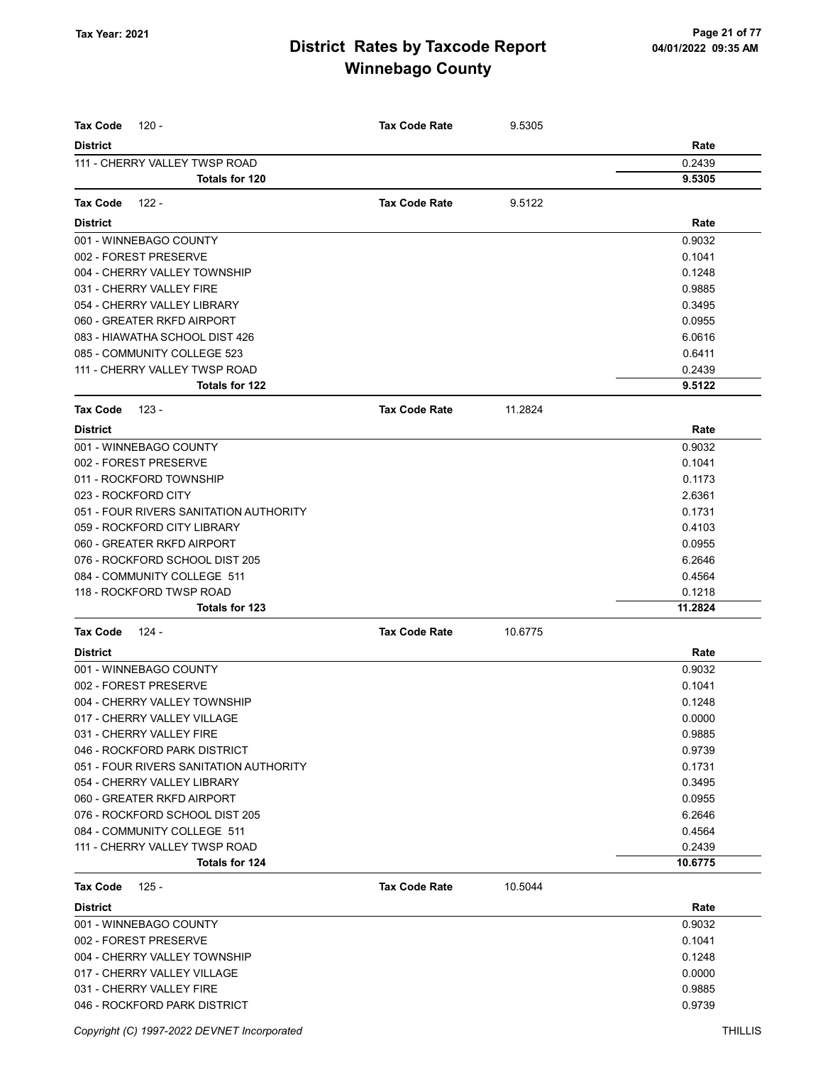| <b>Tax Code</b><br>$120 -$             | <b>Tax Code Rate</b> | 9.5305  |         |
|----------------------------------------|----------------------|---------|---------|
| <b>District</b>                        |                      |         | Rate    |
| 111 - CHERRY VALLEY TWSP ROAD          |                      |         | 0.2439  |
| Totals for 120                         |                      |         | 9.5305  |
| Tax Code<br>122 -                      | <b>Tax Code Rate</b> | 9.5122  |         |
| <b>District</b>                        |                      |         | Rate    |
| 001 - WINNEBAGO COUNTY                 |                      |         | 0.9032  |
| 002 - FOREST PRESERVE                  |                      |         | 0.1041  |
| 004 - CHERRY VALLEY TOWNSHIP           |                      |         | 0.1248  |
| 031 - CHERRY VALLEY FIRE               |                      |         | 0.9885  |
| 054 - CHERRY VALLEY LIBRARY            |                      |         | 0.3495  |
| 060 - GREATER RKFD AIRPORT             |                      |         | 0.0955  |
| 083 - HIAWATHA SCHOOL DIST 426         |                      |         | 6.0616  |
| 085 - COMMUNITY COLLEGE 523            |                      |         | 0.6411  |
| 111 - CHERRY VALLEY TWSP ROAD          |                      |         | 0.2439  |
| <b>Totals for 122</b>                  |                      |         | 9.5122  |
| <b>Tax Code</b><br>123 -               | <b>Tax Code Rate</b> | 11.2824 |         |
| <b>District</b>                        |                      |         | Rate    |
| 001 - WINNEBAGO COUNTY                 |                      |         | 0.9032  |
| 002 - FOREST PRESERVE                  |                      |         | 0.1041  |
| 011 - ROCKFORD TOWNSHIP                |                      |         | 0.1173  |
| 023 - ROCKFORD CITY                    |                      |         | 2.6361  |
| 051 - FOUR RIVERS SANITATION AUTHORITY |                      |         | 0.1731  |
| 059 - ROCKFORD CITY LIBRARY            |                      |         | 0.4103  |
| 060 - GREATER RKFD AIRPORT             |                      |         | 0.0955  |
| 076 - ROCKFORD SCHOOL DIST 205         |                      |         | 6.2646  |
| 084 - COMMUNITY COLLEGE 511            |                      |         | 0.4564  |
| 118 - ROCKFORD TWSP ROAD               |                      |         | 0.1218  |
| <b>Totals for 123</b>                  |                      |         | 11.2824 |
| <b>Tax Code</b><br>124 -               | <b>Tax Code Rate</b> | 10.6775 |         |
| <b>District</b>                        |                      |         | Rate    |
| 001 - WINNEBAGO COUNTY                 |                      |         | 0.9032  |
| 002 - FOREST PRESERVE                  |                      |         | 0.1041  |
| 004 - CHERRY VALLEY TOWNSHIP           |                      |         | 0.1248  |
| 017 - CHERRY VALLEY VILLAGE            |                      |         | 0.0000  |
| 031 - CHERRY VALLEY FIRE               |                      |         | 0.9885  |
| 046 - ROCKFORD PARK DISTRICT           |                      |         | 0.9739  |
| 051 - FOUR RIVERS SANITATION AUTHORITY |                      |         | 0.1731  |
| 054 - CHERRY VALLEY LIBRARY            |                      |         | 0.3495  |
| 060 - GREATER RKFD AIRPORT             |                      |         | 0.0955  |
| 076 - ROCKFORD SCHOOL DIST 205         |                      |         | 6.2646  |
| 084 - COMMUNITY COLLEGE 511            |                      |         | 0.4564  |
| 111 - CHERRY VALLEY TWSP ROAD          |                      |         | 0.2439  |
| <b>Totals for 124</b>                  |                      |         | 10.6775 |
| <b>Tax Code</b><br>$125 -$             | <b>Tax Code Rate</b> | 10.5044 |         |
| <b>District</b>                        |                      |         | Rate    |
| 001 - WINNEBAGO COUNTY                 |                      |         | 0.9032  |
| 002 - FOREST PRESERVE                  |                      |         | 0.1041  |
| 004 - CHERRY VALLEY TOWNSHIP           |                      |         | 0.1248  |
| 017 - CHERRY VALLEY VILLAGE            |                      |         | 0.0000  |
| 031 - CHERRY VALLEY FIRE               |                      |         | 0.9885  |
| 046 - ROCKFORD PARK DISTRICT           |                      |         | 0.9739  |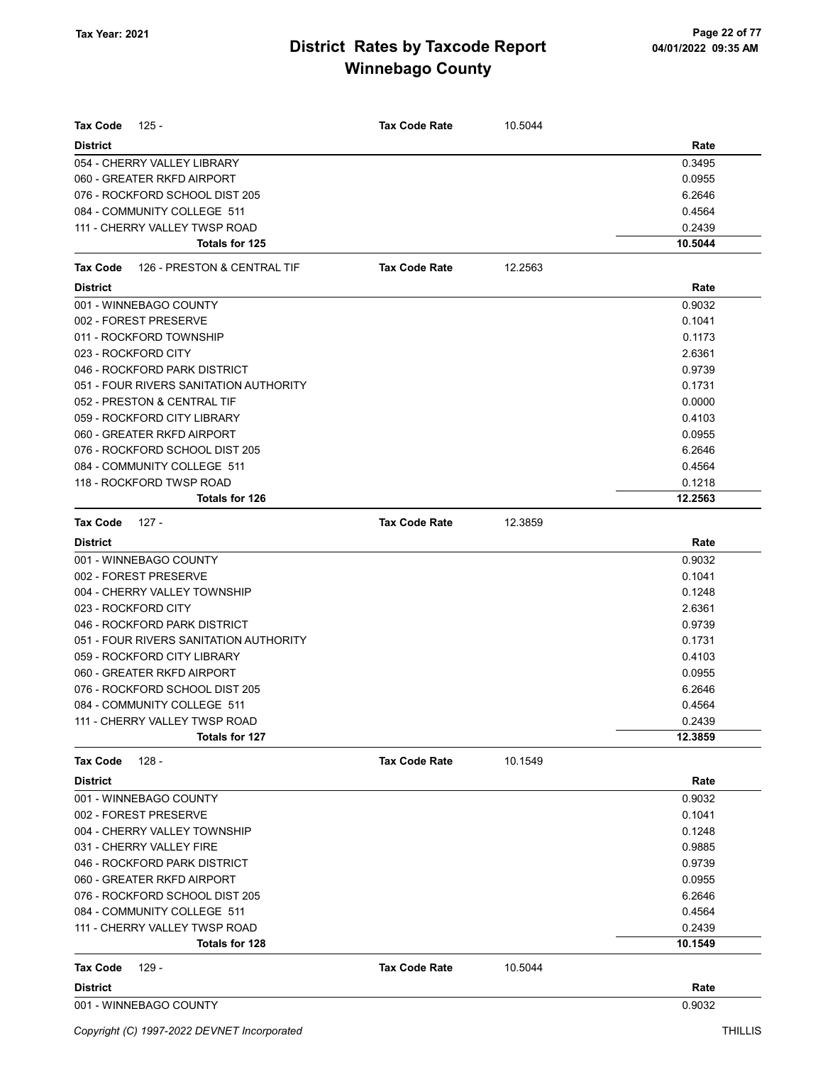| Tax Code<br>125 -                                      | <b>Tax Code Rate</b> | 10.5044 |                   |
|--------------------------------------------------------|----------------------|---------|-------------------|
| <b>District</b>                                        |                      |         | Rate              |
| 054 - CHERRY VALLEY LIBRARY                            |                      |         | 0.3495            |
| 060 - GREATER RKFD AIRPORT                             |                      |         | 0.0955            |
| 076 - ROCKFORD SCHOOL DIST 205                         |                      |         | 6.2646            |
| 084 - COMMUNITY COLLEGE 511                            |                      |         | 0.4564            |
| 111 - CHERRY VALLEY TWSP ROAD                          |                      |         | 0.2439            |
| Totals for 125                                         |                      |         | 10.5044           |
| 126 - PRESTON & CENTRAL TIF<br>Tax Code                | <b>Tax Code Rate</b> | 12.2563 |                   |
| <b>District</b>                                        |                      |         | Rate              |
| 001 - WINNEBAGO COUNTY                                 |                      |         | 0.9032            |
| 002 - FOREST PRESERVE                                  |                      |         | 0.1041            |
| 011 - ROCKFORD TOWNSHIP                                |                      |         | 0.1173            |
| 023 - ROCKFORD CITY                                    |                      |         | 2.6361            |
| 046 - ROCKFORD PARK DISTRICT                           |                      |         | 0.9739            |
| 051 - FOUR RIVERS SANITATION AUTHORITY                 |                      |         | 0.1731            |
| 052 - PRESTON & CENTRAL TIF                            |                      |         | 0.0000            |
| 059 - ROCKFORD CITY LIBRARY                            |                      |         | 0.4103            |
| 060 - GREATER RKFD AIRPORT                             |                      |         | 0.0955            |
| 076 - ROCKFORD SCHOOL DIST 205                         |                      |         | 6.2646            |
| 084 - COMMUNITY COLLEGE 511                            |                      |         | 0.4564            |
| 118 - ROCKFORD TWSP ROAD                               |                      |         | 0.1218            |
| Totals for 126                                         |                      |         | 12.2563           |
| 127 -<br>Tax Code                                      | <b>Tax Code Rate</b> | 12.3859 |                   |
| <b>District</b>                                        |                      |         | Rate              |
| 001 - WINNEBAGO COUNTY                                 |                      |         | 0.9032            |
| 002 - FOREST PRESERVE                                  |                      |         | 0.1041            |
| 004 - CHERRY VALLEY TOWNSHIP                           |                      |         | 0.1248            |
| 023 - ROCKFORD CITY                                    |                      |         | 2.6361            |
| 046 - ROCKFORD PARK DISTRICT                           |                      |         | 0.9739            |
| 051 - FOUR RIVERS SANITATION AUTHORITY                 |                      |         | 0.1731            |
| 059 - ROCKFORD CITY LIBRARY                            |                      |         | 0.4103            |
| 060 - GREATER RKFD AIRPORT                             |                      |         | 0.0955            |
| 076 - ROCKFORD SCHOOL DIST 205                         |                      |         | 6.2646            |
| 084 - COMMUNITY COLLEGE 511                            |                      |         | 0.4564            |
| 111 - CHERRY VALLEY TWSP ROAD<br><b>Totals for 127</b> |                      |         | 0.2439<br>12.3859 |
|                                                        |                      |         |                   |
| <b>Tax Code</b><br>$128 -$                             | <b>Tax Code Rate</b> | 10.1549 |                   |
| <b>District</b>                                        |                      |         | Rate              |
| 001 - WINNEBAGO COUNTY                                 |                      |         | 0.9032            |
| 002 - FOREST PRESERVE                                  |                      |         | 0.1041            |
| 004 - CHERRY VALLEY TOWNSHIP                           |                      |         | 0.1248            |
| 031 - CHERRY VALLEY FIRE                               |                      |         | 0.9885            |
| 046 - ROCKFORD PARK DISTRICT                           |                      |         | 0.9739            |
| 060 - GREATER RKFD AIRPORT                             |                      |         | 0.0955            |
| 076 - ROCKFORD SCHOOL DIST 205                         |                      |         | 6.2646            |
| 084 - COMMUNITY COLLEGE 511                            |                      |         | 0.4564            |
| 111 - CHERRY VALLEY TWSP ROAD                          |                      |         | 0.2439            |
| Totals for 128                                         |                      |         | 10.1549           |
| Tax Code<br>129 -                                      | <b>Tax Code Rate</b> | 10.5044 |                   |
| <b>District</b>                                        |                      |         | Rate              |
| 001 - WINNEBAGO COUNTY                                 |                      |         | 0.9032            |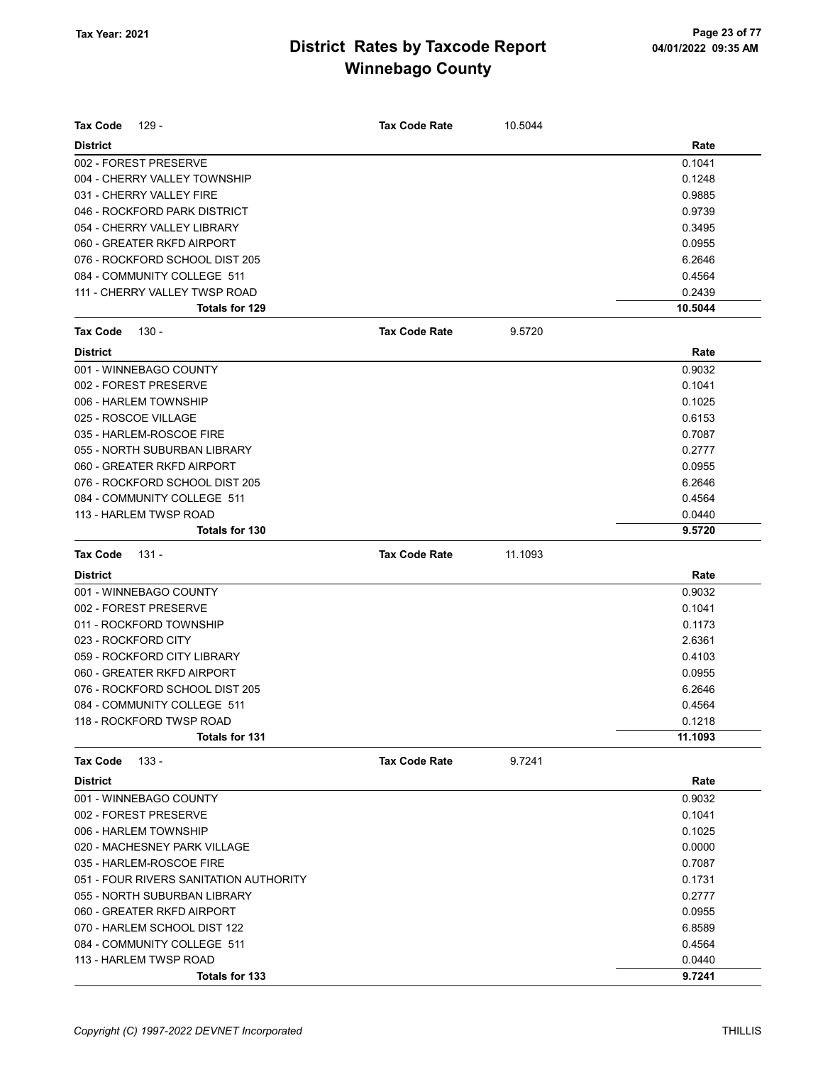| Tax Code<br>129 -                      | <b>Tax Code Rate</b> | 10.5044 |         |
|----------------------------------------|----------------------|---------|---------|
| <b>District</b>                        |                      |         | Rate    |
| 002 - FOREST PRESERVE                  |                      |         | 0.1041  |
| 004 - CHERRY VALLEY TOWNSHIP           |                      |         | 0.1248  |
| 031 - CHERRY VALLEY FIRE               |                      |         | 0.9885  |
| 046 - ROCKFORD PARK DISTRICT           |                      |         | 0.9739  |
| 054 - CHERRY VALLEY LIBRARY            |                      |         | 0.3495  |
| 060 - GREATER RKFD AIRPORT             |                      |         | 0.0955  |
| 076 - ROCKFORD SCHOOL DIST 205         |                      |         | 6.2646  |
| 084 - COMMUNITY COLLEGE 511            |                      |         | 0.4564  |
| 111 - CHERRY VALLEY TWSP ROAD          |                      |         | 0.2439  |
| Totals for 129                         |                      |         | 10.5044 |
| Tax Code<br>130 -                      | <b>Tax Code Rate</b> | 9.5720  |         |
| <b>District</b>                        |                      |         | Rate    |
| 001 - WINNEBAGO COUNTY                 |                      |         | 0.9032  |
| 002 - FOREST PRESERVE                  |                      |         | 0.1041  |
| 006 - HARLEM TOWNSHIP                  |                      |         | 0.1025  |
| 025 - ROSCOE VILLAGE                   |                      |         | 0.6153  |
| 035 - HARLEM-ROSCOE FIRE               |                      |         | 0.7087  |
| 055 - NORTH SUBURBAN LIBRARY           |                      |         | 0.2777  |
| 060 - GREATER RKFD AIRPORT             |                      |         | 0.0955  |
| 076 - ROCKFORD SCHOOL DIST 205         |                      |         | 6.2646  |
| 084 - COMMUNITY COLLEGE 511            |                      |         | 0.4564  |
| 113 - HARLEM TWSP ROAD                 |                      |         | 0.0440  |
| Totals for 130                         |                      |         | 9.5720  |
| <b>Tax Code</b><br>$131 -$             | <b>Tax Code Rate</b> | 11.1093 |         |
| <b>District</b>                        |                      |         | Rate    |
| 001 - WINNEBAGO COUNTY                 |                      |         | 0.9032  |
| 002 - FOREST PRESERVE                  |                      |         | 0.1041  |
| 011 - ROCKFORD TOWNSHIP                |                      |         | 0.1173  |
| 023 - ROCKFORD CITY                    |                      |         | 2.6361  |
| 059 - ROCKFORD CITY LIBRARY            |                      |         | 0.4103  |
| 060 - GREATER RKFD AIRPORT             |                      |         | 0.0955  |
| 076 - ROCKFORD SCHOOL DIST 205         |                      |         | 6.2646  |
| 084 - COMMUNITY COLLEGE 511            |                      |         | 0.4564  |
| 118 - ROCKFORD TWSP ROAD               |                      |         | 0.1218  |
| <b>Totals for 131</b>                  |                      |         | 11.1093 |
| $133 -$<br><b>Tax Code</b>             | <b>Tax Code Rate</b> | 9.7241  |         |
| <b>District</b>                        |                      |         | Rate    |
| 001 - WINNEBAGO COUNTY                 |                      |         | 0.9032  |
| 002 - FOREST PRESERVE                  |                      |         | 0.1041  |
| 006 - HARLEM TOWNSHIP                  |                      |         | 0.1025  |
| 020 - MACHESNEY PARK VILLAGE           |                      |         | 0.0000  |
| 035 - HARLEM-ROSCOE FIRE               |                      |         | 0.7087  |
| 051 - FOUR RIVERS SANITATION AUTHORITY |                      |         | 0.1731  |
| 055 - NORTH SUBURBAN LIBRARY           |                      |         | 0.2777  |
| 060 - GREATER RKFD AIRPORT             |                      |         | 0.0955  |
| 070 - HARLEM SCHOOL DIST 122           |                      |         | 6.8589  |
| 084 - COMMUNITY COLLEGE 511            |                      |         | 0.4564  |
| 113 - HARLEM TWSP ROAD                 |                      |         | 0.0440  |
| Totals for 133                         |                      |         | 9.7241  |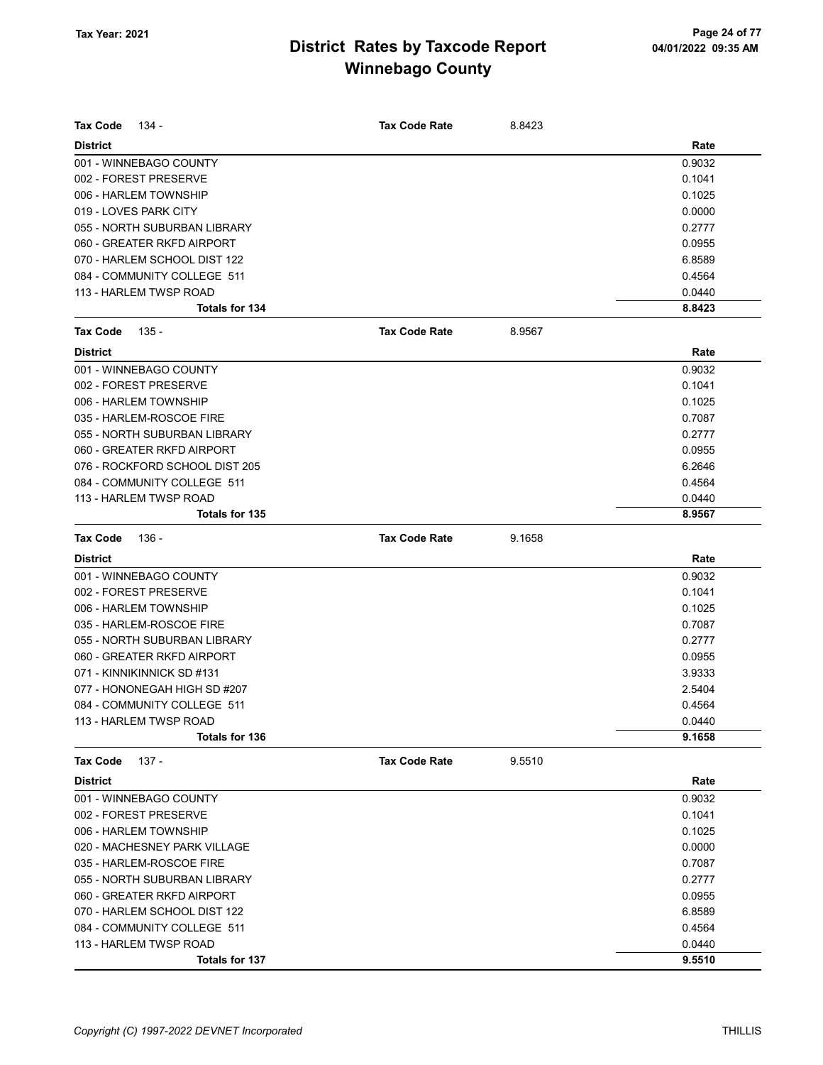| Tax Code<br>134 -              | <b>Tax Code Rate</b> | 8.8423 |        |
|--------------------------------|----------------------|--------|--------|
| <b>District</b>                |                      |        | Rate   |
| 001 - WINNEBAGO COUNTY         |                      |        | 0.9032 |
| 002 - FOREST PRESERVE          |                      |        | 0.1041 |
| 006 - HARLEM TOWNSHIP          |                      |        | 0.1025 |
| 019 - LOVES PARK CITY          |                      |        | 0.0000 |
| 055 - NORTH SUBURBAN LIBRARY   |                      |        | 0.2777 |
| 060 - GREATER RKFD AIRPORT     |                      |        | 0.0955 |
| 070 - HARLEM SCHOOL DIST 122   |                      |        | 6.8589 |
| 084 - COMMUNITY COLLEGE 511    |                      |        | 0.4564 |
| 113 - HARLEM TWSP ROAD         |                      |        | 0.0440 |
| Totals for 134                 |                      |        | 8.8423 |
| <b>Tax Code</b><br>135 -       | <b>Tax Code Rate</b> | 8.9567 |        |
| <b>District</b>                |                      |        | Rate   |
| 001 - WINNEBAGO COUNTY         |                      |        | 0.9032 |
| 002 - FOREST PRESERVE          |                      |        | 0.1041 |
| 006 - HARLEM TOWNSHIP          |                      |        | 0.1025 |
| 035 - HARLEM-ROSCOE FIRE       |                      |        | 0.7087 |
| 055 - NORTH SUBURBAN LIBRARY   |                      |        | 0.2777 |
| 060 - GREATER RKFD AIRPORT     |                      |        | 0.0955 |
| 076 - ROCKFORD SCHOOL DIST 205 |                      |        | 6.2646 |
| 084 - COMMUNITY COLLEGE 511    |                      |        | 0.4564 |
| 113 - HARLEM TWSP ROAD         |                      |        | 0.0440 |
| Totals for 135                 |                      |        | 8.9567 |
|                                |                      |        |        |
| <b>Tax Code</b><br>136 -       | <b>Tax Code Rate</b> | 9.1658 |        |
| <b>District</b>                |                      |        | Rate   |
| 001 - WINNEBAGO COUNTY         |                      |        | 0.9032 |
| 002 - FOREST PRESERVE          |                      |        | 0.1041 |
| 006 - HARLEM TOWNSHIP          |                      |        | 0.1025 |
| 035 - HARLEM-ROSCOE FIRE       |                      |        | 0.7087 |
| 055 - NORTH SUBURBAN LIBRARY   |                      |        | 0.2777 |
| 060 - GREATER RKFD AIRPORT     |                      |        | 0.0955 |
| 071 - KINNIKINNICK SD #131     |                      |        | 3.9333 |
| 077 - HONONEGAH HIGH SD #207   |                      |        | 2.5404 |
| 084 - COMMUNITY COLLEGE 511    |                      |        | 0.4564 |
| 113 - HARLEM TWSP ROAD         |                      |        | 0.0440 |
| Totals for 136                 |                      |        | 9.1658 |
| <b>Tax Code</b><br>137 -       | <b>Tax Code Rate</b> | 9.5510 |        |
| <b>District</b>                |                      |        | Rate   |
| 001 - WINNEBAGO COUNTY         |                      |        | 0.9032 |
| 002 - FOREST PRESERVE          |                      |        | 0.1041 |
| 006 - HARLEM TOWNSHIP          |                      |        | 0.1025 |
| 020 - MACHESNEY PARK VILLAGE   |                      |        | 0.0000 |
| 035 - HARLEM-ROSCOE FIRE       |                      |        | 0.7087 |
| 055 - NORTH SUBURBAN LIBRARY   |                      |        | 0.2777 |
| 060 - GREATER RKFD AIRPORT     |                      |        | 0.0955 |
| 070 - HARLEM SCHOOL DIST 122   |                      |        | 6.8589 |
| 084 - COMMUNITY COLLEGE 511    |                      |        | 0.4564 |
| 113 - HARLEM TWSP ROAD         |                      |        | 0.0440 |
| <b>Totals for 137</b>          |                      |        | 9.5510 |
|                                |                      |        |        |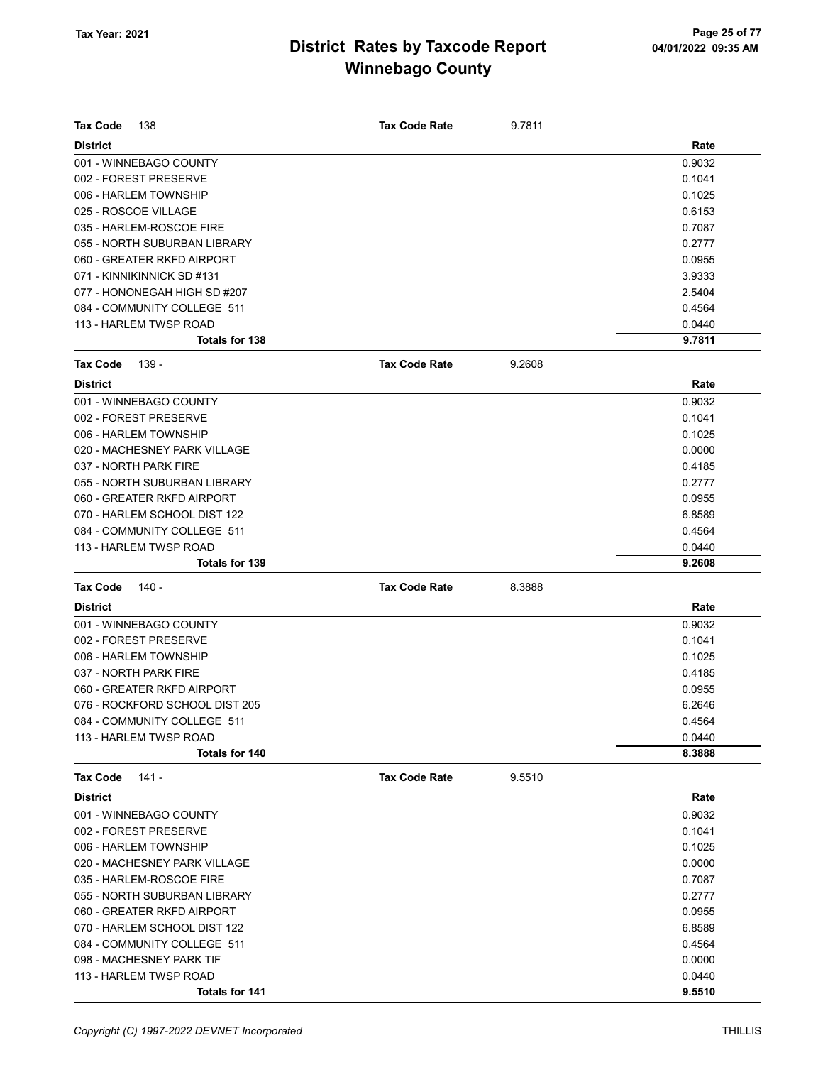| Tax Code<br>138                                 | <b>Tax Code Rate</b> | 9.7811 |                  |
|-------------------------------------------------|----------------------|--------|------------------|
| <b>District</b>                                 |                      |        | Rate             |
| 001 - WINNEBAGO COUNTY                          |                      |        | 0.9032           |
| 002 - FOREST PRESERVE                           |                      |        | 0.1041           |
| 006 - HARLEM TOWNSHIP                           |                      |        | 0.1025           |
| 025 - ROSCOE VILLAGE                            |                      |        | 0.6153           |
| 035 - HARLEM-ROSCOE FIRE                        |                      |        | 0.7087           |
| 055 - NORTH SUBURBAN LIBRARY                    |                      |        | 0.2777           |
| 060 - GREATER RKFD AIRPORT                      |                      |        | 0.0955           |
| 071 - KINNIKINNICK SD #131                      |                      |        | 3.9333           |
| 077 - HONONEGAH HIGH SD #207                    |                      |        | 2.5404           |
| 084 - COMMUNITY COLLEGE 511                     |                      |        | 0.4564           |
| 113 - HARLEM TWSP ROAD                          |                      |        | 0.0440           |
| Totals for 138                                  |                      |        | 9.7811           |
| Tax Code<br>139 -                               | <b>Tax Code Rate</b> | 9.2608 |                  |
| <b>District</b>                                 |                      |        | Rate             |
| 001 - WINNEBAGO COUNTY                          |                      |        | 0.9032           |
| 002 - FOREST PRESERVE                           |                      |        | 0.1041           |
| 006 - HARLEM TOWNSHIP                           |                      |        | 0.1025           |
| 020 - MACHESNEY PARK VILLAGE                    |                      |        | 0.0000           |
| 037 - NORTH PARK FIRE                           |                      |        | 0.4185           |
| 055 - NORTH SUBURBAN LIBRARY                    |                      |        | 0.2777           |
| 060 - GREATER RKFD AIRPORT                      |                      |        | 0.0955           |
| 070 - HARLEM SCHOOL DIST 122                    |                      |        | 6.8589           |
|                                                 |                      |        |                  |
| 084 - COMMUNITY COLLEGE 511                     |                      |        | 0.4564           |
| 113 - HARLEM TWSP ROAD<br><b>Totals for 139</b> |                      |        | 0.0440<br>9.2608 |
|                                                 |                      |        |                  |
| <b>Tax Code</b><br>140 -                        | <b>Tax Code Rate</b> | 8.3888 |                  |
| <b>District</b>                                 |                      |        | Rate             |
| 001 - WINNEBAGO COUNTY                          |                      |        | 0.9032           |
| 002 - FOREST PRESERVE                           |                      |        | 0.1041           |
| 006 - HARLEM TOWNSHIP                           |                      |        | 0.1025           |
| 037 - NORTH PARK FIRE                           |                      |        | 0.4185           |
| 060 - GREATER RKFD AIRPORT                      |                      |        | 0.0955           |
| 076 - ROCKFORD SCHOOL DIST 205                  |                      |        | 6.2646           |
| 084 - COMMUNITY COLLEGE 511                     |                      |        | 0.4564           |
| 113 - HARLEM TWSP ROAD                          |                      |        | 0.0440           |
| Totals for 140                                  |                      |        | 8.3888           |
| <b>Tax Code</b><br>141 -                        | <b>Tax Code Rate</b> | 9.5510 |                  |
| <b>District</b>                                 |                      |        | Rate             |
| 001 - WINNEBAGO COUNTY                          |                      |        | 0.9032           |
| 002 - FOREST PRESERVE                           |                      |        | 0.1041           |
| 006 - HARLEM TOWNSHIP                           |                      |        | 0.1025           |
| 020 - MACHESNEY PARK VILLAGE                    |                      |        | 0.0000           |
| 035 - HARLEM-ROSCOE FIRE                        |                      |        | 0.7087           |
| 055 - NORTH SUBURBAN LIBRARY                    |                      |        | 0.2777           |
| 060 - GREATER RKFD AIRPORT                      |                      |        | 0.0955           |
| 070 - HARLEM SCHOOL DIST 122                    |                      |        | 6.8589           |
| 084 - COMMUNITY COLLEGE 511                     |                      |        | 0.4564           |
| 098 - MACHESNEY PARK TIF                        |                      |        | 0.0000           |
| 113 - HARLEM TWSP ROAD                          |                      |        | 0.0440           |
|                                                 |                      |        |                  |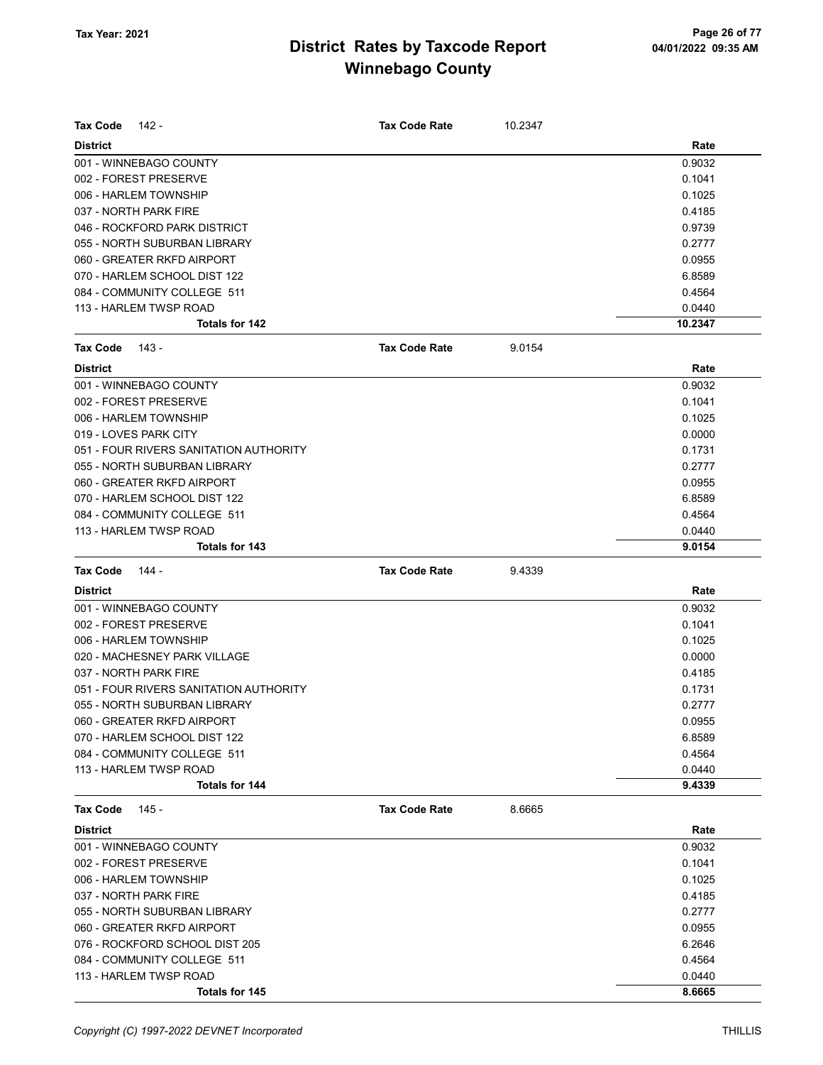| <b>Tax Code</b> | - 142                                  | <b>Tax Code Rate</b> | 10.2347 |         |
|-----------------|----------------------------------------|----------------------|---------|---------|
| <b>District</b> |                                        |                      |         | Rate    |
|                 | 001 - WINNEBAGO COUNTY                 |                      |         | 0.9032  |
|                 | 002 - FOREST PRESERVE                  |                      |         | 0.1041  |
|                 | 006 - HARLEM TOWNSHIP                  |                      |         | 0.1025  |
|                 | 037 - NORTH PARK FIRE                  |                      |         | 0.4185  |
|                 | 046 - ROCKFORD PARK DISTRICT           |                      |         | 0.9739  |
|                 | 055 - NORTH SUBURBAN LIBRARY           |                      |         | 0.2777  |
|                 | 060 - GREATER RKFD AIRPORT             |                      |         | 0.0955  |
|                 | 070 - HARLEM SCHOOL DIST 122           |                      |         | 6.8589  |
|                 | 084 - COMMUNITY COLLEGE 511            |                      |         | 0.4564  |
|                 | 113 - HARLEM TWSP ROAD                 |                      |         | 0.0440  |
|                 | Totals for 142                         |                      |         | 10.2347 |
| <b>Tax Code</b> | 143 -                                  | <b>Tax Code Rate</b> | 9.0154  |         |
| <b>District</b> |                                        |                      |         | Rate    |
|                 | 001 - WINNEBAGO COUNTY                 |                      |         | 0.9032  |
|                 | 002 - FOREST PRESERVE                  |                      |         | 0.1041  |
|                 | 006 - HARLEM TOWNSHIP                  |                      |         | 0.1025  |
|                 | 019 - LOVES PARK CITY                  |                      |         | 0.0000  |
|                 | 051 - FOUR RIVERS SANITATION AUTHORITY |                      |         | 0.1731  |
|                 | 055 - NORTH SUBURBAN LIBRARY           |                      |         | 0.2777  |
|                 | 060 - GREATER RKFD AIRPORT             |                      |         | 0.0955  |
|                 | 070 - HARLEM SCHOOL DIST 122           |                      |         | 6.8589  |
|                 | 084 - COMMUNITY COLLEGE 511            |                      |         | 0.4564  |
|                 | 113 - HARLEM TWSP ROAD                 |                      |         | 0.0440  |
|                 | Totals for 143                         |                      |         | 9.0154  |
| <b>Tax Code</b> | 144 -                                  | <b>Tax Code Rate</b> | 9.4339  |         |
| <b>District</b> |                                        |                      |         | Rate    |
|                 | 001 - WINNEBAGO COUNTY                 |                      |         | 0.9032  |
|                 | 002 - FOREST PRESERVE                  |                      |         | 0.1041  |
|                 | 006 - HARLEM TOWNSHIP                  |                      |         | 0.1025  |
|                 | 020 - MACHESNEY PARK VILLAGE           |                      |         | 0.0000  |
|                 | 037 - NORTH PARK FIRE                  |                      |         | 0.4185  |
|                 | 051 - FOUR RIVERS SANITATION AUTHORITY |                      |         | 0.1731  |
|                 | 055 - NORTH SUBURBAN LIBRARY           |                      |         | 0.2777  |
|                 | 060 - GREATER RKFD AIRPORT             |                      |         | 0.0955  |
|                 | 070 - HARLEM SCHOOL DIST 122           |                      |         | 6.8589  |
|                 | 084 - COMMUNITY COLLEGE 511            |                      |         | 0.4564  |
|                 | 113 - HARLEM TWSP ROAD                 |                      |         | 0.0440  |
|                 | <b>Totals for 144</b>                  |                      |         | 9.4339  |
| <b>Tax Code</b> | 145 -                                  | <b>Tax Code Rate</b> | 8.6665  |         |
| <b>District</b> |                                        |                      |         | Rate    |
|                 | 001 - WINNEBAGO COUNTY                 |                      |         | 0.9032  |
|                 | 002 - FOREST PRESERVE                  |                      |         | 0.1041  |
|                 | 006 - HARLEM TOWNSHIP                  |                      |         | 0.1025  |
|                 | 037 - NORTH PARK FIRE                  |                      |         | 0.4185  |
|                 | 055 - NORTH SUBURBAN LIBRARY           |                      |         | 0.2777  |
|                 | 060 - GREATER RKFD AIRPORT             |                      |         | 0.0955  |
|                 | 076 - ROCKFORD SCHOOL DIST 205         |                      |         | 6.2646  |
|                 | 084 - COMMUNITY COLLEGE 511            |                      |         | 0.4564  |
|                 | 113 - HARLEM TWSP ROAD                 |                      |         | 0.0440  |
|                 | Totals for 145                         |                      |         | 8.6665  |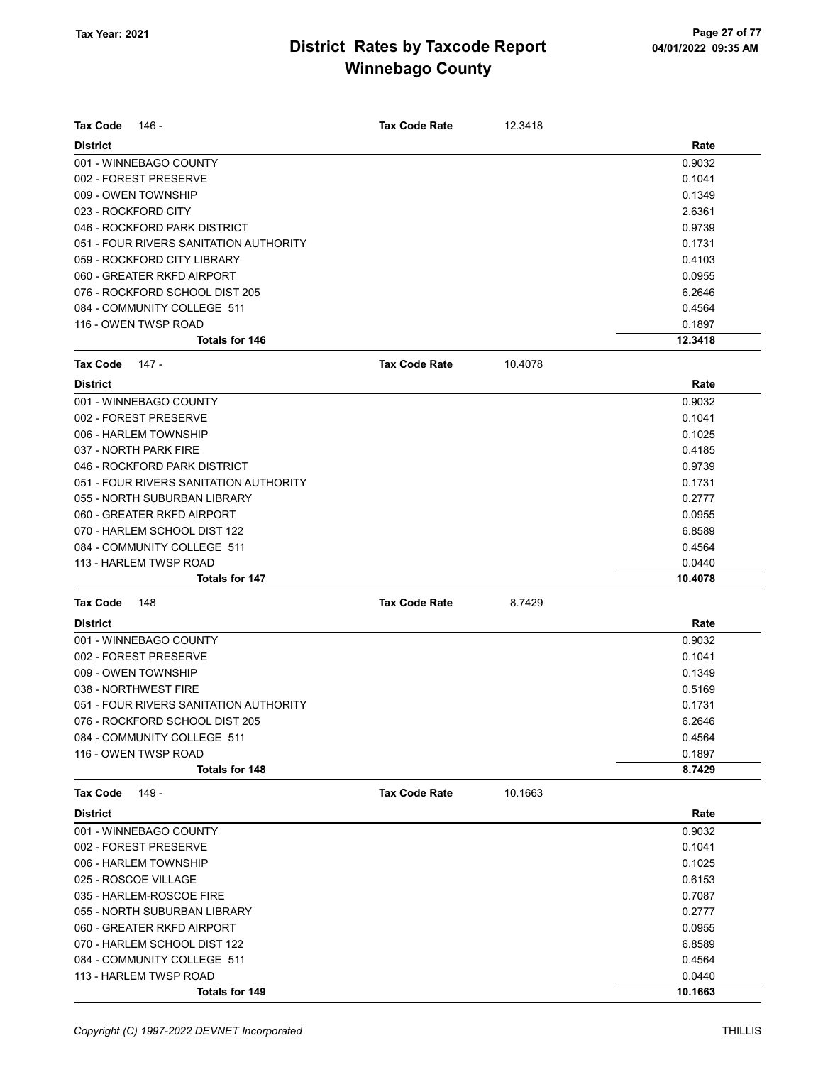| <b>Tax Code</b>     | 146 -                                  | <b>Tax Code Rate</b> | 12.3418 |         |
|---------------------|----------------------------------------|----------------------|---------|---------|
| <b>District</b>     |                                        |                      |         | Rate    |
|                     | 001 - WINNEBAGO COUNTY                 |                      |         | 0.9032  |
|                     | 002 - FOREST PRESERVE                  |                      |         | 0.1041  |
|                     | 009 - OWEN TOWNSHIP                    |                      |         | 0.1349  |
| 023 - ROCKFORD CITY |                                        |                      |         | 2.6361  |
|                     | 046 - ROCKFORD PARK DISTRICT           |                      |         | 0.9739  |
|                     | 051 - FOUR RIVERS SANITATION AUTHORITY |                      |         | 0.1731  |
|                     | 059 - ROCKFORD CITY LIBRARY            |                      |         | 0.4103  |
|                     | 060 - GREATER RKFD AIRPORT             |                      |         | 0.0955  |
|                     | 076 - ROCKFORD SCHOOL DIST 205         |                      |         | 6.2646  |
|                     | 084 - COMMUNITY COLLEGE 511            |                      |         | 0.4564  |
|                     | 116 - OWEN TWSP ROAD                   |                      |         | 0.1897  |
|                     | <b>Totals for 146</b>                  |                      |         | 12.3418 |
| <b>Tax Code</b>     | $147 -$                                | <b>Tax Code Rate</b> | 10.4078 |         |
| <b>District</b>     |                                        |                      |         | Rate    |
|                     | 001 - WINNEBAGO COUNTY                 |                      |         | 0.9032  |
|                     | 002 - FOREST PRESERVE                  |                      |         | 0.1041  |
|                     | 006 - HARLEM TOWNSHIP                  |                      |         | 0.1025  |
|                     | 037 - NORTH PARK FIRE                  |                      |         | 0.4185  |
|                     | 046 - ROCKFORD PARK DISTRICT           |                      |         | 0.9739  |
|                     | 051 - FOUR RIVERS SANITATION AUTHORITY |                      |         | 0.1731  |
|                     | 055 - NORTH SUBURBAN LIBRARY           |                      |         | 0.2777  |
|                     | 060 - GREATER RKFD AIRPORT             |                      |         | 0.0955  |
|                     | 070 - HARLEM SCHOOL DIST 122           |                      |         | 6.8589  |
|                     | 084 - COMMUNITY COLLEGE 511            |                      |         | 0.4564  |
|                     | 113 - HARLEM TWSP ROAD                 |                      |         | 0.0440  |
|                     | <b>Totals for 147</b>                  |                      |         | 10.4078 |
| Tax Code            | 148                                    | <b>Tax Code Rate</b> | 8.7429  |         |
| <b>District</b>     |                                        |                      |         | Rate    |
|                     | 001 - WINNEBAGO COUNTY                 |                      |         | 0.9032  |
|                     | 002 - FOREST PRESERVE                  |                      |         | 0.1041  |
|                     | 009 - OWEN TOWNSHIP                    |                      |         | 0.1349  |
|                     | 038 - NORTHWEST FIRE                   |                      |         | 0.5169  |
|                     | 051 - FOUR RIVERS SANITATION AUTHORITY |                      |         | 0.1731  |
|                     | 076 - ROCKFORD SCHOOL DIST 205         |                      |         | 6.2646  |
|                     | 084 - COMMUNITY COLLEGE 511            |                      |         | 0.4564  |
|                     | 116 - OWEN TWSP ROAD                   |                      |         | 0.1897  |
|                     | Totals for 148                         |                      |         | 8.7429  |
| <b>Tax Code</b>     | 149 -                                  | <b>Tax Code Rate</b> | 10.1663 |         |
| <b>District</b>     |                                        |                      |         | Rate    |
|                     | 001 - WINNEBAGO COUNTY                 |                      |         | 0.9032  |
|                     | 002 - FOREST PRESERVE                  |                      |         | 0.1041  |
|                     | 006 - HARLEM TOWNSHIP                  |                      |         | 0.1025  |
|                     | 025 - ROSCOE VILLAGE                   |                      |         | 0.6153  |
|                     | 035 - HARLEM-ROSCOE FIRE               |                      |         | 0.7087  |
|                     | 055 - NORTH SUBURBAN LIBRARY           |                      |         | 0.2777  |
|                     | 060 - GREATER RKFD AIRPORT             |                      |         | 0.0955  |
|                     | 070 - HARLEM SCHOOL DIST 122           |                      |         | 6.8589  |
|                     | 084 - COMMUNITY COLLEGE 511            |                      |         | 0.4564  |
|                     | 113 - HARLEM TWSP ROAD                 |                      |         | 0.0440  |
|                     | Totals for 149                         |                      |         | 10.1663 |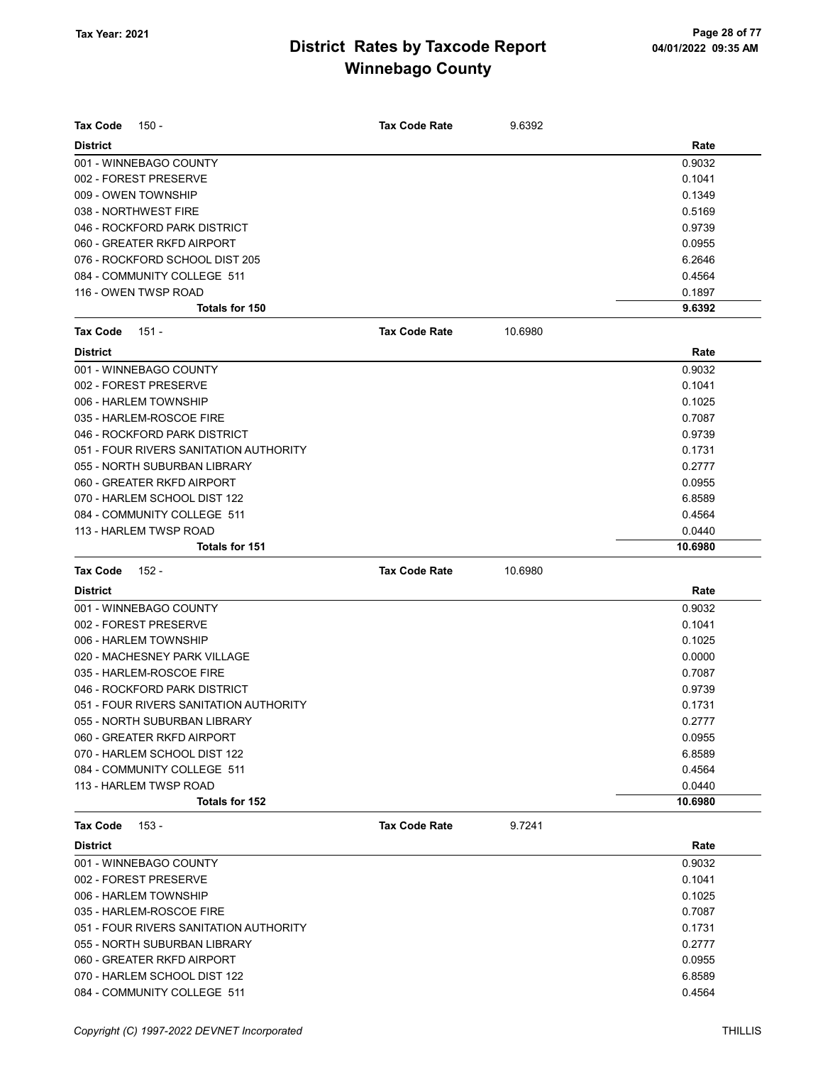| <b>Tax Code</b><br>150 -               | <b>Tax Code Rate</b> | 9.6392  |         |
|----------------------------------------|----------------------|---------|---------|
| <b>District</b>                        |                      |         | Rate    |
| 001 - WINNEBAGO COUNTY                 |                      |         | 0.9032  |
| 002 - FOREST PRESERVE                  |                      |         | 0.1041  |
| 009 - OWEN TOWNSHIP                    |                      |         | 0.1349  |
| 038 - NORTHWEST FIRE                   |                      |         | 0.5169  |
| 046 - ROCKFORD PARK DISTRICT           |                      |         | 0.9739  |
| 060 - GREATER RKFD AIRPORT             |                      |         | 0.0955  |
| 076 - ROCKFORD SCHOOL DIST 205         |                      |         | 6.2646  |
| 084 - COMMUNITY COLLEGE 511            |                      |         | 0.4564  |
| 116 - OWEN TWSP ROAD                   |                      |         | 0.1897  |
| <b>Totals for 150</b>                  |                      |         | 9.6392  |
| <b>Tax Code</b><br>151 -               | <b>Tax Code Rate</b> | 10.6980 |         |
| <b>District</b>                        |                      |         | Rate    |
| 001 - WINNEBAGO COUNTY                 |                      |         | 0.9032  |
| 002 - FOREST PRESERVE                  |                      |         | 0.1041  |
| 006 - HARLEM TOWNSHIP                  |                      |         | 0.1025  |
| 035 - HARLEM-ROSCOE FIRE               |                      |         | 0.7087  |
| 046 - ROCKFORD PARK DISTRICT           |                      |         | 0.9739  |
| 051 - FOUR RIVERS SANITATION AUTHORITY |                      |         | 0.1731  |
| 055 - NORTH SUBURBAN LIBRARY           |                      |         | 0.2777  |
| 060 - GREATER RKFD AIRPORT             |                      |         | 0.0955  |
|                                        |                      |         | 6.8589  |
| 070 - HARLEM SCHOOL DIST 122           |                      |         |         |
| 084 - COMMUNITY COLLEGE 511            |                      |         | 0.4564  |
| 113 - HARLEM TWSP ROAD                 |                      |         | 0.0440  |
| <b>Totals for 151</b>                  |                      |         | 10.6980 |
| <b>Tax Code</b><br>$152 -$             | <b>Tax Code Rate</b> | 10.6980 |         |
| <b>District</b>                        |                      |         | Rate    |
| 001 - WINNEBAGO COUNTY                 |                      |         | 0.9032  |
| 002 - FOREST PRESERVE                  |                      |         | 0.1041  |
| 006 - HARLEM TOWNSHIP                  |                      |         | 0.1025  |
| 020 - MACHESNEY PARK VILLAGE           |                      |         | 0.0000  |
| 035 - HARLEM-ROSCOE FIRE               |                      |         | 0.7087  |
| 046 - ROCKFORD PARK DISTRICT           |                      |         | 0.9739  |
| 051 - FOUR RIVERS SANITATION AUTHORITY |                      |         | 0.1731  |
| 055 - NORTH SUBURBAN LIBRARY           |                      |         | 0.2777  |
| 060 - GREATER RKFD AIRPORT             |                      |         | 0.0955  |
| 070 - HARLEM SCHOOL DIST 122           |                      |         | 6.8589  |
| 084 - COMMUNITY COLLEGE 511            |                      |         | 0.4564  |
| 113 - HARLEM TWSP ROAD                 |                      |         | 0.0440  |
| Totals for 152                         |                      |         | 10.6980 |
| <b>Tax Code</b><br>153 -               | <b>Tax Code Rate</b> | 9.7241  |         |
| <b>District</b>                        |                      |         | Rate    |
| 001 - WINNEBAGO COUNTY                 |                      |         | 0.9032  |
| 002 - FOREST PRESERVE                  |                      |         | 0.1041  |
| 006 - HARLEM TOWNSHIP                  |                      |         | 0.1025  |
| 035 - HARLEM-ROSCOE FIRE               |                      |         | 0.7087  |
| 051 - FOUR RIVERS SANITATION AUTHORITY |                      |         | 0.1731  |
| 055 - NORTH SUBURBAN LIBRARY           |                      |         | 0.2777  |
| 060 - GREATER RKFD AIRPORT             |                      |         | 0.0955  |
| 070 - HARLEM SCHOOL DIST 122           |                      |         | 6.8589  |

084 - COMMUNITY COLLEGE 511 0.4564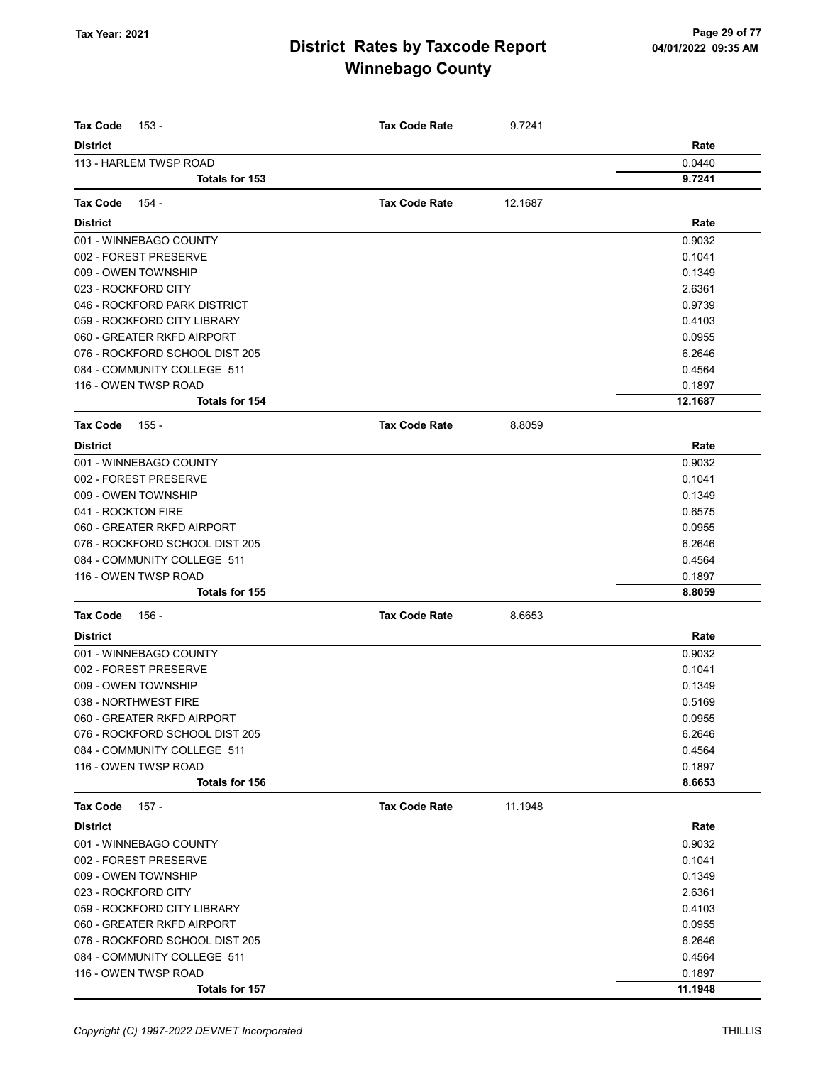| Tax Code<br>153 -              | <b>Tax Code Rate</b> | 9.7241  |         |
|--------------------------------|----------------------|---------|---------|
| <b>District</b>                |                      |         | Rate    |
| 113 - HARLEM TWSP ROAD         |                      |         | 0.0440  |
| Totals for 153                 |                      |         | 9.7241  |
| <b>Tax Code</b><br>154 -       | <b>Tax Code Rate</b> | 12.1687 |         |
| <b>District</b>                |                      |         | Rate    |
| 001 - WINNEBAGO COUNTY         |                      |         | 0.9032  |
| 002 - FOREST PRESERVE          |                      |         | 0.1041  |
| 009 - OWEN TOWNSHIP            |                      |         | 0.1349  |
| 023 - ROCKFORD CITY            |                      |         | 2.6361  |
| 046 - ROCKFORD PARK DISTRICT   |                      |         | 0.9739  |
| 059 - ROCKFORD CITY LIBRARY    |                      |         | 0.4103  |
| 060 - GREATER RKFD AIRPORT     |                      |         | 0.0955  |
| 076 - ROCKFORD SCHOOL DIST 205 |                      |         | 6.2646  |
| 084 - COMMUNITY COLLEGE 511    |                      |         | 0.4564  |
| 116 - OWEN TWSP ROAD           |                      |         | 0.1897  |
| <b>Totals for 154</b>          |                      |         | 12.1687 |
| <b>Tax Code</b><br>155 -       | <b>Tax Code Rate</b> | 8.8059  |         |
| <b>District</b>                |                      |         | Rate    |
| 001 - WINNEBAGO COUNTY         |                      |         | 0.9032  |
| 002 - FOREST PRESERVE          |                      |         | 0.1041  |
| 009 - OWEN TOWNSHIP            |                      |         | 0.1349  |
| 041 - ROCKTON FIRE             |                      |         | 0.6575  |
| 060 - GREATER RKFD AIRPORT     |                      |         | 0.0955  |
| 076 - ROCKFORD SCHOOL DIST 205 |                      |         | 6.2646  |
| 084 - COMMUNITY COLLEGE 511    |                      |         | 0.4564  |
| 116 - OWEN TWSP ROAD           |                      |         | 0.1897  |
| Totals for 155                 |                      |         | 8.8059  |
| <b>Tax Code</b><br>156 -       | <b>Tax Code Rate</b> | 8.6653  |         |
| <b>District</b>                |                      |         | Rate    |
| 001 - WINNEBAGO COUNTY         |                      |         | 0.9032  |
| 002 - FOREST PRESERVE          |                      |         | 0.1041  |
| 009 - OWEN TOWNSHIP            |                      |         | 0.1349  |
| 038 - NORTHWEST FIRE           |                      |         | 0.5169  |
| 060 - GREATER RKFD AIRPORT     |                      |         | 0.0955  |
| 076 - ROCKFORD SCHOOL DIST 205 |                      |         | 6.2646  |
| 084 - COMMUNITY COLLEGE 511    |                      |         | 0.4564  |
| 116 - OWEN TWSP ROAD           |                      |         | 0.1897  |
| Totals for 156                 |                      |         | 8.6653  |
| $157 -$<br><b>Tax Code</b>     | <b>Tax Code Rate</b> | 11.1948 |         |
| <b>District</b>                |                      |         | Rate    |
| 001 - WINNEBAGO COUNTY         |                      |         | 0.9032  |
| 002 - FOREST PRESERVE          |                      |         | 0.1041  |
| 009 - OWEN TOWNSHIP            |                      |         | 0.1349  |
| 023 - ROCKFORD CITY            |                      |         | 2.6361  |
| 059 - ROCKFORD CITY LIBRARY    |                      |         | 0.4103  |
| 060 - GREATER RKFD AIRPORT     |                      |         | 0.0955  |
| 076 - ROCKFORD SCHOOL DIST 205 |                      |         | 6.2646  |
| 084 - COMMUNITY COLLEGE 511    |                      |         | 0.4564  |
| 116 - OWEN TWSP ROAD           |                      |         | 0.1897  |
| Totals for 157                 |                      |         | 11.1948 |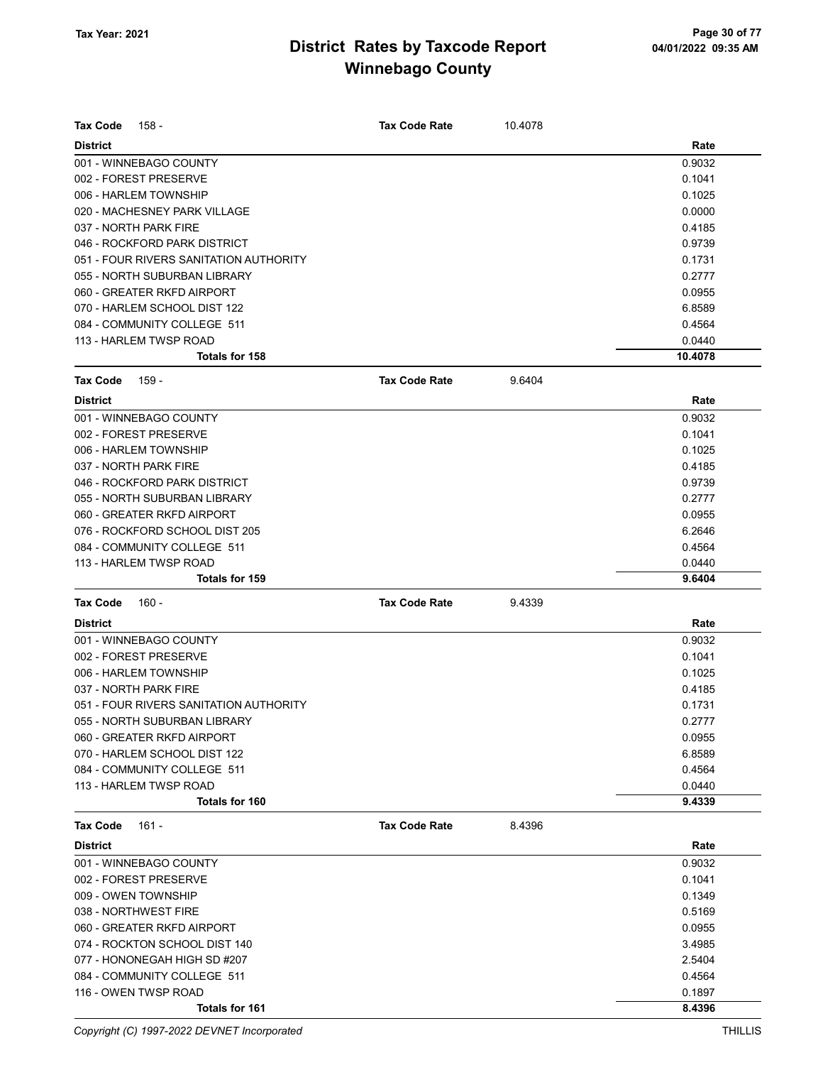| <b>Tax Code</b><br>158 -               | <b>Tax Code Rate</b> | 10.4078 |         |
|----------------------------------------|----------------------|---------|---------|
| <b>District</b>                        |                      |         | Rate    |
| 001 - WINNEBAGO COUNTY                 |                      |         | 0.9032  |
| 002 - FOREST PRESERVE                  |                      |         | 0.1041  |
| 006 - HARLEM TOWNSHIP                  |                      |         | 0.1025  |
| 020 - MACHESNEY PARK VILLAGE           |                      |         | 0.0000  |
| 037 - NORTH PARK FIRE                  |                      |         | 0.4185  |
| 046 - ROCKFORD PARK DISTRICT           |                      |         | 0.9739  |
| 051 - FOUR RIVERS SANITATION AUTHORITY |                      |         | 0.1731  |
| 055 - NORTH SUBURBAN LIBRARY           |                      |         | 0.2777  |
| 060 - GREATER RKFD AIRPORT             |                      |         | 0.0955  |
| 070 - HARLEM SCHOOL DIST 122           |                      |         | 6.8589  |
| 084 - COMMUNITY COLLEGE 511            |                      |         | 0.4564  |
| 113 - HARLEM TWSP ROAD                 |                      |         | 0.0440  |
| <b>Totals for 158</b>                  |                      |         | 10.4078 |
| Tax Code<br>159 -                      | <b>Tax Code Rate</b> | 9.6404  |         |
| <b>District</b>                        |                      |         | Rate    |
| 001 - WINNEBAGO COUNTY                 |                      |         | 0.9032  |
| 002 - FOREST PRESERVE                  |                      |         | 0.1041  |
| 006 - HARLEM TOWNSHIP                  |                      |         | 0.1025  |
| 037 - NORTH PARK FIRE                  |                      |         | 0.4185  |
| 046 - ROCKFORD PARK DISTRICT           |                      |         | 0.9739  |
| 055 - NORTH SUBURBAN LIBRARY           |                      |         | 0.2777  |
| 060 - GREATER RKFD AIRPORT             |                      |         | 0.0955  |
| 076 - ROCKFORD SCHOOL DIST 205         |                      |         | 6.2646  |
| 084 - COMMUNITY COLLEGE 511            |                      |         | 0.4564  |
| 113 - HARLEM TWSP ROAD                 |                      |         | 0.0440  |
| <b>Totals for 159</b>                  |                      |         | 9.6404  |
| <b>Tax Code</b><br>$160 -$             | <b>Tax Code Rate</b> | 9.4339  |         |
| <b>District</b>                        |                      |         | Rate    |
| 001 - WINNEBAGO COUNTY                 |                      |         | 0.9032  |
| 002 - FOREST PRESERVE                  |                      |         | 0.1041  |
| 006 - HARLEM TOWNSHIP                  |                      |         | 0.1025  |
| 037 - NORTH PARK FIRE                  |                      |         | 0.4185  |
| 051 - FOUR RIVERS SANITATION AUTHORITY |                      |         | 0.1731  |
| 055 - NORTH SUBURBAN LIBRARY           |                      |         | 0.2777  |
| 060 - GREATER RKFD AIRPORT             |                      |         | 0.0955  |
| 070 - HARLEM SCHOOL DIST 122           |                      |         | 6.8589  |
| 084 - COMMUNITY COLLEGE 511            |                      |         | 0.4564  |
| 113 - HARLEM TWSP ROAD                 |                      |         | 0.0440  |
| Totals for 160                         |                      |         | 9.4339  |
| Tax Code<br>161 -                      | <b>Tax Code Rate</b> | 8.4396  |         |
| <b>District</b>                        |                      |         | Rate    |
| 001 - WINNEBAGO COUNTY                 |                      |         | 0.9032  |
| 002 - FOREST PRESERVE                  |                      |         | 0.1041  |
| 009 - OWEN TOWNSHIP                    |                      |         | 0.1349  |
| 038 - NORTHWEST FIRE                   |                      |         | 0.5169  |
| 060 - GREATER RKFD AIRPORT             |                      |         | 0.0955  |
| 074 - ROCKTON SCHOOL DIST 140          |                      |         | 3.4985  |
| 077 - HONONEGAH HIGH SD #207           |                      |         | 2.5404  |
| 084 - COMMUNITY COLLEGE 511            |                      |         | 0.4564  |
| 116 - OWEN TWSP ROAD                   |                      |         | 0.1897  |
| Totals for 161                         |                      |         | 8.4396  |

Copyright (C) 1997-2022 DEVNET Incorporated THILLIS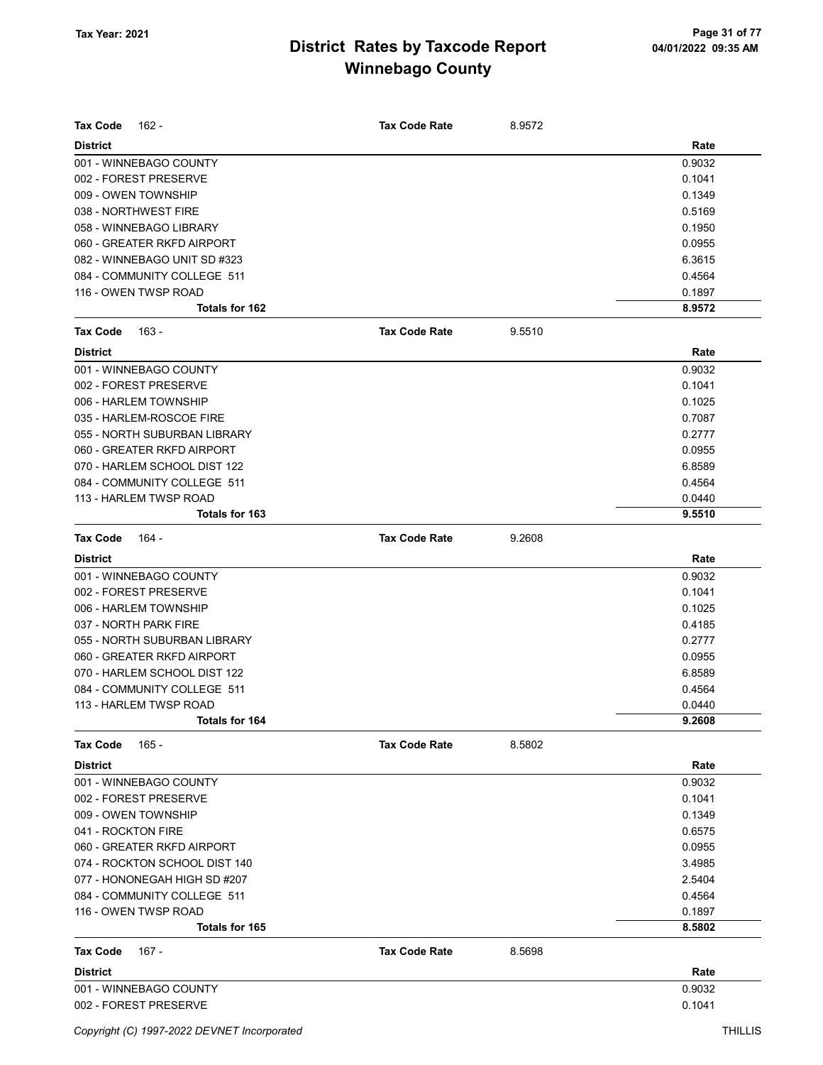| <b>Tax Code</b><br>162 -      | <b>Tax Code Rate</b> | 8.9572 |        |
|-------------------------------|----------------------|--------|--------|
| <b>District</b>               |                      |        | Rate   |
| 001 - WINNEBAGO COUNTY        |                      |        | 0.9032 |
| 002 - FOREST PRESERVE         |                      |        | 0.1041 |
| 009 - OWEN TOWNSHIP           |                      |        | 0.1349 |
| 038 - NORTHWEST FIRE          |                      |        | 0.5169 |
| 058 - WINNEBAGO LIBRARY       |                      |        | 0.1950 |
| 060 - GREATER RKFD AIRPORT    |                      |        | 0.0955 |
| 082 - WINNEBAGO UNIT SD #323  |                      |        | 6.3615 |
| 084 - COMMUNITY COLLEGE 511   |                      |        | 0.4564 |
| 116 - OWEN TWSP ROAD          |                      |        | 0.1897 |
| <b>Totals for 162</b>         |                      |        | 8.9572 |
| $163 -$<br><b>Tax Code</b>    | <b>Tax Code Rate</b> | 9.5510 |        |
| <b>District</b>               |                      |        | Rate   |
| 001 - WINNEBAGO COUNTY        |                      |        | 0.9032 |
| 002 - FOREST PRESERVE         |                      |        | 0.1041 |
| 006 - HARLEM TOWNSHIP         |                      |        | 0.1025 |
| 035 - HARLEM-ROSCOE FIRE      |                      |        | 0.7087 |
| 055 - NORTH SUBURBAN LIBRARY  |                      |        | 0.2777 |
| 060 - GREATER RKFD AIRPORT    |                      |        | 0.0955 |
| 070 - HARLEM SCHOOL DIST 122  |                      |        | 6.8589 |
| 084 - COMMUNITY COLLEGE 511   |                      |        | 0.4564 |
| 113 - HARLEM TWSP ROAD        |                      |        | 0.0440 |
| Totals for 163                |                      |        | 9.5510 |
| <b>Tax Code</b><br>164 -      | <b>Tax Code Rate</b> | 9.2608 |        |
| <b>District</b>               |                      |        | Rate   |
| 001 - WINNEBAGO COUNTY        |                      |        | 0.9032 |
| 002 - FOREST PRESERVE         |                      |        | 0.1041 |
| 006 - HARLEM TOWNSHIP         |                      |        | 0.1025 |
| 037 - NORTH PARK FIRE         |                      |        | 0.4185 |
| 055 - NORTH SUBURBAN LIBRARY  |                      |        | 0.2777 |
| 060 - GREATER RKFD AIRPORT    |                      |        | 0.0955 |
| 070 - HARLEM SCHOOL DIST 122  |                      |        | 6.8589 |
| 084 - COMMUNITY COLLEGE 511   |                      |        | 0.4564 |
| 113 - HARLEM TWSP ROAD        |                      |        | 0.0440 |
| Totals for 164                |                      |        | 9.2608 |
| $165 -$<br><b>Tax Code</b>    | <b>Tax Code Rate</b> | 8.5802 |        |
| <b>District</b>               |                      |        | Rate   |
| 001 - WINNEBAGO COUNTY        |                      |        | 0.9032 |
| 002 - FOREST PRESERVE         |                      |        | 0.1041 |
| 009 - OWEN TOWNSHIP           |                      |        | 0.1349 |
| 041 - ROCKTON FIRE            |                      |        | 0.6575 |
| 060 - GREATER RKFD AIRPORT    |                      |        | 0.0955 |
| 074 - ROCKTON SCHOOL DIST 140 |                      |        | 3.4985 |
| 077 - HONONEGAH HIGH SD #207  |                      |        | 2.5404 |
| 084 - COMMUNITY COLLEGE 511   |                      |        | 0.4564 |
| 116 - OWEN TWSP ROAD          |                      |        | 0.1897 |
| Totals for 165                |                      |        | 8.5802 |
| <b>Tax Code</b><br>167 -      | <b>Tax Code Rate</b> | 8.5698 |        |
| <b>District</b>               |                      |        | Rate   |
| 001 - WINNEBAGO COUNTY        |                      |        | 0.9032 |
| 002 - FOREST PRESERVE         |                      |        | 0.1041 |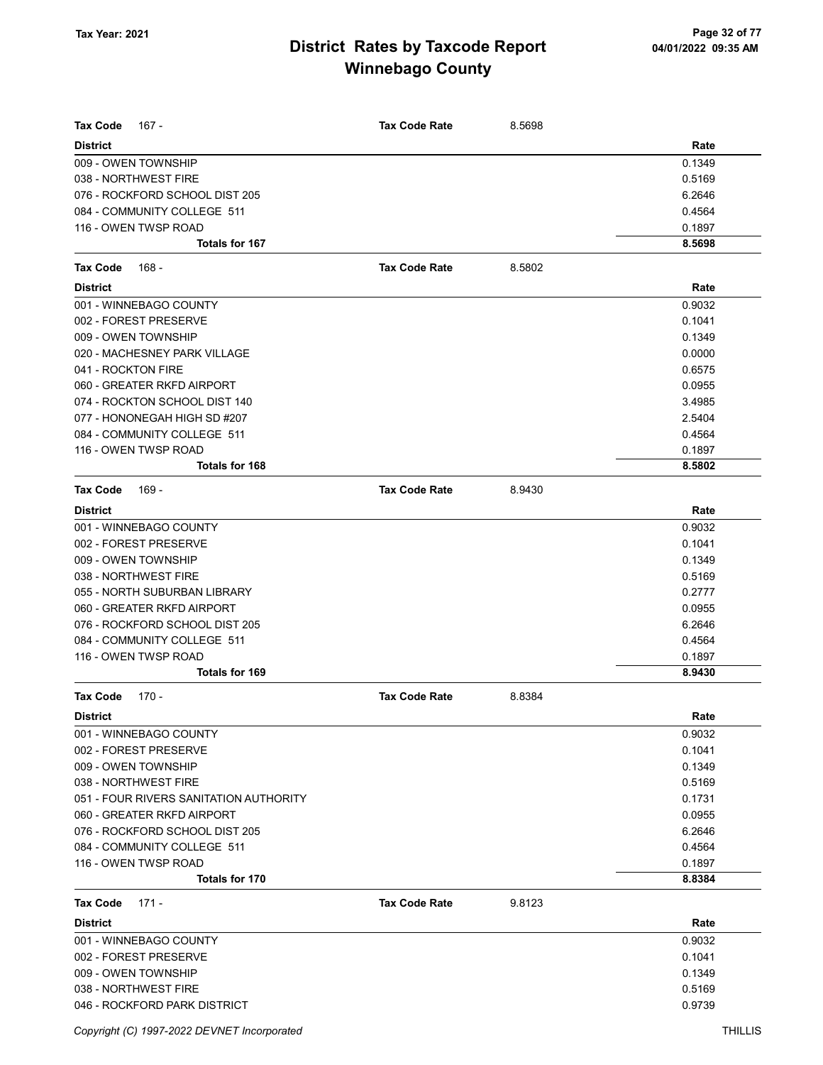| <b>Tax Code</b><br>167 -               | <b>Tax Code Rate</b> | 8.5698 |        |
|----------------------------------------|----------------------|--------|--------|
| <b>District</b>                        |                      |        | Rate   |
| 009 - OWEN TOWNSHIP                    |                      |        | 0.1349 |
| 038 - NORTHWEST FIRE                   |                      |        | 0.5169 |
| 076 - ROCKFORD SCHOOL DIST 205         |                      |        | 6.2646 |
| 084 - COMMUNITY COLLEGE 511            |                      |        | 0.4564 |
| 116 - OWEN TWSP ROAD                   |                      |        | 0.1897 |
| <b>Totals for 167</b>                  |                      |        | 8.5698 |
| <b>Tax Code</b><br>168 -               | <b>Tax Code Rate</b> | 8.5802 |        |
| <b>District</b>                        |                      |        | Rate   |
| 001 - WINNEBAGO COUNTY                 |                      |        | 0.9032 |
| 002 - FOREST PRESERVE                  |                      |        | 0.1041 |
| 009 - OWEN TOWNSHIP                    |                      |        | 0.1349 |
| 020 - MACHESNEY PARK VILLAGE           |                      |        | 0.0000 |
| 041 - ROCKTON FIRE                     |                      |        | 0.6575 |
| 060 - GREATER RKFD AIRPORT             |                      |        | 0.0955 |
| 074 - ROCKTON SCHOOL DIST 140          |                      |        | 3.4985 |
| 077 - HONONEGAH HIGH SD #207           |                      |        | 2.5404 |
| 084 - COMMUNITY COLLEGE 511            |                      |        | 0.4564 |
| 116 - OWEN TWSP ROAD                   |                      |        | 0.1897 |
| <b>Totals for 168</b>                  |                      |        | 8.5802 |
| <b>Tax Code</b><br>169 -               | <b>Tax Code Rate</b> | 8.9430 |        |
| <b>District</b>                        |                      |        | Rate   |
| 001 - WINNEBAGO COUNTY                 |                      |        | 0.9032 |
| 002 - FOREST PRESERVE                  |                      |        | 0.1041 |
| 009 - OWEN TOWNSHIP                    |                      |        | 0.1349 |
| 038 - NORTHWEST FIRE                   |                      |        | 0.5169 |
| 055 - NORTH SUBURBAN LIBRARY           |                      |        | 0.2777 |
| 060 - GREATER RKFD AIRPORT             |                      |        | 0.0955 |
| 076 - ROCKFORD SCHOOL DIST 205         |                      |        | 6.2646 |
| 084 - COMMUNITY COLLEGE 511            |                      |        | 0.4564 |
| 116 - OWEN TWSP ROAD                   |                      |        | 0.1897 |
| Totals for 169                         |                      |        | 8.9430 |
| $170 -$<br>Tax Code                    | <b>Tax Code Rate</b> | 8.8384 |        |
| <b>District</b>                        |                      |        | Rate   |
| 001 - WINNEBAGO COUNTY                 |                      |        | 0.9032 |
| 002 - FOREST PRESERVE                  |                      |        | 0.1041 |
| 009 - OWEN TOWNSHIP                    |                      |        | 0.1349 |
| 038 - NORTHWEST FIRE                   |                      |        | 0.5169 |
| 051 - FOUR RIVERS SANITATION AUTHORITY |                      |        | 0.1731 |
| 060 - GREATER RKFD AIRPORT             |                      |        | 0.0955 |
| 076 - ROCKFORD SCHOOL DIST 205         |                      |        | 6.2646 |
| 084 - COMMUNITY COLLEGE 511            |                      |        | 0.4564 |
| 116 - OWEN TWSP ROAD                   |                      |        | 0.1897 |
| Totals for 170                         |                      |        | 8.8384 |
| <b>Tax Code</b><br>$171 -$             | <b>Tax Code Rate</b> | 9.8123 |        |
| <b>District</b>                        |                      |        | Rate   |
| 001 - WINNEBAGO COUNTY                 |                      |        | 0.9032 |
| 002 - FOREST PRESERVE                  |                      |        | 0.1041 |
| 009 - OWEN TOWNSHIP                    |                      |        | 0.1349 |
| 038 - NORTHWEST FIRE                   |                      |        | 0.5169 |
| 046 - ROCKFORD PARK DISTRICT           |                      |        | 0.9739 |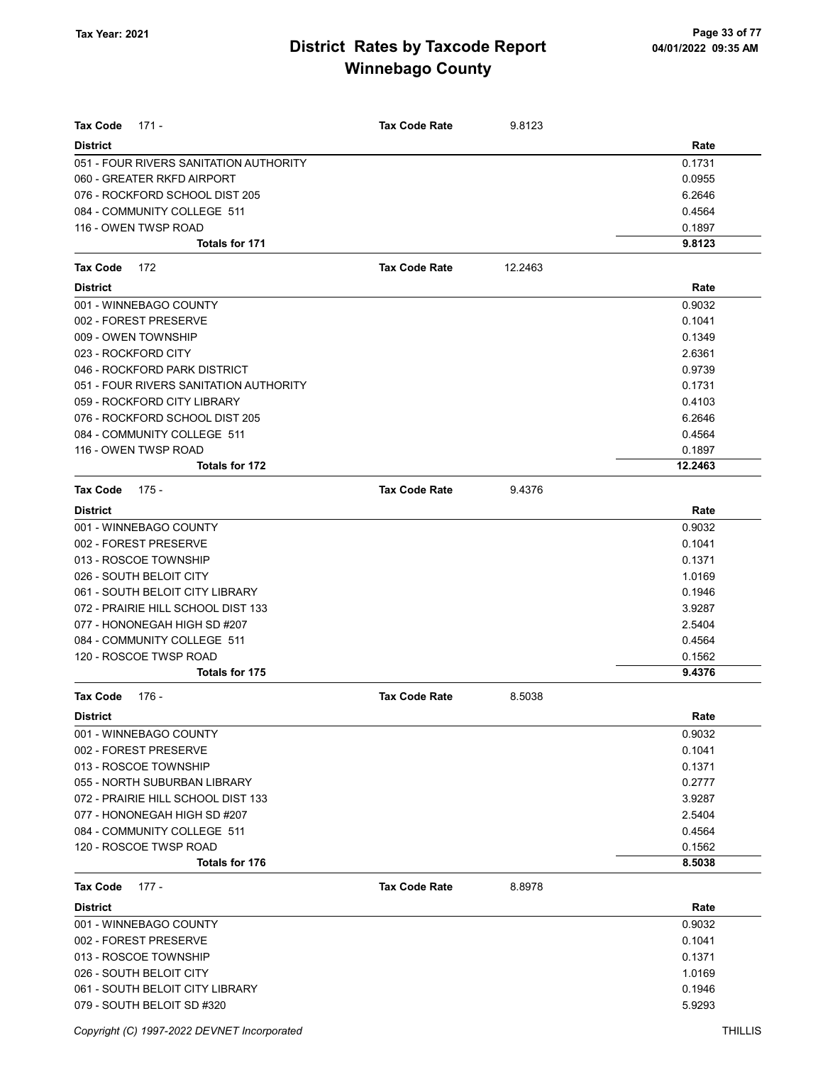| <b>Tax Code</b><br>171 -               | <b>Tax Code Rate</b> | 9.8123  |         |
|----------------------------------------|----------------------|---------|---------|
| <b>District</b>                        |                      |         | Rate    |
| 051 - FOUR RIVERS SANITATION AUTHORITY |                      |         | 0.1731  |
| 060 - GREATER RKFD AIRPORT             |                      |         | 0.0955  |
| 076 - ROCKFORD SCHOOL DIST 205         |                      |         | 6.2646  |
| 084 - COMMUNITY COLLEGE 511            |                      |         | 0.4564  |
| 116 - OWEN TWSP ROAD                   |                      |         | 0.1897  |
| <b>Totals for 171</b>                  |                      |         | 9.8123  |
| Tax Code<br>172                        | <b>Tax Code Rate</b> | 12.2463 |         |
| <b>District</b>                        |                      |         | Rate    |
| 001 - WINNEBAGO COUNTY                 |                      |         | 0.9032  |
| 002 - FOREST PRESERVE                  |                      |         | 0.1041  |
| 009 - OWEN TOWNSHIP                    |                      |         | 0.1349  |
| 023 - ROCKFORD CITY                    |                      |         | 2.6361  |
| 046 - ROCKFORD PARK DISTRICT           |                      |         | 0.9739  |
| 051 - FOUR RIVERS SANITATION AUTHORITY |                      |         | 0.1731  |
| 059 - ROCKFORD CITY LIBRARY            |                      |         | 0.4103  |
| 076 - ROCKFORD SCHOOL DIST 205         |                      |         | 6.2646  |
| 084 - COMMUNITY COLLEGE 511            |                      |         | 0.4564  |
| 116 - OWEN TWSP ROAD                   |                      |         | 0.1897  |
| Totals for 172                         |                      |         | 12.2463 |
| <b>Tax Code</b><br>175 -               | <b>Tax Code Rate</b> | 9.4376  |         |
| <b>District</b>                        |                      |         | Rate    |
| 001 - WINNEBAGO COUNTY                 |                      |         | 0.9032  |
| 002 - FOREST PRESERVE                  |                      |         | 0.1041  |
| 013 - ROSCOE TOWNSHIP                  |                      |         | 0.1371  |
| 026 - SOUTH BELOIT CITY                |                      |         | 1.0169  |
| 061 - SOUTH BELOIT CITY LIBRARY        |                      |         | 0.1946  |
| 072 - PRAIRIE HILL SCHOOL DIST 133     |                      |         | 3.9287  |
| 077 - HONONEGAH HIGH SD #207           |                      |         | 2.5404  |
| 084 - COMMUNITY COLLEGE 511            |                      |         | 0.4564  |
| 120 - ROSCOE TWSP ROAD                 |                      |         | 0.1562  |
| <b>Totals for 175</b>                  |                      |         | 9.4376  |
| Tax Code<br>176 -                      | <b>Tax Code Rate</b> | 8.5038  |         |
| District                               |                      |         | Rate    |
| 001 - WINNEBAGO COUNTY                 |                      |         | 0.9032  |
| 002 - FOREST PRESERVE                  |                      |         | 0.1041  |
| 013 - ROSCOE TOWNSHIP                  |                      |         | 0.1371  |
| 055 - NORTH SUBURBAN LIBRARY           |                      |         | 0.2777  |
| 072 - PRAIRIE HILL SCHOOL DIST 133     |                      |         | 3.9287  |
| 077 - HONONEGAH HIGH SD #207           |                      |         | 2.5404  |
| 084 - COMMUNITY COLLEGE 511            |                      |         | 0.4564  |
| 120 - ROSCOE TWSP ROAD                 |                      |         | 0.1562  |
| <b>Totals for 176</b>                  |                      |         | 8.5038  |
| $177 -$<br>Tax Code                    | <b>Tax Code Rate</b> | 8.8978  |         |
| <b>District</b>                        |                      |         | Rate    |
| 001 - WINNEBAGO COUNTY                 |                      |         | 0.9032  |
| 002 - FOREST PRESERVE                  |                      |         | 0.1041  |
| 013 - ROSCOE TOWNSHIP                  |                      |         | 0.1371  |
| 026 - SOUTH BELOIT CITY                |                      |         | 1.0169  |
| 061 - SOUTH BELOIT CITY LIBRARY        |                      |         | 0.1946  |
| 079 - SOUTH BELOIT SD #320             |                      |         | 5.9293  |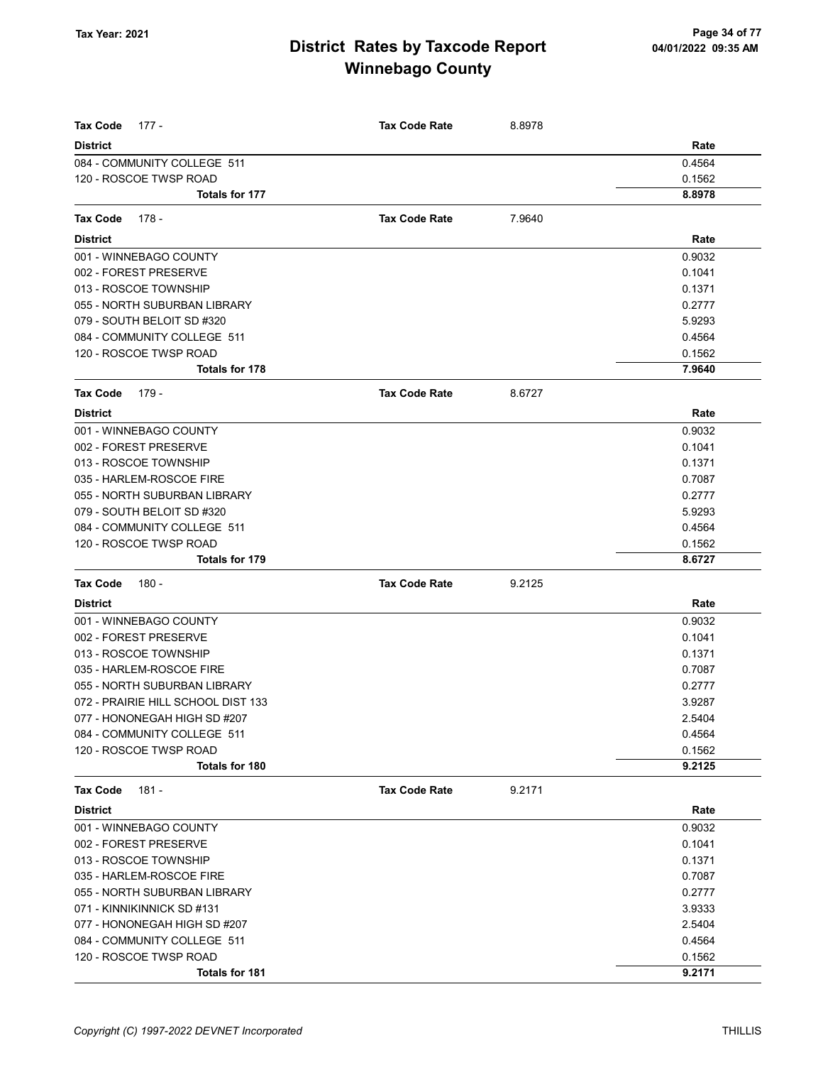| Tax Code<br>177 -                  | <b>Tax Code Rate</b> | 8.8978 |        |
|------------------------------------|----------------------|--------|--------|
| <b>District</b>                    |                      |        | Rate   |
| 084 - COMMUNITY COLLEGE 511        |                      |        | 0.4564 |
| 120 - ROSCOE TWSP ROAD             |                      |        | 0.1562 |
| Totals for 177                     |                      |        | 8.8978 |
| Tax Code<br>178 -                  | <b>Tax Code Rate</b> | 7.9640 |        |
| <b>District</b>                    |                      |        | Rate   |
| 001 - WINNEBAGO COUNTY             |                      |        | 0.9032 |
| 002 - FOREST PRESERVE              |                      |        | 0.1041 |
| 013 - ROSCOE TOWNSHIP              |                      |        | 0.1371 |
| 055 - NORTH SUBURBAN LIBRARY       |                      |        | 0.2777 |
| 079 - SOUTH BELOIT SD #320         |                      |        | 5.9293 |
| 084 - COMMUNITY COLLEGE 511        |                      |        | 0.4564 |
| 120 - ROSCOE TWSP ROAD             |                      |        | 0.1562 |
| Totals for 178                     |                      |        | 7.9640 |
|                                    |                      |        |        |
| Tax Code<br>179 -                  | <b>Tax Code Rate</b> | 8.6727 |        |
| <b>District</b>                    |                      |        | Rate   |
| 001 - WINNEBAGO COUNTY             |                      |        | 0.9032 |
| 002 - FOREST PRESERVE              |                      |        | 0.1041 |
| 013 - ROSCOE TOWNSHIP              |                      |        | 0.1371 |
| 035 - HARLEM-ROSCOE FIRE           |                      |        | 0.7087 |
| 055 - NORTH SUBURBAN LIBRARY       |                      |        | 0.2777 |
| 079 - SOUTH BELOIT SD #320         |                      |        | 5.9293 |
| 084 - COMMUNITY COLLEGE 511        |                      |        | 0.4564 |
| 120 - ROSCOE TWSP ROAD             |                      |        | 0.1562 |
| Totals for 179                     |                      |        | 8.6727 |
| <b>Tax Code</b><br>180 -           | <b>Tax Code Rate</b> | 9.2125 |        |
| <b>District</b>                    |                      |        | Rate   |
| 001 - WINNEBAGO COUNTY             |                      |        | 0.9032 |
| 002 - FOREST PRESERVE              |                      |        | 0.1041 |
| 013 - ROSCOE TOWNSHIP              |                      |        | 0.1371 |
| 035 - HARLEM-ROSCOE FIRE           |                      |        | 0.7087 |
| 055 - NORTH SUBURBAN LIBRARY       |                      |        | 0.2777 |
| 072 - PRAIRIE HILL SCHOOL DIST 133 |                      |        | 3.9287 |
| 077 - HONONEGAH HIGH SD #207       |                      |        | 2.5404 |
| 084 - COMMUNITY COLLEGE 511        |                      |        | 0.4564 |
| 120 - ROSCOE TWSP ROAD             |                      |        | 0.1562 |
| <b>Totals for 180</b>              |                      |        | 9.2125 |
| $181 -$<br>Tax Code                | <b>Tax Code Rate</b> | 9.2171 |        |
| <b>District</b>                    |                      |        | Rate   |
| 001 - WINNEBAGO COUNTY             |                      |        | 0.9032 |
| 002 - FOREST PRESERVE              |                      |        | 0.1041 |
| 013 - ROSCOE TOWNSHIP              |                      |        | 0.1371 |
| 035 - HARLEM-ROSCOE FIRE           |                      |        | 0.7087 |
| 055 - NORTH SUBURBAN LIBRARY       |                      |        | 0.2777 |
| 071 - KINNIKINNICK SD #131         |                      |        | 3.9333 |
| 077 - HONONEGAH HIGH SD #207       |                      |        | 2.5404 |
| 084 - COMMUNITY COLLEGE 511        |                      |        | 0.4564 |
| 120 - ROSCOE TWSP ROAD             |                      |        | 0.1562 |
| Totals for 181                     |                      |        | 9.2171 |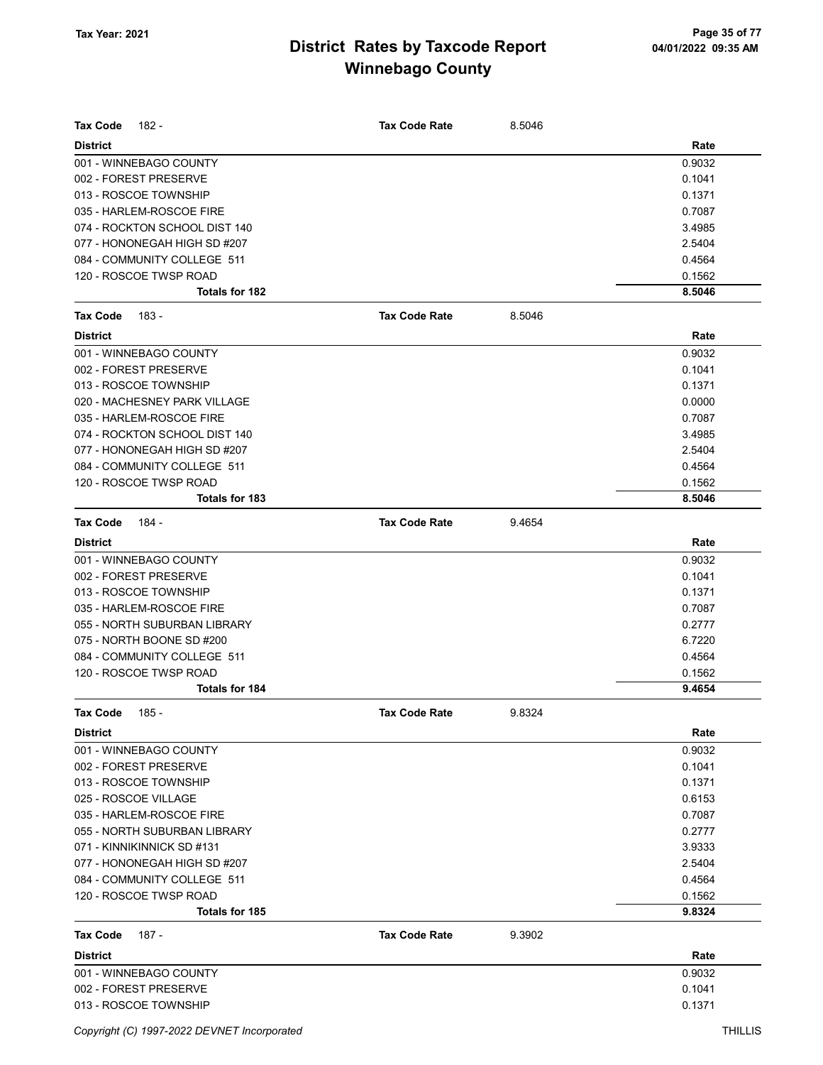| Tax Code<br>182 -             | <b>Tax Code Rate</b> | 8.5046 |        |
|-------------------------------|----------------------|--------|--------|
| <b>District</b>               |                      |        | Rate   |
| 001 - WINNEBAGO COUNTY        |                      |        | 0.9032 |
| 002 - FOREST PRESERVE         |                      |        | 0.1041 |
| 013 - ROSCOE TOWNSHIP         |                      |        | 0.1371 |
| 035 - HARLEM-ROSCOE FIRE      |                      |        | 0.7087 |
| 074 - ROCKTON SCHOOL DIST 140 |                      |        | 3.4985 |
| 077 - HONONEGAH HIGH SD #207  |                      |        | 2.5404 |
| 084 - COMMUNITY COLLEGE 511   |                      |        | 0.4564 |
| 120 - ROSCOE TWSP ROAD        |                      |        | 0.1562 |
| <b>Totals for 182</b>         |                      |        | 8.5046 |
| <b>Tax Code</b><br>183 -      | <b>Tax Code Rate</b> | 8.5046 |        |
| <b>District</b>               |                      |        | Rate   |
| 001 - WINNEBAGO COUNTY        |                      |        | 0.9032 |
| 002 - FOREST PRESERVE         |                      |        | 0.1041 |
| 013 - ROSCOE TOWNSHIP         |                      |        | 0.1371 |
| 020 - MACHESNEY PARK VILLAGE  |                      |        | 0.0000 |
| 035 - HARLEM-ROSCOE FIRE      |                      |        | 0.7087 |
| 074 - ROCKTON SCHOOL DIST 140 |                      |        | 3.4985 |
| 077 - HONONEGAH HIGH SD #207  |                      |        | 2.5404 |
| 084 - COMMUNITY COLLEGE 511   |                      |        | 0.4564 |
| 120 - ROSCOE TWSP ROAD        |                      |        | 0.1562 |
| <b>Totals for 183</b>         |                      |        | 8.5046 |
| <b>Tax Code</b><br>184 -      | <b>Tax Code Rate</b> | 9.4654 |        |
| <b>District</b>               |                      |        | Rate   |
| 001 - WINNEBAGO COUNTY        |                      |        | 0.9032 |
| 002 - FOREST PRESERVE         |                      |        | 0.1041 |
| 013 - ROSCOE TOWNSHIP         |                      |        | 0.1371 |
| 035 - HARLEM-ROSCOE FIRE      |                      |        | 0.7087 |
| 055 - NORTH SUBURBAN LIBRARY  |                      |        | 0.2777 |
| 075 - NORTH BOONE SD #200     |                      |        | 6.7220 |
| 084 - COMMUNITY COLLEGE 511   |                      |        | 0.4564 |
| 120 - ROSCOE TWSP ROAD        |                      |        | 0.1562 |
| <b>Totals for 184</b>         |                      |        | 9.4654 |
| Tax Code<br>185 -             | <b>Tax Code Rate</b> | 9.8324 |        |
| <b>District</b>               |                      |        | Rate   |
| 001 - WINNEBAGO COUNTY        |                      |        | 0.9032 |
| 002 - FOREST PRESERVE         |                      |        | 0.1041 |
| 013 - ROSCOE TOWNSHIP         |                      |        | 0.1371 |
| 025 - ROSCOE VILLAGE          |                      |        | 0.6153 |
| 035 - HARLEM-ROSCOE FIRE      |                      |        | 0.7087 |
| 055 - NORTH SUBURBAN LIBRARY  |                      |        | 0.2777 |
| 071 - KINNIKINNICK SD #131    |                      |        | 3.9333 |
| 077 - HONONEGAH HIGH SD #207  |                      |        | 2.5404 |
| 084 - COMMUNITY COLLEGE 511   |                      |        | 0.4564 |
| 120 - ROSCOE TWSP ROAD        |                      |        | 0.1562 |
| <b>Totals for 185</b>         |                      |        | 9.8324 |
| 187 -<br>Tax Code             | <b>Tax Code Rate</b> | 9.3902 |        |
| <b>District</b>               |                      |        | Rate   |
| 001 - WINNEBAGO COUNTY        |                      |        | 0.9032 |
| 002 - FOREST PRESERVE         |                      |        | 0.1041 |
| 013 - ROSCOE TOWNSHIP         |                      |        | 0.1371 |

Copyright (C) 1997-2022 DEVNET Incorporated THILLIS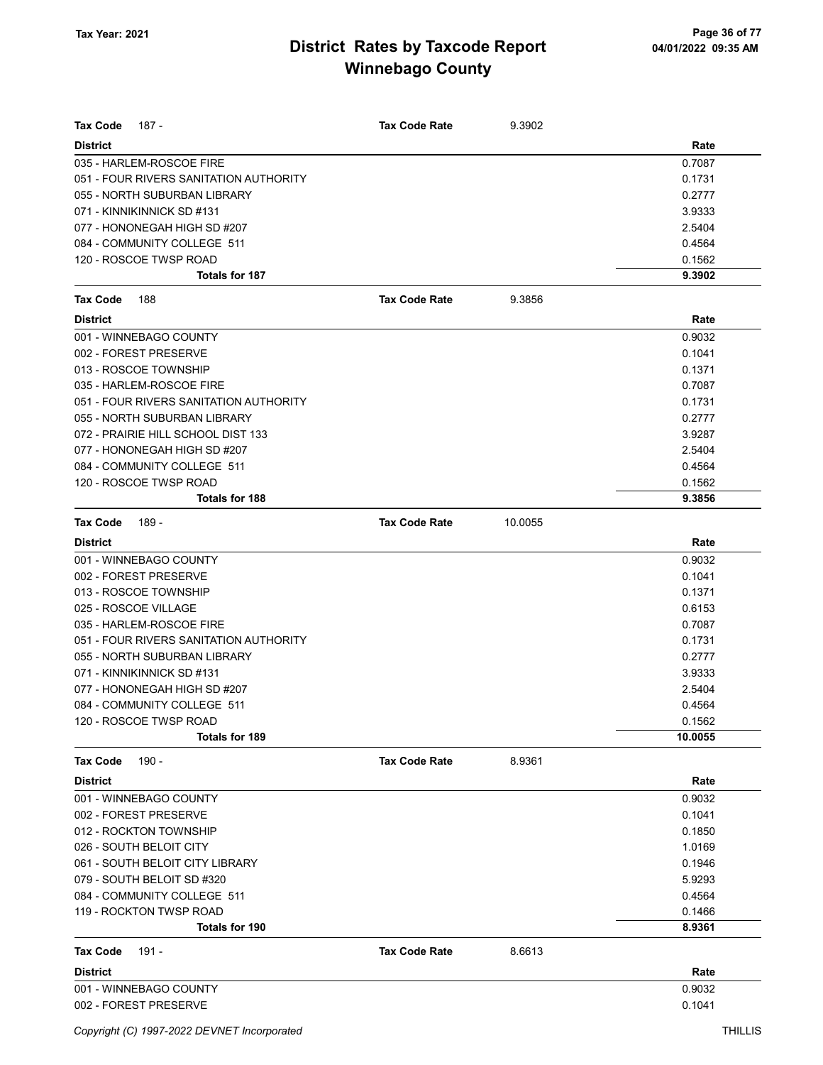| Tax Code<br>187 -                                          | <b>Tax Code Rate</b> | 9.3902  |                  |
|------------------------------------------------------------|----------------------|---------|------------------|
| <b>District</b>                                            |                      |         | Rate             |
| 035 - HARLEM-ROSCOE FIRE                                   |                      |         | 0.7087           |
| 051 - FOUR RIVERS SANITATION AUTHORITY                     |                      |         | 0.1731           |
| 055 - NORTH SUBURBAN LIBRARY                               |                      |         | 0.2777           |
| 071 - KINNIKINNICK SD #131                                 |                      |         | 3.9333           |
| 077 - HONONEGAH HIGH SD #207                               |                      |         | 2.5404           |
| 084 - COMMUNITY COLLEGE 511                                |                      |         | 0.4564           |
| 120 - ROSCOE TWSP ROAD                                     |                      |         | 0.1562           |
| <b>Totals for 187</b>                                      |                      |         | 9.3902           |
| Tax Code<br>188                                            | <b>Tax Code Rate</b> | 9.3856  |                  |
| <b>District</b>                                            |                      |         | Rate             |
| 001 - WINNEBAGO COUNTY                                     |                      |         | 0.9032           |
| 002 - FOREST PRESERVE                                      |                      |         | 0.1041           |
| 013 - ROSCOE TOWNSHIP                                      |                      |         | 0.1371           |
| 035 - HARLEM-ROSCOE FIRE                                   |                      |         | 0.7087           |
| 051 - FOUR RIVERS SANITATION AUTHORITY                     |                      |         | 0.1731           |
| 055 - NORTH SUBURBAN LIBRARY                               |                      |         | 0.2777           |
| 072 - PRAIRIE HILL SCHOOL DIST 133                         |                      |         | 3.9287           |
| 077 - HONONEGAH HIGH SD #207                               |                      |         | 2.5404           |
| 084 - COMMUNITY COLLEGE 511                                |                      |         | 0.4564           |
| 120 - ROSCOE TWSP ROAD                                     |                      |         | 0.1562           |
| Totals for 188                                             |                      |         | 9.3856           |
| Tax Code<br>189 -                                          | <b>Tax Code Rate</b> | 10.0055 |                  |
| <b>District</b>                                            |                      |         | Rate             |
| 001 - WINNEBAGO COUNTY                                     |                      |         | 0.9032           |
| 002 - FOREST PRESERVE                                      |                      |         | 0.1041           |
| 013 - ROSCOE TOWNSHIP                                      |                      |         | 0.1371           |
| 025 - ROSCOE VILLAGE                                       |                      |         | 0.6153           |
| 035 - HARLEM-ROSCOE FIRE                                   |                      |         | 0.7087           |
| 051 - FOUR RIVERS SANITATION AUTHORITY                     |                      |         | 0.1731           |
| 055 - NORTH SUBURBAN LIBRARY                               |                      |         | 0.2777           |
| 071 - KINNIKINNICK SD #131<br>077 - HONONEGAH HIGH SD #207 |                      |         | 3.9333           |
|                                                            |                      |         | 2.5404           |
| 084 - COMMUNITY COLLEGE 511<br>120 - ROSCOE TWSP ROAD      |                      |         | 0.4564<br>0.1562 |
| Totals for 189                                             |                      |         | 10.0055          |
| $190 -$<br>Tax Code                                        | <b>Tax Code Rate</b> | 8.9361  |                  |
| <b>District</b>                                            |                      |         | Rate             |
| 001 - WINNEBAGO COUNTY                                     |                      |         | 0.9032           |
| 002 - FOREST PRESERVE                                      |                      |         | 0.1041           |
| 012 - ROCKTON TOWNSHIP                                     |                      |         | 0.1850           |
| 026 - SOUTH BELOIT CITY                                    |                      |         | 1.0169           |
| 061 - SOUTH BELOIT CITY LIBRARY                            |                      |         | 0.1946           |
| 079 - SOUTH BELOIT SD #320                                 |                      |         | 5.9293           |
| 084 - COMMUNITY COLLEGE 511                                |                      |         | 0.4564           |
| 119 - ROCKTON TWSP ROAD                                    |                      |         | 0.1466           |
| Totals for 190                                             |                      |         | 8.9361           |
| Tax Code<br>191 -                                          | <b>Tax Code Rate</b> | 8.6613  |                  |
| <b>District</b>                                            |                      |         | Rate             |
| 001 - WINNEBAGO COUNTY                                     |                      |         | 0.9032           |
| 002 - FOREST PRESERVE                                      |                      |         | 0.1041           |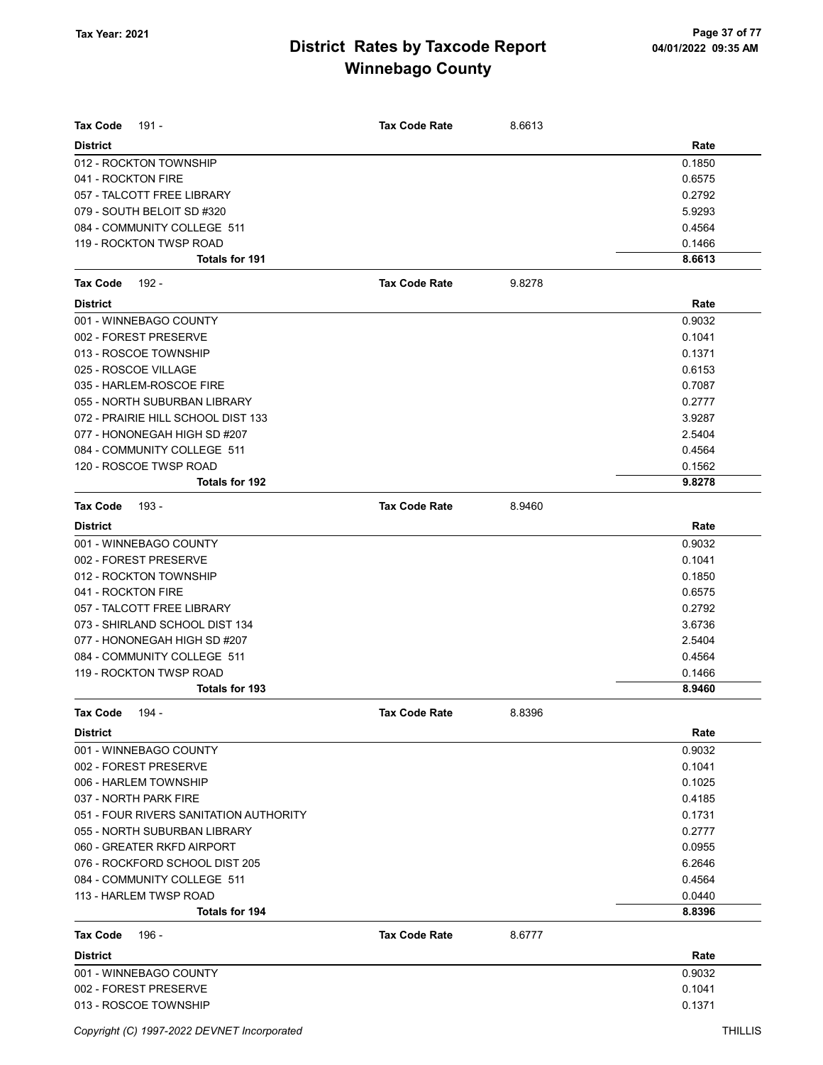| <b>Tax Code</b><br>191 -                 | <b>Tax Code Rate</b> | 8.6613 |                  |
|------------------------------------------|----------------------|--------|------------------|
| <b>District</b>                          |                      |        | Rate             |
| 012 - ROCKTON TOWNSHIP                   |                      |        | 0.1850           |
| 041 - ROCKTON FIRE                       |                      |        | 0.6575           |
| 057 - TALCOTT FREE LIBRARY               |                      |        | 0.2792           |
| 079 - SOUTH BELOIT SD #320               |                      |        | 5.9293           |
| 084 - COMMUNITY COLLEGE 511              |                      |        | 0.4564           |
| 119 - ROCKTON TWSP ROAD                  |                      |        | 0.1466           |
| <b>Totals for 191</b>                    |                      |        | 8.6613           |
| <b>Tax Code</b><br>192 -                 | <b>Tax Code Rate</b> | 9.8278 |                  |
| <b>District</b>                          |                      |        | Rate             |
| 001 - WINNEBAGO COUNTY                   |                      |        | 0.9032           |
| 002 - FOREST PRESERVE                    |                      |        | 0.1041           |
| 013 - ROSCOE TOWNSHIP                    |                      |        | 0.1371           |
| 025 - ROSCOE VILLAGE                     |                      |        | 0.6153           |
| 035 - HARLEM-ROSCOE FIRE                 |                      |        | 0.7087           |
| 055 - NORTH SUBURBAN LIBRARY             |                      |        | 0.2777           |
| 072 - PRAIRIE HILL SCHOOL DIST 133       |                      |        | 3.9287           |
| 077 - HONONEGAH HIGH SD #207             |                      |        | 2.5404           |
| 084 - COMMUNITY COLLEGE 511              |                      |        | 0.4564           |
| 120 - ROSCOE TWSP ROAD                   |                      |        | 0.1562           |
| Totals for 192                           |                      |        | 9.8278           |
| Tax Code<br>193 -                        | <b>Tax Code Rate</b> | 8.9460 |                  |
| <b>District</b>                          |                      |        | Rate             |
| 001 - WINNEBAGO COUNTY                   |                      |        | 0.9032           |
| 002 - FOREST PRESERVE                    |                      |        | 0.1041           |
| 012 - ROCKTON TOWNSHIP                   |                      |        | 0.1850           |
| 041 - ROCKTON FIRE                       |                      |        | 0.6575           |
| 057 - TALCOTT FREE LIBRARY               |                      |        | 0.2792           |
| 073 - SHIRLAND SCHOOL DIST 134           |                      |        | 3.6736           |
| 077 - HONONEGAH HIGH SD #207             |                      |        | 2.5404           |
| 084 - COMMUNITY COLLEGE 511              |                      |        | 0.4564           |
| 119 - ROCKTON TWSP ROAD                  |                      |        | 0.1466           |
| <b>Totals for 193</b>                    |                      |        | 8.9460           |
| <b>Tax Code</b><br>194 -                 | <b>Tax Code Rate</b> | 8.8396 |                  |
| <b>District</b>                          |                      |        | Rate             |
| 001 - WINNEBAGO COUNTY                   |                      |        | 0.9032           |
| 002 - FOREST PRESERVE                    |                      |        | 0.1041           |
| 006 - HARLEM TOWNSHIP                    |                      |        | 0.1025           |
| 037 - NORTH PARK FIRE                    |                      |        | 0.4185           |
| 051 - FOUR RIVERS SANITATION AUTHORITY   |                      |        | 0.1731           |
| 055 - NORTH SUBURBAN LIBRARY             |                      |        | 0.2777           |
| 060 - GREATER RKFD AIRPORT               |                      |        | 0.0955           |
| 076 - ROCKFORD SCHOOL DIST 205           |                      |        | 6.2646           |
| 084 - COMMUNITY COLLEGE 511              |                      |        | 0.4564           |
| 113 - HARLEM TWSP ROAD<br>Totals for 194 |                      |        | 0.0440<br>8.8396 |
|                                          |                      |        |                  |
| 196 -<br>Tax Code<br><b>District</b>     | <b>Tax Code Rate</b> | 8.6777 | Rate             |
| 001 - WINNEBAGO COUNTY                   |                      |        | 0.9032           |
| 002 - FOREST PRESERVE                    |                      |        | 0.1041           |
| 013 - ROSCOE TOWNSHIP                    |                      |        | 0.1371           |
|                                          |                      |        |                  |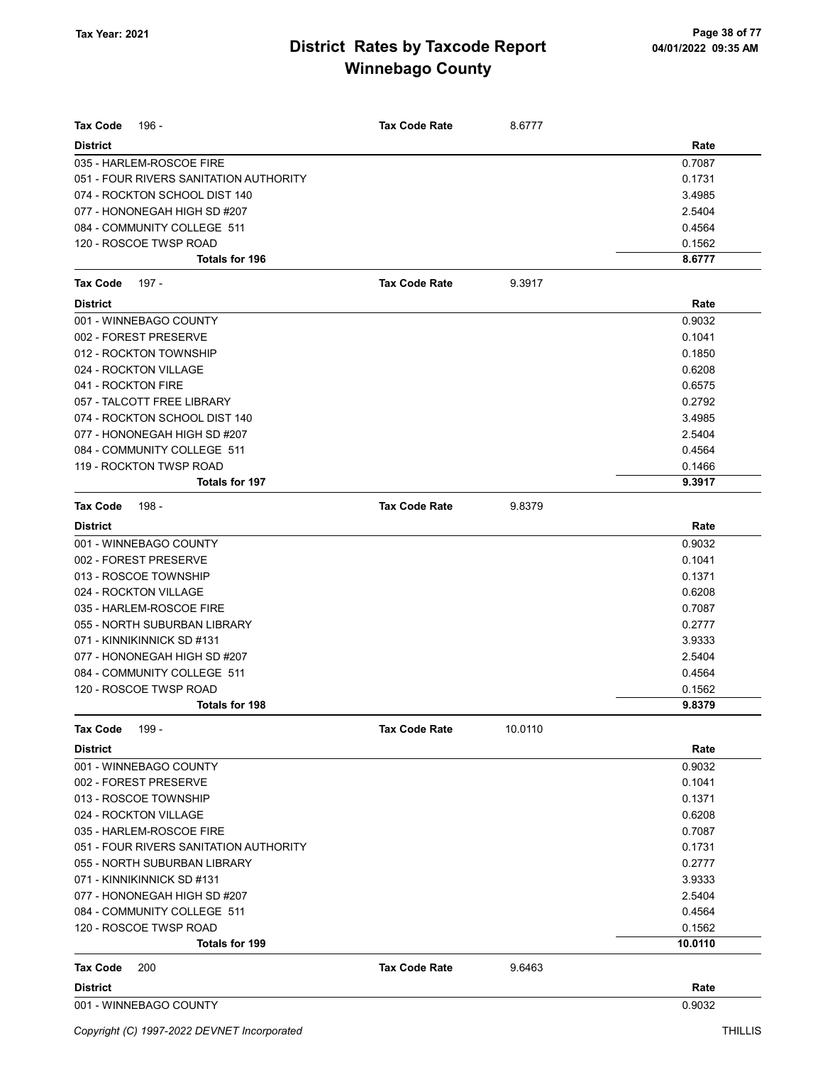| <b>Tax Code</b><br>196 -               | <b>Tax Code Rate</b> | 8.6777  |         |
|----------------------------------------|----------------------|---------|---------|
| <b>District</b>                        |                      |         | Rate    |
| 035 - HARLEM-ROSCOE FIRE               |                      |         | 0.7087  |
| 051 - FOUR RIVERS SANITATION AUTHORITY |                      |         | 0.1731  |
| 074 - ROCKTON SCHOOL DIST 140          |                      |         | 3.4985  |
| 077 - HONONEGAH HIGH SD #207           |                      |         | 2.5404  |
| 084 - COMMUNITY COLLEGE 511            |                      |         | 0.4564  |
| 120 - ROSCOE TWSP ROAD                 |                      |         | 0.1562  |
| <b>Totals for 196</b>                  |                      |         | 8.6777  |
| Tax Code<br>197 -                      | <b>Tax Code Rate</b> | 9.3917  |         |
| <b>District</b>                        |                      |         | Rate    |
| 001 - WINNEBAGO COUNTY                 |                      |         | 0.9032  |
| 002 - FOREST PRESERVE                  |                      |         | 0.1041  |
| 012 - ROCKTON TOWNSHIP                 |                      |         | 0.1850  |
| 024 - ROCKTON VILLAGE                  |                      |         | 0.6208  |
| 041 - ROCKTON FIRE                     |                      |         | 0.6575  |
| 057 - TALCOTT FREE LIBRARY             |                      |         | 0.2792  |
| 074 - ROCKTON SCHOOL DIST 140          |                      |         | 3.4985  |
| 077 - HONONEGAH HIGH SD #207           |                      |         | 2.5404  |
| 084 - COMMUNITY COLLEGE 511            |                      |         | 0.4564  |
| 119 - ROCKTON TWSP ROAD                |                      |         | 0.1466  |
| <b>Totals for 197</b>                  |                      |         | 9.3917  |
| <b>Tax Code</b><br>198 -               | <b>Tax Code Rate</b> | 9.8379  |         |
| <b>District</b>                        |                      |         | Rate    |
| 001 - WINNEBAGO COUNTY                 |                      |         | 0.9032  |
| 002 - FOREST PRESERVE                  |                      |         | 0.1041  |
| 013 - ROSCOE TOWNSHIP                  |                      |         | 0.1371  |
| 024 - ROCKTON VILLAGE                  |                      |         | 0.6208  |
| 035 - HARLEM-ROSCOE FIRE               |                      |         | 0.7087  |
| 055 - NORTH SUBURBAN LIBRARY           |                      |         | 0.2777  |
| 071 - KINNIKINNICK SD #131             |                      |         | 3.9333  |
| 077 - HONONEGAH HIGH SD #207           |                      |         | 2.5404  |
| 084 - COMMUNITY COLLEGE 511            |                      |         | 0.4564  |
| 120 - ROSCOE TWSP ROAD                 |                      |         | 0.1562  |
| Totals for 198                         |                      |         | 9.8379  |
| <b>Tax Code</b><br>199 -               | <b>Tax Code Rate</b> | 10.0110 |         |
| <b>District</b>                        |                      |         | Rate    |
| 001 - WINNEBAGO COUNTY                 |                      |         | 0.9032  |
| 002 - FOREST PRESERVE                  |                      |         | 0.1041  |
| 013 - ROSCOE TOWNSHIP                  |                      |         | 0.1371  |
| 024 - ROCKTON VILLAGE                  |                      |         | 0.6208  |
| 035 - HARLEM-ROSCOE FIRE               |                      |         | 0.7087  |
| 051 - FOUR RIVERS SANITATION AUTHORITY |                      |         | 0.1731  |
| 055 - NORTH SUBURBAN LIBRARY           |                      |         | 0.2777  |
| 071 - KINNIKINNICK SD #131             |                      |         | 3.9333  |
| 077 - HONONEGAH HIGH SD #207           |                      |         | 2.5404  |
| 084 - COMMUNITY COLLEGE 511            |                      |         | 0.4564  |
| 120 - ROSCOE TWSP ROAD                 |                      |         | 0.1562  |
| <b>Totals for 199</b>                  |                      |         | 10.0110 |
| 200<br>Tax Code                        | <b>Tax Code Rate</b> | 9.6463  |         |
| <b>District</b>                        |                      |         | Rate    |
| 001 - WINNEBAGO COUNTY                 |                      |         | 0.9032  |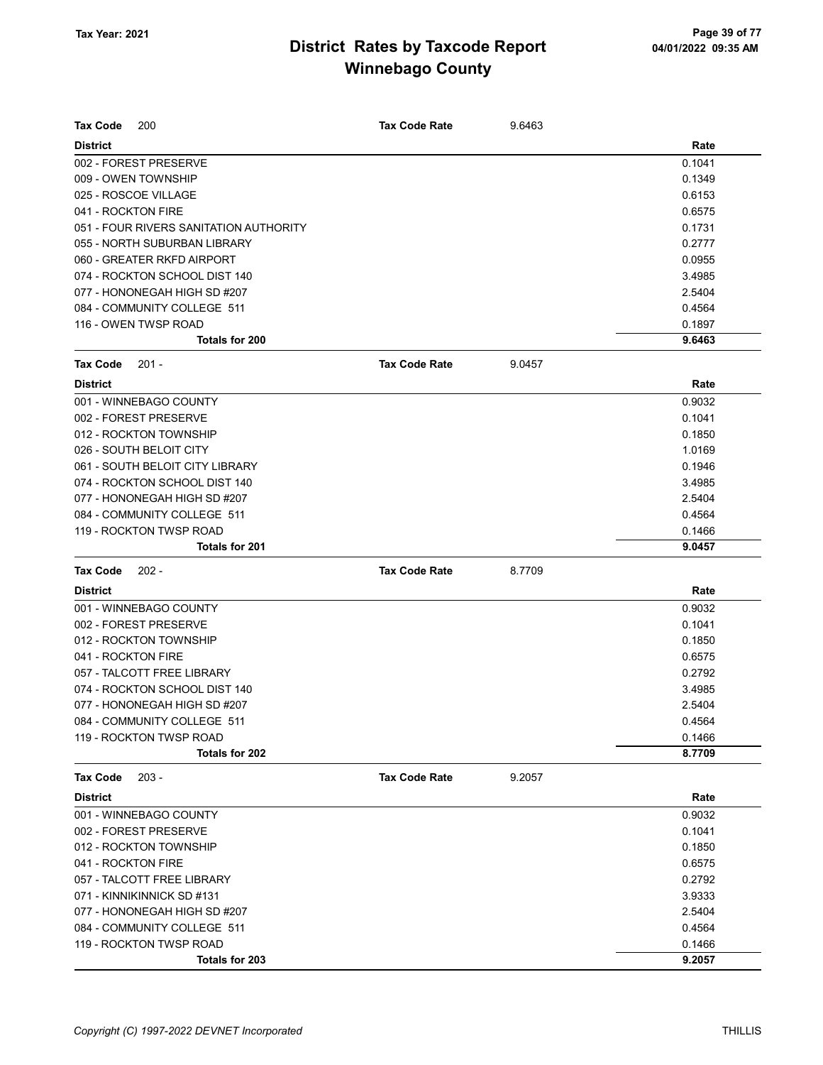| <b>Tax Code</b><br>200                 | <b>Tax Code Rate</b> | 9.6463 |        |
|----------------------------------------|----------------------|--------|--------|
| <b>District</b>                        |                      |        | Rate   |
| 002 - FOREST PRESERVE                  |                      |        | 0.1041 |
| 009 - OWEN TOWNSHIP                    |                      |        | 0.1349 |
| 025 - ROSCOE VILLAGE                   |                      |        | 0.6153 |
| 041 - ROCKTON FIRE                     |                      |        | 0.6575 |
| 051 - FOUR RIVERS SANITATION AUTHORITY |                      |        | 0.1731 |
| 055 - NORTH SUBURBAN LIBRARY           |                      |        | 0.2777 |
| 060 - GREATER RKFD AIRPORT             |                      |        | 0.0955 |
| 074 - ROCKTON SCHOOL DIST 140          |                      |        | 3.4985 |
| 077 - HONONEGAH HIGH SD #207           |                      |        | 2.5404 |
| 084 - COMMUNITY COLLEGE 511            |                      |        | 0.4564 |
| 116 - OWEN TWSP ROAD                   |                      |        | 0.1897 |
| Totals for 200                         |                      |        | 9.6463 |
| 201 -<br><b>Tax Code</b>               | <b>Tax Code Rate</b> | 9.0457 |        |
| <b>District</b>                        |                      |        | Rate   |
| 001 - WINNEBAGO COUNTY                 |                      |        | 0.9032 |
| 002 - FOREST PRESERVE                  |                      |        | 0.1041 |
| 012 - ROCKTON TOWNSHIP                 |                      |        | 0.1850 |
| 026 - SOUTH BELOIT CITY                |                      |        | 1.0169 |
| 061 - SOUTH BELOIT CITY LIBRARY        |                      |        | 0.1946 |
| 074 - ROCKTON SCHOOL DIST 140          |                      |        | 3.4985 |
| 077 - HONONEGAH HIGH SD #207           |                      |        | 2.5404 |
| 084 - COMMUNITY COLLEGE 511            |                      |        | 0.4564 |
| 119 - ROCKTON TWSP ROAD                |                      |        | 0.1466 |
| <b>Totals for 201</b>                  |                      |        | 9.0457 |
| <b>Tax Code</b><br>$202 -$             | <b>Tax Code Rate</b> | 8.7709 |        |
| <b>District</b>                        |                      |        | Rate   |
| 001 - WINNEBAGO COUNTY                 |                      |        | 0.9032 |
| 002 - FOREST PRESERVE                  |                      |        | 0.1041 |
| 012 - ROCKTON TOWNSHIP                 |                      |        | 0.1850 |
| 041 - ROCKTON FIRE                     |                      |        | 0.6575 |
| 057 - TALCOTT FREE LIBRARY             |                      |        | 0.2792 |
| 074 - ROCKTON SCHOOL DIST 140          |                      |        | 3.4985 |
| 077 - HONONEGAH HIGH SD #207           |                      |        | 2.5404 |
| 084 - COMMUNITY COLLEGE 511            |                      |        | 0.4564 |
| 119 - ROCKTON TWSP ROAD                |                      |        | 0.1466 |
| Totals for 202                         |                      |        | 8.7709 |
| <b>Tax Code</b><br>$203 -$             | <b>Tax Code Rate</b> | 9.2057 |        |
| <b>District</b>                        |                      |        | Rate   |
| 001 - WINNEBAGO COUNTY                 |                      |        | 0.9032 |
| 002 - FOREST PRESERVE                  |                      |        | 0.1041 |
| 012 - ROCKTON TOWNSHIP                 |                      |        | 0.1850 |
| 041 - ROCKTON FIRE                     |                      |        | 0.6575 |
| 057 - TALCOTT FREE LIBRARY             |                      |        | 0.2792 |
| 071 - KINNIKINNICK SD #131             |                      |        | 3.9333 |
| 077 - HONONEGAH HIGH SD #207           |                      |        | 2.5404 |
| 084 - COMMUNITY COLLEGE 511            |                      |        | 0.4564 |
| 119 - ROCKTON TWSP ROAD                |                      |        | 0.1466 |
| Totals for 203                         |                      |        | 9.2057 |
|                                        |                      |        |        |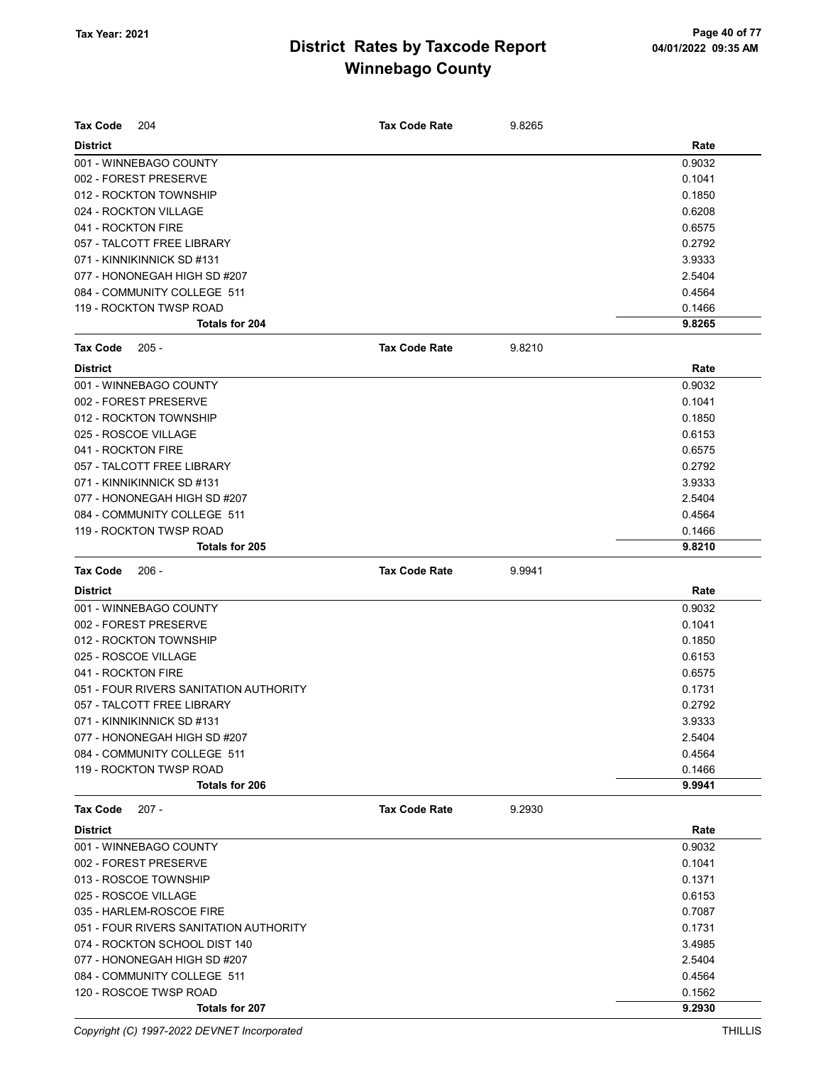| <b>Tax Code</b><br>204                 | <b>Tax Code Rate</b> | 9.8265 |        |
|----------------------------------------|----------------------|--------|--------|
| <b>District</b>                        |                      |        | Rate   |
| 001 - WINNEBAGO COUNTY                 |                      |        | 0.9032 |
| 002 - FOREST PRESERVE                  |                      |        | 0.1041 |
| 012 - ROCKTON TOWNSHIP                 |                      |        | 0.1850 |
| 024 - ROCKTON VILLAGE                  |                      |        | 0.6208 |
| 041 - ROCKTON FIRE                     |                      |        | 0.6575 |
| 057 - TALCOTT FREE LIBRARY             |                      |        | 0.2792 |
| 071 - KINNIKINNICK SD #131             |                      |        | 3.9333 |
| 077 - HONONEGAH HIGH SD #207           |                      |        | 2.5404 |
| 084 - COMMUNITY COLLEGE 511            |                      |        | 0.4564 |
| 119 - ROCKTON TWSP ROAD                |                      |        | 0.1466 |
| Totals for 204                         |                      |        | 9.8265 |
| <b>Tax Code</b><br>$205 -$             | <b>Tax Code Rate</b> | 9.8210 |        |
| <b>District</b>                        |                      |        | Rate   |
| 001 - WINNEBAGO COUNTY                 |                      |        | 0.9032 |
| 002 - FOREST PRESERVE                  |                      |        | 0.1041 |
| 012 - ROCKTON TOWNSHIP                 |                      |        | 0.1850 |
| 025 - ROSCOE VILLAGE                   |                      |        | 0.6153 |
| 041 - ROCKTON FIRE                     |                      |        | 0.6575 |
| 057 - TALCOTT FREE LIBRARY             |                      |        | 0.2792 |
| 071 - KINNIKINNICK SD #131             |                      |        | 3.9333 |
| 077 - HONONEGAH HIGH SD #207           |                      |        | 2.5404 |
| 084 - COMMUNITY COLLEGE 511            |                      |        | 0.4564 |
| 119 - ROCKTON TWSP ROAD                |                      |        | 0.1466 |
| Totals for 205                         |                      |        | 9.8210 |
|                                        |                      |        |        |
| <b>Tax Code</b><br>$206 -$             | <b>Tax Code Rate</b> | 9.9941 |        |
| <b>District</b>                        |                      |        | Rate   |
| 001 - WINNEBAGO COUNTY                 |                      |        | 0.9032 |
| 002 - FOREST PRESERVE                  |                      |        | 0.1041 |
| 012 - ROCKTON TOWNSHIP                 |                      |        | 0.1850 |
| 025 - ROSCOE VILLAGE                   |                      |        | 0.6153 |
| 041 - ROCKTON FIRE                     |                      |        | 0.6575 |
| 051 - FOUR RIVERS SANITATION AUTHORITY |                      |        | 0.1731 |
| 057 - TALCOTT FREE LIBRARY             |                      |        | 0.2792 |
| 071 - KINNIKINNICK SD #131             |                      |        | 3.9333 |
| 077 - HONONEGAH HIGH SD #207           |                      |        | 2.5404 |
| 084 - COMMUNITY COLLEGE 511            |                      |        | 0.4564 |
| 119 - ROCKTON TWSP ROAD                |                      |        | 0.1466 |
| Totals for 206                         |                      |        | 9.9941 |
| $207 -$<br>Tax Code                    | <b>Tax Code Rate</b> | 9.2930 |        |
| <b>District</b>                        |                      |        | Rate   |
| 001 - WINNEBAGO COUNTY                 |                      |        | 0.9032 |
| 002 - FOREST PRESERVE                  |                      |        | 0.1041 |
| 013 - ROSCOE TOWNSHIP                  |                      |        | 0.1371 |
| 025 - ROSCOE VILLAGE                   |                      |        | 0.6153 |
| 035 - HARLEM-ROSCOE FIRE               |                      |        | 0.7087 |
| 051 - FOUR RIVERS SANITATION AUTHORITY |                      |        | 0.1731 |
|                                        |                      |        |        |
| 074 - ROCKTON SCHOOL DIST 140          |                      |        | 3.4985 |
| 077 - HONONEGAH HIGH SD #207           |                      |        | 2.5404 |
| 084 - COMMUNITY COLLEGE 511            |                      |        | 0.4564 |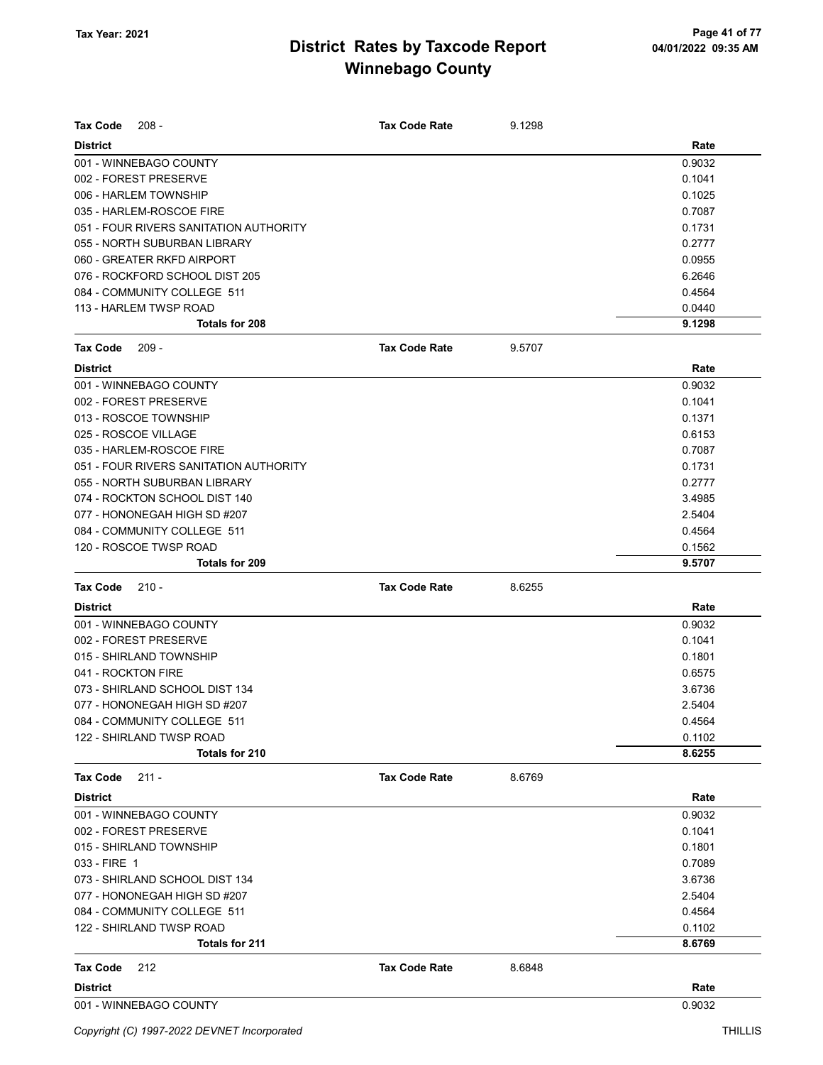| Tax Code           | $208 -$                                | <b>Tax Code Rate</b> | 9.1298 |        |
|--------------------|----------------------------------------|----------------------|--------|--------|
| <b>District</b>    |                                        |                      |        | Rate   |
|                    | 001 - WINNEBAGO COUNTY                 |                      |        | 0.9032 |
|                    | 002 - FOREST PRESERVE                  |                      |        | 0.1041 |
|                    | 006 - HARLEM TOWNSHIP                  |                      |        | 0.1025 |
|                    | 035 - HARLEM-ROSCOE FIRE               |                      |        | 0.7087 |
|                    | 051 - FOUR RIVERS SANITATION AUTHORITY |                      |        | 0.1731 |
|                    | 055 - NORTH SUBURBAN LIBRARY           |                      |        | 0.2777 |
|                    | 060 - GREATER RKFD AIRPORT             |                      |        | 0.0955 |
|                    | 076 - ROCKFORD SCHOOL DIST 205         |                      |        | 6.2646 |
|                    | 084 - COMMUNITY COLLEGE 511            |                      |        | 0.4564 |
|                    | 113 - HARLEM TWSP ROAD                 |                      |        | 0.0440 |
|                    | Totals for 208                         |                      |        | 9.1298 |
| <b>Tax Code</b>    | $209 -$                                | <b>Tax Code Rate</b> | 9.5707 |        |
| <b>District</b>    |                                        |                      |        | Rate   |
|                    | 001 - WINNEBAGO COUNTY                 |                      |        | 0.9032 |
|                    | 002 - FOREST PRESERVE                  |                      |        | 0.1041 |
|                    | 013 - ROSCOE TOWNSHIP                  |                      |        | 0.1371 |
|                    | 025 - ROSCOE VILLAGE                   |                      |        | 0.6153 |
|                    | 035 - HARLEM-ROSCOE FIRE               |                      |        | 0.7087 |
|                    | 051 - FOUR RIVERS SANITATION AUTHORITY |                      |        | 0.1731 |
|                    | 055 - NORTH SUBURBAN LIBRARY           |                      |        | 0.2777 |
|                    | 074 - ROCKTON SCHOOL DIST 140          |                      |        | 3.4985 |
|                    | 077 - HONONEGAH HIGH SD #207           |                      |        | 2.5404 |
|                    | 084 - COMMUNITY COLLEGE 511            |                      |        | 0.4564 |
|                    | 120 - ROSCOE TWSP ROAD                 |                      |        | 0.1562 |
|                    | Totals for 209                         |                      |        | 9.5707 |
| <b>Tax Code</b>    | $210 -$                                | <b>Tax Code Rate</b> | 8.6255 |        |
| <b>District</b>    |                                        |                      |        | Rate   |
|                    |                                        |                      |        |        |
|                    | 001 - WINNEBAGO COUNTY                 |                      |        | 0.9032 |
|                    | 002 - FOREST PRESERVE                  |                      |        | 0.1041 |
|                    | 015 - SHIRLAND TOWNSHIP                |                      |        | 0.1801 |
| 041 - ROCKTON FIRE |                                        |                      |        | 0.6575 |
|                    | 073 - SHIRLAND SCHOOL DIST 134         |                      |        | 3.6736 |
|                    | 077 - HONONEGAH HIGH SD #207           |                      |        | 2.5404 |
|                    | 084 - COMMUNITY COLLEGE 511            |                      |        | 0.4564 |
|                    | 122 - SHIRLAND TWSP ROAD               |                      |        | 0.1102 |
|                    | Totals for 210                         |                      |        | 8.6255 |
| Tax Code           | $211 -$                                | <b>Tax Code Rate</b> | 8.6769 |        |
| <b>District</b>    |                                        |                      |        | Rate   |
|                    | 001 - WINNEBAGO COUNTY                 |                      |        | 0.9032 |
|                    | 002 - FOREST PRESERVE                  |                      |        | 0.1041 |
|                    | 015 - SHIRLAND TOWNSHIP                |                      |        | 0.1801 |
| 033 - FIRE 1       |                                        |                      |        | 0.7089 |
|                    | 073 - SHIRLAND SCHOOL DIST 134         |                      |        | 3.6736 |
|                    | 077 - HONONEGAH HIGH SD #207           |                      |        | 2.5404 |
|                    | 084 - COMMUNITY COLLEGE 511            |                      |        | 0.4564 |
|                    | 122 - SHIRLAND TWSP ROAD               |                      |        | 0.1102 |
|                    | <b>Totals for 211</b>                  |                      |        | 8.6769 |
| Tax Code           | 212                                    | <b>Tax Code Rate</b> | 8.6848 |        |
| <b>District</b>    |                                        |                      |        | Rate   |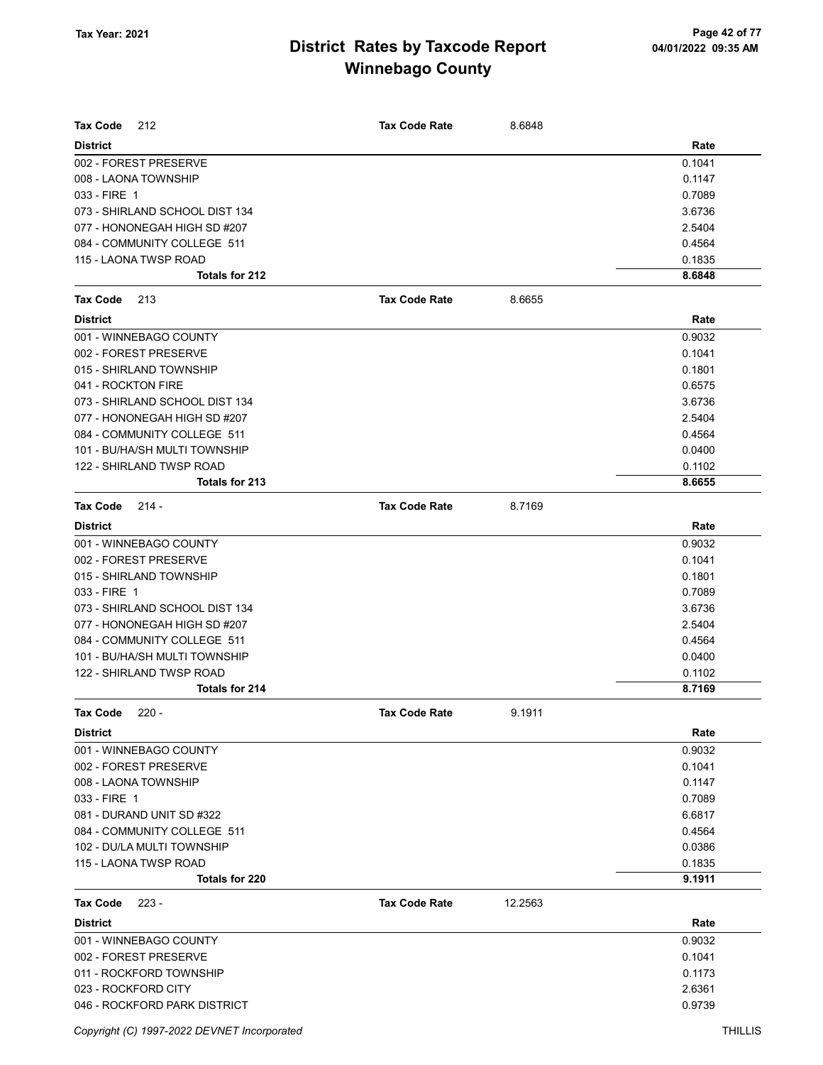| <b>Tax Code</b><br>212                            | <b>Tax Code Rate</b> | 8.6848  |        |
|---------------------------------------------------|----------------------|---------|--------|
| <b>District</b>                                   |                      |         | Rate   |
| 002 - FOREST PRESERVE                             |                      |         | 0.1041 |
| 008 - LAONA TOWNSHIP                              |                      |         | 0.1147 |
| 033 - FIRE 1                                      |                      |         | 0.7089 |
| 073 - SHIRLAND SCHOOL DIST 134                    |                      |         | 3.6736 |
| 077 - HONONEGAH HIGH SD #207                      |                      |         | 2.5404 |
| 084 - COMMUNITY COLLEGE 511                       |                      |         | 0.4564 |
| 115 - LAONA TWSP ROAD                             |                      |         | 0.1835 |
| Totals for 212                                    |                      |         | 8.6848 |
| <b>Tax Code</b><br>213                            | <b>Tax Code Rate</b> | 8.6655  |        |
| <b>District</b>                                   |                      |         | Rate   |
| 001 - WINNEBAGO COUNTY                            |                      |         | 0.9032 |
| 002 - FOREST PRESERVE                             |                      |         | 0.1041 |
| 015 - SHIRLAND TOWNSHIP                           |                      |         | 0.1801 |
| 041 - ROCKTON FIRE                                |                      |         | 0.6575 |
| 073 - SHIRLAND SCHOOL DIST 134                    |                      |         | 3.6736 |
| 077 - HONONEGAH HIGH SD #207                      |                      |         | 2.5404 |
| 084 - COMMUNITY COLLEGE 511                       |                      |         | 0.4564 |
| 101 - BU/HA/SH MULTI TOWNSHIP                     |                      |         | 0.0400 |
| 122 - SHIRLAND TWSP ROAD                          |                      |         | 0.1102 |
| Totals for 213                                    |                      |         | 8.6655 |
| <b>Tax Code</b><br>$214 -$                        | <b>Tax Code Rate</b> | 8.7169  |        |
|                                                   |                      |         |        |
| <b>District</b>                                   |                      |         | Rate   |
| 001 - WINNEBAGO COUNTY                            |                      |         | 0.9032 |
| 002 - FOREST PRESERVE                             |                      |         | 0.1041 |
| 015 - SHIRLAND TOWNSHIP                           |                      |         | 0.1801 |
| 033 - FIRE 1                                      |                      |         | 0.7089 |
| 073 - SHIRLAND SCHOOL DIST 134                    |                      |         | 3.6736 |
| 077 - HONONEGAH HIGH SD #207                      |                      |         | 2.5404 |
| 084 - COMMUNITY COLLEGE 511                       |                      |         | 0.4564 |
| 101 - BU/HA/SH MULTI TOWNSHIP                     |                      |         | 0.0400 |
| 122 - SHIRLAND TWSP ROAD<br><b>Totals for 214</b> |                      |         | 0.1102 |
|                                                   |                      |         | 8.7169 |
| <b>Tax Code</b><br>$220 -$                        | Tax Code Rate        | 9.1911  |        |
| <b>District</b>                                   |                      |         | Rate   |
| 001 - WINNEBAGO COUNTY                            |                      |         | 0.9032 |
| 002 - FOREST PRESERVE                             |                      |         | 0.1041 |
| 008 - LAONA TOWNSHIP                              |                      |         | 0.1147 |
| 033 - FIRE 1                                      |                      |         | 0.7089 |
| 081 - DURAND UNIT SD #322                         |                      |         | 6.6817 |
| 084 - COMMUNITY COLLEGE 511                       |                      |         | 0.4564 |
| 102 - DU/LA MULTI TOWNSHIP                        |                      |         | 0.0386 |
| 115 - LAONA TWSP ROAD                             |                      |         | 0.1835 |
| <b>Totals for 220</b>                             |                      |         | 9.1911 |
| Tax Code<br>$223 -$                               | <b>Tax Code Rate</b> | 12.2563 |        |
| <b>District</b>                                   |                      |         | Rate   |
| 001 - WINNEBAGO COUNTY                            |                      |         | 0.9032 |
| 002 - FOREST PRESERVE                             |                      |         | 0.1041 |
| 011 - ROCKFORD TOWNSHIP                           |                      |         | 0.1173 |
| 023 - ROCKFORD CITY                               |                      |         | 2.6361 |
| 046 - ROCKFORD PARK DISTRICT                      |                      |         | 0.9739 |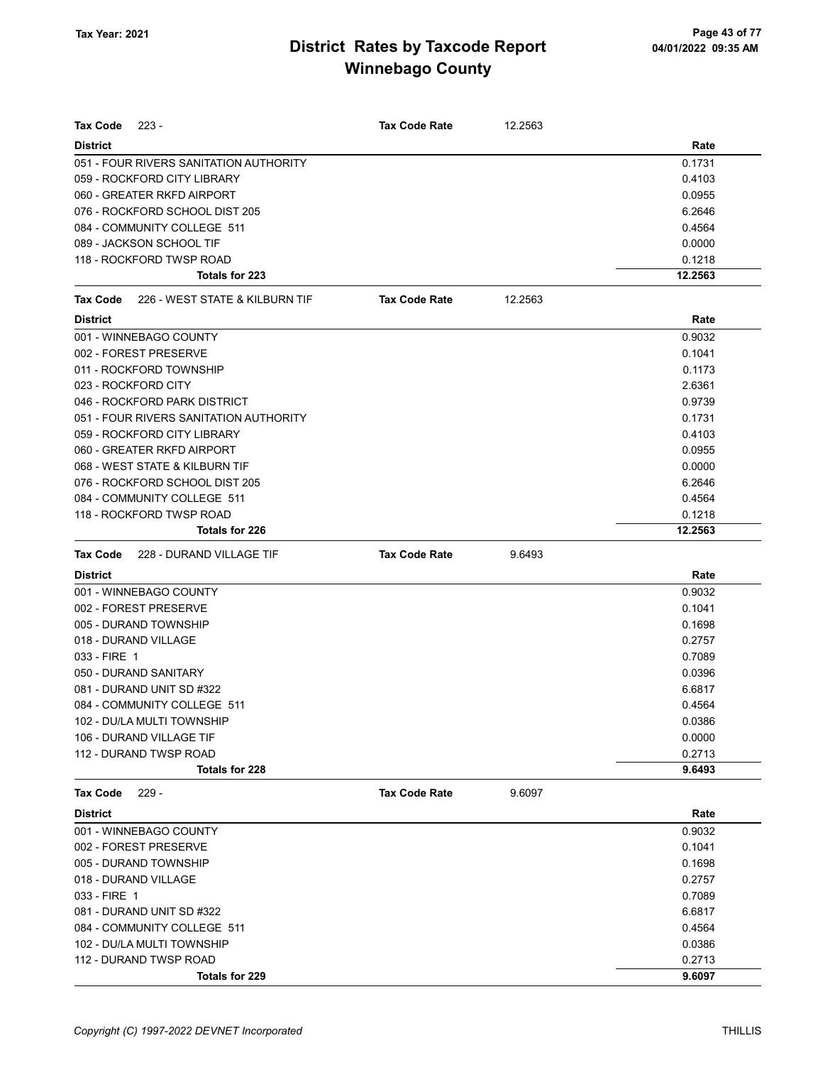| Tax Code<br>223 -                       | <b>Tax Code Rate</b> | 12.2563 |         |
|-----------------------------------------|----------------------|---------|---------|
| <b>District</b>                         |                      |         | Rate    |
| 051 - FOUR RIVERS SANITATION AUTHORITY  |                      |         | 0.1731  |
| 059 - ROCKFORD CITY LIBRARY             |                      |         | 0.4103  |
| 060 - GREATER RKFD AIRPORT              |                      |         | 0.0955  |
| 076 - ROCKFORD SCHOOL DIST 205          |                      |         | 6.2646  |
| 084 - COMMUNITY COLLEGE 511             |                      |         | 0.4564  |
| 089 - JACKSON SCHOOL TIF                |                      |         | 0.0000  |
| 118 - ROCKFORD TWSP ROAD                |                      |         | 0.1218  |
| Totals for 223                          |                      |         | 12.2563 |
| Tax Code 226 - WEST STATE & KILBURN TIF | <b>Tax Code Rate</b> | 12.2563 |         |
| <b>District</b>                         |                      |         | Rate    |
| 001 - WINNEBAGO COUNTY                  |                      |         | 0.9032  |
| 002 - FOREST PRESERVE                   |                      |         | 0.1041  |
| 011 - ROCKFORD TOWNSHIP                 |                      |         | 0.1173  |
| 023 - ROCKFORD CITY                     |                      |         | 2.6361  |
| 046 - ROCKFORD PARK DISTRICT            |                      |         | 0.9739  |
| 051 - FOUR RIVERS SANITATION AUTHORITY  |                      |         | 0.1731  |
| 059 - ROCKFORD CITY LIBRARY             |                      |         | 0.4103  |
| 060 - GREATER RKFD AIRPORT              |                      |         | 0.0955  |
| 068 - WEST STATE & KILBURN TIF          |                      |         | 0.0000  |
| 076 - ROCKFORD SCHOOL DIST 205          |                      |         | 6.2646  |
| 084 - COMMUNITY COLLEGE 511             |                      |         | 0.4564  |
| 118 - ROCKFORD TWSP ROAD                |                      |         | 0.1218  |
| Totals for 226                          |                      |         | 12.2563 |
| Tax Code<br>228 - DURAND VILLAGE TIF    | <b>Tax Code Rate</b> | 9.6493  |         |
| <b>District</b>                         |                      |         | Rate    |
| 001 - WINNEBAGO COUNTY                  |                      |         | 0.9032  |
| 002 - FOREST PRESERVE                   |                      |         | 0.1041  |
| 005 - DURAND TOWNSHIP                   |                      |         | 0.1698  |
| 018 - DURAND VILLAGE                    |                      |         | 0.2757  |
| 033 - FIRE 1                            |                      |         | 0.7089  |
| 050 - DURAND SANITARY                   |                      |         | 0.0396  |
| 081 - DURAND UNIT SD #322               |                      |         | 6.6817  |
| 084 - COMMUNITY COLLEGE 511             |                      |         | 0.4564  |
| 102 - DU/LA MULTI TOWNSHIP              |                      |         | 0.0386  |
| 106 - DURAND VILLAGE TIF                |                      |         | 0.0000  |
| 112 - DURAND TWSP ROAD                  |                      |         | 0.2713  |
| Totals for 228                          |                      |         | 9.6493  |
| <b>Tax Code</b><br>$229 -$              | <b>Tax Code Rate</b> | 9.6097  |         |
| <b>District</b>                         |                      |         | Rate    |
| 001 - WINNEBAGO COUNTY                  |                      |         | 0.9032  |
| 002 - FOREST PRESERVE                   |                      |         | 0.1041  |
| 005 - DURAND TOWNSHIP                   |                      |         | 0.1698  |
| 018 - DURAND VILLAGE                    |                      |         | 0.2757  |
| 033 - FIRE 1                            |                      |         | 0.7089  |
| 081 - DURAND UNIT SD #322               |                      |         | 6.6817  |
| 084 - COMMUNITY COLLEGE 511             |                      |         | 0.4564  |
| 102 - DU/LA MULTI TOWNSHIP              |                      |         | 0.0386  |
| 112 - DURAND TWSP ROAD                  |                      |         | 0.2713  |
| Totals for 229                          |                      |         | 9.6097  |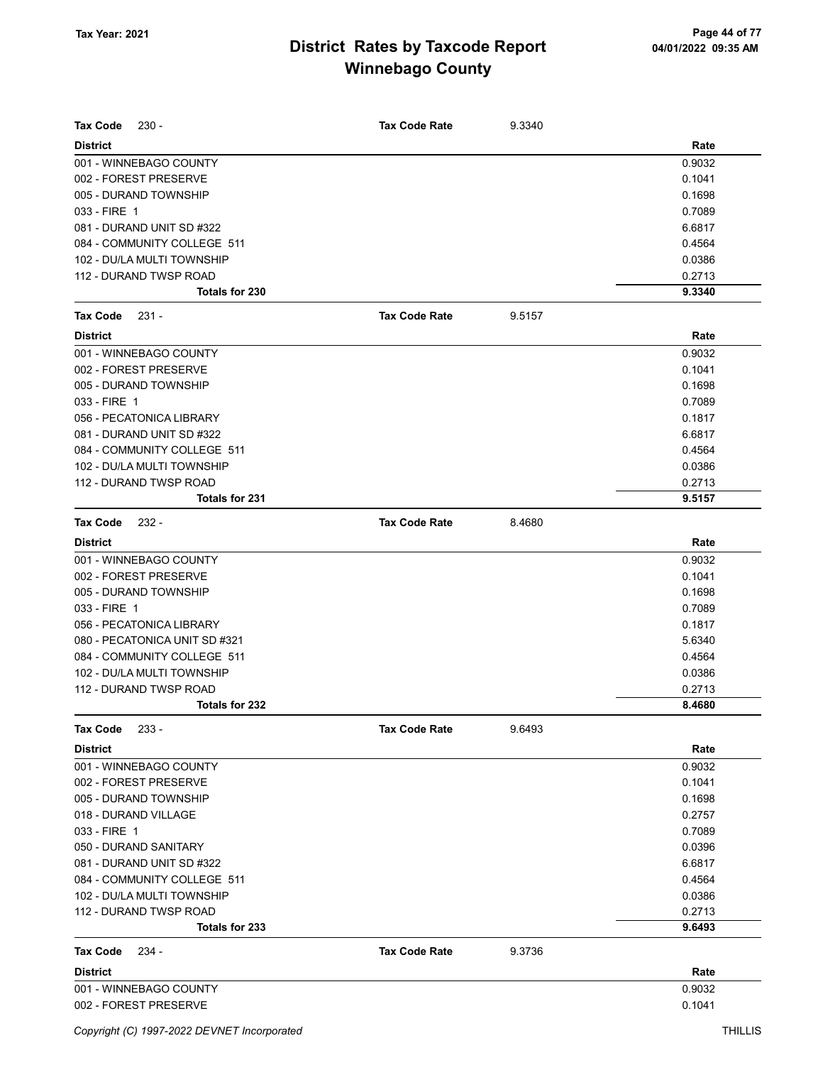| <b>Tax Code</b><br>$230 -$    | <b>Tax Code Rate</b> | 9.3340 |        |
|-------------------------------|----------------------|--------|--------|
| <b>District</b>               |                      |        | Rate   |
| 001 - WINNEBAGO COUNTY        |                      |        | 0.9032 |
| 002 - FOREST PRESERVE         |                      |        | 0.1041 |
| 005 - DURAND TOWNSHIP         |                      |        | 0.1698 |
| 033 - FIRE 1                  |                      |        | 0.7089 |
| 081 - DURAND UNIT SD #322     |                      |        | 6.6817 |
| 084 - COMMUNITY COLLEGE 511   |                      |        | 0.4564 |
| 102 - DU/LA MULTI TOWNSHIP    |                      |        | 0.0386 |
| 112 - DURAND TWSP ROAD        |                      |        | 0.2713 |
| Totals for 230                |                      |        | 9.3340 |
| <b>Tax Code</b><br>231 -      | <b>Tax Code Rate</b> | 9.5157 |        |
| <b>District</b>               |                      |        | Rate   |
| 001 - WINNEBAGO COUNTY        |                      |        | 0.9032 |
| 002 - FOREST PRESERVE         |                      |        | 0.1041 |
| 005 - DURAND TOWNSHIP         |                      |        | 0.1698 |
| 033 - FIRE 1                  |                      |        | 0.7089 |
| 056 - PECATONICA LIBRARY      |                      |        | 0.1817 |
| 081 - DURAND UNIT SD #322     |                      |        | 6.6817 |
| 084 - COMMUNITY COLLEGE 511   |                      |        | 0.4564 |
| 102 - DU/LA MULTI TOWNSHIP    |                      |        | 0.0386 |
| 112 - DURAND TWSP ROAD        |                      |        | 0.2713 |
| <b>Totals for 231</b>         |                      |        | 9.5157 |
| <b>Tax Code</b><br>$232 -$    | <b>Tax Code Rate</b> | 8.4680 |        |
| <b>District</b>               |                      |        | Rate   |
| 001 - WINNEBAGO COUNTY        |                      |        | 0.9032 |
| 002 - FOREST PRESERVE         |                      |        | 0.1041 |
| 005 - DURAND TOWNSHIP         |                      |        | 0.1698 |
| 033 - FIRE 1                  |                      |        | 0.7089 |
| 056 - PECATONICA LIBRARY      |                      |        | 0.1817 |
| 080 - PECATONICA UNIT SD #321 |                      |        | 5.6340 |
| 084 - COMMUNITY COLLEGE 511   |                      |        | 0.4564 |
| 102 - DU/LA MULTI TOWNSHIP    |                      |        | 0.0386 |
| 112 - DURAND TWSP ROAD        |                      |        | 0.2713 |
| Totals for 232                |                      |        | 8.4680 |
| Tax Code<br>$233 -$           | <b>Tax Code Rate</b> | 9.6493 |        |
| <b>District</b>               |                      |        | Rate   |
| 001 - WINNEBAGO COUNTY        |                      |        | 0.9032 |
| 002 - FOREST PRESERVE         |                      |        | 0.1041 |
| 005 - DURAND TOWNSHIP         |                      |        | 0.1698 |
| 018 - DURAND VILLAGE          |                      |        | 0.2757 |
| 033 - FIRE 1                  |                      |        | 0.7089 |
| 050 - DURAND SANITARY         |                      |        | 0.0396 |
| 081 - DURAND UNIT SD #322     |                      |        | 6.6817 |
| 084 - COMMUNITY COLLEGE 511   |                      |        | 0.4564 |
| 102 - DU/LA MULTI TOWNSHIP    |                      |        | 0.0386 |
| 112 - DURAND TWSP ROAD        |                      |        | 0.2713 |
| Totals for 233                |                      |        | 9.6493 |
| <b>Tax Code</b><br>- 234      | <b>Tax Code Rate</b> | 9.3736 |        |
| <b>District</b>               |                      |        | Rate   |
| 001 - WINNEBAGO COUNTY        |                      |        | 0.9032 |
| 002 - FOREST PRESERVE         |                      |        | 0.1041 |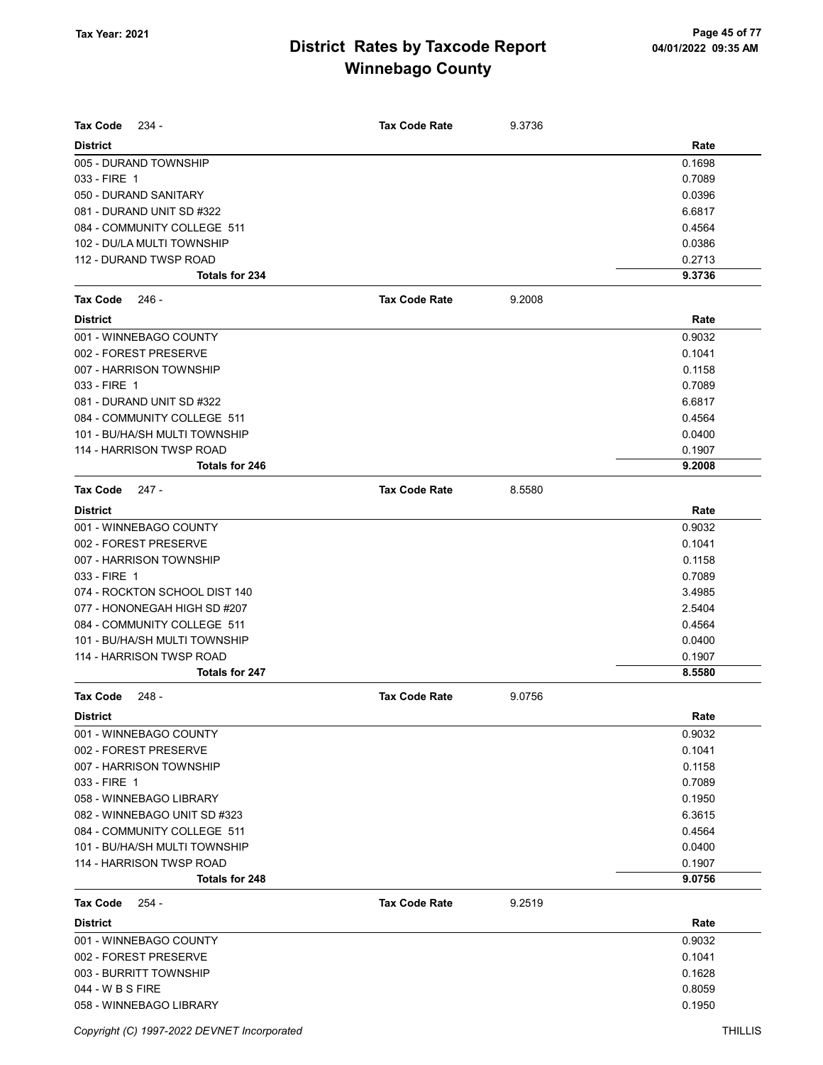| Tax Code<br>$234 -$           | <b>Tax Code Rate</b> | 9.3736 |        |
|-------------------------------|----------------------|--------|--------|
| <b>District</b>               |                      |        | Rate   |
| 005 - DURAND TOWNSHIP         |                      |        | 0.1698 |
| 033 - FIRE 1                  |                      |        | 0.7089 |
| 050 - DURAND SANITARY         |                      |        | 0.0396 |
| 081 - DURAND UNIT SD #322     |                      |        | 6.6817 |
| 084 - COMMUNITY COLLEGE 511   |                      |        | 0.4564 |
| 102 - DU/LA MULTI TOWNSHIP    |                      |        | 0.0386 |
| 112 - DURAND TWSP ROAD        |                      |        | 0.2713 |
| <b>Totals for 234</b>         |                      |        | 9.3736 |
| <b>Tax Code</b><br>- 246      | <b>Tax Code Rate</b> | 9.2008 |        |
| <b>District</b>               |                      |        | Rate   |
| 001 - WINNEBAGO COUNTY        |                      |        | 0.9032 |
| 002 - FOREST PRESERVE         |                      |        | 0.1041 |
| 007 - HARRISON TOWNSHIP       |                      |        | 0.1158 |
| 033 - FIRE 1                  |                      |        | 0.7089 |
| 081 - DURAND UNIT SD #322     |                      |        | 6.6817 |
| 084 - COMMUNITY COLLEGE 511   |                      |        | 0.4564 |
| 101 - BU/HA/SH MULTI TOWNSHIP |                      |        | 0.0400 |
| 114 - HARRISON TWSP ROAD      |                      |        | 0.1907 |
| <b>Totals for 246</b>         |                      |        | 9.2008 |
|                               |                      |        |        |
| <b>Tax Code</b><br>247 -      | <b>Tax Code Rate</b> | 8.5580 |        |
| <b>District</b>               |                      |        | Rate   |
| 001 - WINNEBAGO COUNTY        |                      |        | 0.9032 |
| 002 - FOREST PRESERVE         |                      |        | 0.1041 |
| 007 - HARRISON TOWNSHIP       |                      |        | 0.1158 |
| 033 - FIRE 1                  |                      |        | 0.7089 |
| 074 - ROCKTON SCHOOL DIST 140 |                      |        | 3.4985 |
| 077 - HONONEGAH HIGH SD #207  |                      |        | 2.5404 |
| 084 - COMMUNITY COLLEGE 511   |                      |        | 0.4564 |
| 101 - BU/HA/SH MULTI TOWNSHIP |                      |        | 0.0400 |
| 114 - HARRISON TWSP ROAD      |                      |        | 0.1907 |
| Totals for 247                |                      |        | 8.5580 |
| <b>Tax Code</b><br>$248 -$    | <b>Tax Code Rate</b> | 9.0756 |        |
| <b>District</b>               |                      |        | Rate   |
| 001 - WINNEBAGO COUNTY        |                      |        | 0.9032 |
| 002 - FOREST PRESERVE         |                      |        | 0.1041 |
| 007 - HARRISON TOWNSHIP       |                      |        | 0.1158 |
| 033 - FIRE 1                  |                      |        | 0.7089 |
| 058 - WINNEBAGO LIBRARY       |                      |        | 0.1950 |
| 082 - WINNEBAGO UNIT SD #323  |                      |        | 6.3615 |
| 084 - COMMUNITY COLLEGE 511   |                      |        | 0.4564 |
| 101 - BU/HA/SH MULTI TOWNSHIP |                      |        | 0.0400 |
| 114 - HARRISON TWSP ROAD      |                      |        | 0.1907 |
| Totals for 248                |                      |        | 9.0756 |
|                               |                      |        |        |
| Tax Code<br>254 -             | <b>Tax Code Rate</b> | 9.2519 |        |
| <b>District</b>               |                      |        | Rate   |
| 001 - WINNEBAGO COUNTY        |                      |        | 0.9032 |
| 002 - FOREST PRESERVE         |                      |        | 0.1041 |
| 003 - BURRITT TOWNSHIP        |                      |        | 0.1628 |
| 044 - W B S FIRE              |                      |        | 0.8059 |
| 058 - WINNEBAGO LIBRARY       |                      |        | 0.1950 |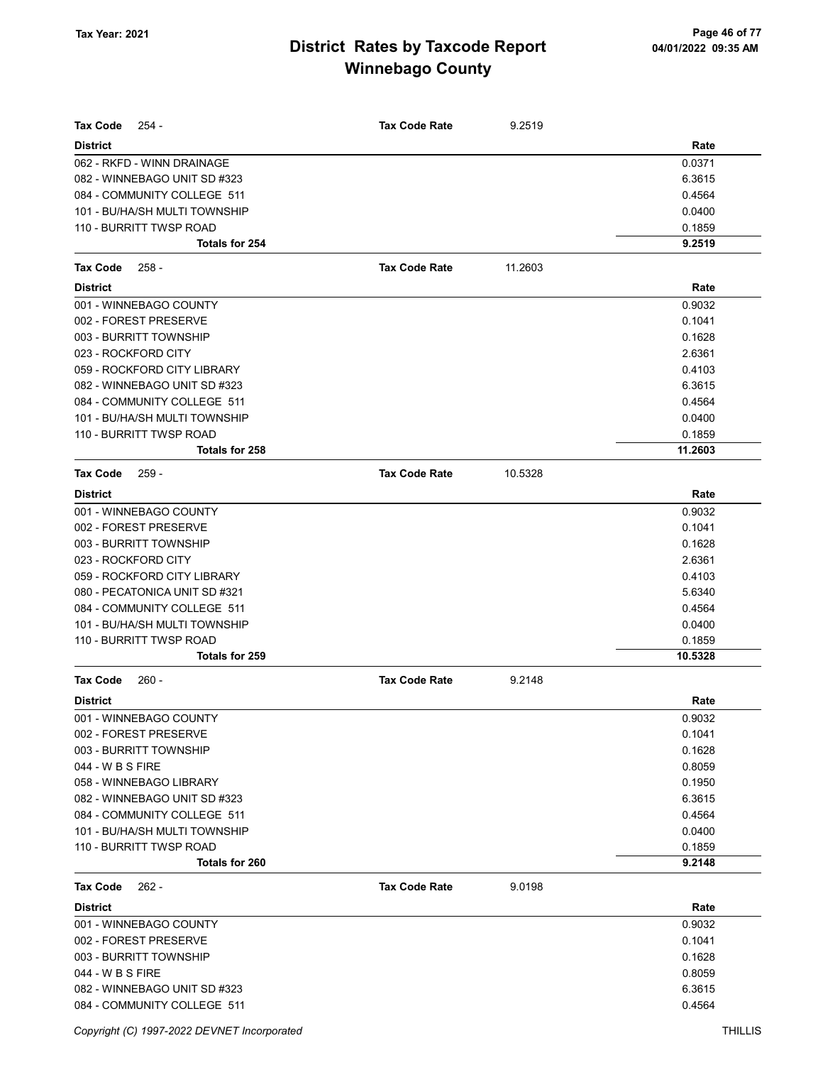| <b>Tax Code</b><br>254 -      | <b>Tax Code Rate</b> | 9.2519  |         |
|-------------------------------|----------------------|---------|---------|
| <b>District</b>               |                      |         | Rate    |
| 062 - RKFD - WINN DRAINAGE    |                      |         | 0.0371  |
| 082 - WINNEBAGO UNIT SD #323  |                      |         | 6.3615  |
| 084 - COMMUNITY COLLEGE 511   |                      |         | 0.4564  |
| 101 - BU/HA/SH MULTI TOWNSHIP |                      |         | 0.0400  |
| 110 - BURRITT TWSP ROAD       |                      |         | 0.1859  |
| <b>Totals for 254</b>         |                      |         | 9.2519  |
| <b>Tax Code</b><br>$258 -$    | <b>Tax Code Rate</b> | 11.2603 |         |
| <b>District</b>               |                      |         | Rate    |
| 001 - WINNEBAGO COUNTY        |                      |         | 0.9032  |
| 002 - FOREST PRESERVE         |                      |         | 0.1041  |
| 003 - BURRITT TOWNSHIP        |                      |         | 0.1628  |
| 023 - ROCKFORD CITY           |                      |         | 2.6361  |
| 059 - ROCKFORD CITY LIBRARY   |                      |         | 0.4103  |
| 082 - WINNEBAGO UNIT SD #323  |                      |         | 6.3615  |
| 084 - COMMUNITY COLLEGE 511   |                      |         | 0.4564  |
| 101 - BU/HA/SH MULTI TOWNSHIP |                      |         | 0.0400  |
| 110 - BURRITT TWSP ROAD       |                      |         | 0.1859  |
| <b>Totals for 258</b>         |                      |         | 11.2603 |
| <b>Tax Code</b><br>$259 -$    | <b>Tax Code Rate</b> | 10.5328 |         |
| <b>District</b>               |                      |         | Rate    |
| 001 - WINNEBAGO COUNTY        |                      |         | 0.9032  |
| 002 - FOREST PRESERVE         |                      |         | 0.1041  |
| 003 - BURRITT TOWNSHIP        |                      |         | 0.1628  |
| 023 - ROCKFORD CITY           |                      |         | 2.6361  |
| 059 - ROCKFORD CITY LIBRARY   |                      |         | 0.4103  |
| 080 - PECATONICA UNIT SD #321 |                      |         | 5.6340  |
| 084 - COMMUNITY COLLEGE 511   |                      |         | 0.4564  |
| 101 - BU/HA/SH MULTI TOWNSHIP |                      |         | 0.0400  |
| 110 - BURRITT TWSP ROAD       |                      |         | 0.1859  |
| Totals for 259                |                      |         | 10.5328 |
| <b>Tax Code</b><br>$260 -$    | <b>Tax Code Rate</b> | 9.2148  |         |
| <b>District</b>               |                      |         | Rate    |
| 001 - WINNEBAGO COUNTY        |                      |         | 0.9032  |
| 002 - FOREST PRESERVE         |                      |         | 0.1041  |
| 003 - BURRITT TOWNSHIP        |                      |         | 0.1628  |
| 044 - W B S FIRE              |                      |         | 0.8059  |
| 058 - WINNEBAGO LIBRARY       |                      |         | 0.1950  |
| 082 - WINNEBAGO UNIT SD #323  |                      |         | 6.3615  |
| 084 - COMMUNITY COLLEGE 511   |                      |         | 0.4564  |
| 101 - BU/HA/SH MULTI TOWNSHIP |                      |         | 0.0400  |
| 110 - BURRITT TWSP ROAD       |                      |         | 0.1859  |
| Totals for 260                |                      |         | 9.2148  |
| <b>Tax Code</b><br>262 -      | <b>Tax Code Rate</b> | 9.0198  |         |
| <b>District</b>               |                      |         | Rate    |
| 001 - WINNEBAGO COUNTY        |                      |         | 0.9032  |
| 002 - FOREST PRESERVE         |                      |         | 0.1041  |
| 003 - BURRITT TOWNSHIP        |                      |         | 0.1628  |
| 044 - W B S FIRE              |                      |         | 0.8059  |
| 082 - WINNEBAGO UNIT SD #323  |                      |         | 6.3615  |
| 084 - COMMUNITY COLLEGE 511   |                      |         | 0.4564  |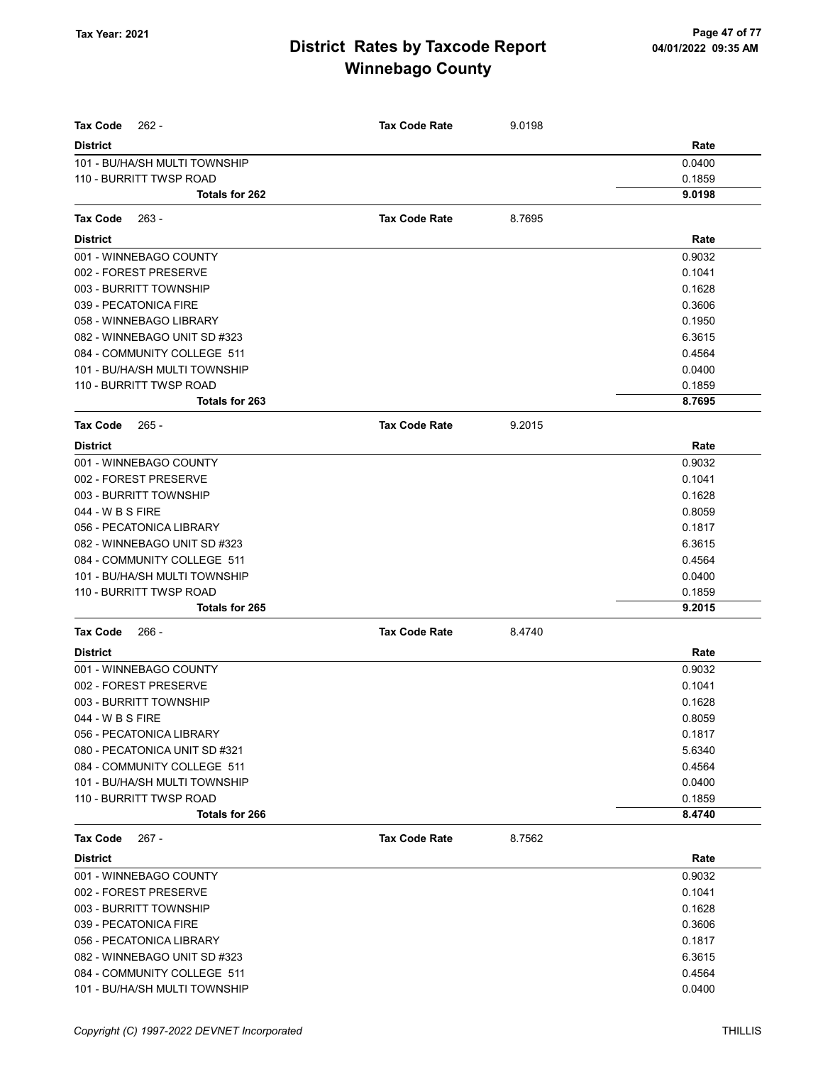| <b>Tax Code</b><br>$262 -$    | <b>Tax Code Rate</b> | 9.0198 |        |
|-------------------------------|----------------------|--------|--------|
| <b>District</b>               |                      |        | Rate   |
| 101 - BU/HA/SH MULTI TOWNSHIP |                      |        | 0.0400 |
| 110 - BURRITT TWSP ROAD       |                      |        | 0.1859 |
| Totals for 262                |                      |        | 9.0198 |
| Tax Code<br>$263 -$           | <b>Tax Code Rate</b> | 8.7695 |        |
| <b>District</b>               |                      |        | Rate   |
| 001 - WINNEBAGO COUNTY        |                      |        | 0.9032 |
| 002 - FOREST PRESERVE         |                      |        | 0.1041 |
| 003 - BURRITT TOWNSHIP        |                      |        | 0.1628 |
| 039 - PECATONICA FIRE         |                      |        | 0.3606 |
| 058 - WINNEBAGO LIBRARY       |                      |        | 0.1950 |
| 082 - WINNEBAGO UNIT SD #323  |                      |        | 6.3615 |
| 084 - COMMUNITY COLLEGE 511   |                      |        | 0.4564 |
| 101 - BU/HA/SH MULTI TOWNSHIP |                      |        | 0.0400 |
| 110 - BURRITT TWSP ROAD       |                      |        | 0.1859 |
| Totals for 263                |                      |        | 8.7695 |
| <b>Tax Code</b><br>$265 -$    | <b>Tax Code Rate</b> | 9.2015 |        |
| <b>District</b>               |                      |        | Rate   |
| 001 - WINNEBAGO COUNTY        |                      |        | 0.9032 |
| 002 - FOREST PRESERVE         |                      |        | 0.1041 |
| 003 - BURRITT TOWNSHIP        |                      |        | 0.1628 |
| 044 - W B S FIRE              |                      |        | 0.8059 |
| 056 - PECATONICA LIBRARY      |                      |        | 0.1817 |
| 082 - WINNEBAGO UNIT SD #323  |                      |        | 6.3615 |
| 084 - COMMUNITY COLLEGE 511   |                      |        | 0.4564 |
| 101 - BU/HA/SH MULTI TOWNSHIP |                      |        | 0.0400 |
| 110 - BURRITT TWSP ROAD       |                      |        | 0.1859 |
| Totals for 265                |                      |        | 9.2015 |
| <b>Tax Code</b><br>- 266      | <b>Tax Code Rate</b> | 8.4740 |        |
| <b>District</b>               |                      |        | Rate   |
| 001 - WINNEBAGO COUNTY        |                      |        | 0.9032 |
| 002 - FOREST PRESERVE         |                      |        | 0.1041 |
| 003 - BURRITT TOWNSHIP        |                      |        | 0.1628 |
| 044 - W B S FIRE              |                      |        | 0.8059 |
| 056 - PECATONICA LIBRARY      |                      |        | 0.1817 |
| 080 - PECATONICA UNIT SD #321 |                      |        | 5.6340 |
| 084 - COMMUNITY COLLEGE 511   |                      |        | 0.4564 |
| 101 - BU/HA/SH MULTI TOWNSHIP |                      |        | 0.0400 |
| 110 - BURRITT TWSP ROAD       |                      |        | 0.1859 |
| Totals for 266                |                      |        | 8.4740 |
| <b>Tax Code</b><br>267 -      | <b>Tax Code Rate</b> | 8.7562 |        |
| <b>District</b>               |                      |        | Rate   |
| 001 - WINNEBAGO COUNTY        |                      |        | 0.9032 |
| 002 - FOREST PRESERVE         |                      |        | 0.1041 |
| 003 - BURRITT TOWNSHIP        |                      |        | 0.1628 |
| 039 - PECATONICA FIRE         |                      |        | 0.3606 |
| 056 - PECATONICA LIBRARY      |                      |        | 0.1817 |
| 082 - WINNEBAGO UNIT SD #323  |                      |        | 6.3615 |
| 084 - COMMUNITY COLLEGE 511   |                      |        | 0.4564 |
| 101 - BU/HA/SH MULTI TOWNSHIP |                      |        | 0.0400 |
|                               |                      |        |        |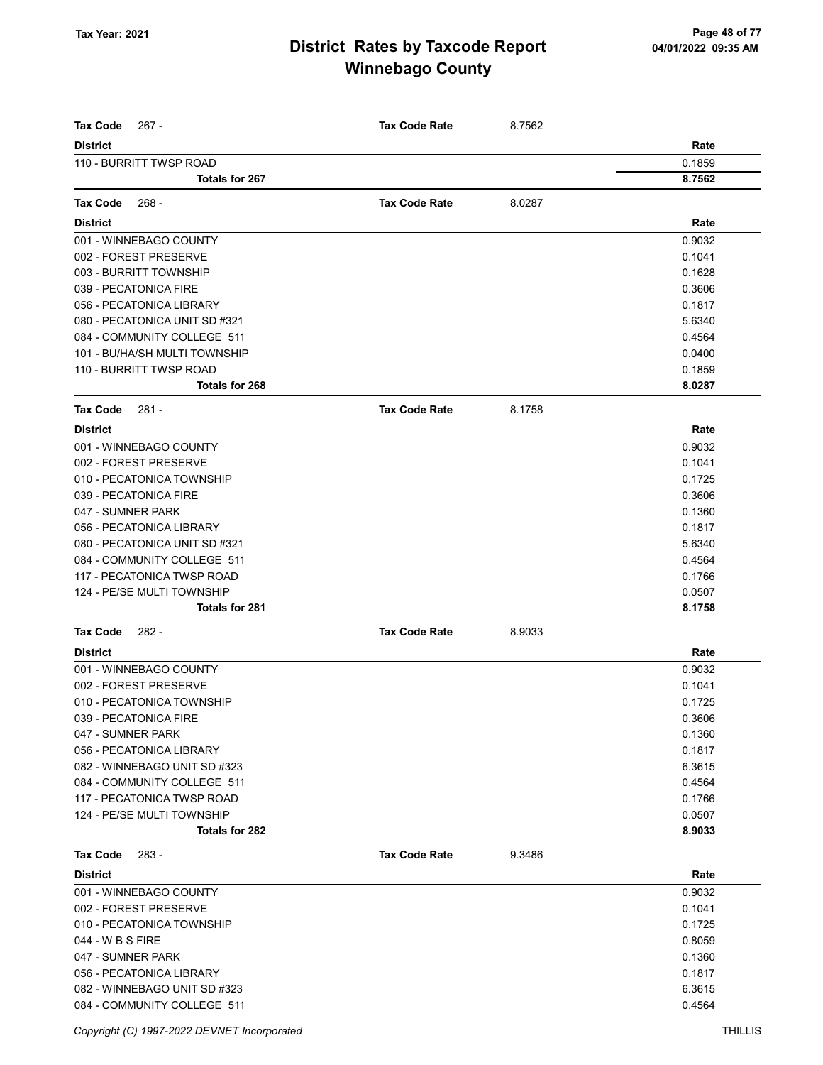| <b>Tax Code</b><br>267 -                         | <b>Tax Code Rate</b> | 8.7562 |                  |
|--------------------------------------------------|----------------------|--------|------------------|
| <b>District</b>                                  |                      |        | Rate             |
| 110 - BURRITT TWSP ROAD<br><b>Totals for 267</b> |                      |        | 0.1859<br>8.7562 |
|                                                  |                      |        |                  |
| <b>Tax Code</b><br>268 -                         | <b>Tax Code Rate</b> | 8.0287 |                  |
| <b>District</b>                                  |                      |        | Rate             |
| 001 - WINNEBAGO COUNTY                           |                      |        | 0.9032           |
| 002 - FOREST PRESERVE                            |                      |        | 0.1041           |
| 003 - BURRITT TOWNSHIP                           |                      |        | 0.1628           |
| 039 - PECATONICA FIRE                            |                      |        | 0.3606           |
| 056 - PECATONICA LIBRARY                         |                      |        | 0.1817           |
| 080 - PECATONICA UNIT SD #321                    |                      |        | 5.6340           |
| 084 - COMMUNITY COLLEGE 511                      |                      |        | 0.4564           |
| 101 - BU/HA/SH MULTI TOWNSHIP                    |                      |        | 0.0400           |
| 110 - BURRITT TWSP ROAD                          |                      |        | 0.1859           |
| Totals for 268                                   |                      |        | 8.0287           |
| <b>Tax Code</b><br>281 -                         | <b>Tax Code Rate</b> | 8.1758 |                  |
| <b>District</b>                                  |                      |        | Rate             |
| 001 - WINNEBAGO COUNTY                           |                      |        | 0.9032           |
| 002 - FOREST PRESERVE                            |                      |        | 0.1041           |
| 010 - PECATONICA TOWNSHIP                        |                      |        | 0.1725           |
| 039 - PECATONICA FIRE                            |                      |        | 0.3606           |
| 047 - SUMNER PARK                                |                      |        | 0.1360           |
| 056 - PECATONICA LIBRARY                         |                      |        | 0.1817           |
| 080 - PECATONICA UNIT SD #321                    |                      |        | 5.6340           |
| 084 - COMMUNITY COLLEGE 511                      |                      |        | 0.4564           |
| 117 - PECATONICA TWSP ROAD                       |                      |        | 0.1766           |
| 124 - PE/SE MULTI TOWNSHIP                       |                      |        | 0.0507           |
| <b>Totals for 281</b>                            |                      |        | 8.1758           |
| <b>Tax Code</b><br>282 -                         | <b>Tax Code Rate</b> | 8.9033 |                  |
| <b>District</b>                                  |                      |        | Rate             |
| 001 - WINNEBAGO COUNTY                           |                      |        | 0.9032           |
| 002 - FOREST PRESERVE                            |                      |        | 0.1041           |
| 010 - PECATONICA TOWNSHIP                        |                      |        | 0.1725           |
| 039 - PECATONICA FIRE                            |                      |        | 0.3606           |
| 047 - SUMNER PARK                                |                      |        | 0.1360           |
| 056 - PECATONICA LIBRARY                         |                      |        | 0.1817           |
| 082 - WINNEBAGO UNIT SD #323                     |                      |        | 6.3615           |
| 084 - COMMUNITY COLLEGE 511                      |                      |        | 0.4564           |
| 117 - PECATONICA TWSP ROAD                       |                      |        | 0.1766           |
| 124 - PE/SE MULTI TOWNSHIP                       |                      |        | 0.0507           |
| Totals for 282                                   |                      |        | 8.9033           |
| <b>Tax Code</b><br>283 -                         | <b>Tax Code Rate</b> | 9.3486 |                  |
| <b>District</b>                                  |                      |        | Rate             |
| 001 - WINNEBAGO COUNTY                           |                      |        | 0.9032           |
| 002 - FOREST PRESERVE                            |                      |        | 0.1041           |
| 010 - PECATONICA TOWNSHIP                        |                      |        | 0.1725           |
| 044 - W B S FIRE                                 |                      |        | 0.8059           |
| 047 - SUMNER PARK                                |                      |        | 0.1360           |
| 056 - PECATONICA LIBRARY                         |                      |        | 0.1817           |
| 082 - WINNEBAGO UNIT SD #323                     |                      |        | 6.3615           |
| 084 - COMMUNITY COLLEGE 511                      |                      |        | 0.4564           |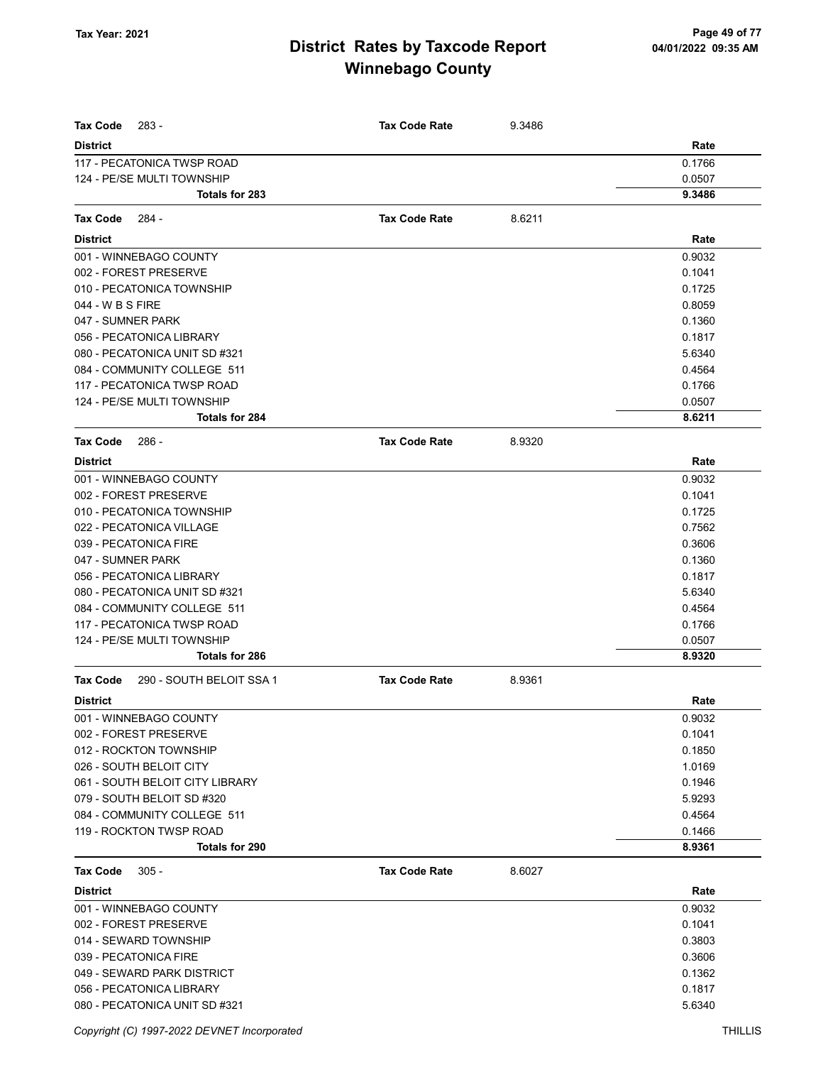| <b>Tax Code</b><br>283 -                    | <b>Tax Code Rate</b> | 9.3486 |        |
|---------------------------------------------|----------------------|--------|--------|
| <b>District</b>                             |                      |        | Rate   |
| 117 - PECATONICA TWSP ROAD                  |                      |        | 0.1766 |
| 124 - PE/SE MULTI TOWNSHIP                  |                      |        | 0.0507 |
| Totals for 283                              |                      |        | 9.3486 |
| <b>Tax Code</b><br>$284 -$                  | <b>Tax Code Rate</b> | 8.6211 |        |
| <b>District</b>                             |                      |        | Rate   |
| 001 - WINNEBAGO COUNTY                      |                      |        | 0.9032 |
| 002 - FOREST PRESERVE                       |                      |        | 0.1041 |
| 010 - PECATONICA TOWNSHIP                   |                      |        | 0.1725 |
| 044 - W B S FIRE                            |                      |        | 0.8059 |
| 047 - SUMNER PARK                           |                      |        | 0.1360 |
| 056 - PECATONICA LIBRARY                    |                      |        | 0.1817 |
| 080 - PECATONICA UNIT SD #321               |                      |        | 5.6340 |
| 084 - COMMUNITY COLLEGE 511                 |                      |        | 0.4564 |
| 117 - PECATONICA TWSP ROAD                  |                      |        | 0.1766 |
| 124 - PE/SE MULTI TOWNSHIP                  |                      |        | 0.0507 |
| <b>Totals for 284</b>                       |                      |        | 8.6211 |
| <b>Tax Code</b><br>286 -                    | <b>Tax Code Rate</b> | 8.9320 |        |
| <b>District</b>                             |                      |        | Rate   |
| 001 - WINNEBAGO COUNTY                      |                      |        | 0.9032 |
| 002 - FOREST PRESERVE                       |                      |        | 0.1041 |
| 010 - PECATONICA TOWNSHIP                   |                      |        | 0.1725 |
| 022 - PECATONICA VILLAGE                    |                      |        | 0.7562 |
| 039 - PECATONICA FIRE                       |                      |        | 0.3606 |
| 047 - SUMNER PARK                           |                      |        | 0.1360 |
| 056 - PECATONICA LIBRARY                    |                      |        | 0.1817 |
| 080 - PECATONICA UNIT SD #321               |                      |        | 5.6340 |
| 084 - COMMUNITY COLLEGE 511                 |                      |        | 0.4564 |
| 117 - PECATONICA TWSP ROAD                  |                      |        | 0.1766 |
| 124 - PE/SE MULTI TOWNSHIP                  |                      |        | 0.0507 |
| Totals for 286                              |                      |        | 8.9320 |
| <b>Tax Code</b><br>290 - SOUTH BELOIT SSA 1 | <b>Tax Code Rate</b> | 8.9361 |        |
| <b>District</b>                             |                      |        | Rate   |
| 001 - WINNEBAGO COUNTY                      |                      |        | 0.9032 |
| 002 - FOREST PRESERVE                       |                      |        | 0.1041 |
| 012 - ROCKTON TOWNSHIP                      |                      |        | 0.1850 |
| 026 - SOUTH BELOIT CITY                     |                      |        | 1.0169 |
| 061 - SOUTH BELOIT CITY LIBRARY             |                      |        | 0.1946 |
| 079 - SOUTH BELOIT SD #320                  |                      |        | 5.9293 |
| 084 - COMMUNITY COLLEGE 511                 |                      |        | 0.4564 |
| 119 - ROCKTON TWSP ROAD                     |                      |        | 0.1466 |
| Totals for 290                              |                      |        | 8.9361 |
| $305 -$<br>Tax Code                         | <b>Tax Code Rate</b> | 8.6027 |        |
| <b>District</b>                             |                      |        | Rate   |
| 001 - WINNEBAGO COUNTY                      |                      |        | 0.9032 |
| 002 - FOREST PRESERVE                       |                      |        | 0.1041 |
| 014 - SEWARD TOWNSHIP                       |                      |        | 0.3803 |
| 039 - PECATONICA FIRE                       |                      |        | 0.3606 |
| 049 - SEWARD PARK DISTRICT                  |                      |        | 0.1362 |
| 056 - PECATONICA LIBRARY                    |                      |        | 0.1817 |
| 080 - PECATONICA UNIT SD #321               |                      |        | 5.6340 |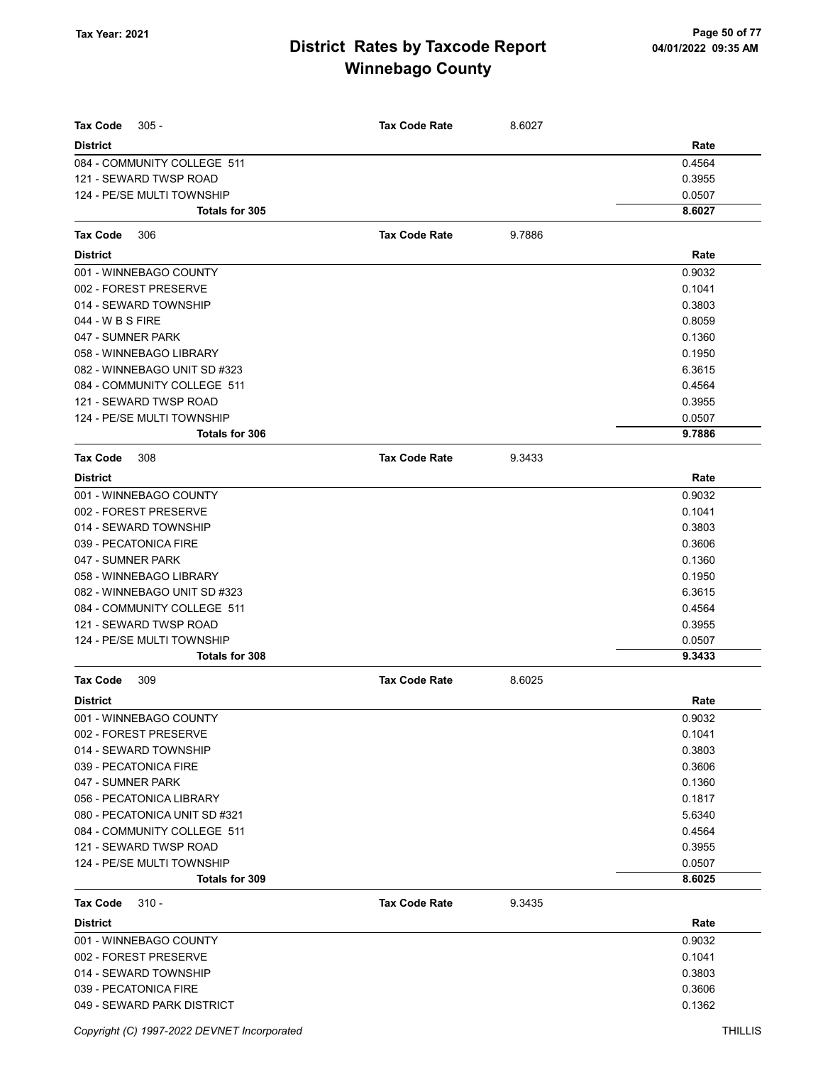| <b>Tax Code</b><br>$305 -$<br><b>District</b>   | <b>Tax Code Rate</b> | 8.6027 | Rate             |
|-------------------------------------------------|----------------------|--------|------------------|
| 084 - COMMUNITY COLLEGE 511                     |                      |        | 0.4564           |
| 121 - SEWARD TWSP ROAD                          |                      |        | 0.3955           |
| 124 - PE/SE MULTI TOWNSHIP                      |                      |        | 0.0507           |
| Totals for 305                                  |                      |        | 8.6027           |
| <b>Tax Code</b><br>306                          | <b>Tax Code Rate</b> | 9.7886 |                  |
| <b>District</b>                                 |                      |        | Rate             |
|                                                 |                      |        |                  |
| 001 - WINNEBAGO COUNTY<br>002 - FOREST PRESERVE |                      |        | 0.9032<br>0.1041 |
| 014 - SEWARD TOWNSHIP                           |                      |        | 0.3803           |
| 044 - W B S FIRE                                |                      |        | 0.8059           |
| 047 - SUMNER PARK                               |                      |        | 0.1360           |
| 058 - WINNEBAGO LIBRARY                         |                      |        | 0.1950           |
| 082 - WINNEBAGO UNIT SD #323                    |                      |        | 6.3615           |
| 084 - COMMUNITY COLLEGE 511                     |                      |        | 0.4564           |
| 121 - SEWARD TWSP ROAD                          |                      |        | 0.3955           |
| 124 - PE/SE MULTI TOWNSHIP                      |                      |        | 0.0507           |
| Totals for 306                                  |                      |        | 9.7886           |
| <b>Tax Code</b><br>308                          | <b>Tax Code Rate</b> | 9.3433 |                  |
| <b>District</b>                                 |                      |        | Rate             |
| 001 - WINNEBAGO COUNTY                          |                      |        | 0.9032           |
| 002 - FOREST PRESERVE                           |                      |        | 0.1041           |
| 014 - SEWARD TOWNSHIP                           |                      |        | 0.3803           |
| 039 - PECATONICA FIRE                           |                      |        | 0.3606           |
| 047 - SUMNER PARK                               |                      |        | 0.1360           |
| 058 - WINNEBAGO LIBRARY                         |                      |        | 0.1950           |
| 082 - WINNEBAGO UNIT SD #323                    |                      |        | 6.3615           |
| 084 - COMMUNITY COLLEGE 511                     |                      |        | 0.4564           |
| 121 - SEWARD TWSP ROAD                          |                      |        | 0.3955           |
| 124 - PE/SE MULTI TOWNSHIP                      |                      |        | 0.0507           |
| Totals for 308                                  |                      |        | 9.3433           |
| <b>Tax Code</b><br>309                          | <b>Tax Code Rate</b> | 8.6025 |                  |
| <b>District</b>                                 |                      |        | Rate             |
| 001 - WINNEBAGO COUNTY                          |                      |        | 0.9032           |
| 002 - FOREST PRESERVE                           |                      |        | 0.1041           |
| 014 - SEWARD TOWNSHIP                           |                      |        | 0.3803           |
| 039 - PECATONICA FIRE                           |                      |        | 0.3606           |
| 047 - SUMNER PARK                               |                      |        | 0.1360           |
| 056 - PECATONICA LIBRARY                        |                      |        | 0.1817           |
| 080 - PECATONICA UNIT SD #321                   |                      |        | 5.6340           |
| 084 - COMMUNITY COLLEGE 511                     |                      |        | 0.4564           |
| 121 - SEWARD TWSP ROAD                          |                      |        | 0.3955           |
| 124 - PE/SE MULTI TOWNSHIP                      |                      |        | 0.0507           |
| Totals for 309                                  |                      |        | 8.6025           |
| <b>Tax Code</b><br>$310 -$                      | <b>Tax Code Rate</b> | 9.3435 |                  |
| <b>District</b>                                 |                      |        | Rate             |
| 001 - WINNEBAGO COUNTY                          |                      |        | 0.9032           |
| 002 - FOREST PRESERVE                           |                      |        | 0.1041           |
| 014 - SEWARD TOWNSHIP                           |                      |        | 0.3803           |
| 039 - PECATONICA FIRE                           |                      |        | 0.3606           |
| 049 - SEWARD PARK DISTRICT                      |                      |        | 0.1362           |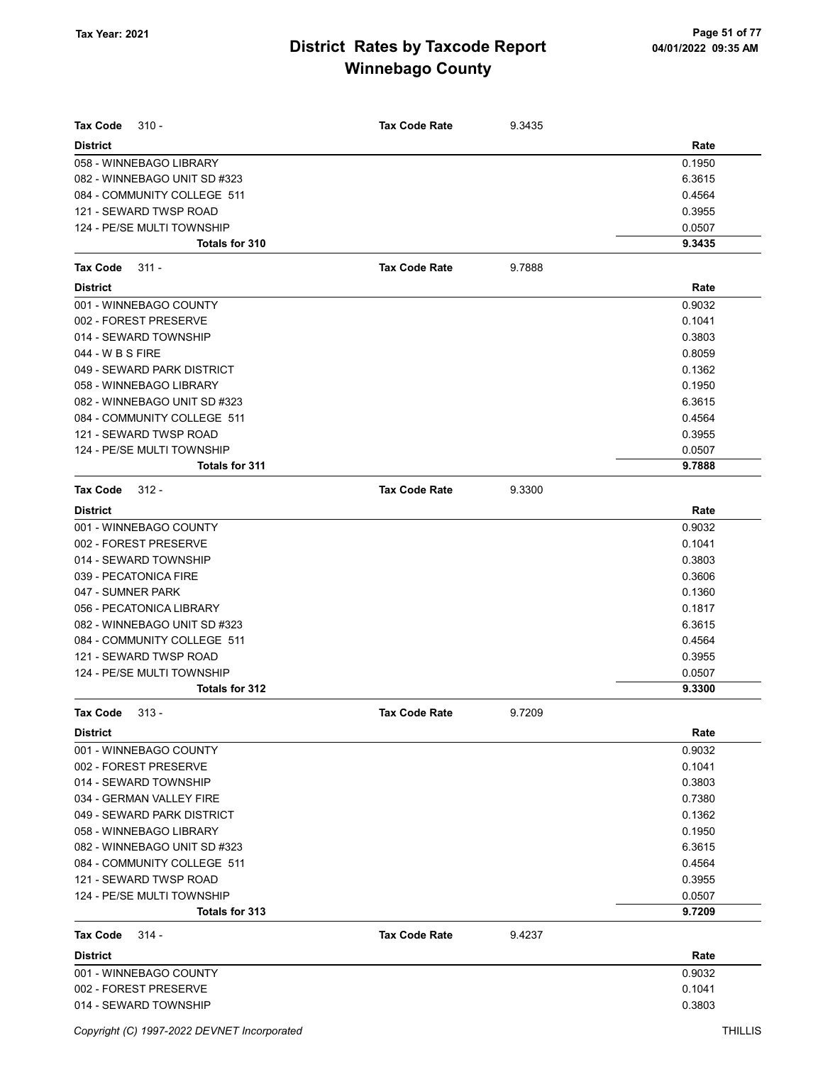| Tax Code<br>$310 -$          | <b>Tax Code Rate</b> | 9.3435 |        |
|------------------------------|----------------------|--------|--------|
| <b>District</b>              |                      |        | Rate   |
| 058 - WINNEBAGO LIBRARY      |                      |        | 0.1950 |
| 082 - WINNEBAGO UNIT SD #323 |                      |        | 6.3615 |
| 084 - COMMUNITY COLLEGE 511  |                      |        | 0.4564 |
| 121 - SEWARD TWSP ROAD       |                      |        | 0.3955 |
| 124 - PE/SE MULTI TOWNSHIP   |                      |        | 0.0507 |
| Totals for 310               |                      |        | 9.3435 |
| <b>Tax Code</b><br>$311 -$   | <b>Tax Code Rate</b> | 9.7888 |        |
| <b>District</b>              |                      |        | Rate   |
| 001 - WINNEBAGO COUNTY       |                      |        | 0.9032 |
| 002 - FOREST PRESERVE        |                      |        | 0.1041 |
| 014 - SEWARD TOWNSHIP        |                      |        | 0.3803 |
| 044 - W B S FIRE             |                      |        | 0.8059 |
| 049 - SEWARD PARK DISTRICT   |                      |        | 0.1362 |
| 058 - WINNEBAGO LIBRARY      |                      |        | 0.1950 |
| 082 - WINNEBAGO UNIT SD #323 |                      |        | 6.3615 |
| 084 - COMMUNITY COLLEGE 511  |                      |        | 0.4564 |
| 121 - SEWARD TWSP ROAD       |                      |        | 0.3955 |
| 124 - PE/SE MULTI TOWNSHIP   |                      |        | 0.0507 |
| Totals for 311               |                      |        | 9.7888 |
| Tax Code<br>$312 -$          | <b>Tax Code Rate</b> | 9.3300 |        |
| <b>District</b>              |                      |        | Rate   |
| 001 - WINNEBAGO COUNTY       |                      |        | 0.9032 |
| 002 - FOREST PRESERVE        |                      |        | 0.1041 |
| 014 - SEWARD TOWNSHIP        |                      |        | 0.3803 |
| 039 - PECATONICA FIRE        |                      |        | 0.3606 |
| 047 - SUMNER PARK            |                      |        | 0.1360 |
| 056 - PECATONICA LIBRARY     |                      |        | 0.1817 |
| 082 - WINNEBAGO UNIT SD #323 |                      |        | 6.3615 |
| 084 - COMMUNITY COLLEGE 511  |                      |        | 0.4564 |
| 121 - SEWARD TWSP ROAD       |                      |        | 0.3955 |
| 124 - PE/SE MULTI TOWNSHIP   |                      |        | 0.0507 |
| Totals for 312               |                      |        | 9.3300 |
| <b>Tax Code</b><br>$313 -$   | <b>Tax Code Rate</b> | 9.7209 |        |
| <b>District</b>              |                      |        | Rate   |
| 001 - WINNEBAGO COUNTY       |                      |        | 0.9032 |
| 002 - FOREST PRESERVE        |                      |        | 0.1041 |
| 014 - SEWARD TOWNSHIP        |                      |        | 0.3803 |
| 034 - GERMAN VALLEY FIRE     |                      |        | 0.7380 |
| 049 - SEWARD PARK DISTRICT   |                      |        | 0.1362 |
| 058 - WINNEBAGO LIBRARY      |                      |        | 0.1950 |
| 082 - WINNEBAGO UNIT SD #323 |                      |        | 6.3615 |
| 084 - COMMUNITY COLLEGE 511  |                      |        | 0.4564 |
| 121 - SEWARD TWSP ROAD       |                      |        | 0.3955 |
| 124 - PE/SE MULTI TOWNSHIP   |                      |        | 0.0507 |
| Totals for 313               |                      |        | 9.7209 |
| Tax Code<br>314 -            | <b>Tax Code Rate</b> | 9.4237 |        |
| <b>District</b>              |                      |        | Rate   |
| 001 - WINNEBAGO COUNTY       |                      |        | 0.9032 |
| 002 - FOREST PRESERVE        |                      |        | 0.1041 |
| 014 - SEWARD TOWNSHIP        |                      |        | 0.3803 |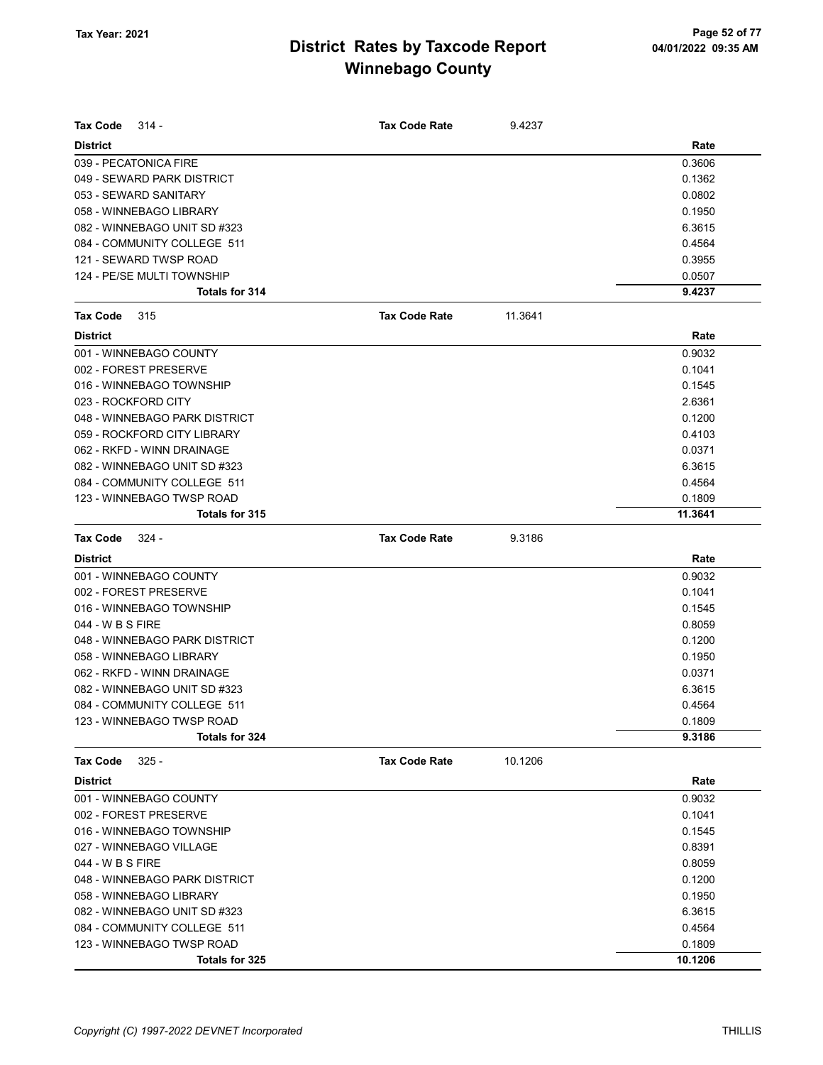| Tax Code<br>314 -             | <b>Tax Code Rate</b> | 9.4237  |         |
|-------------------------------|----------------------|---------|---------|
| <b>District</b>               |                      |         | Rate    |
| 039 - PECATONICA FIRE         |                      |         | 0.3606  |
| 049 - SEWARD PARK DISTRICT    |                      |         | 0.1362  |
| 053 - SEWARD SANITARY         |                      |         | 0.0802  |
| 058 - WINNEBAGO LIBRARY       |                      |         | 0.1950  |
| 082 - WINNEBAGO UNIT SD #323  |                      |         | 6.3615  |
| 084 - COMMUNITY COLLEGE 511   |                      |         | 0.4564  |
| 121 - SEWARD TWSP ROAD        |                      |         | 0.3955  |
| 124 - PE/SE MULTI TOWNSHIP    |                      |         | 0.0507  |
| <b>Totals for 314</b>         |                      |         | 9.4237  |
| Tax Code<br>315               | <b>Tax Code Rate</b> | 11.3641 |         |
| <b>District</b>               |                      |         | Rate    |
| 001 - WINNEBAGO COUNTY        |                      |         | 0.9032  |
| 002 - FOREST PRESERVE         |                      |         | 0.1041  |
| 016 - WINNEBAGO TOWNSHIP      |                      |         | 0.1545  |
| 023 - ROCKFORD CITY           |                      |         | 2.6361  |
| 048 - WINNEBAGO PARK DISTRICT |                      |         | 0.1200  |
| 059 - ROCKFORD CITY LIBRARY   |                      |         | 0.4103  |
| 062 - RKFD - WINN DRAINAGE    |                      |         | 0.0371  |
| 082 - WINNEBAGO UNIT SD #323  |                      |         | 6.3615  |
| 084 - COMMUNITY COLLEGE 511   |                      |         | 0.4564  |
| 123 - WINNEBAGO TWSP ROAD     |                      |         | 0.1809  |
| Totals for 315                |                      |         | 11.3641 |
| <b>Tax Code</b><br>324 -      | <b>Tax Code Rate</b> | 9.3186  |         |
| <b>District</b>               |                      |         | Rate    |
| 001 - WINNEBAGO COUNTY        |                      |         | 0.9032  |
| 002 - FOREST PRESERVE         |                      |         | 0.1041  |
| 016 - WINNEBAGO TOWNSHIP      |                      |         | 0.1545  |
| 044 - W B S FIRE              |                      |         | 0.8059  |
| 048 - WINNEBAGO PARK DISTRICT |                      |         | 0.1200  |
| 058 - WINNEBAGO LIBRARY       |                      |         | 0.1950  |
| 062 - RKFD - WINN DRAINAGE    |                      |         | 0.0371  |
| 082 - WINNEBAGO UNIT SD #323  |                      |         | 6.3615  |
| 084 - COMMUNITY COLLEGE 511   |                      |         | 0.4564  |
| 123 - WINNEBAGO TWSP ROAD     |                      |         | 0.1809  |
| Totals for 324                |                      |         | 9.3186  |
| $325 -$<br><b>Tax Code</b>    | <b>Tax Code Rate</b> | 10.1206 |         |
| <b>District</b>               |                      |         | Rate    |
| 001 - WINNEBAGO COUNTY        |                      |         | 0.9032  |
| 002 - FOREST PRESERVE         |                      |         | 0.1041  |
| 016 - WINNEBAGO TOWNSHIP      |                      |         | 0.1545  |
| 027 - WINNEBAGO VILLAGE       |                      |         | 0.8391  |
| 044 - W B S FIRE              |                      |         | 0.8059  |
| 048 - WINNEBAGO PARK DISTRICT |                      |         | 0.1200  |
| 058 - WINNEBAGO LIBRARY       |                      |         | 0.1950  |
| 082 - WINNEBAGO UNIT SD #323  |                      |         | 6.3615  |
| 084 - COMMUNITY COLLEGE 511   |                      |         | 0.4564  |
| 123 - WINNEBAGO TWSP ROAD     |                      |         | 0.1809  |
| Totals for 325                |                      |         | 10.1206 |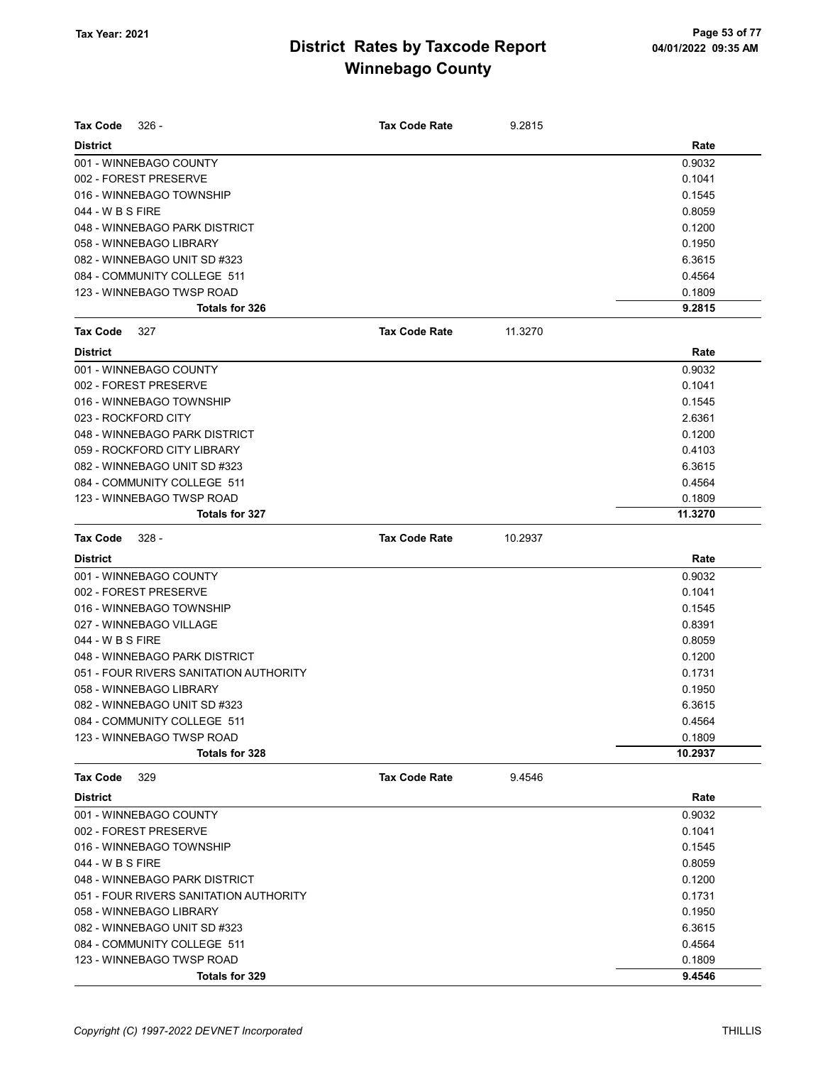| Tax Code            | $326 -$                                | <b>Tax Code Rate</b> | 9.2815  |         |
|---------------------|----------------------------------------|----------------------|---------|---------|
| <b>District</b>     |                                        |                      |         | Rate    |
|                     | 001 - WINNEBAGO COUNTY                 |                      |         | 0.9032  |
|                     | 002 - FOREST PRESERVE                  |                      |         | 0.1041  |
|                     | 016 - WINNEBAGO TOWNSHIP               |                      |         | 0.1545  |
| 044 - W B S FIRE    |                                        |                      |         | 0.8059  |
|                     | 048 - WINNEBAGO PARK DISTRICT          |                      |         | 0.1200  |
|                     | 058 - WINNEBAGO LIBRARY                |                      |         | 0.1950  |
|                     | 082 - WINNEBAGO UNIT SD #323           |                      |         | 6.3615  |
|                     | 084 - COMMUNITY COLLEGE 511            |                      |         | 0.4564  |
|                     | 123 - WINNEBAGO TWSP ROAD              |                      |         | 0.1809  |
|                     | Totals for 326                         |                      |         | 9.2815  |
| Tax Code            | 327                                    | <b>Tax Code Rate</b> | 11.3270 |         |
| <b>District</b>     |                                        |                      |         | Rate    |
|                     | 001 - WINNEBAGO COUNTY                 |                      |         | 0.9032  |
|                     | 002 - FOREST PRESERVE                  |                      |         | 0.1041  |
|                     | 016 - WINNEBAGO TOWNSHIP               |                      |         | 0.1545  |
| 023 - ROCKFORD CITY |                                        |                      |         | 2.6361  |
|                     | 048 - WINNEBAGO PARK DISTRICT          |                      |         | 0.1200  |
|                     | 059 - ROCKFORD CITY LIBRARY            |                      |         | 0.4103  |
|                     | 082 - WINNEBAGO UNIT SD #323           |                      |         | 6.3615  |
|                     | 084 - COMMUNITY COLLEGE 511            |                      |         | 0.4564  |
|                     | 123 - WINNEBAGO TWSP ROAD              |                      |         | 0.1809  |
|                     | Totals for 327                         |                      |         | 11.3270 |
| Tax Code            | $328 -$                                | <b>Tax Code Rate</b> | 10.2937 |         |
| <b>District</b>     |                                        |                      |         | Rate    |
|                     | 001 - WINNEBAGO COUNTY                 |                      |         | 0.9032  |
|                     | 002 - FOREST PRESERVE                  |                      |         | 0.1041  |
|                     | 016 - WINNEBAGO TOWNSHIP               |                      |         | 0.1545  |
|                     | 027 - WINNEBAGO VILLAGE                |                      |         | 0.8391  |
| 044 - W B S FIRE    |                                        |                      |         | 0.8059  |
|                     | 048 - WINNEBAGO PARK DISTRICT          |                      |         | 0.1200  |
|                     | 051 - FOUR RIVERS SANITATION AUTHORITY |                      |         | 0.1731  |
|                     | 058 - WINNEBAGO LIBRARY                |                      |         | 0.1950  |
|                     | 082 - WINNEBAGO UNIT SD #323           |                      |         | 6.3615  |
|                     | 084 - COMMUNITY COLLEGE 511            |                      |         | 0.4564  |
|                     | 123 - WINNEBAGO TWSP ROAD              |                      |         | 0.1809  |
|                     | Totals for 328                         |                      |         | 10.2937 |
| Tax Code            | 329                                    | <b>Tax Code Rate</b> | 9.4546  |         |
| <b>District</b>     |                                        |                      |         | Rate    |
|                     | 001 - WINNEBAGO COUNTY                 |                      |         | 0.9032  |
|                     | 002 - FOREST PRESERVE                  |                      |         | 0.1041  |
|                     | 016 - WINNEBAGO TOWNSHIP               |                      |         | 0.1545  |
| 044 - W B S FIRE    |                                        |                      |         | 0.8059  |
|                     | 048 - WINNEBAGO PARK DISTRICT          |                      |         | 0.1200  |
|                     | 051 - FOUR RIVERS SANITATION AUTHORITY |                      |         | 0.1731  |
|                     | 058 - WINNEBAGO LIBRARY                |                      |         | 0.1950  |
|                     | 082 - WINNEBAGO UNIT SD #323           |                      |         | 6.3615  |
|                     | 084 - COMMUNITY COLLEGE 511            |                      |         | 0.4564  |
|                     | 123 - WINNEBAGO TWSP ROAD              |                      |         | 0.1809  |
|                     | Totals for 329                         |                      |         | 9.4546  |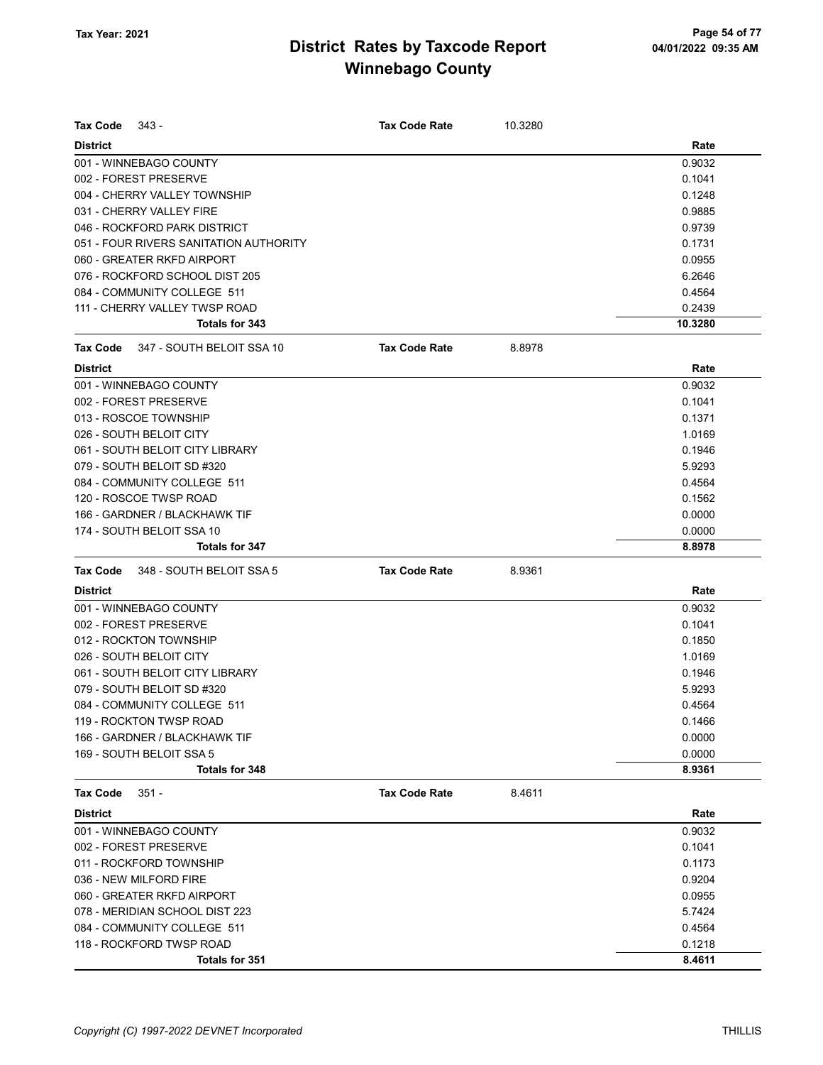| Tax Code<br>343 -                      | <b>Tax Code Rate</b> | 10.3280 |         |
|----------------------------------------|----------------------|---------|---------|
| <b>District</b>                        |                      |         | Rate    |
| 001 - WINNEBAGO COUNTY                 |                      |         | 0.9032  |
| 002 - FOREST PRESERVE                  |                      |         | 0.1041  |
| 004 - CHERRY VALLEY TOWNSHIP           |                      |         | 0.1248  |
| 031 - CHERRY VALLEY FIRE               |                      |         | 0.9885  |
| 046 - ROCKFORD PARK DISTRICT           |                      |         | 0.9739  |
| 051 - FOUR RIVERS SANITATION AUTHORITY |                      |         | 0.1731  |
| 060 - GREATER RKFD AIRPORT             |                      |         | 0.0955  |
| 076 - ROCKFORD SCHOOL DIST 205         |                      |         | 6.2646  |
| 084 - COMMUNITY COLLEGE 511            |                      |         | 0.4564  |
| 111 - CHERRY VALLEY TWSP ROAD          |                      |         | 0.2439  |
| Totals for 343                         |                      |         | 10.3280 |
| 347 - SOUTH BELOIT SSA 10<br>Tax Code  | <b>Tax Code Rate</b> | 8.8978  |         |
| <b>District</b>                        |                      |         | Rate    |
| 001 - WINNEBAGO COUNTY                 |                      |         | 0.9032  |
| 002 - FOREST PRESERVE                  |                      |         | 0.1041  |
| 013 - ROSCOE TOWNSHIP                  |                      |         | 0.1371  |
| 026 - SOUTH BELOIT CITY                |                      |         | 1.0169  |
| 061 - SOUTH BELOIT CITY LIBRARY        |                      |         | 0.1946  |
| 079 - SOUTH BELOIT SD #320             |                      |         | 5.9293  |
| 084 - COMMUNITY COLLEGE 511            |                      |         | 0.4564  |
| 120 - ROSCOE TWSP ROAD                 |                      |         | 0.1562  |
| 166 - GARDNER / BLACKHAWK TIF          |                      |         | 0.0000  |
| 174 - SOUTH BELOIT SSA 10              |                      |         | 0.0000  |
| Totals for 347                         |                      |         | 8.8978  |
| 348 - SOUTH BELOIT SSA 5<br>Tax Code   | <b>Tax Code Rate</b> | 8.9361  |         |
| <b>District</b>                        |                      |         | Rate    |
| 001 - WINNEBAGO COUNTY                 |                      |         | 0.9032  |
| 002 - FOREST PRESERVE                  |                      |         | 0.1041  |
| 012 - ROCKTON TOWNSHIP                 |                      |         | 0.1850  |
| 026 - SOUTH BELOIT CITY                |                      |         | 1.0169  |
| 061 - SOUTH BELOIT CITY LIBRARY        |                      |         | 0.1946  |
| 079 - SOUTH BELOIT SD #320             |                      |         | 5.9293  |
| 084 - COMMUNITY COLLEGE 511            |                      |         | 0.4564  |
| 119 - ROCKTON TWSP ROAD                |                      |         | 0.1466  |
| 166 - GARDNER / BLACKHAWK TIF          |                      |         | 0.0000  |
| 169 - SOUTH BELOIT SSA 5               |                      |         | 0.0000  |
| Totals for 348                         |                      |         | 8.9361  |
| $351 -$<br>Tax Code                    | <b>Tax Code Rate</b> | 8.4611  |         |
| <b>District</b>                        |                      |         | Rate    |
| 001 - WINNEBAGO COUNTY                 |                      |         | 0.9032  |
| 002 - FOREST PRESERVE                  |                      |         | 0.1041  |
| 011 - ROCKFORD TOWNSHIP                |                      |         | 0.1173  |
| 036 - NEW MILFORD FIRE                 |                      |         | 0.9204  |
| 060 - GREATER RKFD AIRPORT             |                      |         | 0.0955  |
| 078 - MERIDIAN SCHOOL DIST 223         |                      |         | 5.7424  |
| 084 - COMMUNITY COLLEGE 511            |                      |         | 0.4564  |
| 118 - ROCKFORD TWSP ROAD               |                      |         | 0.1218  |
| Totals for 351                         |                      |         | 8.4611  |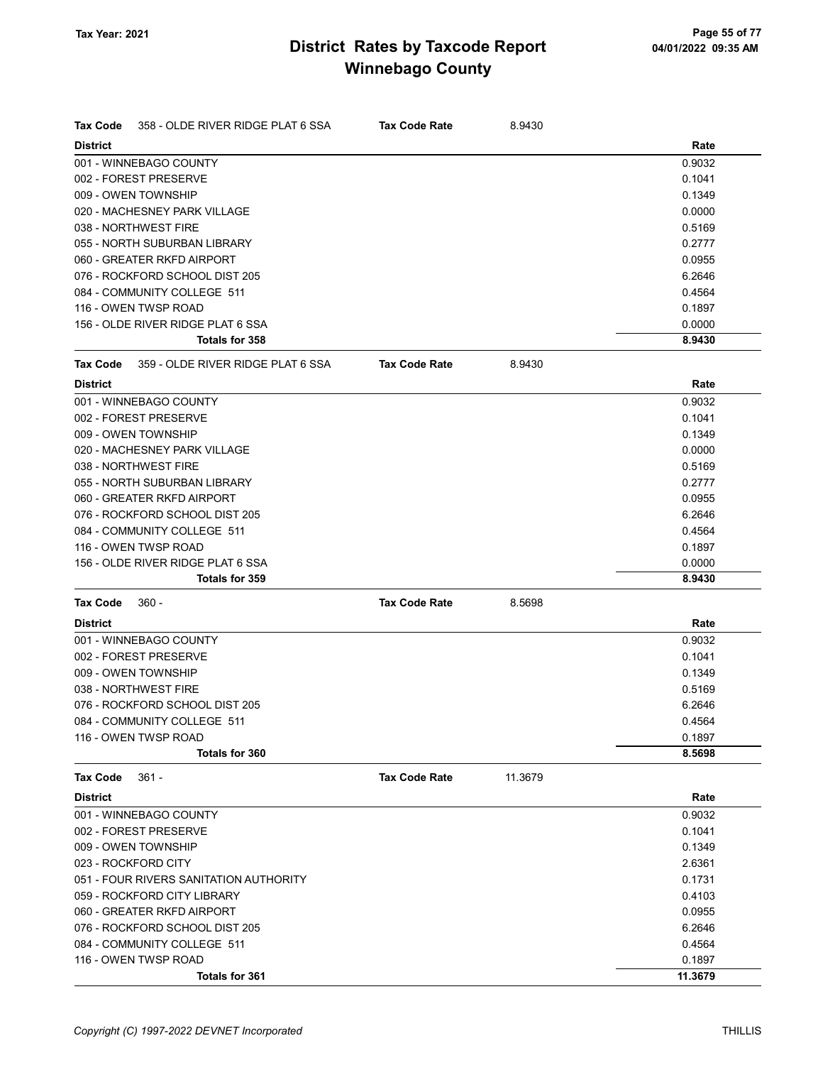| Tax Code        | 358 - OLDE RIVER RIDGE PLAT 6 SSA      | <b>Tax Code Rate</b> | 8.9430  |         |
|-----------------|----------------------------------------|----------------------|---------|---------|
| <b>District</b> |                                        |                      |         | Rate    |
|                 | 001 - WINNEBAGO COUNTY                 |                      |         | 0.9032  |
|                 | 002 - FOREST PRESERVE                  |                      |         | 0.1041  |
|                 | 009 - OWEN TOWNSHIP                    |                      |         | 0.1349  |
|                 | 020 - MACHESNEY PARK VILLAGE           |                      |         | 0.0000  |
|                 | 038 - NORTHWEST FIRE                   |                      |         | 0.5169  |
|                 | 055 - NORTH SUBURBAN LIBRARY           |                      |         | 0.2777  |
|                 | 060 - GREATER RKFD AIRPORT             |                      |         | 0.0955  |
|                 | 076 - ROCKFORD SCHOOL DIST 205         |                      |         | 6.2646  |
|                 | 084 - COMMUNITY COLLEGE 511            |                      |         | 0.4564  |
|                 | 116 - OWEN TWSP ROAD                   |                      |         | 0.1897  |
|                 | 156 - OLDE RIVER RIDGE PLAT 6 SSA      |                      |         | 0.0000  |
|                 | Totals for 358                         |                      |         | 8.9430  |
| <b>Tax Code</b> | 359 - OLDE RIVER RIDGE PLAT 6 SSA      | <b>Tax Code Rate</b> | 8.9430  |         |
| <b>District</b> |                                        |                      |         | Rate    |
|                 | 001 - WINNEBAGO COUNTY                 |                      |         | 0.9032  |
|                 | 002 - FOREST PRESERVE                  |                      |         | 0.1041  |
|                 | 009 - OWEN TOWNSHIP                    |                      |         | 0.1349  |
|                 | 020 - MACHESNEY PARK VILLAGE           |                      |         | 0.0000  |
|                 | 038 - NORTHWEST FIRE                   |                      |         | 0.5169  |
|                 | 055 - NORTH SUBURBAN LIBRARY           |                      |         | 0.2777  |
|                 | 060 - GREATER RKFD AIRPORT             |                      |         | 0.0955  |
|                 | 076 - ROCKFORD SCHOOL DIST 205         |                      |         | 6.2646  |
|                 | 084 - COMMUNITY COLLEGE 511            |                      |         | 0.4564  |
|                 | 116 - OWEN TWSP ROAD                   |                      |         | 0.1897  |
|                 | 156 - OLDE RIVER RIDGE PLAT 6 SSA      |                      |         | 0.0000  |
|                 | Totals for 359                         |                      |         | 8.9430  |
| Tax Code        | $360 -$                                | <b>Tax Code Rate</b> | 8.5698  |         |
| <b>District</b> |                                        |                      |         | Rate    |
|                 | 001 - WINNEBAGO COUNTY                 |                      |         | 0.9032  |
|                 | 002 - FOREST PRESERVE                  |                      |         | 0.1041  |
|                 | 009 - OWEN TOWNSHIP                    |                      |         | 0.1349  |
|                 | 038 - NORTHWEST FIRE                   |                      |         | 0.5169  |
|                 | 076 - ROCKFORD SCHOOL DIST 205         |                      |         | 6.2646  |
|                 | 084 - COMMUNITY COLLEGE 511            |                      |         | 0.4564  |
|                 | 116 - OWEN TWSP ROAD                   |                      |         | 0.1897  |
|                 | <b>Totals for 360</b>                  |                      |         | 8.5698  |
| Tax Code        | $361 -$                                | <b>Tax Code Rate</b> | 11.3679 |         |
| <b>District</b> |                                        |                      |         | Rate    |
|                 | 001 - WINNEBAGO COUNTY                 |                      |         | 0.9032  |
|                 | 002 - FOREST PRESERVE                  |                      |         | 0.1041  |
|                 | 009 - OWEN TOWNSHIP                    |                      |         | 0.1349  |
|                 | 023 - ROCKFORD CITY                    |                      |         | 2.6361  |
|                 | 051 - FOUR RIVERS SANITATION AUTHORITY |                      |         | 0.1731  |
|                 | 059 - ROCKFORD CITY LIBRARY            |                      |         | 0.4103  |
|                 | 060 - GREATER RKFD AIRPORT             |                      |         | 0.0955  |
|                 | 076 - ROCKFORD SCHOOL DIST 205         |                      |         | 6.2646  |
|                 | 084 - COMMUNITY COLLEGE 511            |                      |         | 0.4564  |
|                 | 116 - OWEN TWSP ROAD                   |                      |         | 0.1897  |
|                 | Totals for 361                         |                      |         | 11.3679 |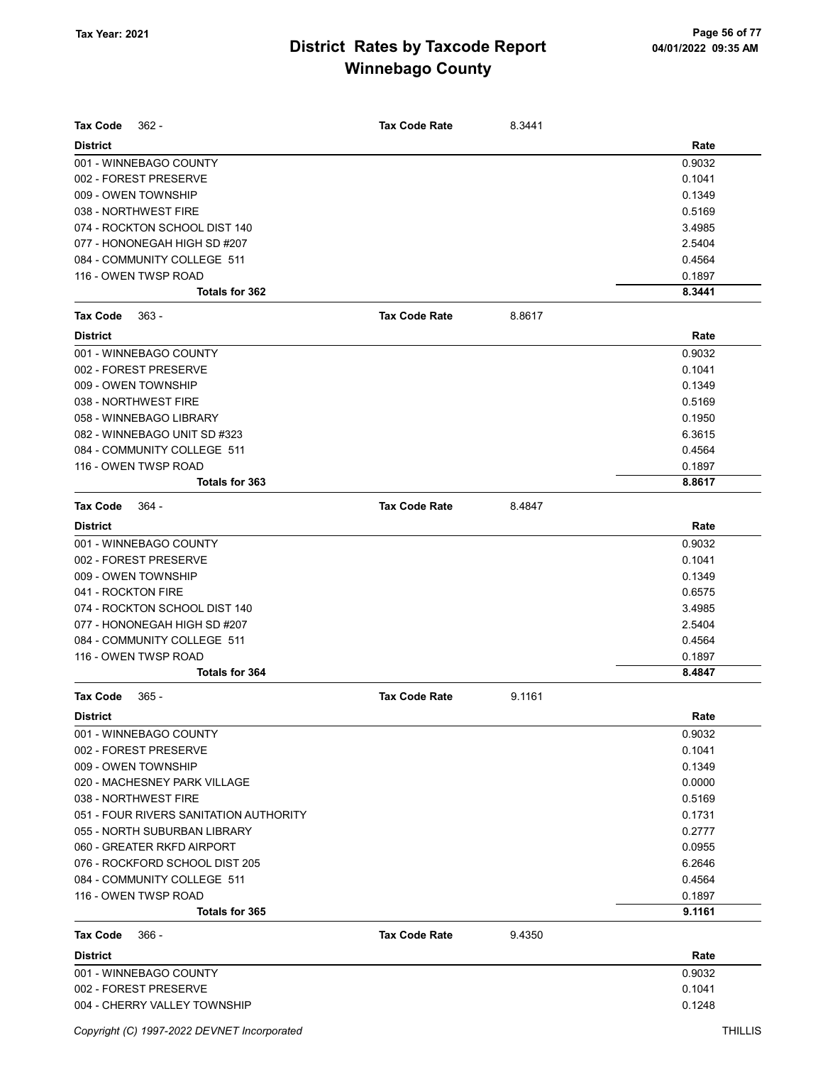| Tax Code<br>$362 -$                    | <b>Tax Code Rate</b> | 8.3441 |                  |
|----------------------------------------|----------------------|--------|------------------|
| <b>District</b>                        |                      |        | Rate             |
| 001 - WINNEBAGO COUNTY                 |                      |        | 0.9032           |
| 002 - FOREST PRESERVE                  |                      |        | 0.1041           |
| 009 - OWEN TOWNSHIP                    |                      |        | 0.1349           |
| 038 - NORTHWEST FIRE                   |                      |        | 0.5169           |
| 074 - ROCKTON SCHOOL DIST 140          |                      |        | 3.4985           |
| 077 - HONONEGAH HIGH SD #207           |                      |        | 2.5404           |
| 084 - COMMUNITY COLLEGE 511            |                      |        | 0.4564           |
| 116 - OWEN TWSP ROAD                   |                      |        | 0.1897           |
| Totals for 362                         |                      |        | 8.3441           |
| $363 -$<br>Tax Code                    | <b>Tax Code Rate</b> | 8.8617 |                  |
| <b>District</b>                        |                      |        | Rate             |
| 001 - WINNEBAGO COUNTY                 |                      |        | 0.9032           |
| 002 - FOREST PRESERVE                  |                      |        | 0.1041           |
| 009 - OWEN TOWNSHIP                    |                      |        | 0.1349           |
| 038 - NORTHWEST FIRE                   |                      |        | 0.5169           |
| 058 - WINNEBAGO LIBRARY                |                      |        | 0.1950           |
| 082 - WINNEBAGO UNIT SD #323           |                      |        | 6.3615           |
| 084 - COMMUNITY COLLEGE 511            |                      |        | 0.4564           |
| 116 - OWEN TWSP ROAD                   |                      |        | 0.1897           |
| Totals for 363                         |                      |        | 8.8617           |
| Tax Code<br>- 364                      | <b>Tax Code Rate</b> | 8.4847 |                  |
| <b>District</b>                        |                      |        | Rate             |
| 001 - WINNEBAGO COUNTY                 |                      |        | 0.9032           |
| 002 - FOREST PRESERVE                  |                      |        | 0.1041           |
| 009 - OWEN TOWNSHIP                    |                      |        | 0.1349           |
| 041 - ROCKTON FIRE                     |                      |        | 0.6575           |
| 074 - ROCKTON SCHOOL DIST 140          |                      |        | 3.4985           |
| 077 - HONONEGAH HIGH SD #207           |                      |        | 2.5404           |
| 084 - COMMUNITY COLLEGE 511            |                      |        | 0.4564           |
| 116 - OWEN TWSP ROAD                   |                      |        | 0.1897           |
| Totals for 364                         |                      |        | 8.4847           |
| <b>Tax Code</b><br>$365 -$             | <b>Tax Code Rate</b> | 9.1161 |                  |
| <b>District</b>                        |                      |        | Rate             |
| 001 - WINNEBAGO COUNTY                 |                      |        | 0.9032           |
| 002 - FOREST PRESERVE                  |                      |        | 0.1041           |
| 009 - OWEN TOWNSHIP                    |                      |        | 0.1349           |
| 020 - MACHESNEY PARK VILLAGE           |                      |        | 0.0000           |
| 038 - NORTHWEST FIRE                   |                      |        | 0.5169           |
| 051 - FOUR RIVERS SANITATION AUTHORITY |                      |        | 0.1731           |
| 055 - NORTH SUBURBAN LIBRARY           |                      |        | 0.2777           |
| 060 - GREATER RKFD AIRPORT             |                      |        | 0.0955           |
| 076 - ROCKFORD SCHOOL DIST 205         |                      |        | 6.2646           |
| 084 - COMMUNITY COLLEGE 511            |                      |        | 0.4564           |
| 116 - OWEN TWSP ROAD                   |                      |        | 0.1897<br>9.1161 |
| Totals for 365                         |                      |        |                  |
| $366 -$<br>Tax Code                    | <b>Tax Code Rate</b> | 9.4350 |                  |
| <b>District</b>                        |                      |        | Rate             |
| 001 - WINNEBAGO COUNTY                 |                      |        | 0.9032           |
| 002 - FOREST PRESERVE                  |                      |        | 0.1041           |
| 004 - CHERRY VALLEY TOWNSHIP           |                      |        | 0.1248           |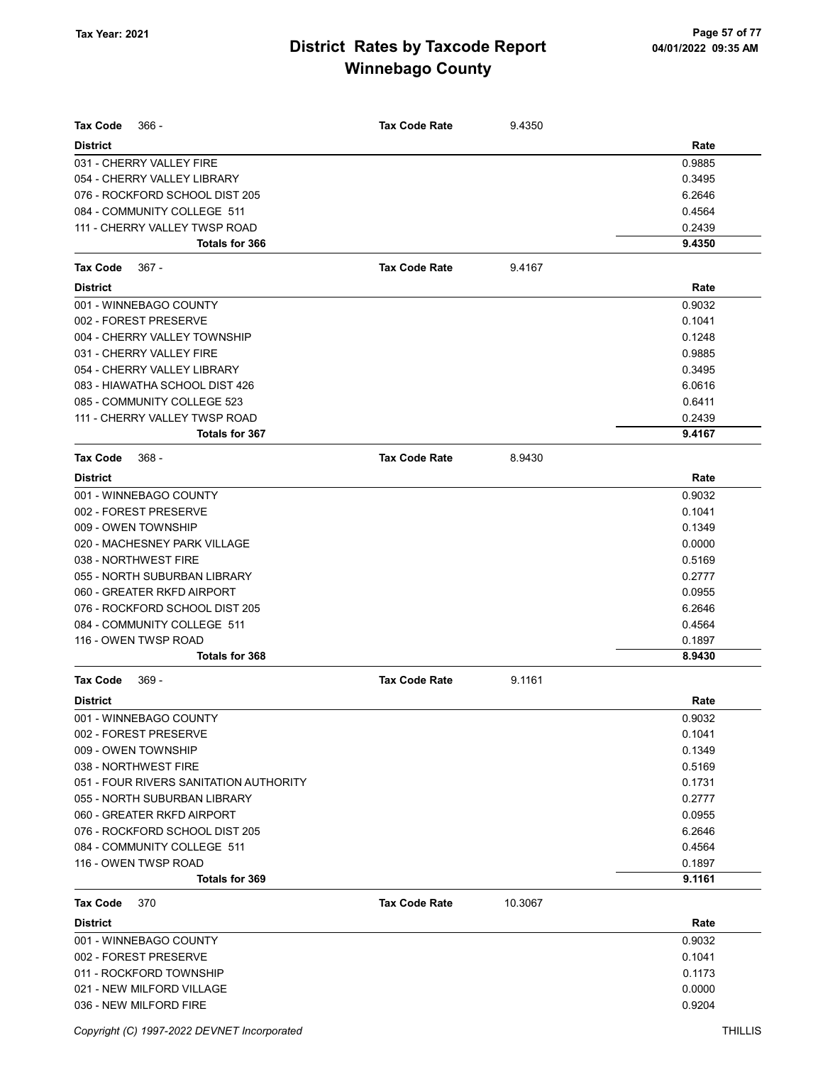| <b>Tax Code</b><br>$366 -$             | <b>Tax Code Rate</b> | 9.4350  |        |
|----------------------------------------|----------------------|---------|--------|
| <b>District</b>                        |                      |         | Rate   |
| 031 - CHERRY VALLEY FIRE               |                      |         | 0.9885 |
| 054 - CHERRY VALLEY LIBRARY            |                      |         | 0.3495 |
| 076 - ROCKFORD SCHOOL DIST 205         |                      |         | 6.2646 |
| 084 - COMMUNITY COLLEGE 511            |                      |         | 0.4564 |
| 111 - CHERRY VALLEY TWSP ROAD          |                      |         | 0.2439 |
| <b>Totals for 366</b>                  |                      |         | 9.4350 |
| <b>Tax Code</b><br>$367 -$             | <b>Tax Code Rate</b> | 9.4167  |        |
| <b>District</b>                        |                      |         | Rate   |
| 001 - WINNEBAGO COUNTY                 |                      |         | 0.9032 |
| 002 - FOREST PRESERVE                  |                      |         | 0.1041 |
| 004 - CHERRY VALLEY TOWNSHIP           |                      |         | 0.1248 |
| 031 - CHERRY VALLEY FIRE               |                      |         | 0.9885 |
| 054 - CHERRY VALLEY LIBRARY            |                      |         | 0.3495 |
| 083 - HIAWATHA SCHOOL DIST 426         |                      |         | 6.0616 |
| 085 - COMMUNITY COLLEGE 523            |                      |         | 0.6411 |
| 111 - CHERRY VALLEY TWSP ROAD          |                      |         | 0.2439 |
| Totals for 367                         |                      |         | 9.4167 |
| <b>Tax Code</b><br>$368 -$             | <b>Tax Code Rate</b> | 8.9430  |        |
| <b>District</b>                        |                      |         | Rate   |
| 001 - WINNEBAGO COUNTY                 |                      |         | 0.9032 |
| 002 - FOREST PRESERVE                  |                      |         | 0.1041 |
| 009 - OWEN TOWNSHIP                    |                      |         | 0.1349 |
| 020 - MACHESNEY PARK VILLAGE           |                      |         | 0.0000 |
| 038 - NORTHWEST FIRE                   |                      |         | 0.5169 |
| 055 - NORTH SUBURBAN LIBRARY           |                      |         | 0.2777 |
| 060 - GREATER RKFD AIRPORT             |                      |         | 0.0955 |
| 076 - ROCKFORD SCHOOL DIST 205         |                      |         | 6.2646 |
| 084 - COMMUNITY COLLEGE 511            |                      |         | 0.4564 |
| 116 - OWEN TWSP ROAD                   |                      |         | 0.1897 |
| Totals for 368                         |                      |         | 8.9430 |
| <b>Tax Code</b><br>$369 -$             | <b>Tax Code Rate</b> | 9.1161  |        |
| <b>District</b>                        |                      |         | Rate   |
| 001 - WINNEBAGO COUNTY                 |                      |         | 0.9032 |
| 002 - FOREST PRESERVE                  |                      |         | 0.1041 |
| 009 - OWEN TOWNSHIP                    |                      |         | 0.1349 |
| 038 - NORTHWEST FIRE                   |                      |         | 0.5169 |
| 051 - FOUR RIVERS SANITATION AUTHORITY |                      |         | 0.1731 |
| 055 - NORTH SUBURBAN LIBRARY           |                      |         | 0.2777 |
| 060 - GREATER RKFD AIRPORT             |                      |         | 0.0955 |
| 076 - ROCKFORD SCHOOL DIST 205         |                      |         | 6.2646 |
| 084 - COMMUNITY COLLEGE 511            |                      |         | 0.4564 |
| 116 - OWEN TWSP ROAD                   |                      |         | 0.1897 |
| Totals for 369                         |                      |         | 9.1161 |
| <b>Tax Code</b><br>370                 | <b>Tax Code Rate</b> | 10.3067 |        |
| <b>District</b>                        |                      |         | Rate   |
| 001 - WINNEBAGO COUNTY                 |                      |         | 0.9032 |
| 002 - FOREST PRESERVE                  |                      |         | 0.1041 |
| 011 - ROCKFORD TOWNSHIP                |                      |         | 0.1173 |
| 021 - NEW MILFORD VILLAGE              |                      |         | 0.0000 |
| 036 - NEW MILFORD FIRE                 |                      |         | 0.9204 |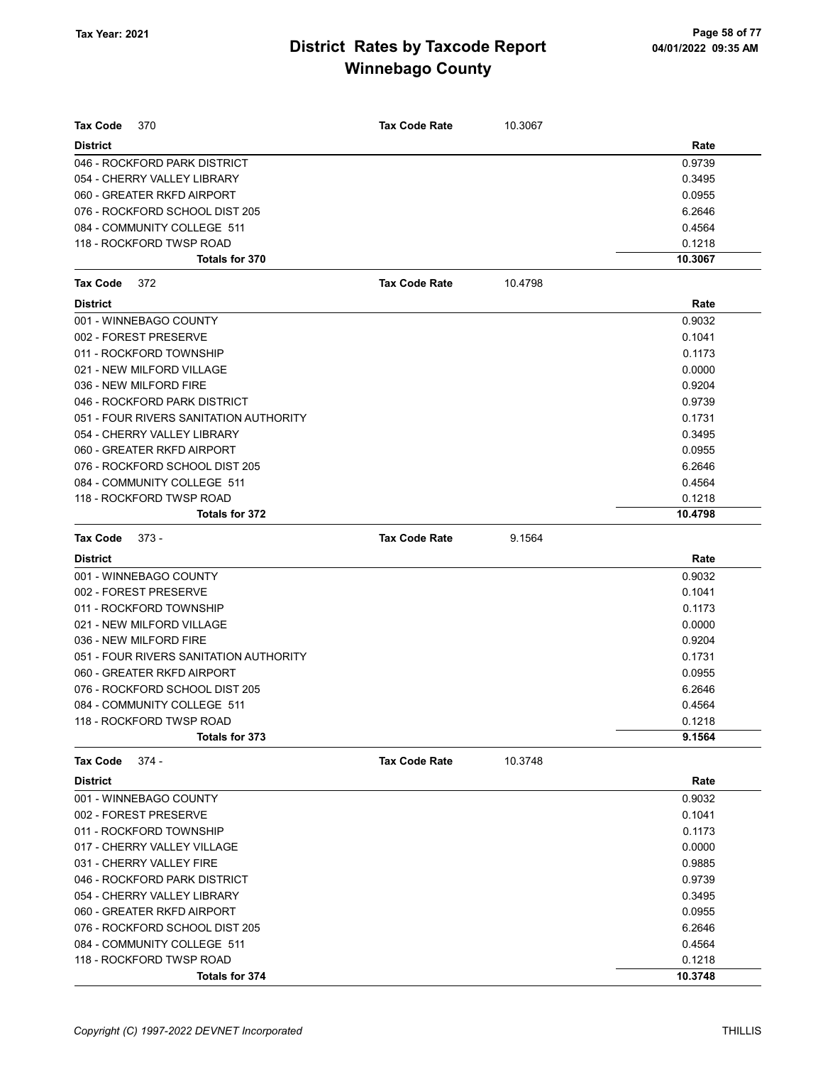| Tax Code<br>370                        | <b>Tax Code Rate</b> | 10.3067 |         |
|----------------------------------------|----------------------|---------|---------|
| <b>District</b>                        |                      |         | Rate    |
| 046 - ROCKFORD PARK DISTRICT           |                      |         | 0.9739  |
| 054 - CHERRY VALLEY LIBRARY            |                      |         | 0.3495  |
| 060 - GREATER RKFD AIRPORT             |                      |         | 0.0955  |
| 076 - ROCKFORD SCHOOL DIST 205         |                      |         | 6.2646  |
| 084 - COMMUNITY COLLEGE 511            |                      |         | 0.4564  |
| 118 - ROCKFORD TWSP ROAD               |                      |         | 0.1218  |
| Totals for 370                         |                      |         | 10.3067 |
| <b>Tax Code</b><br>372                 | <b>Tax Code Rate</b> | 10.4798 |         |
| <b>District</b>                        |                      |         | Rate    |
| 001 - WINNEBAGO COUNTY                 |                      |         | 0.9032  |
| 002 - FOREST PRESERVE                  |                      |         | 0.1041  |
| 011 - ROCKFORD TOWNSHIP                |                      |         | 0.1173  |
| 021 - NEW MILFORD VILLAGE              |                      |         | 0.0000  |
| 036 - NEW MILFORD FIRE                 |                      |         | 0.9204  |
| 046 - ROCKFORD PARK DISTRICT           |                      |         | 0.9739  |
| 051 - FOUR RIVERS SANITATION AUTHORITY |                      |         | 0.1731  |
| 054 - CHERRY VALLEY LIBRARY            |                      |         | 0.3495  |
| 060 - GREATER RKFD AIRPORT             |                      |         | 0.0955  |
| 076 - ROCKFORD SCHOOL DIST 205         |                      |         | 6.2646  |
| 084 - COMMUNITY COLLEGE 511            |                      |         | 0.4564  |
| 118 - ROCKFORD TWSP ROAD               |                      |         | 0.1218  |
| Totals for 372                         |                      |         | 10.4798 |
| Tax Code<br>$373 -$                    | <b>Tax Code Rate</b> | 9.1564  |         |
| <b>District</b>                        |                      |         | Rate    |
| 001 - WINNEBAGO COUNTY                 |                      |         | 0.9032  |
| 002 - FOREST PRESERVE                  |                      |         | 0.1041  |
| 011 - ROCKFORD TOWNSHIP                |                      |         | 0.1173  |
| 021 - NEW MILFORD VILLAGE              |                      |         | 0.0000  |
| 036 - NEW MILFORD FIRE                 |                      |         | 0.9204  |
| 051 - FOUR RIVERS SANITATION AUTHORITY |                      |         | 0.1731  |
| 060 - GREATER RKFD AIRPORT             |                      |         | 0.0955  |
| 076 - ROCKFORD SCHOOL DIST 205         |                      |         | 6.2646  |
| 084 - COMMUNITY COLLEGE 511            |                      |         | 0.4564  |
| 118 - ROCKFORD TWSP ROAD               |                      |         | 0.1218  |
| Totals for 373                         |                      |         | 9.1564  |
| $374 -$<br>Tax Code                    | <b>Tax Code Rate</b> | 10.3748 |         |
| <b>District</b>                        |                      |         | Rate    |
| 001 - WINNEBAGO COUNTY                 |                      |         | 0.9032  |
| 002 - FOREST PRESERVE                  |                      |         | 0.1041  |
| 011 - ROCKFORD TOWNSHIP                |                      |         | 0.1173  |
| 017 - CHERRY VALLEY VILLAGE            |                      |         | 0.0000  |
| 031 - CHERRY VALLEY FIRE               |                      |         | 0.9885  |
| 046 - ROCKFORD PARK DISTRICT           |                      |         | 0.9739  |
| 054 - CHERRY VALLEY LIBRARY            |                      |         | 0.3495  |
| 060 - GREATER RKFD AIRPORT             |                      |         | 0.0955  |
| 076 - ROCKFORD SCHOOL DIST 205         |                      |         | 6.2646  |
| 084 - COMMUNITY COLLEGE 511            |                      |         | 0.4564  |
| 118 - ROCKFORD TWSP ROAD               |                      |         | 0.1218  |
| Totals for 374                         |                      |         | 10.3748 |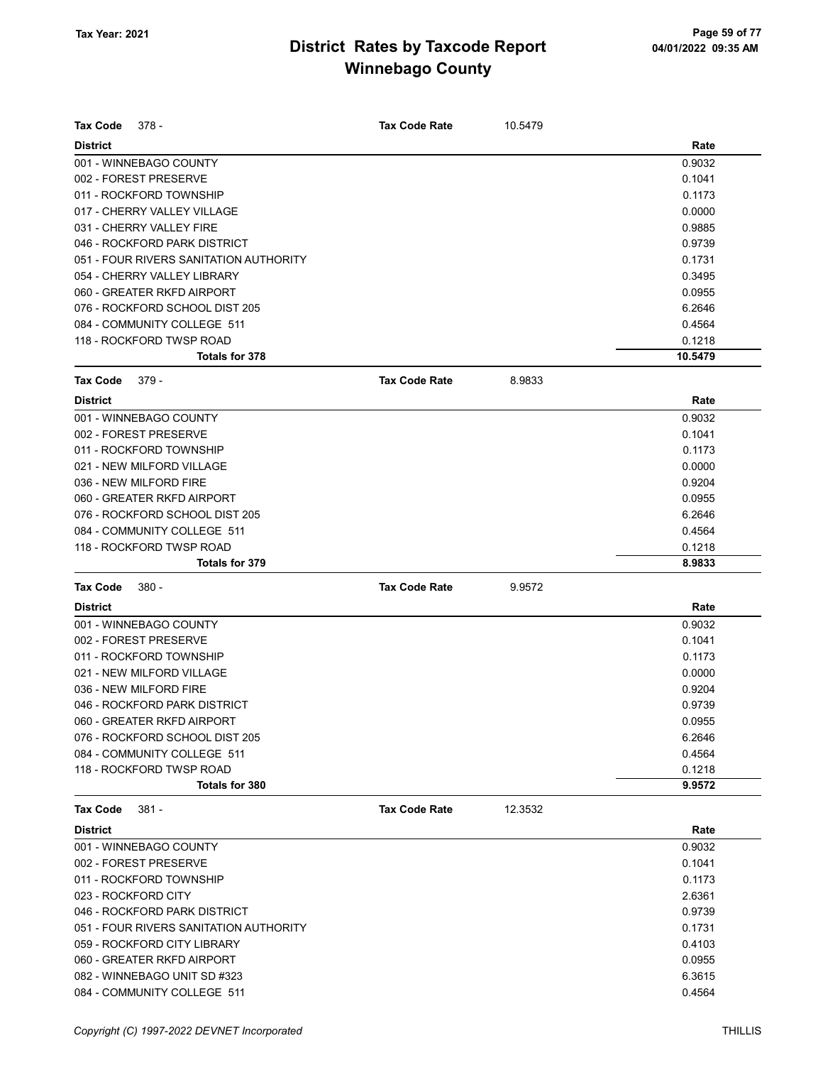| <b>Tax Code</b><br>378 -               | <b>Tax Code Rate</b> | 10.5479 |         |
|----------------------------------------|----------------------|---------|---------|
| <b>District</b>                        |                      |         | Rate    |
| 001 - WINNEBAGO COUNTY                 |                      |         | 0.9032  |
| 002 - FOREST PRESERVE                  |                      |         | 0.1041  |
| 011 - ROCKFORD TOWNSHIP                |                      |         | 0.1173  |
| 017 - CHERRY VALLEY VILLAGE            |                      |         | 0.0000  |
| 031 - CHERRY VALLEY FIRE               |                      |         | 0.9885  |
| 046 - ROCKFORD PARK DISTRICT           |                      |         | 0.9739  |
| 051 - FOUR RIVERS SANITATION AUTHORITY |                      |         | 0.1731  |
| 054 - CHERRY VALLEY LIBRARY            |                      |         | 0.3495  |
| 060 - GREATER RKFD AIRPORT             |                      |         | 0.0955  |
| 076 - ROCKFORD SCHOOL DIST 205         |                      |         | 6.2646  |
| 084 - COMMUNITY COLLEGE 511            |                      |         | 0.4564  |
| 118 - ROCKFORD TWSP ROAD               |                      |         | 0.1218  |
| Totals for 378                         |                      |         | 10.5479 |
| <b>Tax Code</b><br>$379 -$             | <b>Tax Code Rate</b> | 8.9833  |         |
| <b>District</b>                        |                      |         | Rate    |
| 001 - WINNEBAGO COUNTY                 |                      |         | 0.9032  |
| 002 - FOREST PRESERVE                  |                      |         | 0.1041  |
| 011 - ROCKFORD TOWNSHIP                |                      |         | 0.1173  |
| 021 - NEW MILFORD VILLAGE              |                      |         | 0.0000  |
| 036 - NEW MILFORD FIRE                 |                      |         | 0.9204  |
| 060 - GREATER RKFD AIRPORT             |                      |         | 0.0955  |
| 076 - ROCKFORD SCHOOL DIST 205         |                      |         | 6.2646  |
| 084 - COMMUNITY COLLEGE 511            |                      |         | 0.4564  |
| 118 - ROCKFORD TWSP ROAD               |                      |         | 0.1218  |
| Totals for 379                         |                      |         | 8.9833  |
| <b>Tax Code</b><br>380 -               | <b>Tax Code Rate</b> | 9.9572  |         |
| <b>District</b>                        |                      |         | Rate    |
| 001 - WINNEBAGO COUNTY                 |                      |         | 0.9032  |
| 002 - FOREST PRESERVE                  |                      |         | 0.1041  |
| 011 - ROCKFORD TOWNSHIP                |                      |         | 0.1173  |
| 021 - NEW MILFORD VILLAGE              |                      |         | 0.0000  |
| 036 - NEW MILFORD FIRE                 |                      |         | 0.9204  |
| 046 - ROCKFORD PARK DISTRICT           |                      |         | 0.9739  |
| 060 - GREATER RKFD AIRPORT             |                      |         | 0.0955  |
| 076 - ROCKFORD SCHOOL DIST 205         |                      |         | 6.2646  |
| 084 - COMMUNITY COLLEGE 511            |                      |         | 0.4564  |
| 118 - ROCKFORD TWSP ROAD               |                      |         | 0.1218  |
| Totals for 380                         |                      |         | 9.9572  |
| <b>Tax Code</b><br>$381 -$             | <b>Tax Code Rate</b> | 12.3532 |         |
| <b>District</b>                        |                      |         | Rate    |
| 001 - WINNEBAGO COUNTY                 |                      |         | 0.9032  |
| 002 - FOREST PRESERVE                  |                      |         | 0.1041  |
| 011 - ROCKFORD TOWNSHIP                |                      |         | 0.1173  |
| 023 - ROCKFORD CITY                    |                      |         | 2.6361  |
| 046 - ROCKFORD PARK DISTRICT           |                      |         | 0.9739  |
| 051 - FOUR RIVERS SANITATION AUTHORITY |                      |         | 0.1731  |
| 059 - ROCKFORD CITY LIBRARY            |                      |         | 0.4103  |
| 060 - GREATER RKFD AIRPORT             |                      |         | 0.0955  |
| 082 - WINNEBAGO UNIT SD #323           |                      |         | 6.3615  |
| 084 - COMMUNITY COLLEGE 511            |                      |         | 0.4564  |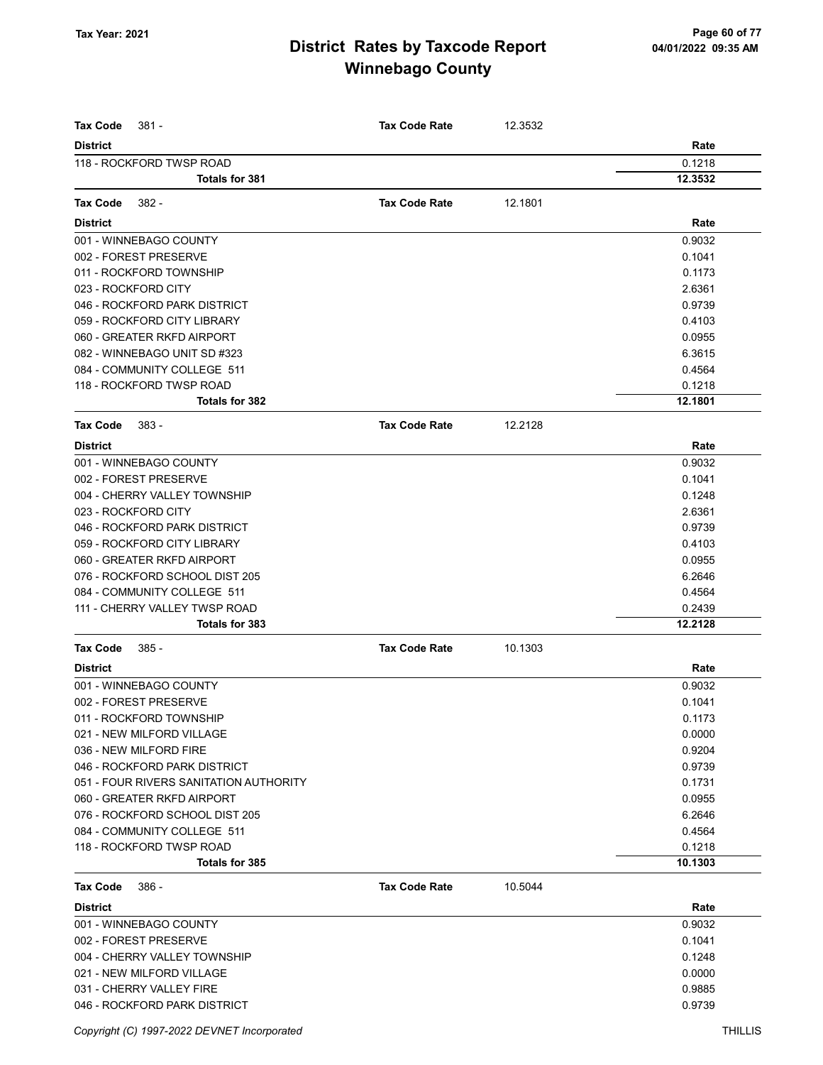| <b>Tax Code</b><br>$381 -$                        | <b>Tax Code Rate</b> | 12.3532 |                   |
|---------------------------------------------------|----------------------|---------|-------------------|
| <b>District</b>                                   |                      |         | Rate              |
| 118 - ROCKFORD TWSP ROAD                          |                      |         | 0.1218            |
| <b>Totals for 381</b>                             |                      |         | 12.3532           |
|                                                   |                      |         |                   |
| <b>Tax Code</b><br>382 -                          | <b>Tax Code Rate</b> | 12.1801 |                   |
| <b>District</b>                                   |                      |         | Rate              |
| 001 - WINNEBAGO COUNTY                            |                      |         | 0.9032            |
| 002 - FOREST PRESERVE                             |                      |         | 0.1041            |
| 011 - ROCKFORD TOWNSHIP                           |                      |         | 0.1173            |
| 023 - ROCKFORD CITY                               |                      |         | 2.6361            |
| 046 - ROCKFORD PARK DISTRICT                      |                      |         | 0.9739            |
| 059 - ROCKFORD CITY LIBRARY                       |                      |         | 0.4103            |
| 060 - GREATER RKFD AIRPORT                        |                      |         | 0.0955            |
| 082 - WINNEBAGO UNIT SD #323                      |                      |         | 6.3615            |
| 084 - COMMUNITY COLLEGE 511                       |                      |         | 0.4564            |
| 118 - ROCKFORD TWSP ROAD<br><b>Totals for 382</b> |                      |         | 0.1218<br>12.1801 |
|                                                   |                      |         |                   |
| <b>Tax Code</b><br>383 -                          | <b>Tax Code Rate</b> | 12.2128 |                   |
| <b>District</b>                                   |                      |         | Rate              |
| 001 - WINNEBAGO COUNTY                            |                      |         | 0.9032            |
| 002 - FOREST PRESERVE                             |                      |         | 0.1041            |
| 004 - CHERRY VALLEY TOWNSHIP                      |                      |         | 0.1248            |
| 023 - ROCKFORD CITY                               |                      |         | 2.6361            |
| 046 - ROCKFORD PARK DISTRICT                      |                      |         | 0.9739            |
| 059 - ROCKFORD CITY LIBRARY                       |                      |         | 0.4103            |
| 060 - GREATER RKFD AIRPORT                        |                      |         | 0.0955            |
| 076 - ROCKFORD SCHOOL DIST 205                    |                      |         | 6.2646            |
| 084 - COMMUNITY COLLEGE 511                       |                      |         | 0.4564            |
| 111 - CHERRY VALLEY TWSP ROAD                     |                      |         | 0.2439            |
| Totals for 383                                    |                      |         | 12.2128           |
| <b>Tax Code</b><br>385 -                          | <b>Tax Code Rate</b> | 10.1303 |                   |
| <b>District</b>                                   |                      |         | Rate              |
| 001 - WINNEBAGO COUNTY                            |                      |         | 0.9032            |
| 002 - FOREST PRESERVE                             |                      |         | 0.1041            |
| 011 - ROCKFORD TOWNSHIP                           |                      |         | 0.1173            |
| 021 - NEW MILFORD VILLAGE                         |                      |         | 0.0000            |
| 036 - NEW MILFORD FIRE                            |                      |         | 0.9204            |
| 046 - ROCKFORD PARK DISTRICT                      |                      |         | 0.9739            |
| 051 - FOUR RIVERS SANITATION AUTHORITY            |                      |         | 0.1731            |
| 060 - GREATER RKFD AIRPORT                        |                      |         | 0.0955            |
| 076 - ROCKFORD SCHOOL DIST 205                    |                      |         | 6.2646            |
| 084 - COMMUNITY COLLEGE 511                       |                      |         | 0.4564            |
| 118 - ROCKFORD TWSP ROAD                          |                      |         | 0.1218            |
| Totals for 385                                    |                      |         | 10.1303           |
| <b>Tax Code</b><br>386 -                          | <b>Tax Code Rate</b> | 10.5044 |                   |
| <b>District</b>                                   |                      |         | Rate              |
| 001 - WINNEBAGO COUNTY                            |                      |         | 0.9032            |
| 002 - FOREST PRESERVE                             |                      |         | 0.1041            |
| 004 - CHERRY VALLEY TOWNSHIP                      |                      |         | 0.1248            |
| 021 - NEW MILFORD VILLAGE                         |                      |         | 0.0000            |
| 031 - CHERRY VALLEY FIRE                          |                      |         | 0.9885            |
| 046 - ROCKFORD PARK DISTRICT                      |                      |         | 0.9739            |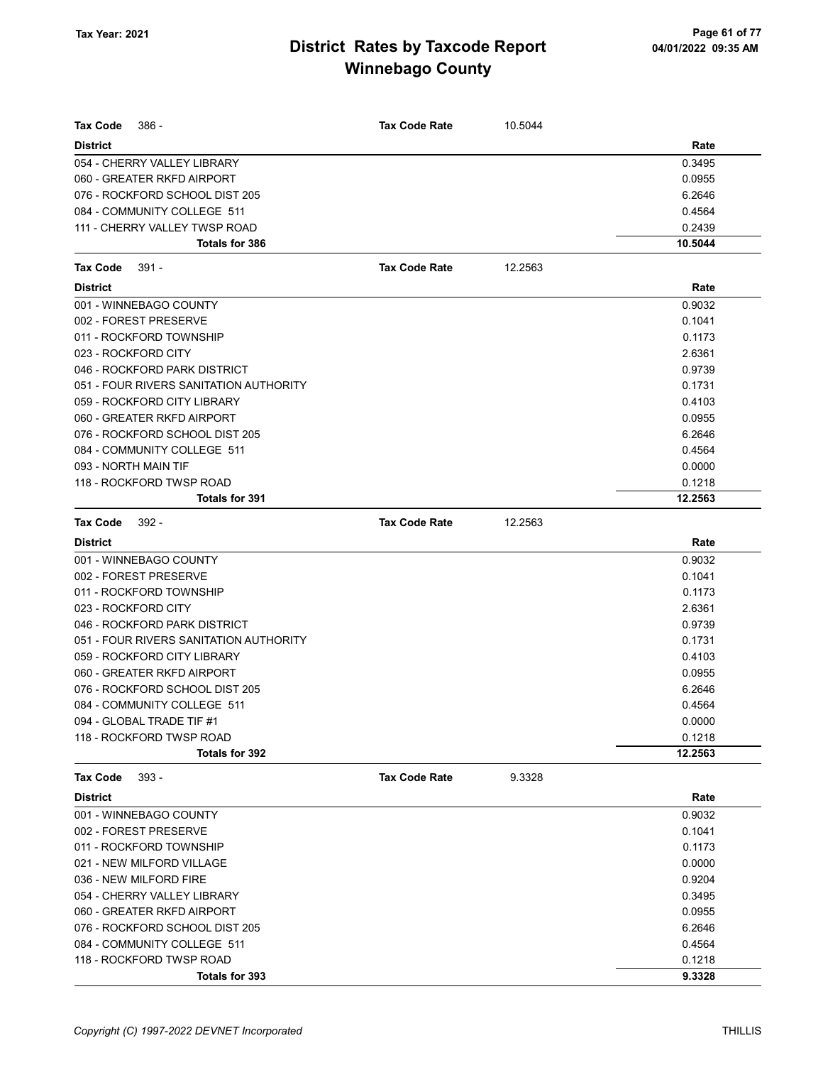| Tax Code<br>386 -                      | <b>Tax Code Rate</b> | 10.5044 |         |
|----------------------------------------|----------------------|---------|---------|
| <b>District</b>                        |                      |         | Rate    |
| 054 - CHERRY VALLEY LIBRARY            |                      |         | 0.3495  |
| 060 - GREATER RKFD AIRPORT             |                      |         | 0.0955  |
| 076 - ROCKFORD SCHOOL DIST 205         |                      |         | 6.2646  |
| 084 - COMMUNITY COLLEGE 511            |                      |         | 0.4564  |
| 111 - CHERRY VALLEY TWSP ROAD          |                      |         | 0.2439  |
| <b>Totals for 386</b>                  |                      |         | 10.5044 |
| $391 -$<br>Tax Code                    | <b>Tax Code Rate</b> | 12.2563 |         |
| <b>District</b>                        |                      |         | Rate    |
| 001 - WINNEBAGO COUNTY                 |                      |         | 0.9032  |
| 002 - FOREST PRESERVE                  |                      |         | 0.1041  |
| 011 - ROCKFORD TOWNSHIP                |                      |         | 0.1173  |
| 023 - ROCKFORD CITY                    |                      |         | 2.6361  |
| 046 - ROCKFORD PARK DISTRICT           |                      |         | 0.9739  |
| 051 - FOUR RIVERS SANITATION AUTHORITY |                      |         | 0.1731  |
| 059 - ROCKFORD CITY LIBRARY            |                      |         | 0.4103  |
| 060 - GREATER RKFD AIRPORT             |                      |         | 0.0955  |
| 076 - ROCKFORD SCHOOL DIST 205         |                      |         | 6.2646  |
| 084 - COMMUNITY COLLEGE 511            |                      |         | 0.4564  |
| 093 - NORTH MAIN TIF                   |                      |         | 0.0000  |
| 118 - ROCKFORD TWSP ROAD               |                      |         | 0.1218  |
| Totals for 391                         |                      |         | 12.2563 |
| <b>Tax Code</b><br>$392 -$             | <b>Tax Code Rate</b> | 12.2563 |         |
| <b>District</b>                        |                      |         | Rate    |
| 001 - WINNEBAGO COUNTY                 |                      |         | 0.9032  |
| 002 - FOREST PRESERVE                  |                      |         | 0.1041  |
| 011 - ROCKFORD TOWNSHIP                |                      |         | 0.1173  |
| 023 - ROCKFORD CITY                    |                      |         | 2.6361  |
| 046 - ROCKFORD PARK DISTRICT           |                      |         | 0.9739  |
| 051 - FOUR RIVERS SANITATION AUTHORITY |                      |         | 0.1731  |
| 059 - ROCKFORD CITY LIBRARY            |                      |         | 0.4103  |
| 060 - GREATER RKFD AIRPORT             |                      |         | 0.0955  |
| 076 - ROCKFORD SCHOOL DIST 205         |                      |         | 6.2646  |
| 084 - COMMUNITY COLLEGE 511            |                      |         | 0.4564  |
| 094 - GLOBAL TRADE TIF #1              |                      |         | 0.0000  |
| 118 - ROCKFORD TWSP ROAD               |                      |         | 0.1218  |
| <b>Totals for 392</b>                  |                      |         | 12.2563 |
| $393 -$<br>Tax Code                    | <b>Tax Code Rate</b> | 9.3328  |         |
| <b>District</b>                        |                      |         | Rate    |
| 001 - WINNEBAGO COUNTY                 |                      |         | 0.9032  |
| 002 - FOREST PRESERVE                  |                      |         | 0.1041  |
| 011 - ROCKFORD TOWNSHIP                |                      |         | 0.1173  |
| 021 - NEW MILFORD VILLAGE              |                      |         | 0.0000  |
| 036 - NEW MILFORD FIRE                 |                      |         | 0.9204  |
| 054 - CHERRY VALLEY LIBRARY            |                      |         | 0.3495  |
| 060 - GREATER RKFD AIRPORT             |                      |         | 0.0955  |
| 076 - ROCKFORD SCHOOL DIST 205         |                      |         | 6.2646  |
| 084 - COMMUNITY COLLEGE 511            |                      |         | 0.4564  |
| 118 - ROCKFORD TWSP ROAD               |                      |         | 0.1218  |
| Totals for 393                         |                      |         | 9.3328  |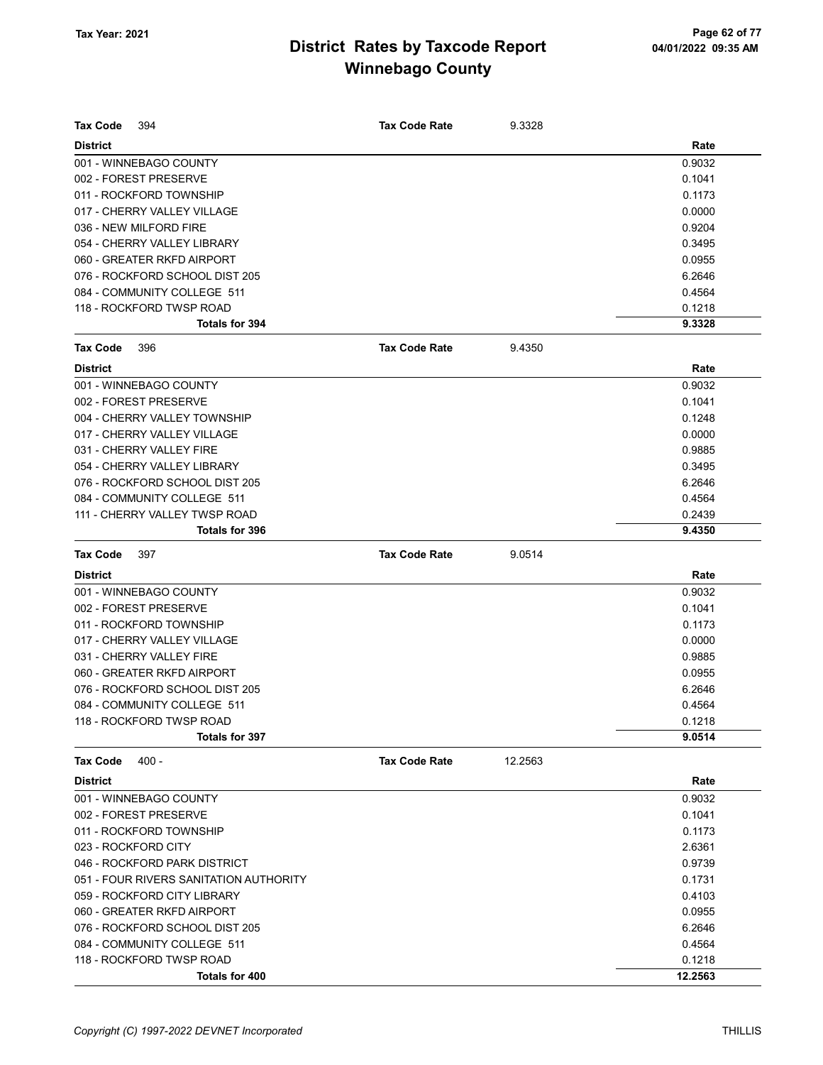| Tax Code<br>394                        | <b>Tax Code Rate</b> | 9.3328  |         |
|----------------------------------------|----------------------|---------|---------|
| <b>District</b>                        |                      |         | Rate    |
| 001 - WINNEBAGO COUNTY                 |                      |         | 0.9032  |
| 002 - FOREST PRESERVE                  |                      |         | 0.1041  |
| 011 - ROCKFORD TOWNSHIP                |                      |         | 0.1173  |
| 017 - CHERRY VALLEY VILLAGE            |                      |         | 0.0000  |
| 036 - NEW MILFORD FIRE                 |                      |         | 0.9204  |
| 054 - CHERRY VALLEY LIBRARY            |                      |         | 0.3495  |
| 060 - GREATER RKFD AIRPORT             |                      |         | 0.0955  |
| 076 - ROCKFORD SCHOOL DIST 205         |                      |         | 6.2646  |
| 084 - COMMUNITY COLLEGE 511            |                      |         | 0.4564  |
| 118 - ROCKFORD TWSP ROAD               |                      |         | 0.1218  |
| <b>Totals for 394</b>                  |                      |         | 9.3328  |
| Tax Code<br>396                        | <b>Tax Code Rate</b> | 9.4350  |         |
| <b>District</b>                        |                      |         | Rate    |
| 001 - WINNEBAGO COUNTY                 |                      |         | 0.9032  |
| 002 - FOREST PRESERVE                  |                      |         | 0.1041  |
| 004 - CHERRY VALLEY TOWNSHIP           |                      |         | 0.1248  |
| 017 - CHERRY VALLEY VILLAGE            |                      |         | 0.0000  |
| 031 - CHERRY VALLEY FIRE               |                      |         | 0.9885  |
| 054 - CHERRY VALLEY LIBRARY            |                      |         | 0.3495  |
| 076 - ROCKFORD SCHOOL DIST 205         |                      |         | 6.2646  |
| 084 - COMMUNITY COLLEGE 511            |                      |         | 0.4564  |
| 111 - CHERRY VALLEY TWSP ROAD          |                      |         | 0.2439  |
| <b>Totals for 396</b>                  |                      |         | 9.4350  |
| Tax Code<br>397                        | <b>Tax Code Rate</b> | 9.0514  |         |
| <b>District</b>                        |                      |         | Rate    |
| 001 - WINNEBAGO COUNTY                 |                      |         | 0.9032  |
| 002 - FOREST PRESERVE                  |                      |         | 0.1041  |
| 011 - ROCKFORD TOWNSHIP                |                      |         | 0.1173  |
| 017 - CHERRY VALLEY VILLAGE            |                      |         | 0.0000  |
| 031 - CHERRY VALLEY FIRE               |                      |         | 0.9885  |
| 060 - GREATER RKFD AIRPORT             |                      |         | 0.0955  |
| 076 - ROCKFORD SCHOOL DIST 205         |                      |         | 6.2646  |
| 084 - COMMUNITY COLLEGE 511            |                      |         | 0.4564  |
| 118 - ROCKFORD TWSP ROAD               |                      |         | 0.1218  |
| Totals for 397                         |                      |         | 9.0514  |
| $400 -$<br><b>Tax Code</b>             | <b>Tax Code Rate</b> | 12.2563 |         |
| <b>District</b>                        |                      |         | Rate    |
| 001 - WINNEBAGO COUNTY                 |                      |         | 0.9032  |
| 002 - FOREST PRESERVE                  |                      |         | 0.1041  |
| 011 - ROCKFORD TOWNSHIP                |                      |         | 0.1173  |
| 023 - ROCKFORD CITY                    |                      |         | 2.6361  |
| 046 - ROCKFORD PARK DISTRICT           |                      |         | 0.9739  |
| 051 - FOUR RIVERS SANITATION AUTHORITY |                      |         | 0.1731  |
| 059 - ROCKFORD CITY LIBRARY            |                      |         | 0.4103  |
| 060 - GREATER RKFD AIRPORT             |                      |         | 0.0955  |
| 076 - ROCKFORD SCHOOL DIST 205         |                      |         | 6.2646  |
| 084 - COMMUNITY COLLEGE 511            |                      |         | 0.4564  |
| 118 - ROCKFORD TWSP ROAD               |                      |         | 0.1218  |
| Totals for 400                         |                      |         | 12.2563 |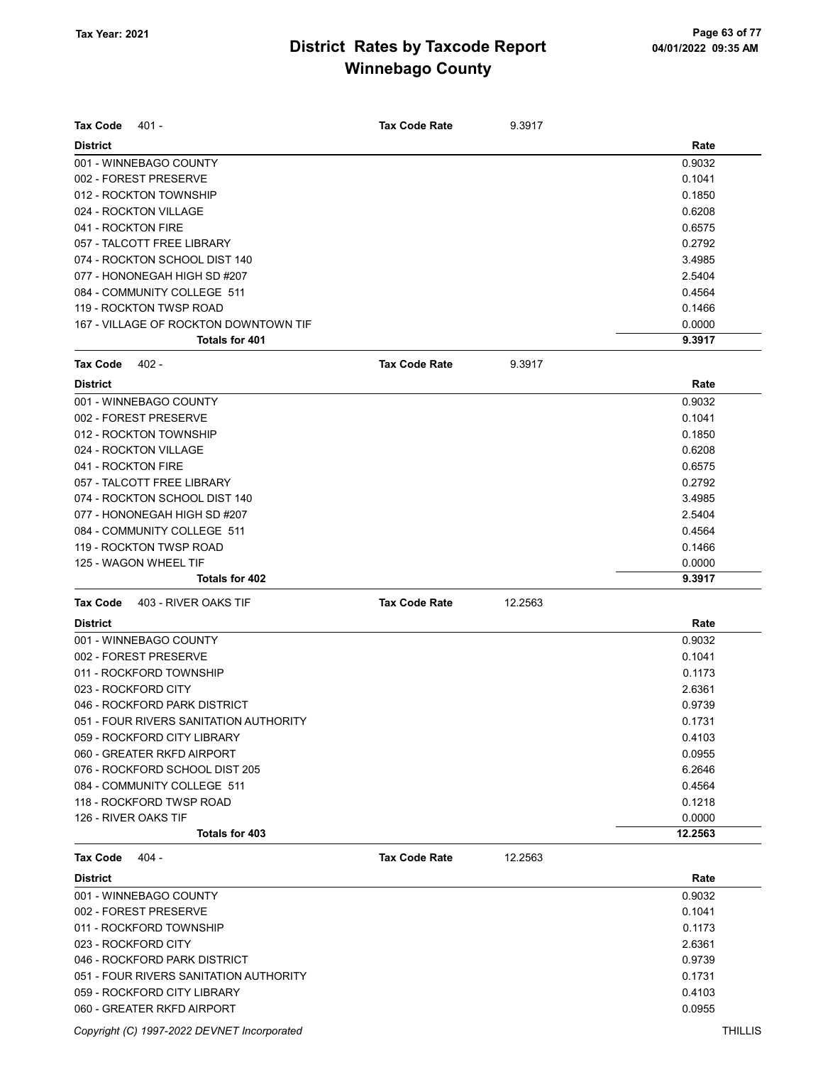| <b>Tax Code</b><br>401 -                                     | <b>Tax Code Rate</b> | 9.3917  |                  |
|--------------------------------------------------------------|----------------------|---------|------------------|
| <b>District</b>                                              |                      |         | Rate             |
| 001 - WINNEBAGO COUNTY                                       |                      |         | 0.9032           |
| 002 - FOREST PRESERVE                                        |                      |         | 0.1041           |
| 012 - ROCKTON TOWNSHIP                                       |                      |         | 0.1850           |
| 024 - ROCKTON VILLAGE                                        |                      |         | 0.6208           |
| 041 - ROCKTON FIRE                                           |                      |         | 0.6575           |
| 057 - TALCOTT FREE LIBRARY                                   |                      |         | 0.2792           |
| 074 - ROCKTON SCHOOL DIST 140                                |                      |         | 3.4985           |
| 077 - HONONEGAH HIGH SD #207                                 |                      |         | 2.5404           |
| 084 - COMMUNITY COLLEGE 511                                  |                      |         | 0.4564           |
| 119 - ROCKTON TWSP ROAD                                      |                      |         | 0.1466           |
| 167 - VILLAGE OF ROCKTON DOWNTOWN TIF                        |                      |         | 0.0000           |
| Totals for 401                                               |                      |         | 9.3917           |
| <b>Tax Code</b><br>402 -                                     | <b>Tax Code Rate</b> | 9.3917  |                  |
| <b>District</b>                                              |                      |         | Rate             |
| 001 - WINNEBAGO COUNTY                                       |                      |         | 0.9032           |
| 002 - FOREST PRESERVE                                        |                      |         | 0.1041           |
| 012 - ROCKTON TOWNSHIP                                       |                      |         | 0.1850           |
| 024 - ROCKTON VILLAGE                                        |                      |         | 0.6208           |
| 041 - ROCKTON FIRE                                           |                      |         | 0.6575           |
| 057 - TALCOTT FREE LIBRARY                                   |                      |         | 0.2792           |
| 074 - ROCKTON SCHOOL DIST 140                                |                      |         | 3.4985           |
| 077 - HONONEGAH HIGH SD #207                                 |                      |         | 2.5404           |
| 084 - COMMUNITY COLLEGE 511                                  |                      |         | 0.4564           |
| 119 - ROCKTON TWSP ROAD                                      |                      |         | 0.1466           |
| 125 - WAGON WHEEL TIF                                        |                      |         | 0.0000           |
| Totals for 402                                               |                      |         | 9.3917           |
| 403 - RIVER OAKS TIF<br><b>Tax Code</b>                      | <b>Tax Code Rate</b> | 12.2563 |                  |
| <b>District</b>                                              |                      |         | Rate             |
| 001 - WINNEBAGO COUNTY                                       |                      |         | 0.9032           |
|                                                              |                      |         | 0.1041           |
| 002 - FOREST PRESERVE                                        |                      |         |                  |
| 011 - ROCKFORD TOWNSHIP<br>023 - ROCKFORD CITY               |                      |         | 0.1173<br>2.6361 |
| 046 - ROCKFORD PARK DISTRICT                                 |                      |         | 0.9739           |
|                                                              |                      |         |                  |
| 051 - FOUR RIVERS SANITATION AUTHORITY                       |                      |         | 0.1731           |
| 059 - ROCKFORD CITY LIBRARY                                  |                      |         | 0.4103           |
| 060 - GREATER RKFD AIRPORT<br>076 - ROCKFORD SCHOOL DIST 205 |                      |         | 0.0955           |
|                                                              |                      |         | 6.2646           |
| 084 - COMMUNITY COLLEGE 511                                  |                      |         | 0.4564           |
| 118 - ROCKFORD TWSP ROAD<br>126 - RIVER OAKS TIF             |                      |         | 0.1218           |
| Totals for 403                                               |                      |         | 0.0000           |
|                                                              |                      |         | 12.2563          |
| <b>Tax Code</b><br>$404 -$                                   | <b>Tax Code Rate</b> | 12.2563 |                  |
| <b>District</b>                                              |                      |         | Rate             |
| 001 - WINNEBAGO COUNTY                                       |                      |         | 0.9032           |
| 002 - FOREST PRESERVE                                        |                      |         | 0.1041           |
| 011 - ROCKFORD TOWNSHIP                                      |                      |         | 0.1173           |
| 023 - ROCKFORD CITY                                          |                      |         | 2.6361           |
| 046 - ROCKFORD PARK DISTRICT                                 |                      |         | 0.9739           |
| 051 - FOUR RIVERS SANITATION AUTHORITY                       |                      |         | 0.1731           |
| 059 - ROCKFORD CITY LIBRARY                                  |                      |         | 0.4103           |
| 060 - GREATER RKFD AIRPORT                                   |                      |         | 0.0955           |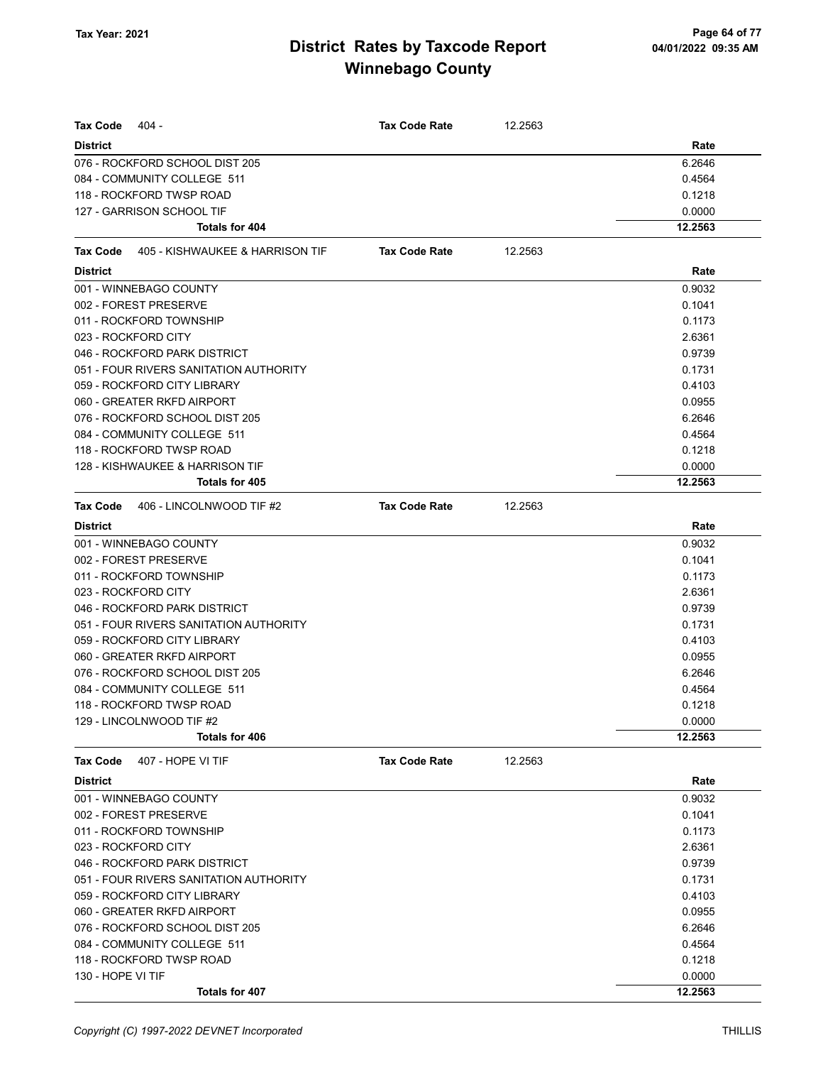| <b>Tax Code</b>   | 404 -                                           | <b>Tax Code Rate</b> | 12.2563 |         |
|-------------------|-------------------------------------------------|----------------------|---------|---------|
| <b>District</b>   |                                                 |                      |         | Rate    |
|                   | 076 - ROCKFORD SCHOOL DIST 205                  |                      |         | 6.2646  |
|                   | 084 - COMMUNITY COLLEGE 511                     |                      |         | 0.4564  |
|                   | 118 - ROCKFORD TWSP ROAD                        |                      |         | 0.1218  |
|                   | 127 - GARRISON SCHOOL TIF                       |                      |         | 0.0000  |
|                   | Totals for 404                                  |                      |         | 12.2563 |
|                   | <b>Tax Code</b> 405 - KISHWAUKEE & HARRISON TIF | <b>Tax Code Rate</b> | 12.2563 |         |
| <b>District</b>   |                                                 |                      |         | Rate    |
|                   | 001 - WINNEBAGO COUNTY                          |                      |         | 0.9032  |
|                   | 002 - FOREST PRESERVE                           |                      |         | 0.1041  |
|                   | 011 - ROCKFORD TOWNSHIP                         |                      |         | 0.1173  |
|                   | 023 - ROCKFORD CITY                             |                      |         | 2.6361  |
|                   | 046 - ROCKFORD PARK DISTRICT                    |                      |         | 0.9739  |
|                   | 051 - FOUR RIVERS SANITATION AUTHORITY          |                      |         | 0.1731  |
|                   | 059 - ROCKFORD CITY LIBRARY                     |                      |         | 0.4103  |
|                   | 060 - GREATER RKFD AIRPORT                      |                      |         | 0.0955  |
|                   | 076 - ROCKFORD SCHOOL DIST 205                  |                      |         | 6.2646  |
|                   | 084 - COMMUNITY COLLEGE 511                     |                      |         | 0.4564  |
|                   | 118 - ROCKFORD TWSP ROAD                        |                      |         | 0.1218  |
|                   | 128 - KISHWAUKEE & HARRISON TIF                 |                      |         | 0.0000  |
|                   | Totals for 405                                  |                      |         | 12.2563 |
| Tax Code          | 406 - LINCOLNWOOD TIF #2                        | <b>Tax Code Rate</b> | 12.2563 |         |
| <b>District</b>   |                                                 |                      |         | Rate    |
|                   | 001 - WINNEBAGO COUNTY                          |                      |         | 0.9032  |
|                   | 002 - FOREST PRESERVE                           |                      |         | 0.1041  |
|                   | 011 - ROCKFORD TOWNSHIP                         |                      |         | 0.1173  |
|                   | 023 - ROCKFORD CITY                             |                      |         | 2.6361  |
|                   | 046 - ROCKFORD PARK DISTRICT                    |                      |         | 0.9739  |
|                   | 051 - FOUR RIVERS SANITATION AUTHORITY          |                      |         | 0.1731  |
|                   | 059 - ROCKFORD CITY LIBRARY                     |                      |         | 0.4103  |
|                   | 060 - GREATER RKFD AIRPORT                      |                      |         | 0.0955  |
|                   | 076 - ROCKFORD SCHOOL DIST 205                  |                      |         | 6.2646  |
|                   | 084 - COMMUNITY COLLEGE 511                     |                      |         | 0.4564  |
|                   | 118 - ROCKFORD TWSP ROAD                        |                      |         | 0.1218  |
|                   | 129 - LINCOLNWOOD TIF #2                        |                      |         | 0.0000  |
|                   | Totals for 406                                  |                      |         | 12.2563 |
| Tax Code          | 407 - HOPE VI TIF                               | <b>Tax Code Rate</b> | 12.2563 |         |
| <b>District</b>   |                                                 |                      |         | Rate    |
|                   | 001 - WINNEBAGO COUNTY                          |                      |         | 0.9032  |
|                   | 002 - FOREST PRESERVE                           |                      |         | 0.1041  |
|                   | 011 - ROCKFORD TOWNSHIP                         |                      |         | 0.1173  |
|                   | 023 - ROCKFORD CITY                             |                      |         | 2.6361  |
|                   | 046 - ROCKFORD PARK DISTRICT                    |                      |         | 0.9739  |
|                   | 051 - FOUR RIVERS SANITATION AUTHORITY          |                      |         | 0.1731  |
|                   | 059 - ROCKFORD CITY LIBRARY                     |                      |         | 0.4103  |
|                   | 060 - GREATER RKFD AIRPORT                      |                      |         | 0.0955  |
|                   | 076 - ROCKFORD SCHOOL DIST 205                  |                      |         | 6.2646  |
|                   | 084 - COMMUNITY COLLEGE 511                     |                      |         | 0.4564  |
|                   | 118 - ROCKFORD TWSP ROAD                        |                      |         | 0.1218  |
| 130 - HOPE VI TIF |                                                 |                      |         | 0.0000  |
|                   | Totals for 407                                  |                      |         | 12.2563 |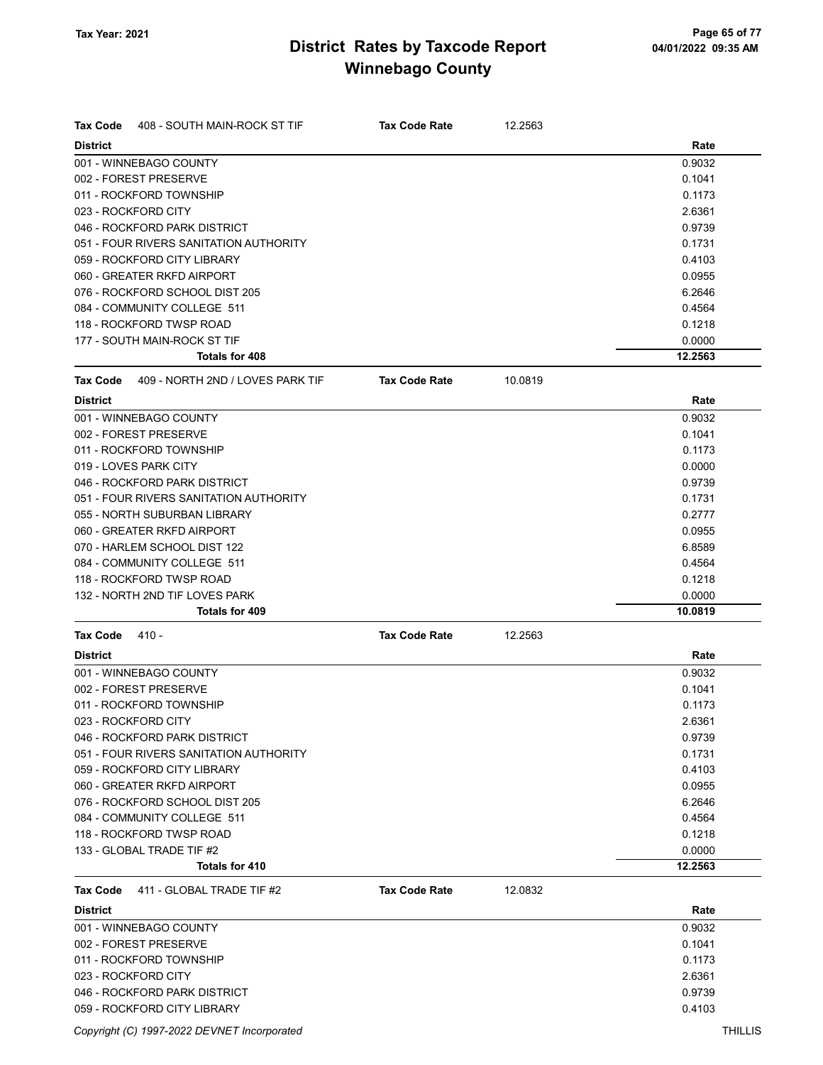| <b>Tax Code</b><br>408 - SOUTH MAIN-ROCK ST TIF     | <b>Tax Code Rate</b> | 12.2563 |         |
|-----------------------------------------------------|----------------------|---------|---------|
| <b>District</b>                                     |                      |         | Rate    |
| 001 - WINNEBAGO COUNTY                              |                      |         | 0.9032  |
| 002 - FOREST PRESERVE                               |                      |         | 0.1041  |
| 011 - ROCKFORD TOWNSHIP                             |                      |         | 0.1173  |
| 023 - ROCKFORD CITY                                 |                      |         | 2.6361  |
| 046 - ROCKFORD PARK DISTRICT                        |                      |         | 0.9739  |
| 051 - FOUR RIVERS SANITATION AUTHORITY              |                      |         | 0.1731  |
| 059 - ROCKFORD CITY LIBRARY                         |                      |         | 0.4103  |
| 060 - GREATER RKFD AIRPORT                          |                      |         | 0.0955  |
| 076 - ROCKFORD SCHOOL DIST 205                      |                      |         | 6.2646  |
| 084 - COMMUNITY COLLEGE 511                         |                      |         | 0.4564  |
| 118 - ROCKFORD TWSP ROAD                            |                      |         | 0.1218  |
| 177 - SOUTH MAIN-ROCK ST TIF                        |                      |         | 0.0000  |
| Totals for 408                                      |                      |         | 12.2563 |
| 409 - NORTH 2ND / LOVES PARK TIF<br><b>Tax Code</b> | <b>Tax Code Rate</b> | 10.0819 |         |
| <b>District</b>                                     |                      |         | Rate    |
| 001 - WINNEBAGO COUNTY                              |                      |         | 0.9032  |
| 002 - FOREST PRESERVE                               |                      |         | 0.1041  |
| 011 - ROCKFORD TOWNSHIP                             |                      |         | 0.1173  |
| 019 - LOVES PARK CITY                               |                      |         | 0.0000  |
| 046 - ROCKFORD PARK DISTRICT                        |                      |         | 0.9739  |
| 051 - FOUR RIVERS SANITATION AUTHORITY              |                      |         | 0.1731  |
| 055 - NORTH SUBURBAN LIBRARY                        |                      |         | 0.2777  |
| 060 - GREATER RKFD AIRPORT                          |                      |         | 0.0955  |
| 070 - HARLEM SCHOOL DIST 122                        |                      |         | 6.8589  |
| 084 - COMMUNITY COLLEGE 511                         |                      |         | 0.4564  |
| 118 - ROCKFORD TWSP ROAD                            |                      |         | 0.1218  |
| 132 - NORTH 2ND TIF LOVES PARK                      |                      |         | 0.0000  |
| <b>Totals for 409</b>                               |                      |         | 10.0819 |
| $410 -$<br>Tax Code                                 | <b>Tax Code Rate</b> | 12.2563 |         |
| <b>District</b>                                     |                      |         | Rate    |
| 001 - WINNEBAGO COUNTY                              |                      |         | 0.9032  |
| 002 - FOREST PRESERVE                               |                      |         | 0.1041  |
| 011 - ROCKFORD TOWNSHIP                             |                      |         | 0.1173  |
| 023 - ROCKFORD CITY                                 |                      |         | 2.6361  |
| 046 - ROCKFORD PARK DISTRICT                        |                      |         | 0.9739  |
| 051 - FOUR RIVERS SANITATION AUTHORITY              |                      |         | 0.1731  |
| 059 - ROCKFORD CITY LIBRARY                         |                      |         | 0.4103  |
| 060 - GREATER RKFD AIRPORT                          |                      |         | 0.0955  |
| 076 - ROCKFORD SCHOOL DIST 205                      |                      |         | 6.2646  |
| 084 - COMMUNITY COLLEGE 511                         |                      |         | 0.4564  |
| 118 - ROCKFORD TWSP ROAD                            |                      |         | 0.1218  |
| 133 - GLOBAL TRADE TIF #2                           |                      |         | 0.0000  |
| Totals for 410                                      |                      |         | 12.2563 |
| 411 - GLOBAL TRADE TIF #2<br>Tax Code               | <b>Tax Code Rate</b> | 12.0832 |         |
| <b>District</b>                                     |                      |         | Rate    |
| 001 - WINNEBAGO COUNTY                              |                      |         | 0.9032  |
| 002 - FOREST PRESERVE                               |                      |         | 0.1041  |
| 011 - ROCKFORD TOWNSHIP                             |                      |         | 0.1173  |
| 023 - ROCKFORD CITY                                 |                      |         | 2.6361  |
| 046 - ROCKFORD PARK DISTRICT                        |                      |         | 0.9739  |
| 059 - ROCKFORD CITY LIBRARY                         |                      |         | 0.4103  |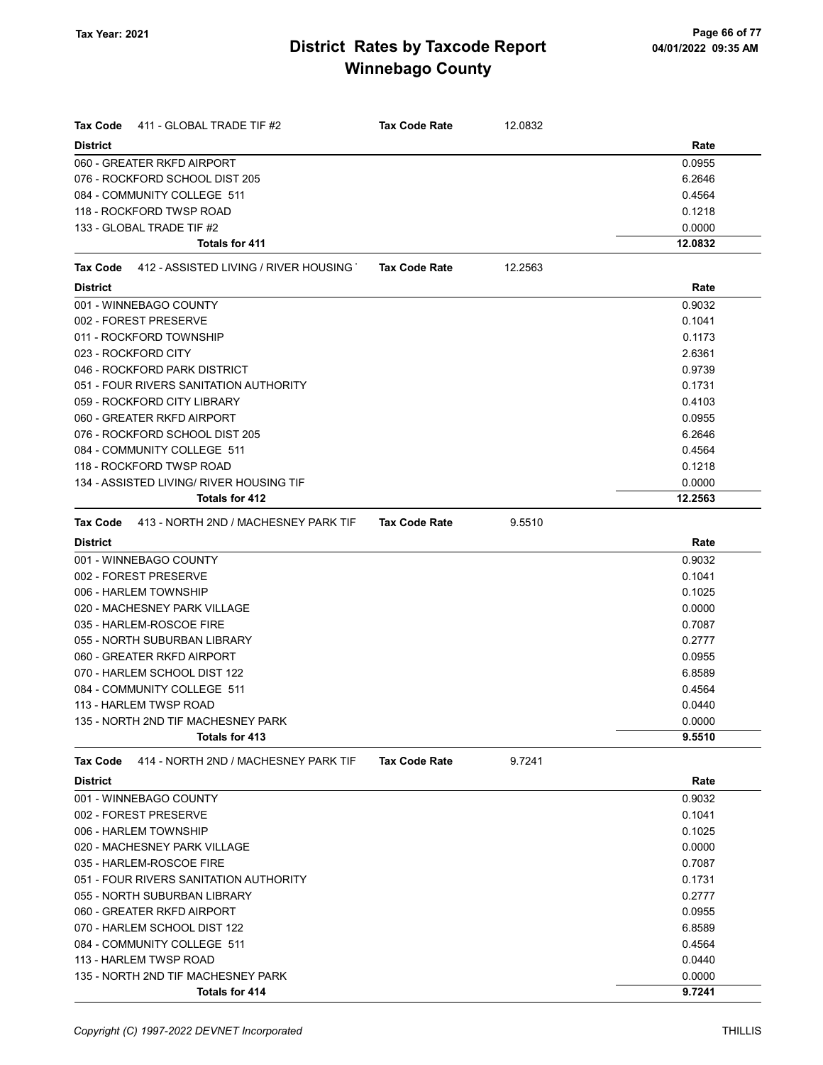| <b>Tax Code</b><br>411 - GLOBAL TRADE TIF #2            | <b>Tax Code Rate</b> | 12.0832 |         |
|---------------------------------------------------------|----------------------|---------|---------|
| <b>District</b>                                         |                      |         | Rate    |
| 060 - GREATER RKFD AIRPORT                              |                      |         | 0.0955  |
| 076 - ROCKFORD SCHOOL DIST 205                          |                      |         | 6.2646  |
| 084 - COMMUNITY COLLEGE 511                             |                      |         | 0.4564  |
| 118 - ROCKFORD TWSP ROAD                                |                      |         | 0.1218  |
| 133 - GLOBAL TRADE TIF #2                               |                      |         | 0.0000  |
| <b>Totals for 411</b>                                   |                      |         | 12.0832 |
| 412 - ASSISTED LIVING / RIVER HOUSING<br>Tax Code       | <b>Tax Code Rate</b> | 12.2563 |         |
| <b>District</b>                                         |                      |         | Rate    |
| 001 - WINNEBAGO COUNTY                                  |                      |         | 0.9032  |
| 002 - FOREST PRESERVE                                   |                      |         | 0.1041  |
| 011 - ROCKFORD TOWNSHIP                                 |                      |         | 0.1173  |
| 023 - ROCKFORD CITY                                     |                      |         | 2.6361  |
| 046 - ROCKFORD PARK DISTRICT                            |                      |         | 0.9739  |
| 051 - FOUR RIVERS SANITATION AUTHORITY                  |                      |         | 0.1731  |
| 059 - ROCKFORD CITY LIBRARY                             |                      |         | 0.4103  |
| 060 - GREATER RKFD AIRPORT                              |                      |         | 0.0955  |
| 076 - ROCKFORD SCHOOL DIST 205                          |                      |         | 6.2646  |
| 084 - COMMUNITY COLLEGE 511                             |                      |         | 0.4564  |
| 118 - ROCKFORD TWSP ROAD                                |                      |         | 0.1218  |
| 134 - ASSISTED LIVING/ RIVER HOUSING TIF                |                      |         | 0.0000  |
| Totals for 412                                          |                      |         | 12.2563 |
| 413 - NORTH 2ND / MACHESNEY PARK TIF<br><b>Tax Code</b> | <b>Tax Code Rate</b> | 9.5510  |         |
| <b>District</b>                                         |                      |         | Rate    |
| 001 - WINNEBAGO COUNTY                                  |                      |         | 0.9032  |
| 002 - FOREST PRESERVE                                   |                      |         | 0.1041  |
| 006 - HARLEM TOWNSHIP                                   |                      |         | 0.1025  |
| 020 - MACHESNEY PARK VILLAGE                            |                      |         | 0.0000  |
| 035 - HARLEM-ROSCOE FIRE                                |                      |         | 0.7087  |
| 055 - NORTH SUBURBAN LIBRARY                            |                      |         | 0.2777  |
| 060 - GREATER RKFD AIRPORT                              |                      |         | 0.0955  |
| 070 - HARLEM SCHOOL DIST 122                            |                      |         | 6.8589  |
| 084 - COMMUNITY COLLEGE 511                             |                      |         | 0.4564  |
| 113 - HARLEM TWSP ROAD                                  |                      |         | 0.0440  |
| 135 - NORTH 2ND TIF MACHESNEY PARK                      |                      |         | 0.0000  |
| Totals for 413                                          |                      |         | 9.5510  |
| 414 - NORTH 2ND / MACHESNEY PARK TIF<br><b>Tax Code</b> | <b>Tax Code Rate</b> | 9.7241  |         |
| <b>District</b>                                         |                      |         | Rate    |
| 001 - WINNEBAGO COUNTY                                  |                      |         | 0.9032  |
| 002 - FOREST PRESERVE                                   |                      |         | 0.1041  |
| 006 - HARLEM TOWNSHIP                                   |                      |         | 0.1025  |
| 020 - MACHESNEY PARK VILLAGE                            |                      |         | 0.0000  |
| 035 - HARLEM-ROSCOE FIRE                                |                      |         | 0.7087  |
| 051 - FOUR RIVERS SANITATION AUTHORITY                  |                      |         | 0.1731  |
| 055 - NORTH SUBURBAN LIBRARY                            |                      |         | 0.2777  |
| 060 - GREATER RKFD AIRPORT                              |                      |         | 0.0955  |
| 070 - HARLEM SCHOOL DIST 122                            |                      |         | 6.8589  |
| 084 - COMMUNITY COLLEGE 511                             |                      |         | 0.4564  |
| 113 - HARLEM TWSP ROAD                                  |                      |         | 0.0440  |
| 135 - NORTH 2ND TIF MACHESNEY PARK                      |                      |         | 0.0000  |
| Totals for 414                                          |                      |         | 9.7241  |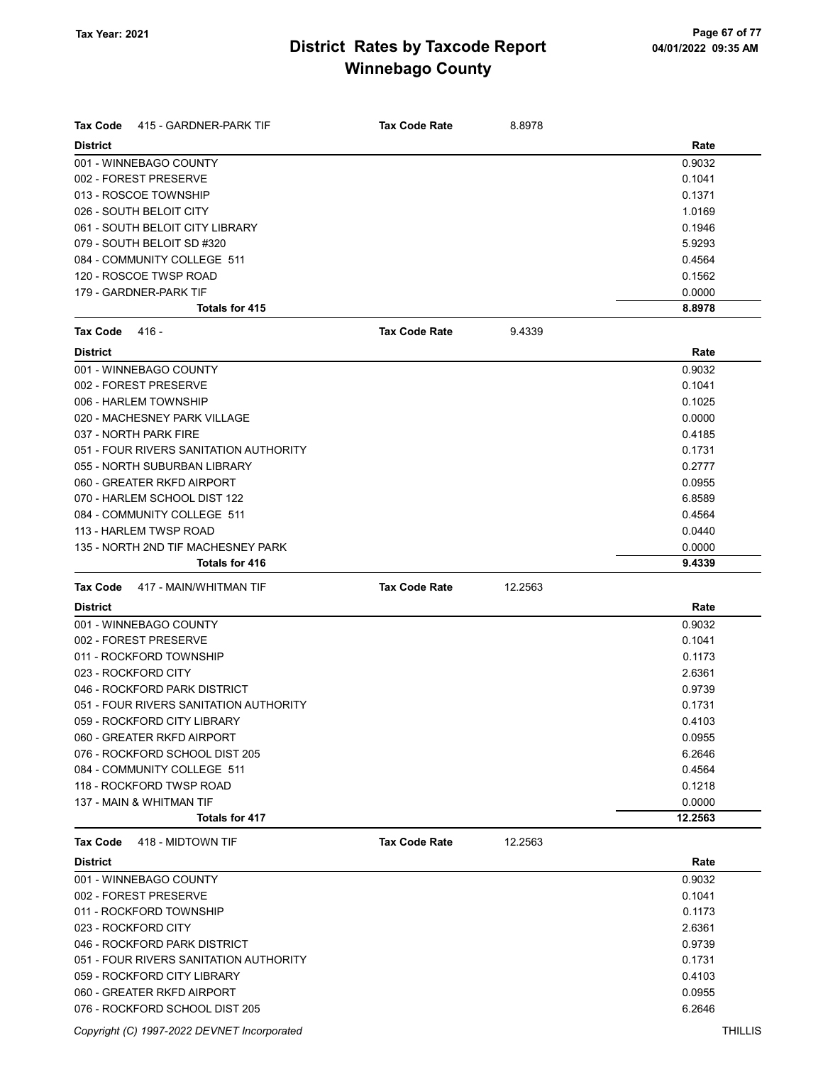| <b>Tax Code</b><br>415 - GARDNER-PARK TIF | <b>Tax Code Rate</b> | 8.8978  |         |
|-------------------------------------------|----------------------|---------|---------|
| <b>District</b>                           |                      |         | Rate    |
| 001 - WINNEBAGO COUNTY                    |                      |         | 0.9032  |
| 002 - FOREST PRESERVE                     |                      |         | 0.1041  |
| 013 - ROSCOE TOWNSHIP                     |                      |         | 0.1371  |
| 026 - SOUTH BELOIT CITY                   |                      |         | 1.0169  |
| 061 - SOUTH BELOIT CITY LIBRARY           |                      |         | 0.1946  |
| 079 - SOUTH BELOIT SD #320                |                      |         | 5.9293  |
| 084 - COMMUNITY COLLEGE 511               |                      |         | 0.4564  |
| 120 - ROSCOE TWSP ROAD                    |                      |         | 0.1562  |
| 179 - GARDNER-PARK TIF                    |                      |         | 0.0000  |
| Totals for 415                            |                      |         | 8.8978  |
| <b>Tax Code</b><br>416 -                  | <b>Tax Code Rate</b> | 9.4339  |         |
| <b>District</b>                           |                      |         | Rate    |
| 001 - WINNEBAGO COUNTY                    |                      |         | 0.9032  |
| 002 - FOREST PRESERVE                     |                      |         | 0.1041  |
| 006 - HARLEM TOWNSHIP                     |                      |         | 0.1025  |
| 020 - MACHESNEY PARK VILLAGE              |                      |         | 0.0000  |
| 037 - NORTH PARK FIRE                     |                      |         | 0.4185  |
| 051 - FOUR RIVERS SANITATION AUTHORITY    |                      |         | 0.1731  |
| 055 - NORTH SUBURBAN LIBRARY              |                      |         | 0.2777  |
| 060 - GREATER RKFD AIRPORT                |                      |         | 0.0955  |
| 070 - HARLEM SCHOOL DIST 122              |                      |         | 6.8589  |
| 084 - COMMUNITY COLLEGE 511               |                      |         | 0.4564  |
| 113 - HARLEM TWSP ROAD                    |                      |         | 0.0440  |
| 135 - NORTH 2ND TIF MACHESNEY PARK        |                      |         | 0.0000  |
| <b>Totals for 416</b>                     |                      |         | 9.4339  |
| 417 - MAIN/WHITMAN TIF<br><b>Tax Code</b> | <b>Tax Code Rate</b> | 12.2563 |         |
| <b>District</b>                           |                      |         | Rate    |
| 001 - WINNEBAGO COUNTY                    |                      |         | 0.9032  |
| 002 - FOREST PRESERVE                     |                      |         | 0.1041  |
| 011 - ROCKFORD TOWNSHIP                   |                      |         | 0.1173  |
| 023 - ROCKFORD CITY                       |                      |         | 2.6361  |
| 046 - ROCKFORD PARK DISTRICT              |                      |         | 0.9739  |
| 051 - FOUR RIVERS SANITATION AUTHORITY    |                      |         | 0.1731  |
| 059 - ROCKFORD CITY LIBRARY               |                      |         | 0.4103  |
| 060 - GREATER RKFD AIRPORT                |                      |         | 0.0955  |
| 076 - ROCKFORD SCHOOL DIST 205            |                      |         | 6.2646  |
| 084 - COMMUNITY COLLEGE 511               |                      |         | 0.4564  |
| 118 - ROCKFORD TWSP ROAD                  |                      |         | 0.1218  |
| 137 - MAIN & WHITMAN TIF                  |                      |         | 0.0000  |
| Totals for 417                            |                      |         | 12.2563 |
| <b>Tax Code</b><br>418 - MIDTOWN TIF      | <b>Tax Code Rate</b> | 12.2563 |         |
| <b>District</b>                           |                      |         | Rate    |
| 001 - WINNEBAGO COUNTY                    |                      |         | 0.9032  |
| 002 - FOREST PRESERVE                     |                      |         | 0.1041  |
| 011 - ROCKFORD TOWNSHIP                   |                      |         | 0.1173  |
| 023 - ROCKFORD CITY                       |                      |         | 2.6361  |
| 046 - ROCKFORD PARK DISTRICT              |                      |         | 0.9739  |
| 051 - FOUR RIVERS SANITATION AUTHORITY    |                      |         | 0.1731  |
| 059 - ROCKFORD CITY LIBRARY               |                      |         | 0.4103  |
| 060 - GREATER RKFD AIRPORT                |                      |         | 0.0955  |
| 076 - ROCKFORD SCHOOL DIST 205            |                      |         | 6.2646  |

Copyright (C) 1997-2022 DEVNET Incorporated THILLIS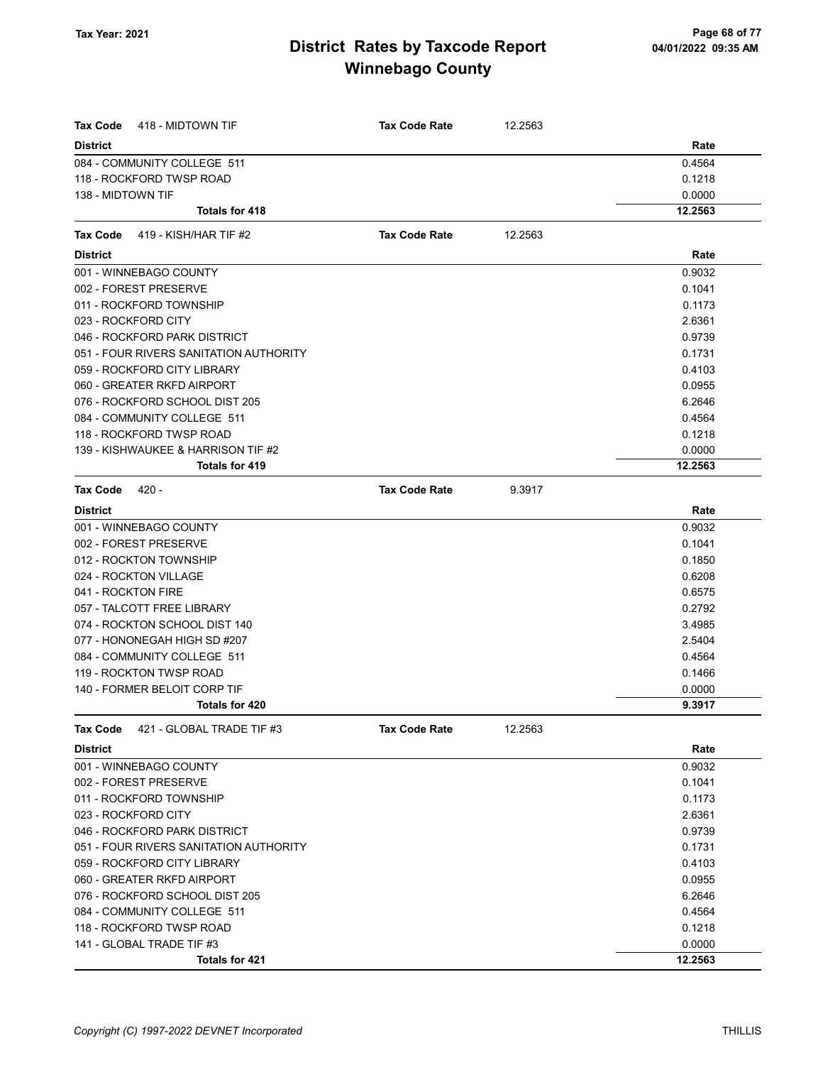| Tax Code           | 418 - MIDTOWN TIF                      | <b>Tax Code Rate</b> | 12.2563 |         |
|--------------------|----------------------------------------|----------------------|---------|---------|
| <b>District</b>    |                                        |                      |         | Rate    |
|                    | 084 - COMMUNITY COLLEGE 511            |                      |         | 0.4564  |
|                    | 118 - ROCKFORD TWSP ROAD               |                      |         | 0.1218  |
| 138 - MIDTOWN TIF  |                                        |                      |         | 0.0000  |
|                    | Totals for 418                         |                      |         | 12.2563 |
| <b>Tax Code</b>    | 419 - KISH/HAR TIF #2                  | <b>Tax Code Rate</b> | 12.2563 |         |
| <b>District</b>    |                                        |                      |         | Rate    |
|                    | 001 - WINNEBAGO COUNTY                 |                      |         | 0.9032  |
|                    | 002 - FOREST PRESERVE                  |                      |         | 0.1041  |
|                    | 011 - ROCKFORD TOWNSHIP                |                      |         | 0.1173  |
|                    | 023 - ROCKFORD CITY                    |                      |         | 2.6361  |
|                    | 046 - ROCKFORD PARK DISTRICT           |                      |         | 0.9739  |
|                    | 051 - FOUR RIVERS SANITATION AUTHORITY |                      |         | 0.1731  |
|                    | 059 - ROCKFORD CITY LIBRARY            |                      |         | 0.4103  |
|                    | 060 - GREATER RKFD AIRPORT             |                      |         | 0.0955  |
|                    | 076 - ROCKFORD SCHOOL DIST 205         |                      |         | 6.2646  |
|                    | 084 - COMMUNITY COLLEGE 511            |                      |         | 0.4564  |
|                    | 118 - ROCKFORD TWSP ROAD               |                      |         | 0.1218  |
|                    | 139 - KISHWAUKEE & HARRISON TIF #2     |                      |         | 0.0000  |
|                    | Totals for 419                         |                      |         | 12.2563 |
| <b>Tax Code</b>    | $420 -$                                | <b>Tax Code Rate</b> | 9.3917  |         |
| <b>District</b>    |                                        |                      |         | Rate    |
|                    | 001 - WINNEBAGO COUNTY                 |                      |         | 0.9032  |
|                    | 002 - FOREST PRESERVE                  |                      |         | 0.1041  |
|                    | 012 - ROCKTON TOWNSHIP                 |                      |         | 0.1850  |
|                    | 024 - ROCKTON VILLAGE                  |                      |         | 0.6208  |
| 041 - ROCKTON FIRE |                                        |                      |         | 0.6575  |
|                    | 057 - TALCOTT FREE LIBRARY             |                      |         | 0.2792  |
|                    | 074 - ROCKTON SCHOOL DIST 140          |                      |         | 3.4985  |
|                    | 077 - HONONEGAH HIGH SD #207           |                      |         | 2.5404  |
|                    | 084 - COMMUNITY COLLEGE 511            |                      |         | 0.4564  |
|                    | 119 - ROCKTON TWSP ROAD                |                      |         | 0.1466  |
|                    | 140 - FORMER BELOIT CORP TIF           |                      |         | 0.0000  |
|                    | Totals for 420                         |                      |         | 9.3917  |
| Tax Code           | 421 - GLOBAL TRADE TIF #3              | <b>Tax Code Rate</b> | 12.2563 |         |
| <b>District</b>    |                                        |                      |         | Rate    |
|                    | 001 - WINNEBAGO COUNTY                 |                      |         | 0.9032  |
|                    | 002 - FOREST PRESERVE                  |                      |         | 0.1041  |
|                    | 011 - ROCKFORD TOWNSHIP                |                      |         | 0.1173  |
|                    | 023 - ROCKFORD CITY                    |                      |         | 2.6361  |
|                    | 046 - ROCKFORD PARK DISTRICT           |                      |         | 0.9739  |
|                    | 051 - FOUR RIVERS SANITATION AUTHORITY |                      |         | 0.1731  |
|                    | 059 - ROCKFORD CITY LIBRARY            |                      |         | 0.4103  |
|                    | 060 - GREATER RKFD AIRPORT             |                      |         | 0.0955  |
|                    | 076 - ROCKFORD SCHOOL DIST 205         |                      |         | 6.2646  |
|                    | 084 - COMMUNITY COLLEGE 511            |                      |         | 0.4564  |
|                    | 118 - ROCKFORD TWSP ROAD               |                      |         | 0.1218  |
|                    | 141 - GLOBAL TRADE TIF #3              |                      |         | 0.0000  |
|                    | Totals for 421                         |                      |         | 12.2563 |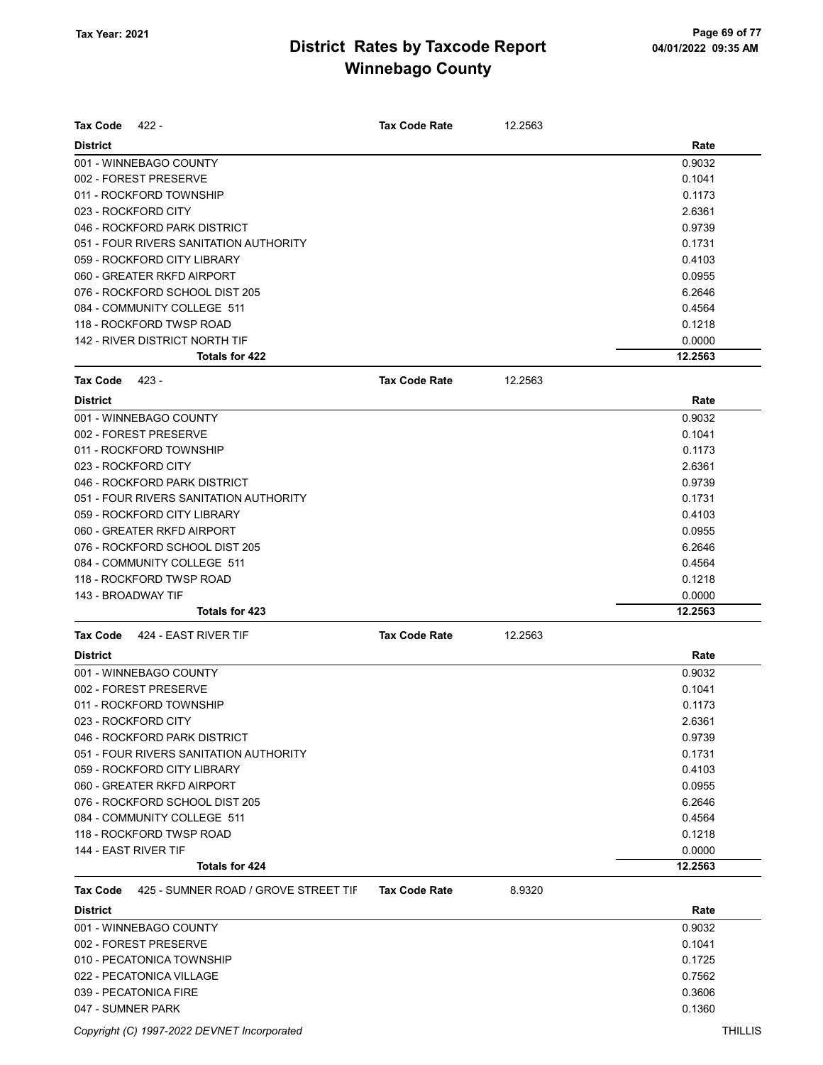| <b>Tax Code</b><br>422 -                         | <b>Tax Code Rate</b> | 12.2563 |         |
|--------------------------------------------------|----------------------|---------|---------|
| <b>District</b>                                  |                      |         | Rate    |
| 001 - WINNEBAGO COUNTY                           |                      |         | 0.9032  |
| 002 - FOREST PRESERVE                            |                      |         | 0.1041  |
| 011 - ROCKFORD TOWNSHIP                          |                      |         | 0.1173  |
| 023 - ROCKFORD CITY                              |                      |         | 2.6361  |
| 046 - ROCKFORD PARK DISTRICT                     |                      |         | 0.9739  |
| 051 - FOUR RIVERS SANITATION AUTHORITY           |                      |         | 0.1731  |
| 059 - ROCKFORD CITY LIBRARY                      |                      |         | 0.4103  |
| 060 - GREATER RKFD AIRPORT                       |                      |         | 0.0955  |
| 076 - ROCKFORD SCHOOL DIST 205                   |                      |         | 6.2646  |
| 084 - COMMUNITY COLLEGE 511                      |                      |         | 0.4564  |
| 118 - ROCKFORD TWSP ROAD                         |                      |         | 0.1218  |
| 142 - RIVER DISTRICT NORTH TIF                   |                      |         | 0.0000  |
| <b>Totals for 422</b>                            |                      |         | 12.2563 |
| <b>Tax Code</b><br>423 -                         | <b>Tax Code Rate</b> | 12.2563 |         |
| <b>District</b>                                  |                      |         | Rate    |
| 001 - WINNEBAGO COUNTY                           |                      |         | 0.9032  |
| 002 - FOREST PRESERVE                            |                      |         | 0.1041  |
| 011 - ROCKFORD TOWNSHIP                          |                      |         | 0.1173  |
| 023 - ROCKFORD CITY                              |                      |         | 2.6361  |
| 046 - ROCKFORD PARK DISTRICT                     |                      |         | 0.9739  |
| 051 - FOUR RIVERS SANITATION AUTHORITY           |                      |         | 0.1731  |
| 059 - ROCKFORD CITY LIBRARY                      |                      |         | 0.4103  |
| 060 - GREATER RKFD AIRPORT                       |                      |         | 0.0955  |
| 076 - ROCKFORD SCHOOL DIST 205                   |                      |         | 6.2646  |
| 084 - COMMUNITY COLLEGE 511                      |                      |         | 0.4564  |
| 118 - ROCKFORD TWSP ROAD                         |                      |         | 0.1218  |
| 143 - BROADWAY TIF                               |                      |         | 0.0000  |
| Totals for 423                                   |                      |         | 12.2563 |
| 424 - EAST RIVER TIF<br><b>Tax Code</b>          | <b>Tax Code Rate</b> | 12.2563 |         |
|                                                  |                      |         |         |
| <b>District</b>                                  |                      |         | Rate    |
| 001 - WINNEBAGO COUNTY                           |                      |         | 0.9032  |
| 002 - FOREST PRESERVE                            |                      |         | 0.1041  |
| 011 - ROCKFORD TOWNSHIP                          |                      |         | 0.1173  |
| 023 - ROCKFORD CITY                              |                      |         | 2.6361  |
| 046 - ROCKFORD PARK DISTRICT                     |                      |         | 0.9739  |
| 051 - FOUR RIVERS SANITATION AUTHORITY           |                      |         | 0.1731  |
| 059 - ROCKFORD CITY LIBRARY                      |                      |         | 0.4103  |
| 060 - GREATER RKFD AIRPORT                       |                      |         | 0.0955  |
| 076 - ROCKFORD SCHOOL DIST 205                   |                      |         | 6.2646  |
| 084 - COMMUNITY COLLEGE 511                      |                      |         | 0.4564  |
| 118 - ROCKFORD TWSP ROAD                         |                      |         | 0.1218  |
| 144 - EAST RIVER TIF                             |                      |         | 0.0000  |
| Totals for 424                                   |                      |         | 12.2563 |
| 425 - SUMNER ROAD / GROVE STREET TIF<br>Tax Code | <b>Tax Code Rate</b> | 8.9320  |         |
| <b>District</b>                                  |                      |         | Rate    |
| 001 - WINNEBAGO COUNTY                           |                      |         | 0.9032  |
| 002 - FOREST PRESERVE                            |                      |         | 0.1041  |
| 010 - PECATONICA TOWNSHIP                        |                      |         | 0.1725  |
| 022 - PECATONICA VILLAGE                         |                      |         | 0.7562  |
| 039 - PECATONICA FIRE                            |                      |         | 0.3606  |

047 - SUMNER PARK 0.1360

Copyright (C) 1997-2022 DEVNET Incorporated THILLIS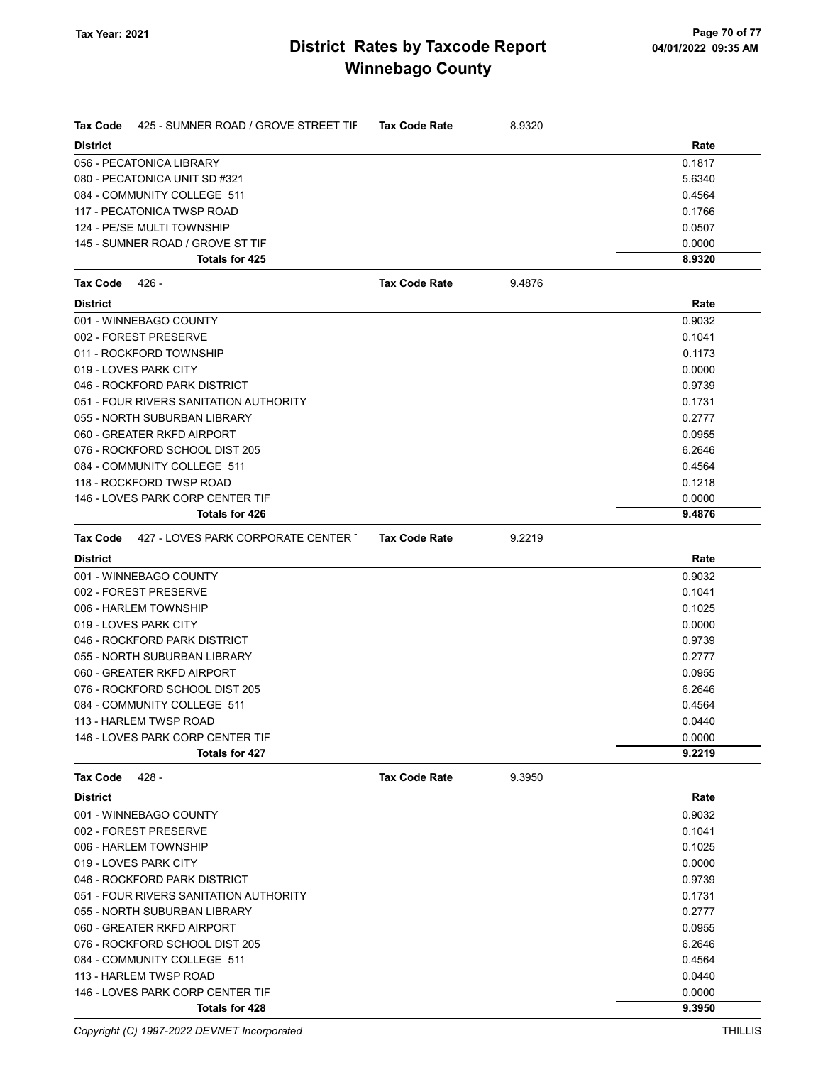| <b>Tax Code</b><br>425 - SUMNER ROAD / GROVE STREET TIF | <b>Tax Code Rate</b> | 8.9320 |        |
|---------------------------------------------------------|----------------------|--------|--------|
| <b>District</b>                                         |                      |        | Rate   |
| 056 - PECATONICA LIBRARY                                |                      |        | 0.1817 |
| 080 - PECATONICA UNIT SD #321                           |                      |        | 5.6340 |
| 084 - COMMUNITY COLLEGE 511                             |                      |        | 0.4564 |
| 117 - PECATONICA TWSP ROAD                              |                      |        | 0.1766 |
| 124 - PE/SE MULTI TOWNSHIP                              |                      |        | 0.0507 |
| 145 - SUMNER ROAD / GROVE ST TIF                        |                      |        | 0.0000 |
| Totals for 425                                          |                      |        | 8.9320 |
| Tax Code<br>426 -                                       | <b>Tax Code Rate</b> | 9.4876 |        |
| <b>District</b>                                         |                      |        | Rate   |
| 001 - WINNEBAGO COUNTY                                  |                      |        | 0.9032 |
| 002 - FOREST PRESERVE                                   |                      |        | 0.1041 |
| 011 - ROCKFORD TOWNSHIP                                 |                      |        | 0.1173 |
| 019 - LOVES PARK CITY                                   |                      |        | 0.0000 |
| 046 - ROCKFORD PARK DISTRICT                            |                      |        | 0.9739 |
| 051 - FOUR RIVERS SANITATION AUTHORITY                  |                      |        | 0.1731 |
| 055 - NORTH SUBURBAN LIBRARY                            |                      |        | 0.2777 |
| 060 - GREATER RKFD AIRPORT                              |                      |        | 0.0955 |
| 076 - ROCKFORD SCHOOL DIST 205                          |                      |        | 6.2646 |
| 084 - COMMUNITY COLLEGE 511                             |                      |        | 0.4564 |
| 118 - ROCKFORD TWSP ROAD                                |                      |        | 0.1218 |
| 146 - LOVES PARK CORP CENTER TIF                        |                      |        | 0.0000 |
| Totals for 426                                          |                      |        | 9.4876 |
| Tax Code 427 - LOVES PARK CORPORATE CENTER              | <b>Tax Code Rate</b> | 9.2219 |        |
| <b>District</b>                                         |                      |        | Rate   |
| 001 - WINNEBAGO COUNTY                                  |                      |        | 0.9032 |
| 002 - FOREST PRESERVE                                   |                      |        | 0.1041 |
| 006 - HARLEM TOWNSHIP                                   |                      |        | 0.1025 |
| 019 - LOVES PARK CITY                                   |                      |        | 0.0000 |
| 046 - ROCKFORD PARK DISTRICT                            |                      |        | 0.9739 |
| 055 - NORTH SUBURBAN LIBRARY                            |                      |        | 0.2777 |
| 060 - GREATER RKFD AIRPORT                              |                      |        | 0.0955 |
| 076 - ROCKFORD SCHOOL DIST 205                          |                      |        | 6.2646 |
| 084 - COMMUNITY COLLEGE 511                             |                      |        | 0.4564 |
| 113 - HARLEM TWSP ROAD                                  |                      |        | 0.0440 |
| 146 - LOVES PARK CORP CENTER TIF                        |                      |        | 0.0000 |
| Totals for 427                                          |                      |        | 9.2219 |
| 428 -<br>Tax Code                                       | <b>Tax Code Rate</b> | 9.3950 |        |
| <b>District</b>                                         |                      |        | Rate   |
| 001 - WINNEBAGO COUNTY                                  |                      |        | 0.9032 |
| 002 - FOREST PRESERVE                                   |                      |        | 0.1041 |
| 006 - HARLEM TOWNSHIP                                   |                      |        | 0.1025 |
| 019 - LOVES PARK CITY                                   |                      |        | 0.0000 |
| 046 - ROCKFORD PARK DISTRICT                            |                      |        | 0.9739 |
| 051 - FOUR RIVERS SANITATION AUTHORITY                  |                      |        | 0.1731 |
| 055 - NORTH SUBURBAN LIBRARY                            |                      |        | 0.2777 |
| 060 - GREATER RKFD AIRPORT                              |                      |        | 0.0955 |
| 076 - ROCKFORD SCHOOL DIST 205                          |                      |        | 6.2646 |
| 084 - COMMUNITY COLLEGE 511                             |                      |        | 0.4564 |
| 113 - HARLEM TWSP ROAD                                  |                      |        | 0.0440 |
| 146 - LOVES PARK CORP CENTER TIF                        |                      |        | 0.0000 |
| Totals for 428                                          |                      |        | 9.3950 |

Copyright (C) 1997-2022 DEVNET Incorporated THILLIS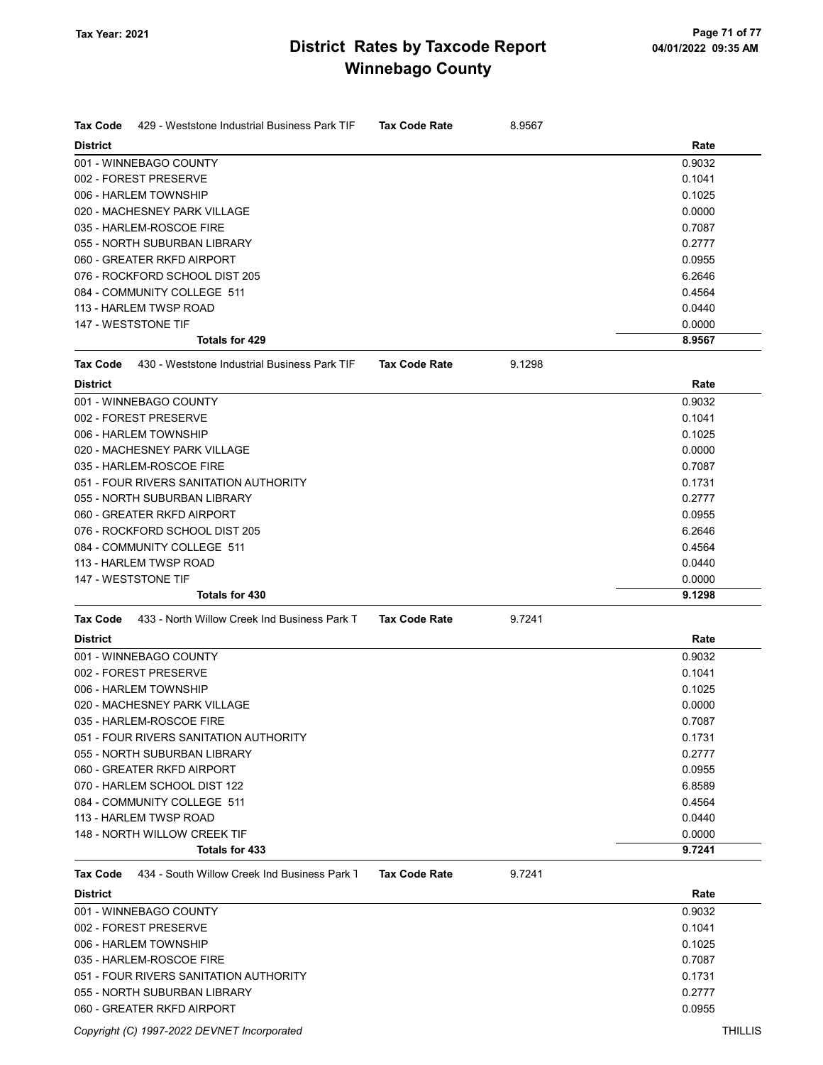| <b>Tax Code</b><br>429 - Weststone Industrial Business Park TIF<br><b>District</b> | <b>Tax Code Rate</b> | 8.9567 | Rate   |
|------------------------------------------------------------------------------------|----------------------|--------|--------|
| 001 - WINNEBAGO COUNTY                                                             |                      |        | 0.9032 |
| 002 - FOREST PRESERVE                                                              |                      |        | 0.1041 |
| 006 - HARLEM TOWNSHIP                                                              |                      |        | 0.1025 |
| 020 - MACHESNEY PARK VILLAGE                                                       |                      |        | 0.0000 |
| 035 - HARLEM-ROSCOE FIRE                                                           |                      |        | 0.7087 |
| 055 - NORTH SUBURBAN LIBRARY                                                       |                      |        | 0.2777 |
| 060 - GREATER RKFD AIRPORT                                                         |                      |        | 0.0955 |
| 076 - ROCKFORD SCHOOL DIST 205                                                     |                      |        | 6.2646 |
| 084 - COMMUNITY COLLEGE 511                                                        |                      |        | 0.4564 |
| 113 - HARLEM TWSP ROAD                                                             |                      |        | 0.0440 |
| 147 - WESTSTONE TIF                                                                |                      |        | 0.0000 |
| <b>Totals for 429</b>                                                              |                      |        | 8.9567 |
| <b>Tax Code</b><br>430 - Weststone Industrial Business Park TIF                    | <b>Tax Code Rate</b> | 9.1298 |        |
| <b>District</b>                                                                    |                      |        | Rate   |
| 001 - WINNEBAGO COUNTY                                                             |                      |        | 0.9032 |
| 002 - FOREST PRESERVE                                                              |                      |        | 0.1041 |
| 006 - HARLEM TOWNSHIP                                                              |                      |        | 0.1025 |
| 020 - MACHESNEY PARK VILLAGE                                                       |                      |        | 0.0000 |
| 035 - HARLEM-ROSCOE FIRE                                                           |                      |        | 0.7087 |
| 051 - FOUR RIVERS SANITATION AUTHORITY                                             |                      |        | 0.1731 |
| 055 - NORTH SUBURBAN LIBRARY                                                       |                      |        | 0.2777 |
| 060 - GREATER RKFD AIRPORT                                                         |                      |        | 0.0955 |
| 076 - ROCKFORD SCHOOL DIST 205                                                     |                      |        | 6.2646 |
| 084 - COMMUNITY COLLEGE 511                                                        |                      |        | 0.4564 |
| 113 - HARLEM TWSP ROAD                                                             |                      |        | 0.0440 |
| 147 - WESTSTONE TIF                                                                |                      |        | 0.0000 |
| <b>Totals for 430</b>                                                              |                      |        | 9.1298 |
| 433 - North Willow Creek Ind Business Park T<br><b>Tax Code</b>                    | <b>Tax Code Rate</b> | 9.7241 |        |
| <b>District</b>                                                                    |                      |        | Rate   |
| 001 - WINNEBAGO COUNTY                                                             |                      |        | 0.9032 |
| 002 - FOREST PRESERVE                                                              |                      |        | 0.1041 |
| 006 - HARLEM TOWNSHIP                                                              |                      |        | 0.1025 |
| 020 - MACHESNEY PARK VILLAGE                                                       |                      |        | 0.0000 |
| 035 - HARLEM-ROSCOE FIRE                                                           |                      |        | 0.7087 |
| 051 - FOUR RIVERS SANITATION AUTHORITY                                             |                      |        | 0.1731 |
| 055 - NORTH SUBURBAN LIBRARY                                                       |                      |        | 0.2777 |
| 060 - GREATER RKFD AIRPORT                                                         |                      |        | 0.0955 |
| 070 - HARLEM SCHOOL DIST 122                                                       |                      |        | 6.8589 |
| 084 - COMMUNITY COLLEGE 511                                                        |                      |        | 0.4564 |
| 113 - HARLEM TWSP ROAD                                                             |                      |        | 0.0440 |
| 148 - NORTH WILLOW CREEK TIF                                                       |                      |        | 0.0000 |
| Totals for 433                                                                     |                      |        | 9.7241 |
| 434 - South Willow Creek Ind Business Park 1<br><b>Tax Code</b>                    | <b>Tax Code Rate</b> | 9.7241 |        |
| <b>District</b>                                                                    |                      |        | Rate   |
| 001 - WINNEBAGO COUNTY                                                             |                      |        | 0.9032 |
| 002 - FOREST PRESERVE                                                              |                      |        | 0.1041 |
| 006 - HARLEM TOWNSHIP                                                              |                      |        | 0.1025 |
| 035 - HARLEM-ROSCOE FIRE                                                           |                      |        | 0.7087 |
| 051 - FOUR RIVERS SANITATION AUTHORITY                                             |                      |        | 0.1731 |
| 055 - NORTH SUBURBAN LIBRARY                                                       |                      |        | 0.2777 |
| 060 - GREATER RKFD AIRPORT                                                         |                      |        | 0.0955 |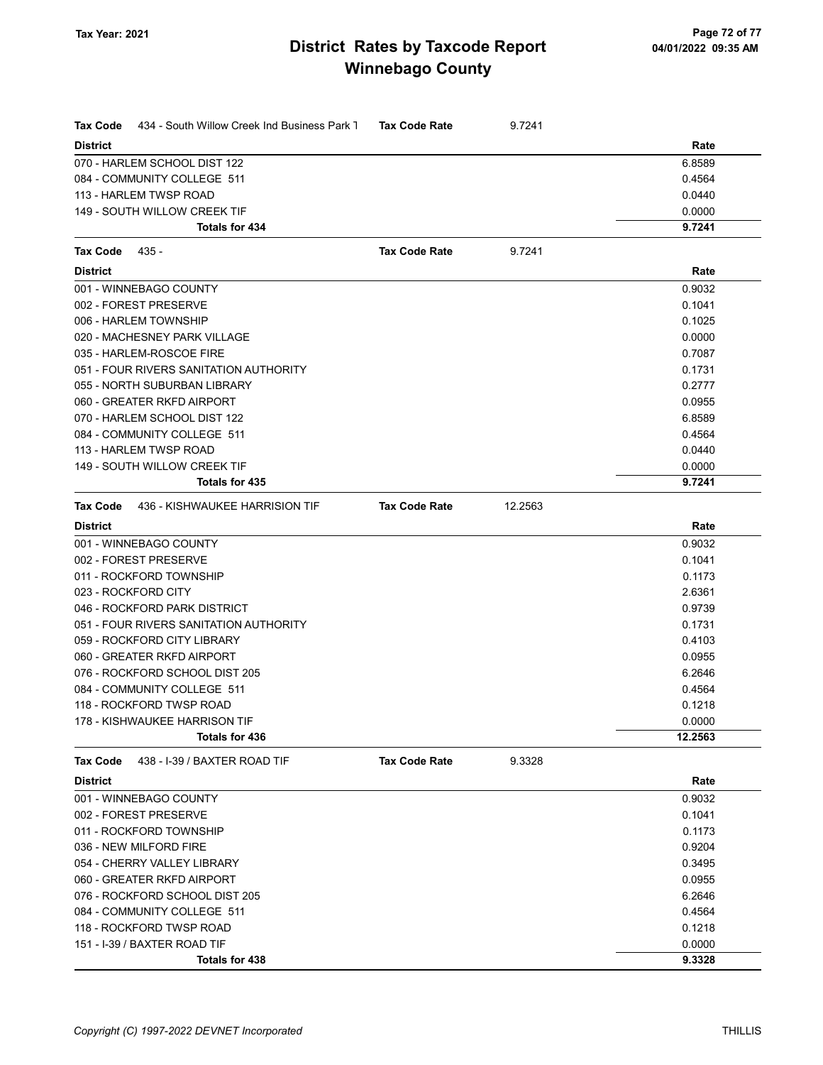| <b>Tax Code</b><br>434 - South Willow Creek Ind Business Park 1 | <b>Tax Code Rate</b> | 9.7241  |         |
|-----------------------------------------------------------------|----------------------|---------|---------|
| <b>District</b>                                                 |                      |         | Rate    |
| 070 - HARLEM SCHOOL DIST 122                                    |                      |         | 6.8589  |
| 084 - COMMUNITY COLLEGE 511                                     |                      |         | 0.4564  |
| 113 - HARLEM TWSP ROAD                                          |                      |         | 0.0440  |
| 149 - SOUTH WILLOW CREEK TIF                                    |                      |         | 0.0000  |
| Totals for 434                                                  |                      |         | 9.7241  |
| <b>Tax Code</b><br>435 -                                        | <b>Tax Code Rate</b> | 9.7241  |         |
| <b>District</b>                                                 |                      |         | Rate    |
| 001 - WINNEBAGO COUNTY                                          |                      |         | 0.9032  |
| 002 - FOREST PRESERVE                                           |                      |         | 0.1041  |
| 006 - HARLEM TOWNSHIP                                           |                      |         | 0.1025  |
| 020 - MACHESNEY PARK VILLAGE                                    |                      |         | 0.0000  |
| 035 - HARLEM-ROSCOE FIRE                                        |                      |         | 0.7087  |
| 051 - FOUR RIVERS SANITATION AUTHORITY                          |                      |         | 0.1731  |
| 055 - NORTH SUBURBAN LIBRARY                                    |                      |         | 0.2777  |
| 060 - GREATER RKFD AIRPORT                                      |                      |         | 0.0955  |
| 070 - HARLEM SCHOOL DIST 122                                    |                      |         | 6.8589  |
| 084 - COMMUNITY COLLEGE 511                                     |                      |         | 0.4564  |
| 113 - HARLEM TWSP ROAD                                          |                      |         | 0.0440  |
| 149 - SOUTH WILLOW CREEK TIF                                    |                      |         | 0.0000  |
| Totals for 435                                                  |                      |         | 9.7241  |
| Tax Code<br>436 - KISHWAUKEE HARRISION TIF                      | <b>Tax Code Rate</b> | 12.2563 |         |
| <b>District</b>                                                 |                      |         | Rate    |
| 001 - WINNEBAGO COUNTY                                          |                      |         | 0.9032  |
| 002 - FOREST PRESERVE                                           |                      |         | 0.1041  |
| 011 - ROCKFORD TOWNSHIP                                         |                      |         | 0.1173  |
| 023 - ROCKFORD CITY                                             |                      |         | 2.6361  |
| 046 - ROCKFORD PARK DISTRICT                                    |                      |         | 0.9739  |
| 051 - FOUR RIVERS SANITATION AUTHORITY                          |                      |         | 0.1731  |
| 059 - ROCKFORD CITY LIBRARY                                     |                      |         | 0.4103  |
| 060 - GREATER RKFD AIRPORT                                      |                      |         | 0.0955  |
| 076 - ROCKFORD SCHOOL DIST 205                                  |                      |         | 6.2646  |
| 084 - COMMUNITY COLLEGE 511                                     |                      |         | 0.4564  |
| 118 - ROCKFORD TWSP ROAD                                        |                      |         | 0.1218  |
| 178 - KISHWAUKEE HARRISON TIF                                   |                      |         | 0.0000  |
| Totals for 436                                                  |                      |         | 12.2563 |
| Tax Code<br>438 - I-39 / BAXTER ROAD TIF                        | <b>Tax Code Rate</b> | 9.3328  |         |
| <b>District</b>                                                 |                      |         | Rate    |
| 001 - WINNEBAGO COUNTY                                          |                      |         | 0.9032  |
| 002 - FOREST PRESERVE                                           |                      |         | 0.1041  |
| 011 - ROCKFORD TOWNSHIP                                         |                      |         | 0.1173  |
| 036 - NEW MILFORD FIRE                                          |                      |         | 0.9204  |
| 054 - CHERRY VALLEY LIBRARY                                     |                      |         | 0.3495  |
| 060 - GREATER RKFD AIRPORT                                      |                      |         | 0.0955  |
| 076 - ROCKFORD SCHOOL DIST 205                                  |                      |         | 6.2646  |
| 084 - COMMUNITY COLLEGE 511                                     |                      |         | 0.4564  |
| 118 - ROCKFORD TWSP ROAD                                        |                      |         | 0.1218  |
| 151 - I-39 / BAXTER ROAD TIF                                    |                      |         | 0.0000  |
| Totals for 438                                                  |                      |         | 9.3328  |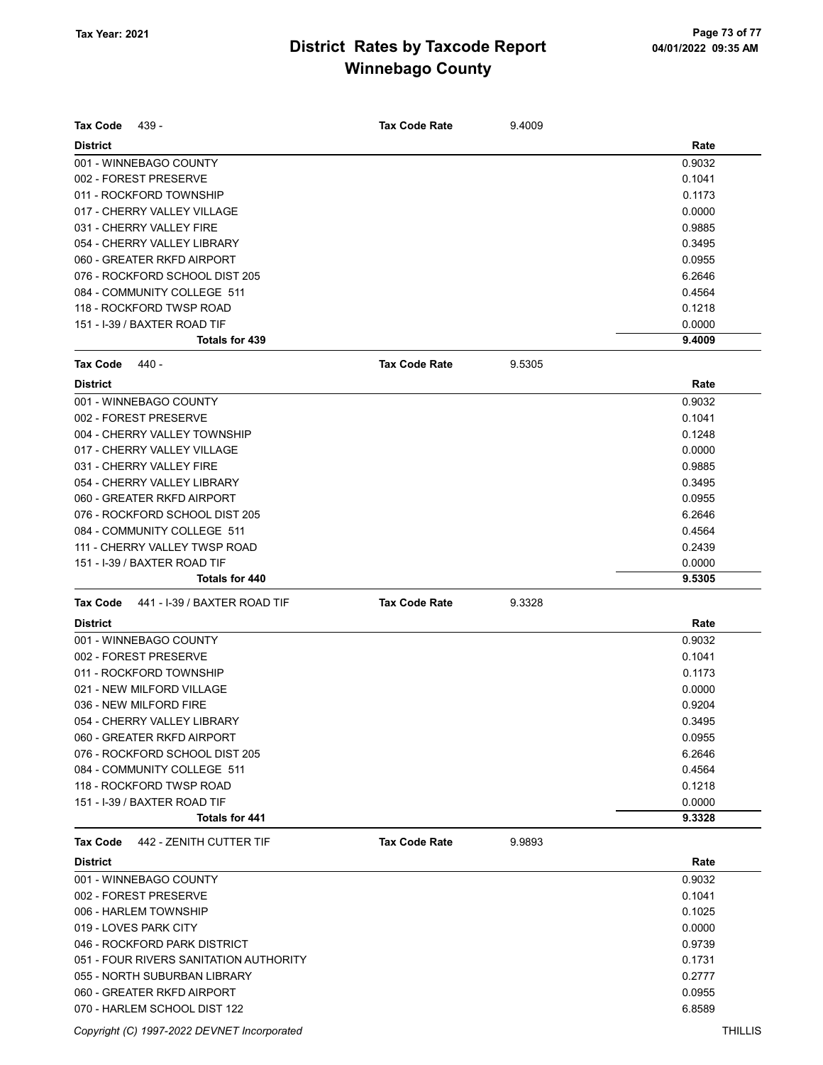| <b>Tax Code</b><br>439 -                        | <b>Tax Code Rate</b> | 9.4009 |                  |
|-------------------------------------------------|----------------------|--------|------------------|
| <b>District</b>                                 |                      |        | Rate             |
| 001 - WINNEBAGO COUNTY                          |                      |        | 0.9032           |
| 002 - FOREST PRESERVE                           |                      |        | 0.1041           |
| 011 - ROCKFORD TOWNSHIP                         |                      |        | 0.1173           |
| 017 - CHERRY VALLEY VILLAGE                     |                      |        | 0.0000           |
| 031 - CHERRY VALLEY FIRE                        |                      |        | 0.9885           |
| 054 - CHERRY VALLEY LIBRARY                     |                      |        | 0.3495           |
| 060 - GREATER RKFD AIRPORT                      |                      |        | 0.0955           |
| 076 - ROCKFORD SCHOOL DIST 205                  |                      |        | 6.2646           |
| 084 - COMMUNITY COLLEGE 511                     |                      |        | 0.4564           |
| 118 - ROCKFORD TWSP ROAD                        |                      |        | 0.1218           |
| 151 - I-39 / BAXTER ROAD TIF<br>Totals for 439  |                      |        | 0.0000<br>9.4009 |
|                                                 |                      |        |                  |
| Tax Code<br>440 -                               | <b>Tax Code Rate</b> | 9.5305 |                  |
| <b>District</b>                                 |                      |        | Rate             |
| 001 - WINNEBAGO COUNTY                          |                      |        | 0.9032           |
| 002 - FOREST PRESERVE                           |                      |        | 0.1041           |
| 004 - CHERRY VALLEY TOWNSHIP                    |                      |        | 0.1248           |
| 017 - CHERRY VALLEY VILLAGE                     |                      |        | 0.0000           |
| 031 - CHERRY VALLEY FIRE                        |                      |        | 0.9885           |
| 054 - CHERRY VALLEY LIBRARY                     |                      |        | 0.3495           |
| 060 - GREATER RKFD AIRPORT                      |                      |        | 0.0955           |
| 076 - ROCKFORD SCHOOL DIST 205                  |                      |        | 6.2646           |
| 084 - COMMUNITY COLLEGE 511                     |                      |        | 0.4564           |
| 111 - CHERRY VALLEY TWSP ROAD                   |                      |        | 0.2439           |
| 151 - I-39 / BAXTER ROAD TIF                    |                      |        | 0.0000           |
| <b>Totals for 440</b>                           |                      |        | 9.5305           |
| <b>Tax Code</b><br>441 - I-39 / BAXTER ROAD TIF | <b>Tax Code Rate</b> | 9.3328 |                  |
| <b>District</b>                                 |                      |        | Rate             |
| 001 - WINNEBAGO COUNTY                          |                      |        | 0.9032           |
| 002 - FOREST PRESERVE                           |                      |        | 0.1041           |
| 011 - ROCKFORD TOWNSHIP                         |                      |        | 0.1173           |
| 021 - NEW MILFORD VILLAGE                       |                      |        | 0.0000           |
| 036 - NEW MILFORD FIRE                          |                      |        | 0.9204           |
| 054 - CHERRY VALLEY LIBRARY                     |                      |        | 0.3495           |
| 060 - GREATER RKFD AIRPORT                      |                      |        | 0.0955           |
| 076 - ROCKFORD SCHOOL DIST 205                  |                      |        | 6.2646           |
| 084 - COMMUNITY COLLEGE 511                     |                      |        | 0.4564           |
| 118 - ROCKFORD TWSP ROAD                        |                      |        | 0.1218           |
| 151 - I-39 / BAXTER ROAD TIF                    |                      |        | 0.0000           |
| Totals for 441                                  |                      |        | 9.3328           |
|                                                 | <b>Tax Code Rate</b> |        |                  |
| 442 - ZENITH CUTTER TIF<br><b>Tax Code</b>      |                      | 9.9893 |                  |
| <b>District</b>                                 |                      |        | Rate             |
| 001 - WINNEBAGO COUNTY                          |                      |        | 0.9032           |
| 002 - FOREST PRESERVE                           |                      |        | 0.1041           |
| 006 - HARLEM TOWNSHIP                           |                      |        | 0.1025           |
| 019 - LOVES PARK CITY                           |                      |        | 0.0000           |
| 046 - ROCKFORD PARK DISTRICT                    |                      |        | 0.9739           |
| 051 - FOUR RIVERS SANITATION AUTHORITY          |                      |        | 0.1731           |
| 055 - NORTH SUBURBAN LIBRARY                    |                      |        | 0.2777           |
| 060 - GREATER RKFD AIRPORT                      |                      |        | 0.0955           |
| 070 - HARLEM SCHOOL DIST 122                    |                      |        | 6.8589           |

Copyright (C) 1997-2022 DEVNET Incorporated THILLIS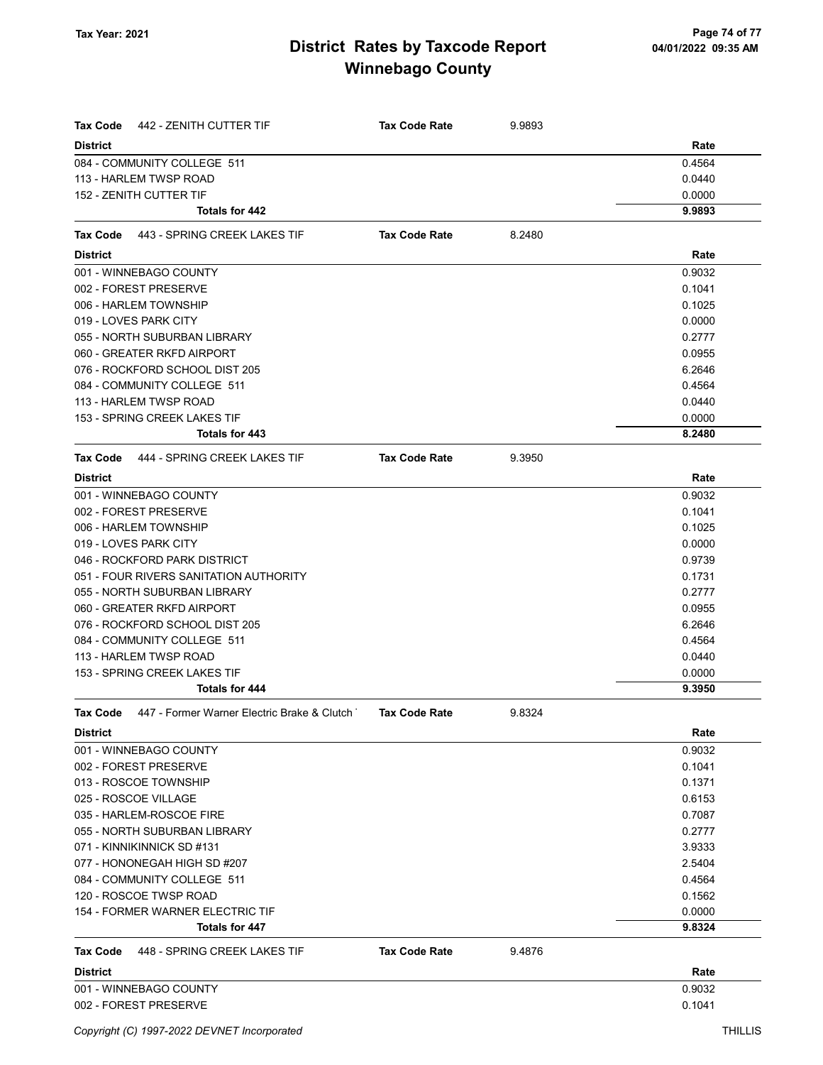| Tax Code<br>442 - ZENITH CUTTER TIF                     | <b>Tax Code Rate</b> | 9.9893 |        |
|---------------------------------------------------------|----------------------|--------|--------|
| <b>District</b>                                         |                      |        | Rate   |
| 084 - COMMUNITY COLLEGE 511                             |                      |        | 0.4564 |
| 113 - HARLEM TWSP ROAD                                  |                      |        | 0.0440 |
| 152 - ZENITH CUTTER TIF                                 |                      |        | 0.0000 |
| Totals for 442                                          |                      |        | 9.9893 |
| Tax Code<br>443 - SPRING CREEK LAKES TIF                | <b>Tax Code Rate</b> | 8.2480 |        |
| <b>District</b>                                         |                      |        | Rate   |
| 001 - WINNEBAGO COUNTY                                  |                      |        | 0.9032 |
| 002 - FOREST PRESERVE                                   |                      |        | 0.1041 |
| 006 - HARLEM TOWNSHIP                                   |                      |        | 0.1025 |
| 019 - LOVES PARK CITY                                   |                      |        | 0.0000 |
| 055 - NORTH SUBURBAN LIBRARY                            |                      |        | 0.2777 |
| 060 - GREATER RKFD AIRPORT                              |                      |        | 0.0955 |
| 076 - ROCKFORD SCHOOL DIST 205                          |                      |        | 6.2646 |
| 084 - COMMUNITY COLLEGE 511                             |                      |        | 0.4564 |
| 113 - HARLEM TWSP ROAD                                  |                      |        | 0.0440 |
| 153 - SPRING CREEK LAKES TIF                            |                      |        | 0.0000 |
| Totals for 443                                          |                      |        | 8.2480 |
| Tax Code 444 - SPRING CREEK LAKES TIF                   | <b>Tax Code Rate</b> | 9.3950 |        |
| <b>District</b>                                         |                      |        | Rate   |
| 001 - WINNEBAGO COUNTY                                  |                      |        | 0.9032 |
| 002 - FOREST PRESERVE                                   |                      |        | 0.1041 |
| 006 - HARLEM TOWNSHIP                                   |                      |        | 0.1025 |
| 019 - LOVES PARK CITY                                   |                      |        | 0.0000 |
| 046 - ROCKFORD PARK DISTRICT                            |                      |        | 0.9739 |
| 051 - FOUR RIVERS SANITATION AUTHORITY                  |                      |        | 0.1731 |
| 055 - NORTH SUBURBAN LIBRARY                            |                      |        | 0.2777 |
| 060 - GREATER RKFD AIRPORT                              |                      |        | 0.0955 |
| 076 - ROCKFORD SCHOOL DIST 205                          |                      |        | 6.2646 |
| 084 - COMMUNITY COLLEGE 511                             |                      |        | 0.4564 |
| 113 - HARLEM TWSP ROAD                                  |                      |        | 0.0440 |
| 153 - SPRING CREEK LAKES TIF                            |                      |        | 0.0000 |
| Totals for 444                                          |                      |        | 9.3950 |
| 447 - Former Warner Electric Brake & Clutch<br>Tax Code | Tax Code Rate        | 9.8324 |        |
| <b>District</b>                                         |                      |        | Rate   |
| 001 - WINNEBAGO COUNTY                                  |                      |        | 0.9032 |
| 002 - FOREST PRESERVE                                   |                      |        | 0.1041 |
| 013 - ROSCOE TOWNSHIP                                   |                      |        | 0.1371 |
| 025 - ROSCOE VILLAGE                                    |                      |        | 0.6153 |
| 035 - HARLEM-ROSCOE FIRE                                |                      |        | 0.7087 |
| 055 - NORTH SUBURBAN LIBRARY                            |                      |        | 0.2777 |
| 071 - KINNIKINNICK SD #131                              |                      |        | 3.9333 |
| 077 - HONONEGAH HIGH SD #207                            |                      |        | 2.5404 |
| 084 - COMMUNITY COLLEGE 511                             |                      |        | 0.4564 |
| 120 - ROSCOE TWSP ROAD                                  |                      |        | 0.1562 |
| 154 - FORMER WARNER ELECTRIC TIF                        |                      |        | 0.0000 |
| Totals for 447                                          |                      |        | 9.8324 |
| Tax Code<br>448 - SPRING CREEK LAKES TIF                | <b>Tax Code Rate</b> | 9.4876 |        |
| <b>District</b>                                         |                      |        | Rate   |
| 001 - WINNEBAGO COUNTY                                  |                      |        | 0.9032 |
| 002 - FOREST PRESERVE                                   |                      |        | 0.1041 |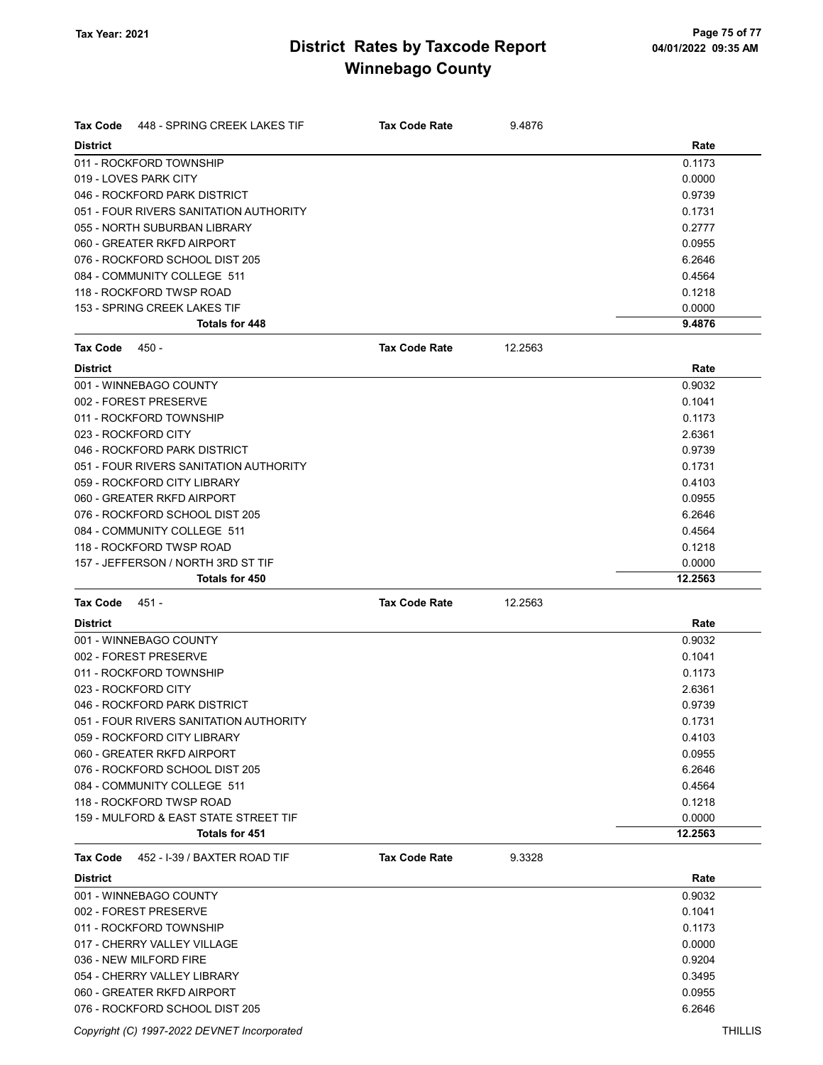| Tax Code<br>448 - SPRING CREEK LAKES TIF | <b>Tax Code Rate</b> | 9.4876  |         |
|------------------------------------------|----------------------|---------|---------|
| <b>District</b>                          |                      |         | Rate    |
| 011 - ROCKFORD TOWNSHIP                  |                      |         | 0.1173  |
| 019 - LOVES PARK CITY                    |                      |         | 0.0000  |
| 046 - ROCKFORD PARK DISTRICT             |                      |         | 0.9739  |
| 051 - FOUR RIVERS SANITATION AUTHORITY   |                      |         | 0.1731  |
| 055 - NORTH SUBURBAN LIBRARY             |                      |         | 0.2777  |
| 060 - GREATER RKFD AIRPORT               |                      |         | 0.0955  |
| 076 - ROCKFORD SCHOOL DIST 205           |                      |         | 6.2646  |
| 084 - COMMUNITY COLLEGE 511              |                      |         | 0.4564  |
| 118 - ROCKFORD TWSP ROAD                 |                      |         | 0.1218  |
| 153 - SPRING CREEK LAKES TIF             |                      |         | 0.0000  |
| <b>Totals for 448</b>                    |                      |         | 9.4876  |
| Tax Code<br>450 -                        | <b>Tax Code Rate</b> | 12.2563 |         |
| <b>District</b>                          |                      |         | Rate    |
| 001 - WINNEBAGO COUNTY                   |                      |         | 0.9032  |
| 002 - FOREST PRESERVE                    |                      |         | 0.1041  |
| 011 - ROCKFORD TOWNSHIP                  |                      |         | 0.1173  |
| 023 - ROCKFORD CITY                      |                      |         | 2.6361  |
| 046 - ROCKFORD PARK DISTRICT             |                      |         | 0.9739  |
| 051 - FOUR RIVERS SANITATION AUTHORITY   |                      |         | 0.1731  |
| 059 - ROCKFORD CITY LIBRARY              |                      |         | 0.4103  |
| 060 - GREATER RKFD AIRPORT               |                      |         | 0.0955  |
| 076 - ROCKFORD SCHOOL DIST 205           |                      |         | 6.2646  |
| 084 - COMMUNITY COLLEGE 511              |                      |         | 0.4564  |
| 118 - ROCKFORD TWSP ROAD                 |                      |         | 0.1218  |
| 157 - JEFFERSON / NORTH 3RD ST TIF       |                      |         | 0.0000  |
| <b>Totals for 450</b>                    |                      |         | 12.2563 |
| <b>Tax Code</b><br>451 -                 | <b>Tax Code Rate</b> | 12.2563 |         |
| <b>District</b>                          |                      |         | Rate    |
| 001 - WINNEBAGO COUNTY                   |                      |         | 0.9032  |
| 002 - FOREST PRESERVE                    |                      |         | 0.1041  |
| 011 - ROCKFORD TOWNSHIP                  |                      |         | 0.1173  |
| 023 - ROCKFORD CITY                      |                      |         | 2.6361  |
| 046 - ROCKFORD PARK DISTRICT             |                      |         | 0.9739  |
| 051 - FOUR RIVERS SANITATION AUTHORITY   |                      |         | 0.1731  |
| 059 - ROCKFORD CITY LIBRARY              |                      |         | 0.4103  |
| 060 - GREATER RKFD AIRPORT               |                      |         | 0.0955  |
| 076 - ROCKFORD SCHOOL DIST 205           |                      |         | 6.2646  |
| 084 - COMMUNITY COLLEGE 511              |                      |         | 0.4564  |
| 118 - ROCKFORD TWSP ROAD                 |                      |         | 0.1218  |
| 159 - MULFORD & EAST STATE STREET TIF    |                      |         | 0.0000  |
| Totals for 451                           |                      |         | 12.2563 |
| Tax Code<br>452 - I-39 / BAXTER ROAD TIF | <b>Tax Code Rate</b> | 9.3328  |         |
| <b>District</b>                          |                      |         | Rate    |
| 001 - WINNEBAGO COUNTY                   |                      |         | 0.9032  |
| 002 - FOREST PRESERVE                    |                      |         | 0.1041  |
| 011 - ROCKFORD TOWNSHIP                  |                      |         | 0.1173  |
| 017 - CHERRY VALLEY VILLAGE              |                      |         | 0.0000  |
| 036 - NEW MILFORD FIRE                   |                      |         | 0.9204  |
| 054 - CHERRY VALLEY LIBRARY              |                      |         | 0.3495  |
| 060 - GREATER RKFD AIRPORT               |                      |         | 0.0955  |
| 076 - ROCKFORD SCHOOL DIST 205           |                      |         | 6.2646  |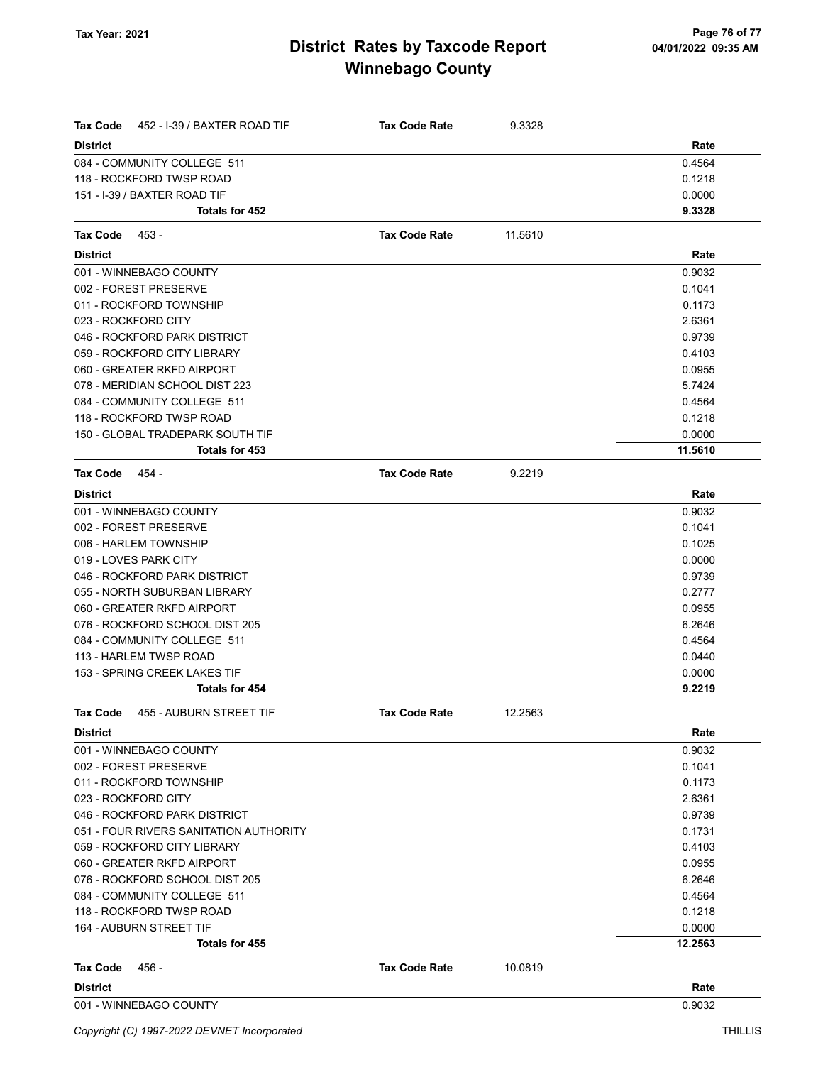| Tax Code<br>452 - I-39 / BAXTER ROAD TIF   | <b>Tax Code Rate</b> | 9.3328  |         |
|--------------------------------------------|----------------------|---------|---------|
| <b>District</b>                            |                      |         | Rate    |
| 084 - COMMUNITY COLLEGE 511                |                      |         | 0.4564  |
| 118 - ROCKFORD TWSP ROAD                   |                      |         | 0.1218  |
| 151 - I-39 / BAXTER ROAD TIF               |                      |         | 0.0000  |
| Totals for 452                             |                      |         | 9.3328  |
| Tax Code<br>453 -                          | <b>Tax Code Rate</b> | 11.5610 |         |
| <b>District</b>                            |                      |         | Rate    |
| 001 - WINNEBAGO COUNTY                     |                      |         | 0.9032  |
| 002 - FOREST PRESERVE                      |                      |         | 0.1041  |
| 011 - ROCKFORD TOWNSHIP                    |                      |         | 0.1173  |
| 023 - ROCKFORD CITY                        |                      |         | 2.6361  |
| 046 - ROCKFORD PARK DISTRICT               |                      |         | 0.9739  |
| 059 - ROCKFORD CITY LIBRARY                |                      |         | 0.4103  |
| 060 - GREATER RKFD AIRPORT                 |                      |         | 0.0955  |
| 078 - MERIDIAN SCHOOL DIST 223             |                      |         | 5.7424  |
| 084 - COMMUNITY COLLEGE 511                |                      |         | 0.4564  |
| 118 - ROCKFORD TWSP ROAD                   |                      |         | 0.1218  |
| 150 - GLOBAL TRADEPARK SOUTH TIF           |                      |         | 0.0000  |
| Totals for 453                             |                      |         | 11.5610 |
| <b>Tax Code</b><br>454 -                   | <b>Tax Code Rate</b> | 9.2219  |         |
| <b>District</b>                            |                      |         | Rate    |
| 001 - WINNEBAGO COUNTY                     |                      |         | 0.9032  |
| 002 - FOREST PRESERVE                      |                      |         | 0.1041  |
| 006 - HARLEM TOWNSHIP                      |                      |         | 0.1025  |
| 019 - LOVES PARK CITY                      |                      |         | 0.0000  |
| 046 - ROCKFORD PARK DISTRICT               |                      |         | 0.9739  |
| 055 - NORTH SUBURBAN LIBRARY               |                      |         | 0.2777  |
| 060 - GREATER RKFD AIRPORT                 |                      |         | 0.0955  |
| 076 - ROCKFORD SCHOOL DIST 205             |                      |         | 6.2646  |
| 084 - COMMUNITY COLLEGE 511                |                      |         | 0.4564  |
| 113 - HARLEM TWSP ROAD                     |                      |         | 0.0440  |
| 153 - SPRING CREEK LAKES TIF               |                      |         | 0.0000  |
| Totals for 454                             |                      |         | 9.2219  |
| <b>Tax Code</b><br>455 - AUBURN STREET TIF | <b>Tax Code Rate</b> | 12.2563 |         |
| <b>District</b>                            |                      |         | Rate    |
| 001 - WINNEBAGO COUNTY                     |                      |         | 0.9032  |
| 002 - FOREST PRESERVE                      |                      |         | 0.1041  |
| 011 - ROCKFORD TOWNSHIP                    |                      |         | 0.1173  |
| 023 - ROCKFORD CITY                        |                      |         | 2.6361  |
| 046 - ROCKFORD PARK DISTRICT               |                      |         | 0.9739  |
| 051 - FOUR RIVERS SANITATION AUTHORITY     |                      |         | 0.1731  |
| 059 - ROCKFORD CITY LIBRARY                |                      |         | 0.4103  |
| 060 - GREATER RKFD AIRPORT                 |                      |         | 0.0955  |
| 076 - ROCKFORD SCHOOL DIST 205             |                      |         | 6.2646  |
| 084 - COMMUNITY COLLEGE 511                |                      |         | 0.4564  |
| 118 - ROCKFORD TWSP ROAD                   |                      |         | 0.1218  |
| <b>164 - AUBURN STREET TIF</b>             |                      |         | 0.0000  |
| Totals for 455                             |                      |         | 12.2563 |
| Tax Code<br>456 -                          | <b>Tax Code Rate</b> | 10.0819 |         |
| <b>District</b>                            |                      |         | Rate    |
| 001 - WINNEBAGO COUNTY                     |                      |         | 0.9032  |